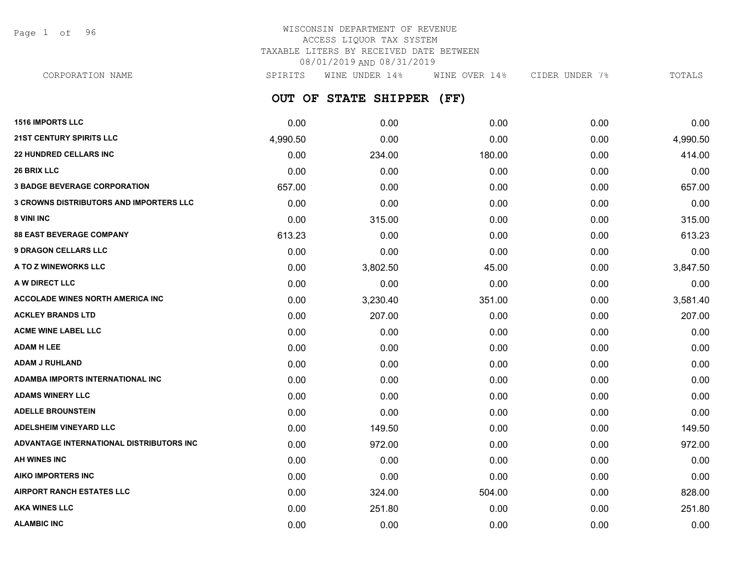Page 1 of 96

## WISCONSIN DEPARTMENT OF REVENUE ACCESS LIQUOR TAX SYSTEM TAXABLE LITERS BY RECEIVED DATE BETWEEN 08/01/2019 AND 08/31/2019

CORPORATION NAME SPIRITS WINE UNDER 14% WINE OVER 14% CIDER UNDER 7% TOTALS

**OUT OF STATE SHIPPER (FF)**

| <b>1516 IMPORTS LLC</b>                        | 0.00     | 0.00     | 0.00   | 0.00 | 0.00     |
|------------------------------------------------|----------|----------|--------|------|----------|
| <b>21ST CENTURY SPIRITS LLC</b>                | 4,990.50 | 0.00     | 0.00   | 0.00 | 4,990.50 |
| <b>22 HUNDRED CELLARS INC</b>                  | 0.00     | 234.00   | 180.00 | 0.00 | 414.00   |
| <b>26 BRIX LLC</b>                             | 0.00     | 0.00     | 0.00   | 0.00 | 0.00     |
| <b>3 BADGE BEVERAGE CORPORATION</b>            | 657.00   | 0.00     | 0.00   | 0.00 | 657.00   |
| <b>3 CROWNS DISTRIBUTORS AND IMPORTERS LLC</b> | 0.00     | 0.00     | 0.00   | 0.00 | 0.00     |
| 8 VINI INC                                     | 0.00     | 315.00   | 0.00   | 0.00 | 315.00   |
| <b>88 EAST BEVERAGE COMPANY</b>                | 613.23   | 0.00     | 0.00   | 0.00 | 613.23   |
| <b>9 DRAGON CELLARS LLC</b>                    | 0.00     | 0.00     | 0.00   | 0.00 | 0.00     |
| A TO Z WINEWORKS LLC                           | 0.00     | 3,802.50 | 45.00  | 0.00 | 3,847.50 |
| A W DIRECT LLC                                 | 0.00     | 0.00     | 0.00   | 0.00 | 0.00     |
| <b>ACCOLADE WINES NORTH AMERICA INC.</b>       | 0.00     | 3,230.40 | 351.00 | 0.00 | 3,581.40 |
| <b>ACKLEY BRANDS LTD</b>                       | 0.00     | 207.00   | 0.00   | 0.00 | 207.00   |
| <b>ACME WINE LABEL LLC</b>                     | 0.00     | 0.00     | 0.00   | 0.00 | 0.00     |
| <b>ADAM H LEE</b>                              | 0.00     | 0.00     | 0.00   | 0.00 | 0.00     |
| <b>ADAM J RUHLAND</b>                          | 0.00     | 0.00     | 0.00   | 0.00 | 0.00     |
| ADAMBA IMPORTS INTERNATIONAL INC               | 0.00     | 0.00     | 0.00   | 0.00 | 0.00     |
| <b>ADAMS WINERY LLC</b>                        | 0.00     | 0.00     | 0.00   | 0.00 | 0.00     |
| <b>ADELLE BROUNSTEIN</b>                       | 0.00     | 0.00     | 0.00   | 0.00 | 0.00     |
| <b>ADELSHEIM VINEYARD LLC</b>                  | 0.00     | 149.50   | 0.00   | 0.00 | 149.50   |
| ADVANTAGE INTERNATIONAL DISTRIBUTORS INC       | 0.00     | 972.00   | 0.00   | 0.00 | 972.00   |
| <b>AH WINES INC</b>                            | 0.00     | 0.00     | 0.00   | 0.00 | 0.00     |
| <b>AIKO IMPORTERS INC</b>                      | 0.00     | 0.00     | 0.00   | 0.00 | 0.00     |
| <b>AIRPORT RANCH ESTATES LLC</b>               | 0.00     | 324.00   | 504.00 | 0.00 | 828.00   |
| <b>AKA WINES LLC</b>                           | 0.00     | 251.80   | 0.00   | 0.00 | 251.80   |
| <b>ALAMBIC INC</b>                             | 0.00     | 0.00     | 0.00   | 0.00 | 0.00     |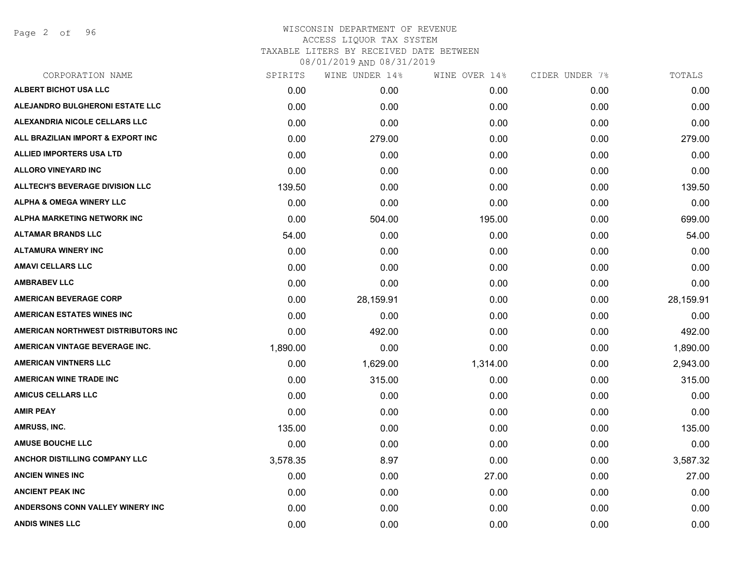Page 2 of 96

| CORPORATION NAME                       | SPIRITS  | WINE UNDER 14% | WINE OVER 14% | CIDER UNDER 7% | TOTALS    |
|----------------------------------------|----------|----------------|---------------|----------------|-----------|
| ALBERT BICHOT USA LLC                  | 0.00     | 0.00           | 0.00          | 0.00           | 0.00      |
| ALEJANDRO BULGHERONI ESTATE LLC        | 0.00     | 0.00           | 0.00          | 0.00           | 0.00      |
| ALEXANDRIA NICOLE CELLARS LLC          | 0.00     | 0.00           | 0.00          | 0.00           | 0.00      |
| ALL BRAZILIAN IMPORT & EXPORT INC      | 0.00     | 279.00         | 0.00          | 0.00           | 279.00    |
| <b>ALLIED IMPORTERS USA LTD</b>        | 0.00     | 0.00           | 0.00          | 0.00           | 0.00      |
| <b>ALLORO VINEYARD INC</b>             | 0.00     | 0.00           | 0.00          | 0.00           | 0.00      |
| <b>ALLTECH'S BEVERAGE DIVISION LLC</b> | 139.50   | 0.00           | 0.00          | 0.00           | 139.50    |
| <b>ALPHA &amp; OMEGA WINERY LLC</b>    | 0.00     | 0.00           | 0.00          | 0.00           | 0.00      |
| ALPHA MARKETING NETWORK INC            | 0.00     | 504.00         | 195.00        | 0.00           | 699.00    |
| <b>ALTAMAR BRANDS LLC</b>              | 54.00    | 0.00           | 0.00          | 0.00           | 54.00     |
| <b>ALTAMURA WINERY INC</b>             | 0.00     | 0.00           | 0.00          | 0.00           | 0.00      |
| <b>AMAVI CELLARS LLC</b>               | 0.00     | 0.00           | 0.00          | 0.00           | 0.00      |
| <b>AMBRABEV LLC</b>                    | 0.00     | 0.00           | 0.00          | 0.00           | 0.00      |
| <b>AMERICAN BEVERAGE CORP</b>          | 0.00     | 28,159.91      | 0.00          | 0.00           | 28,159.91 |
| <b>AMERICAN ESTATES WINES INC</b>      | 0.00     | 0.00           | 0.00          | 0.00           | 0.00      |
| AMERICAN NORTHWEST DISTRIBUTORS INC    | 0.00     | 492.00         | 0.00          | 0.00           | 492.00    |
| AMERICAN VINTAGE BEVERAGE INC.         | 1,890.00 | 0.00           | 0.00          | 0.00           | 1,890.00  |
| <b>AMERICAN VINTNERS LLC</b>           | 0.00     | 1,629.00       | 1,314.00      | 0.00           | 2,943.00  |
| <b>AMERICAN WINE TRADE INC</b>         | 0.00     | 315.00         | 0.00          | 0.00           | 315.00    |
| <b>AMICUS CELLARS LLC</b>              | 0.00     | 0.00           | 0.00          | 0.00           | 0.00      |
| <b>AMIR PEAY</b>                       | 0.00     | 0.00           | 0.00          | 0.00           | 0.00      |
| AMRUSS, INC.                           | 135.00   | 0.00           | 0.00          | 0.00           | 135.00    |
| <b>AMUSE BOUCHE LLC</b>                | 0.00     | 0.00           | 0.00          | 0.00           | 0.00      |
| ANCHOR DISTILLING COMPANY LLC          | 3,578.35 | 8.97           | 0.00          | 0.00           | 3,587.32  |
| <b>ANCIEN WINES INC</b>                | 0.00     | 0.00           | 27.00         | 0.00           | 27.00     |
| <b>ANCIENT PEAK INC</b>                | 0.00     | 0.00           | 0.00          | 0.00           | 0.00      |
| ANDERSONS CONN VALLEY WINERY INC       | 0.00     | 0.00           | 0.00          | 0.00           | 0.00      |
| <b>ANDIS WINES LLC</b>                 | 0.00     | 0.00           | 0.00          | 0.00           | 0.00      |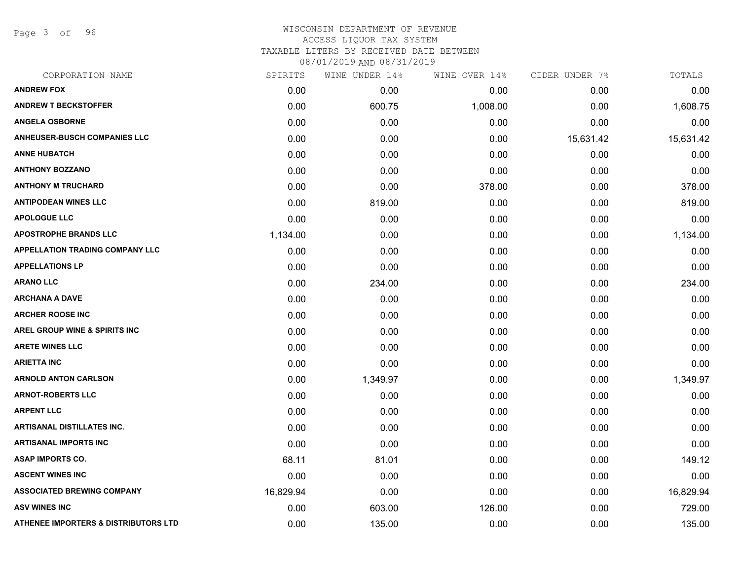Page 3 of 96

## WISCONSIN DEPARTMENT OF REVENUE ACCESS LIQUOR TAX SYSTEM TAXABLE LITERS BY RECEIVED DATE BETWEEN

| CORPORATION NAME                       | SPIRITS   | WINE UNDER 14% | WINE OVER 14% | CIDER UNDER 7% | TOTALS    |
|----------------------------------------|-----------|----------------|---------------|----------------|-----------|
| <b>ANDREW FOX</b>                      | 0.00      | 0.00           | 0.00          | 0.00           | 0.00      |
| <b>ANDREW T BECKSTOFFER</b>            | 0.00      | 600.75         | 1,008.00      | 0.00           | 1,608.75  |
| <b>ANGELA OSBORNE</b>                  | 0.00      | 0.00           | 0.00          | 0.00           | 0.00      |
| <b>ANHEUSER-BUSCH COMPANIES LLC</b>    | 0.00      | 0.00           | 0.00          | 15,631.42      | 15,631.42 |
| <b>ANNE HUBATCH</b>                    | 0.00      | 0.00           | 0.00          | 0.00           | 0.00      |
| <b>ANTHONY BOZZANO</b>                 | 0.00      | 0.00           | 0.00          | 0.00           | 0.00      |
| <b>ANTHONY M TRUCHARD</b>              | 0.00      | 0.00           | 378.00        | 0.00           | 378.00    |
| <b>ANTIPODEAN WINES LLC</b>            | 0.00      | 819.00         | 0.00          | 0.00           | 819.00    |
| <b>APOLOGUE LLC</b>                    | 0.00      | 0.00           | 0.00          | 0.00           | 0.00      |
| <b>APOSTROPHE BRANDS LLC</b>           | 1,134.00  | 0.00           | 0.00          | 0.00           | 1,134.00  |
| <b>APPELLATION TRADING COMPANY LLC</b> | 0.00      | 0.00           | 0.00          | 0.00           | 0.00      |
| <b>APPELLATIONS LP</b>                 | 0.00      | 0.00           | 0.00          | 0.00           | 0.00      |
| <b>ARANO LLC</b>                       | 0.00      | 234.00         | 0.00          | 0.00           | 234.00    |
| <b>ARCHANA A DAVE</b>                  | 0.00      | 0.00           | 0.00          | 0.00           | 0.00      |
| <b>ARCHER ROOSE INC</b>                | 0.00      | 0.00           | 0.00          | 0.00           | 0.00      |
| AREL GROUP WINE & SPIRITS INC          | 0.00      | 0.00           | 0.00          | 0.00           | 0.00      |
| <b>ARETE WINES LLC</b>                 | 0.00      | 0.00           | 0.00          | 0.00           | 0.00      |
| <b>ARIETTA INC</b>                     | 0.00      | 0.00           | 0.00          | 0.00           | 0.00      |
| <b>ARNOLD ANTON CARLSON</b>            | 0.00      | 1,349.97       | 0.00          | 0.00           | 1,349.97  |
| <b>ARNOT-ROBERTS LLC</b>               | 0.00      | 0.00           | 0.00          | 0.00           | 0.00      |
| <b>ARPENT LLC</b>                      | 0.00      | 0.00           | 0.00          | 0.00           | 0.00      |
| <b>ARTISANAL DISTILLATES INC.</b>      | 0.00      | 0.00           | 0.00          | 0.00           | 0.00      |
| <b>ARTISANAL IMPORTS INC</b>           | 0.00      | 0.00           | 0.00          | 0.00           | 0.00      |
| <b>ASAP IMPORTS CO.</b>                | 68.11     | 81.01          | 0.00          | 0.00           | 149.12    |
| <b>ASCENT WINES INC</b>                | 0.00      | 0.00           | 0.00          | 0.00           | 0.00      |
| <b>ASSOCIATED BREWING COMPANY</b>      | 16,829.94 | 0.00           | 0.00          | 0.00           | 16,829.94 |
| <b>ASV WINES INC</b>                   | 0.00      | 603.00         | 126.00        | 0.00           | 729.00    |
| ATHENEE IMPORTERS & DISTRIBUTORS LTD   | 0.00      | 135.00         | 0.00          | 0.00           | 135.00    |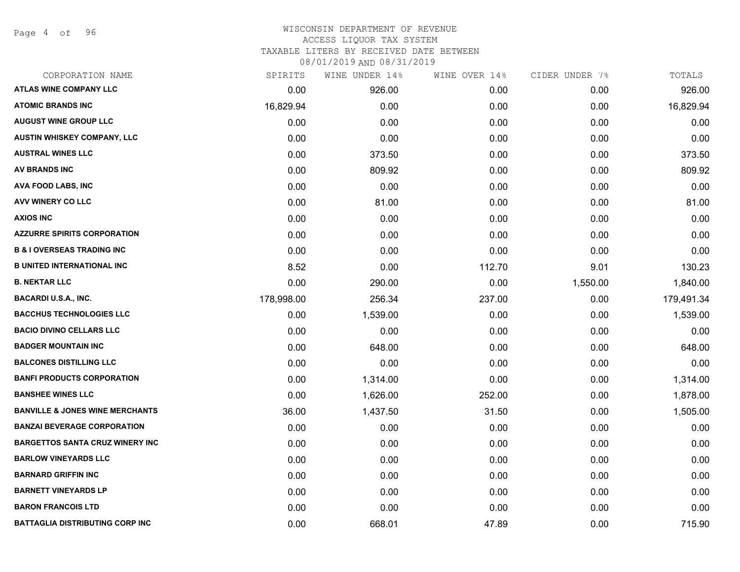Page 4 of 96

## WISCONSIN DEPARTMENT OF REVENUE ACCESS LIQUOR TAX SYSTEM TAXABLE LITERS BY RECEIVED DATE BETWEEN

| CORPORATION NAME                           | SPIRITS    | WINE UNDER 14% | WINE OVER 14% | CIDER UNDER 7% | TOTALS     |
|--------------------------------------------|------------|----------------|---------------|----------------|------------|
| <b>ATLAS WINE COMPANY LLC</b>              | 0.00       | 926.00         | 0.00          | 0.00           | 926.00     |
| <b>ATOMIC BRANDS INC</b>                   | 16,829.94  | 0.00           | 0.00          | 0.00           | 16,829.94  |
| <b>AUGUST WINE GROUP LLC</b>               | 0.00       | 0.00           | 0.00          | 0.00           | 0.00       |
| <b>AUSTIN WHISKEY COMPANY, LLC</b>         | 0.00       | 0.00           | 0.00          | 0.00           | 0.00       |
| <b>AUSTRAL WINES LLC</b>                   | 0.00       | 373.50         | 0.00          | 0.00           | 373.50     |
| <b>AV BRANDS INC</b>                       | 0.00       | 809.92         | 0.00          | 0.00           | 809.92     |
| <b>AVA FOOD LABS, INC</b>                  | 0.00       | 0.00           | 0.00          | 0.00           | 0.00       |
| AVV WINERY CO LLC                          | 0.00       | 81.00          | 0.00          | 0.00           | 81.00      |
| <b>AXIOS INC</b>                           | 0.00       | 0.00           | 0.00          | 0.00           | 0.00       |
| <b>AZZURRE SPIRITS CORPORATION</b>         | 0.00       | 0.00           | 0.00          | 0.00           | 0.00       |
| <b>B &amp; I OVERSEAS TRADING INC</b>      | 0.00       | 0.00           | 0.00          | 0.00           | 0.00       |
| <b>B UNITED INTERNATIONAL INC</b>          | 8.52       | 0.00           | 112.70        | 9.01           | 130.23     |
| <b>B. NEKTAR LLC</b>                       | 0.00       | 290.00         | 0.00          | 1,550.00       | 1,840.00   |
| <b>BACARDI U.S.A., INC.</b>                | 178,998.00 | 256.34         | 237.00        | 0.00           | 179,491.34 |
| <b>BACCHUS TECHNOLOGIES LLC</b>            | 0.00       | 1,539.00       | 0.00          | 0.00           | 1,539.00   |
| <b>BACIO DIVINO CELLARS LLC</b>            | 0.00       | 0.00           | 0.00          | 0.00           | 0.00       |
| <b>BADGER MOUNTAIN INC</b>                 | 0.00       | 648.00         | 0.00          | 0.00           | 648.00     |
| <b>BALCONES DISTILLING LLC</b>             | 0.00       | 0.00           | 0.00          | 0.00           | 0.00       |
| <b>BANFI PRODUCTS CORPORATION</b>          | 0.00       | 1,314.00       | 0.00          | 0.00           | 1,314.00   |
| <b>BANSHEE WINES LLC</b>                   | 0.00       | 1,626.00       | 252.00        | 0.00           | 1,878.00   |
| <b>BANVILLE &amp; JONES WINE MERCHANTS</b> | 36.00      | 1,437.50       | 31.50         | 0.00           | 1,505.00   |
| <b>BANZAI BEVERAGE CORPORATION</b>         | 0.00       | 0.00           | 0.00          | 0.00           | 0.00       |
| <b>BARGETTOS SANTA CRUZ WINERY INC</b>     | 0.00       | 0.00           | 0.00          | 0.00           | 0.00       |
| <b>BARLOW VINEYARDS LLC</b>                | 0.00       | 0.00           | 0.00          | 0.00           | 0.00       |
| <b>BARNARD GRIFFIN INC</b>                 | 0.00       | 0.00           | 0.00          | 0.00           | 0.00       |
| <b>BARNETT VINEYARDS LP</b>                | 0.00       | 0.00           | 0.00          | 0.00           | 0.00       |
| <b>BARON FRANCOIS LTD</b>                  | 0.00       | 0.00           | 0.00          | 0.00           | 0.00       |
| <b>BATTAGLIA DISTRIBUTING CORP INC</b>     | 0.00       | 668.01         | 47.89         | 0.00           | 715.90     |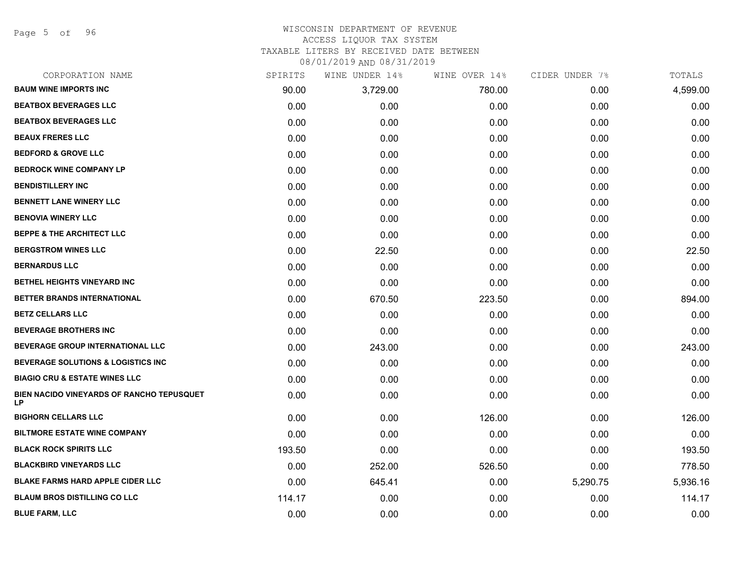Page 5 of 96

## WISCONSIN DEPARTMENT OF REVENUE ACCESS LIQUOR TAX SYSTEM

TAXABLE LITERS BY RECEIVED DATE BETWEEN

| CORPORATION NAME                                 | SPIRITS | WINE UNDER 14% | WINE OVER 14% | CIDER UNDER 7% | TOTALS   |
|--------------------------------------------------|---------|----------------|---------------|----------------|----------|
| <b>BAUM WINE IMPORTS INC</b>                     | 90.00   | 3,729.00       | 780.00        | 0.00           | 4,599.00 |
| <b>BEATBOX BEVERAGES LLC</b>                     | 0.00    | 0.00           | 0.00          | 0.00           | 0.00     |
| <b>BEATBOX BEVERAGES LLC</b>                     | 0.00    | 0.00           | 0.00          | 0.00           | 0.00     |
| <b>BEAUX FRERES LLC</b>                          | 0.00    | 0.00           | 0.00          | 0.00           | 0.00     |
| <b>BEDFORD &amp; GROVE LLC</b>                   | 0.00    | 0.00           | 0.00          | 0.00           | 0.00     |
| <b>BEDROCK WINE COMPANY LP</b>                   | 0.00    | 0.00           | 0.00          | 0.00           | 0.00     |
| <b>BENDISTILLERY INC</b>                         | 0.00    | 0.00           | 0.00          | 0.00           | 0.00     |
| <b>BENNETT LANE WINERY LLC</b>                   | 0.00    | 0.00           | 0.00          | 0.00           | 0.00     |
| <b>BENOVIA WINERY LLC</b>                        | 0.00    | 0.00           | 0.00          | 0.00           | 0.00     |
| <b>BEPPE &amp; THE ARCHITECT LLC</b>             | 0.00    | 0.00           | 0.00          | 0.00           | 0.00     |
| <b>BERGSTROM WINES LLC</b>                       | 0.00    | 22.50          | 0.00          | 0.00           | 22.50    |
| <b>BERNARDUS LLC</b>                             | 0.00    | 0.00           | 0.00          | 0.00           | 0.00     |
| BETHEL HEIGHTS VINEYARD INC                      | 0.00    | 0.00           | 0.00          | 0.00           | 0.00     |
| BETTER BRANDS INTERNATIONAL                      | 0.00    | 670.50         | 223.50        | 0.00           | 894.00   |
| <b>BETZ CELLARS LLC</b>                          | 0.00    | 0.00           | 0.00          | 0.00           | 0.00     |
| <b>BEVERAGE BROTHERS INC</b>                     | 0.00    | 0.00           | 0.00          | 0.00           | 0.00     |
| BEVERAGE GROUP INTERNATIONAL LLC                 | 0.00    | 243.00         | 0.00          | 0.00           | 243.00   |
| <b>BEVERAGE SOLUTIONS &amp; LOGISTICS INC</b>    | 0.00    | 0.00           | 0.00          | 0.00           | 0.00     |
| <b>BIAGIO CRU &amp; ESTATE WINES LLC</b>         | 0.00    | 0.00           | 0.00          | 0.00           | 0.00     |
| BIEN NACIDO VINEYARDS OF RANCHO TEPUSQUET<br>LP. | 0.00    | 0.00           | 0.00          | 0.00           | 0.00     |
| <b>BIGHORN CELLARS LLC</b>                       | 0.00    | 0.00           | 126.00        | 0.00           | 126.00   |
| <b>BILTMORE ESTATE WINE COMPANY</b>              | 0.00    | 0.00           | 0.00          | 0.00           | 0.00     |
| <b>BLACK ROCK SPIRITS LLC</b>                    | 193.50  | 0.00           | 0.00          | 0.00           | 193.50   |
| <b>BLACKBIRD VINEYARDS LLC</b>                   | 0.00    | 252.00         | 526.50        | 0.00           | 778.50   |
| <b>BLAKE FARMS HARD APPLE CIDER LLC</b>          | 0.00    | 645.41         | 0.00          | 5,290.75       | 5,936.16 |
| <b>BLAUM BROS DISTILLING CO LLC</b>              | 114.17  | 0.00           | 0.00          | 0.00           | 114.17   |
| <b>BLUE FARM, LLC</b>                            | 0.00    | 0.00           | 0.00          | 0.00           | 0.00     |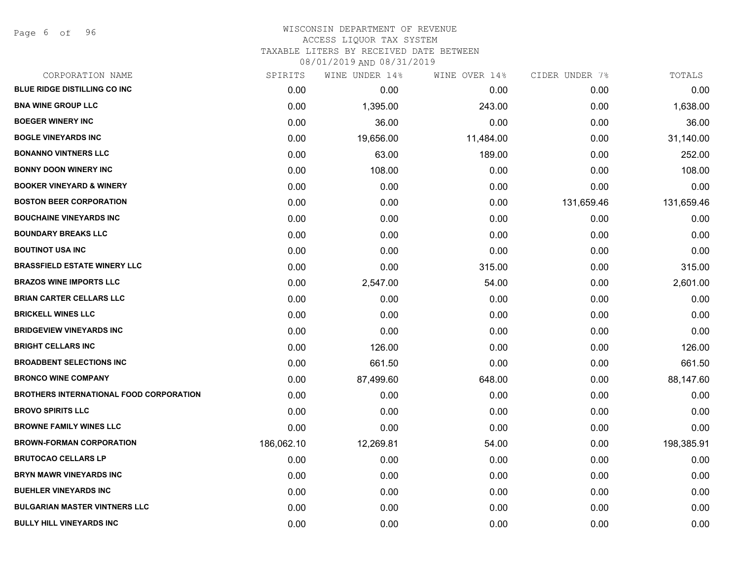| CORPORATION NAME                               | SPIRITS    | WINE UNDER 14% | WINE OVER 14% | CIDER UNDER 7% | TOTALS     |
|------------------------------------------------|------------|----------------|---------------|----------------|------------|
| <b>BLUE RIDGE DISTILLING CO INC</b>            | 0.00       | 0.00           | 0.00          | 0.00           | 0.00       |
| <b>BNA WINE GROUP LLC</b>                      | 0.00       | 1,395.00       | 243.00        | 0.00           | 1,638.00   |
| <b>BOEGER WINERY INC</b>                       | 0.00       | 36.00          | 0.00          | 0.00           | 36.00      |
| <b>BOGLE VINEYARDS INC</b>                     | 0.00       | 19,656.00      | 11,484.00     | 0.00           | 31,140.00  |
| <b>BONANNO VINTNERS LLC</b>                    | 0.00       | 63.00          | 189.00        | 0.00           | 252.00     |
| <b>BONNY DOON WINERY INC</b>                   | 0.00       | 108.00         | 0.00          | 0.00           | 108.00     |
| <b>BOOKER VINEYARD &amp; WINERY</b>            | 0.00       | 0.00           | 0.00          | 0.00           | 0.00       |
| <b>BOSTON BEER CORPORATION</b>                 | 0.00       | 0.00           | 0.00          | 131,659.46     | 131,659.46 |
| <b>BOUCHAINE VINEYARDS INC</b>                 | 0.00       | 0.00           | 0.00          | 0.00           | 0.00       |
| <b>BOUNDARY BREAKS LLC</b>                     | 0.00       | 0.00           | 0.00          | 0.00           | 0.00       |
| <b>BOUTINOT USA INC</b>                        | 0.00       | 0.00           | 0.00          | 0.00           | 0.00       |
| <b>BRASSFIELD ESTATE WINERY LLC</b>            | 0.00       | 0.00           | 315.00        | 0.00           | 315.00     |
| <b>BRAZOS WINE IMPORTS LLC</b>                 | 0.00       | 2,547.00       | 54.00         | 0.00           | 2,601.00   |
| <b>BRIAN CARTER CELLARS LLC</b>                | 0.00       | 0.00           | 0.00          | 0.00           | 0.00       |
| <b>BRICKELL WINES LLC</b>                      | 0.00       | 0.00           | 0.00          | 0.00           | 0.00       |
| <b>BRIDGEVIEW VINEYARDS INC</b>                | 0.00       | 0.00           | 0.00          | 0.00           | 0.00       |
| <b>BRIGHT CELLARS INC</b>                      | 0.00       | 126.00         | 0.00          | 0.00           | 126.00     |
| <b>BROADBENT SELECTIONS INC</b>                | 0.00       | 661.50         | 0.00          | 0.00           | 661.50     |
| <b>BRONCO WINE COMPANY</b>                     | 0.00       | 87,499.60      | 648.00        | 0.00           | 88,147.60  |
| <b>BROTHERS INTERNATIONAL FOOD CORPORATION</b> | 0.00       | 0.00           | 0.00          | 0.00           | 0.00       |
| <b>BROVO SPIRITS LLC</b>                       | 0.00       | 0.00           | 0.00          | 0.00           | 0.00       |
| <b>BROWNE FAMILY WINES LLC</b>                 | 0.00       | 0.00           | 0.00          | 0.00           | 0.00       |
| <b>BROWN-FORMAN CORPORATION</b>                | 186,062.10 | 12,269.81      | 54.00         | 0.00           | 198,385.91 |
| <b>BRUTOCAO CELLARS LP</b>                     | 0.00       | 0.00           | 0.00          | 0.00           | 0.00       |
| <b>BRYN MAWR VINEYARDS INC</b>                 | 0.00       | 0.00           | 0.00          | 0.00           | 0.00       |
| <b>BUEHLER VINEYARDS INC</b>                   | 0.00       | 0.00           | 0.00          | 0.00           | 0.00       |
| <b>BULGARIAN MASTER VINTNERS LLC</b>           | 0.00       | 0.00           | 0.00          | 0.00           | 0.00       |
| <b>BULLY HILL VINEYARDS INC</b>                | 0.00       | 0.00           | 0.00          | 0.00           | 0.00       |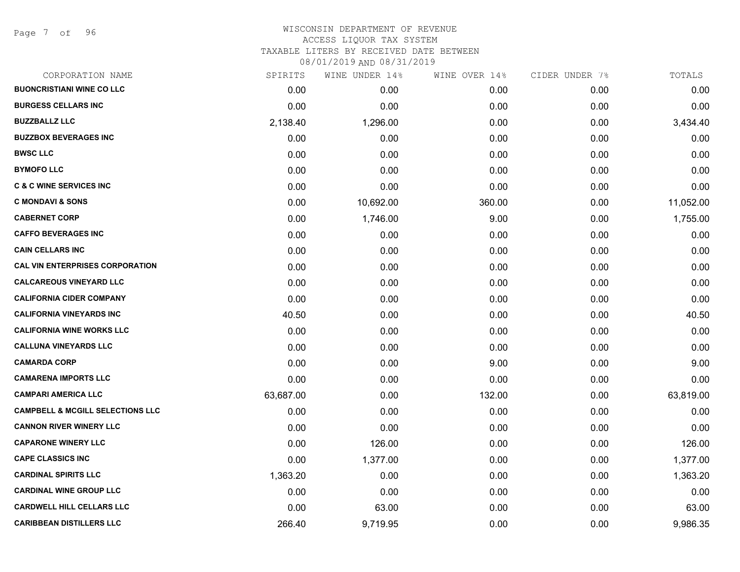Page 7 of 96

## WISCONSIN DEPARTMENT OF REVENUE ACCESS LIQUOR TAX SYSTEM

TAXABLE LITERS BY RECEIVED DATE BETWEEN

| CORPORATION NAME                            | SPIRITS   | WINE UNDER 14% | WINE OVER 14% | CIDER UNDER 7% | TOTALS    |
|---------------------------------------------|-----------|----------------|---------------|----------------|-----------|
| <b>BUONCRISTIANI WINE CO LLC</b>            | 0.00      | 0.00           | 0.00          | 0.00           | 0.00      |
| <b>BURGESS CELLARS INC</b>                  | 0.00      | 0.00           | 0.00          | 0.00           | 0.00      |
| <b>BUZZBALLZ LLC</b>                        | 2,138.40  | 1,296.00       | 0.00          | 0.00           | 3,434.40  |
| <b>BUZZBOX BEVERAGES INC</b>                | 0.00      | 0.00           | 0.00          | 0.00           | 0.00      |
| <b>BWSC LLC</b>                             | 0.00      | 0.00           | 0.00          | 0.00           | 0.00      |
| <b>BYMOFO LLC</b>                           | 0.00      | 0.00           | 0.00          | 0.00           | 0.00      |
| <b>C &amp; C WINE SERVICES INC</b>          | 0.00      | 0.00           | 0.00          | 0.00           | 0.00      |
| <b>C MONDAVI &amp; SONS</b>                 | 0.00      | 10,692.00      | 360.00        | 0.00           | 11,052.00 |
| <b>CABERNET CORP</b>                        | 0.00      | 1,746.00       | 9.00          | 0.00           | 1,755.00  |
| <b>CAFFO BEVERAGES INC</b>                  | 0.00      | 0.00           | 0.00          | 0.00           | 0.00      |
| <b>CAIN CELLARS INC</b>                     | 0.00      | 0.00           | 0.00          | 0.00           | 0.00      |
| <b>CAL VIN ENTERPRISES CORPORATION</b>      | 0.00      | 0.00           | 0.00          | 0.00           | 0.00      |
| <b>CALCAREOUS VINEYARD LLC</b>              | 0.00      | 0.00           | 0.00          | 0.00           | 0.00      |
| <b>CALIFORNIA CIDER COMPANY</b>             | 0.00      | 0.00           | 0.00          | 0.00           | 0.00      |
| <b>CALIFORNIA VINEYARDS INC</b>             | 40.50     | 0.00           | 0.00          | 0.00           | 40.50     |
| <b>CALIFORNIA WINE WORKS LLC</b>            | 0.00      | 0.00           | 0.00          | 0.00           | 0.00      |
| <b>CALLUNA VINEYARDS LLC</b>                | 0.00      | 0.00           | 0.00          | 0.00           | 0.00      |
| <b>CAMARDA CORP</b>                         | 0.00      | 0.00           | 9.00          | 0.00           | 9.00      |
| <b>CAMARENA IMPORTS LLC</b>                 | 0.00      | 0.00           | 0.00          | 0.00           | 0.00      |
| <b>CAMPARI AMERICA LLC</b>                  | 63,687.00 | 0.00           | 132.00        | 0.00           | 63,819.00 |
| <b>CAMPBELL &amp; MCGILL SELECTIONS LLC</b> | 0.00      | 0.00           | 0.00          | 0.00           | 0.00      |
| <b>CANNON RIVER WINERY LLC</b>              | 0.00      | 0.00           | 0.00          | 0.00           | 0.00      |
| <b>CAPARONE WINERY LLC</b>                  | 0.00      | 126.00         | 0.00          | 0.00           | 126.00    |
| <b>CAPE CLASSICS INC</b>                    | 0.00      | 1,377.00       | 0.00          | 0.00           | 1,377.00  |
| <b>CARDINAL SPIRITS LLC</b>                 | 1,363.20  | 0.00           | 0.00          | 0.00           | 1,363.20  |
| <b>CARDINAL WINE GROUP LLC</b>              | 0.00      | 0.00           | 0.00          | 0.00           | 0.00      |
| <b>CARDWELL HILL CELLARS LLC</b>            | 0.00      | 63.00          | 0.00          | 0.00           | 63.00     |
| <b>CARIBBEAN DISTILLERS LLC</b>             | 266.40    | 9,719.95       | 0.00          | 0.00           | 9,986.35  |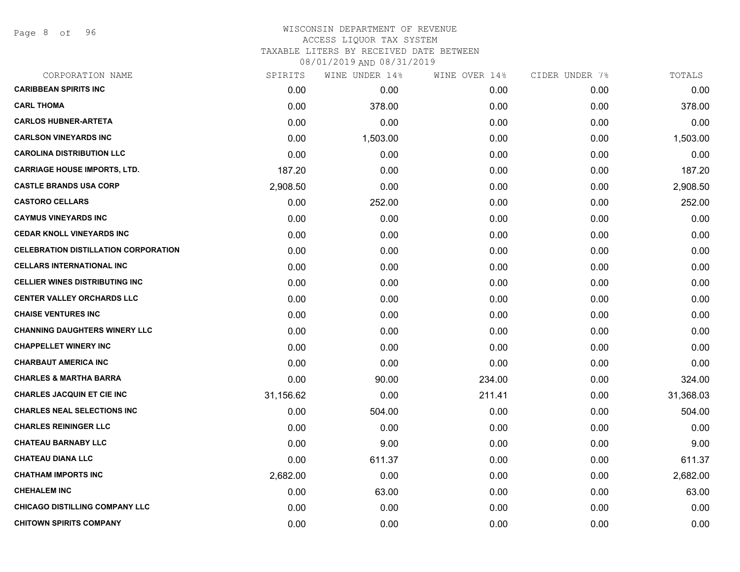Page 8 of 96

## WISCONSIN DEPARTMENT OF REVENUE ACCESS LIQUOR TAX SYSTEM TAXABLE LITERS BY RECEIVED DATE BETWEEN

| CORPORATION NAME                            | SPIRITS   | WINE UNDER 14% | WINE OVER 14% | CIDER UNDER 7% | TOTALS    |
|---------------------------------------------|-----------|----------------|---------------|----------------|-----------|
| <b>CARIBBEAN SPIRITS INC</b>                | 0.00      | 0.00           | 0.00          | 0.00           | 0.00      |
| <b>CARL THOMA</b>                           | 0.00      | 378.00         | 0.00          | 0.00           | 378.00    |
| <b>CARLOS HUBNER-ARTETA</b>                 | 0.00      | 0.00           | 0.00          | 0.00           | 0.00      |
| <b>CARLSON VINEYARDS INC</b>                | 0.00      | 1,503.00       | 0.00          | 0.00           | 1,503.00  |
| <b>CAROLINA DISTRIBUTION LLC</b>            | 0.00      | 0.00           | 0.00          | 0.00           | 0.00      |
| <b>CARRIAGE HOUSE IMPORTS, LTD.</b>         | 187.20    | 0.00           | 0.00          | 0.00           | 187.20    |
| <b>CASTLE BRANDS USA CORP</b>               | 2,908.50  | 0.00           | 0.00          | 0.00           | 2,908.50  |
| <b>CASTORO CELLARS</b>                      | 0.00      | 252.00         | 0.00          | 0.00           | 252.00    |
| <b>CAYMUS VINEYARDS INC</b>                 | 0.00      | 0.00           | 0.00          | 0.00           | 0.00      |
| <b>CEDAR KNOLL VINEYARDS INC</b>            | 0.00      | 0.00           | 0.00          | 0.00           | 0.00      |
| <b>CELEBRATION DISTILLATION CORPORATION</b> | 0.00      | 0.00           | 0.00          | 0.00           | 0.00      |
| <b>CELLARS INTERNATIONAL INC</b>            | 0.00      | 0.00           | 0.00          | 0.00           | 0.00      |
| <b>CELLIER WINES DISTRIBUTING INC</b>       | 0.00      | 0.00           | 0.00          | 0.00           | 0.00      |
| <b>CENTER VALLEY ORCHARDS LLC</b>           | 0.00      | 0.00           | 0.00          | 0.00           | 0.00      |
| <b>CHAISE VENTURES INC</b>                  | 0.00      | 0.00           | 0.00          | 0.00           | 0.00      |
| <b>CHANNING DAUGHTERS WINERY LLC</b>        | 0.00      | 0.00           | 0.00          | 0.00           | 0.00      |
| <b>CHAPPELLET WINERY INC</b>                | 0.00      | 0.00           | 0.00          | 0.00           | 0.00      |
| <b>CHARBAUT AMERICA INC</b>                 | 0.00      | 0.00           | 0.00          | 0.00           | 0.00      |
| <b>CHARLES &amp; MARTHA BARRA</b>           | 0.00      | 90.00          | 234.00        | 0.00           | 324.00    |
| <b>CHARLES JACQUIN ET CIE INC</b>           | 31,156.62 | 0.00           | 211.41        | 0.00           | 31,368.03 |
| <b>CHARLES NEAL SELECTIONS INC</b>          | 0.00      | 504.00         | 0.00          | 0.00           | 504.00    |
| <b>CHARLES REININGER LLC</b>                | 0.00      | 0.00           | 0.00          | 0.00           | 0.00      |
| <b>CHATEAU BARNABY LLC</b>                  | 0.00      | 9.00           | 0.00          | 0.00           | 9.00      |
| <b>CHATEAU DIANA LLC</b>                    | 0.00      | 611.37         | 0.00          | 0.00           | 611.37    |
| <b>CHATHAM IMPORTS INC</b>                  | 2,682.00  | 0.00           | 0.00          | 0.00           | 2,682.00  |
| <b>CHEHALEM INC</b>                         | 0.00      | 63.00          | 0.00          | 0.00           | 63.00     |
| <b>CHICAGO DISTILLING COMPANY LLC</b>       | 0.00      | 0.00           | 0.00          | 0.00           | 0.00      |
| <b>CHITOWN SPIRITS COMPANY</b>              | 0.00      | 0.00           | 0.00          | 0.00           | 0.00      |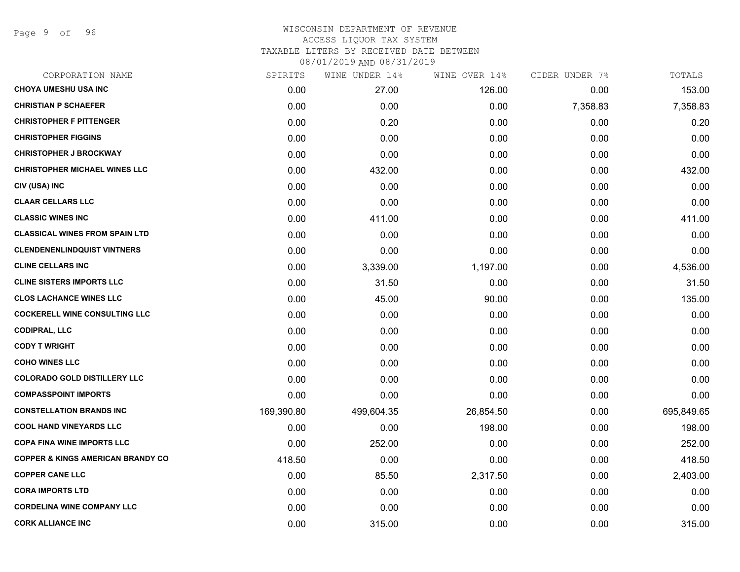Page 9 of 96

|            | WINE UNDER 14% | WINE OVER 14% | CIDER UNDER 7% | TOTALS     |
|------------|----------------|---------------|----------------|------------|
| 0.00       | 27.00          | 126.00        | 0.00           | 153.00     |
| 0.00       | 0.00           | 0.00          | 7,358.83       | 7,358.83   |
| 0.00       | 0.20           | 0.00          | 0.00           | 0.20       |
| 0.00       | 0.00           | 0.00          | 0.00           | 0.00       |
| 0.00       | 0.00           | 0.00          | 0.00           | 0.00       |
| 0.00       | 432.00         | 0.00          | 0.00           | 432.00     |
| 0.00       | 0.00           | 0.00          | 0.00           | 0.00       |
| 0.00       | 0.00           | 0.00          | 0.00           | 0.00       |
| 0.00       | 411.00         | 0.00          | 0.00           | 411.00     |
| 0.00       | 0.00           | 0.00          | 0.00           | 0.00       |
| 0.00       | 0.00           | 0.00          | 0.00           | 0.00       |
| 0.00       | 3,339.00       | 1,197.00      | 0.00           | 4,536.00   |
| 0.00       | 31.50          | 0.00          | 0.00           | 31.50      |
| 0.00       | 45.00          | 90.00         | 0.00           | 135.00     |
| 0.00       | 0.00           | 0.00          | 0.00           | 0.00       |
| 0.00       | 0.00           | 0.00          | 0.00           | 0.00       |
| 0.00       | 0.00           | 0.00          | 0.00           | 0.00       |
| 0.00       | 0.00           | 0.00          | 0.00           | 0.00       |
| 0.00       | 0.00           | 0.00          | 0.00           | 0.00       |
| 0.00       | 0.00           | 0.00          | 0.00           | 0.00       |
| 169,390.80 | 499,604.35     | 26,854.50     | 0.00           | 695,849.65 |
| 0.00       | 0.00           | 198.00        | 0.00           | 198.00     |
| 0.00       | 252.00         | 0.00          | 0.00           | 252.00     |
| 418.50     | 0.00           | 0.00          | 0.00           | 418.50     |
| 0.00       | 85.50          | 2,317.50      | 0.00           | 2,403.00   |
| 0.00       | 0.00           | 0.00          | 0.00           | 0.00       |
| 0.00       | 0.00           | 0.00          | 0.00           | 0.00       |
| 0.00       | 315.00         | 0.00          | 0.00           | 315.00     |
|            | SPIRITS        |               |                |            |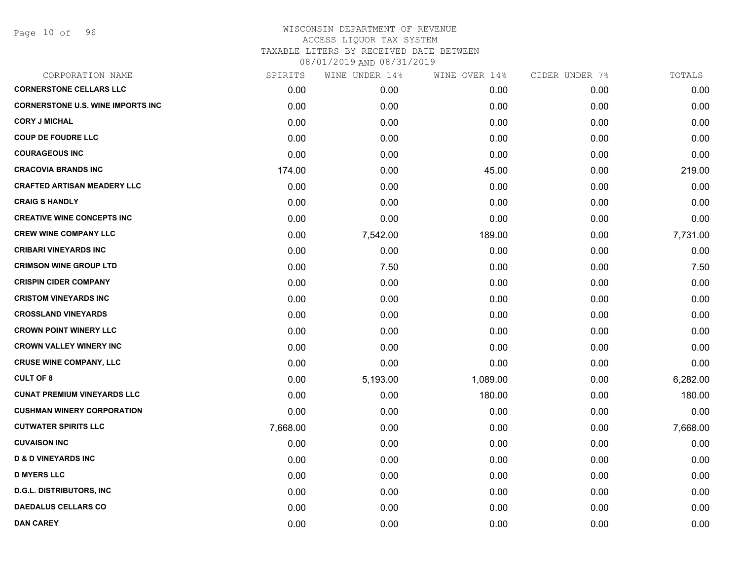Page 10 of 96

| CORPORATION NAME                         | SPIRITS  | WINE UNDER 14% | WINE OVER 14% | CIDER UNDER 7% | TOTALS   |
|------------------------------------------|----------|----------------|---------------|----------------|----------|
| <b>CORNERSTONE CELLARS LLC</b>           | 0.00     | 0.00           | 0.00          | 0.00           | 0.00     |
| <b>CORNERSTONE U.S. WINE IMPORTS INC</b> | 0.00     | 0.00           | 0.00          | 0.00           | 0.00     |
| <b>CORY J MICHAL</b>                     | 0.00     | 0.00           | 0.00          | 0.00           | 0.00     |
| <b>COUP DE FOUDRE LLC</b>                | 0.00     | 0.00           | 0.00          | 0.00           | 0.00     |
| <b>COURAGEOUS INC</b>                    | 0.00     | 0.00           | 0.00          | 0.00           | 0.00     |
| <b>CRACOVIA BRANDS INC</b>               | 174.00   | 0.00           | 45.00         | 0.00           | 219.00   |
| <b>CRAFTED ARTISAN MEADERY LLC</b>       | 0.00     | 0.00           | 0.00          | 0.00           | 0.00     |
| <b>CRAIG S HANDLY</b>                    | 0.00     | 0.00           | 0.00          | 0.00           | 0.00     |
| <b>CREATIVE WINE CONCEPTS INC</b>        | 0.00     | 0.00           | 0.00          | 0.00           | 0.00     |
| <b>CREW WINE COMPANY LLC</b>             | 0.00     | 7,542.00       | 189.00        | 0.00           | 7,731.00 |
| <b>CRIBARI VINEYARDS INC</b>             | 0.00     | 0.00           | 0.00          | 0.00           | 0.00     |
| <b>CRIMSON WINE GROUP LTD</b>            | 0.00     | 7.50           | 0.00          | 0.00           | 7.50     |
| <b>CRISPIN CIDER COMPANY</b>             | 0.00     | 0.00           | 0.00          | 0.00           | 0.00     |
| <b>CRISTOM VINEYARDS INC</b>             | 0.00     | 0.00           | 0.00          | 0.00           | 0.00     |
| <b>CROSSLAND VINEYARDS</b>               | 0.00     | 0.00           | 0.00          | 0.00           | 0.00     |
| <b>CROWN POINT WINERY LLC</b>            | 0.00     | 0.00           | 0.00          | 0.00           | 0.00     |
| <b>CROWN VALLEY WINERY INC</b>           | 0.00     | 0.00           | 0.00          | 0.00           | 0.00     |
| <b>CRUSE WINE COMPANY, LLC</b>           | 0.00     | 0.00           | 0.00          | 0.00           | 0.00     |
| <b>CULT OF 8</b>                         | 0.00     | 5,193.00       | 1,089.00      | 0.00           | 6,282.00 |
| <b>CUNAT PREMIUM VINEYARDS LLC</b>       | 0.00     | 0.00           | 180.00        | 0.00           | 180.00   |
| <b>CUSHMAN WINERY CORPORATION</b>        | 0.00     | 0.00           | 0.00          | 0.00           | 0.00     |
| <b>CUTWATER SPIRITS LLC</b>              | 7,668.00 | 0.00           | 0.00          | 0.00           | 7,668.00 |
| <b>CUVAISON INC</b>                      | 0.00     | 0.00           | 0.00          | 0.00           | 0.00     |
| <b>D &amp; D VINEYARDS INC</b>           | 0.00     | 0.00           | 0.00          | 0.00           | 0.00     |
| <b>D MYERS LLC</b>                       | 0.00     | 0.00           | 0.00          | 0.00           | 0.00     |
| <b>D.G.L. DISTRIBUTORS, INC</b>          | 0.00     | 0.00           | 0.00          | 0.00           | 0.00     |
| <b>DAEDALUS CELLARS CO</b>               | 0.00     | 0.00           | 0.00          | 0.00           | 0.00     |
| <b>DAN CAREY</b>                         | 0.00     | 0.00           | 0.00          | 0.00           | 0.00     |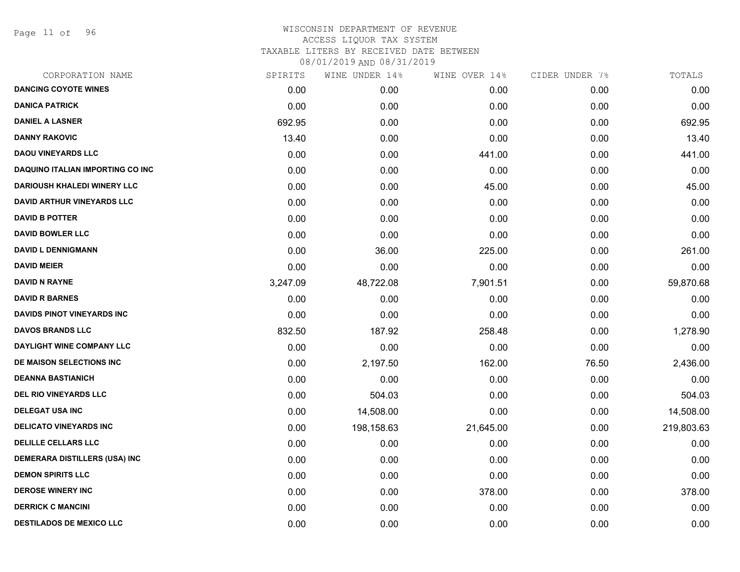Page 11 of 96

| CORPORATION NAME                        | SPIRITS  | WINE UNDER 14% | WINE OVER 14% | CIDER UNDER 7% | TOTALS     |
|-----------------------------------------|----------|----------------|---------------|----------------|------------|
| <b>DANCING COYOTE WINES</b>             | 0.00     | 0.00           | 0.00          | 0.00           | 0.00       |
| <b>DANICA PATRICK</b>                   | 0.00     | 0.00           | 0.00          | 0.00           | 0.00       |
| <b>DANIEL A LASNER</b>                  | 692.95   | 0.00           | 0.00          | 0.00           | 692.95     |
| <b>DANNY RAKOVIC</b>                    | 13.40    | 0.00           | 0.00          | 0.00           | 13.40      |
| <b>DAOU VINEYARDS LLC</b>               | 0.00     | 0.00           | 441.00        | 0.00           | 441.00     |
| <b>DAQUINO ITALIAN IMPORTING CO INC</b> | 0.00     | 0.00           | 0.00          | 0.00           | 0.00       |
| <b>DARIOUSH KHALEDI WINERY LLC</b>      | 0.00     | 0.00           | 45.00         | 0.00           | 45.00      |
| <b>DAVID ARTHUR VINEYARDS LLC</b>       | 0.00     | 0.00           | 0.00          | 0.00           | 0.00       |
| <b>DAVID B POTTER</b>                   | 0.00     | 0.00           | 0.00          | 0.00           | 0.00       |
| <b>DAVID BOWLER LLC</b>                 | 0.00     | 0.00           | 0.00          | 0.00           | 0.00       |
| <b>DAVID L DENNIGMANN</b>               | 0.00     | 36.00          | 225.00        | 0.00           | 261.00     |
| <b>DAVID MEIER</b>                      | 0.00     | 0.00           | 0.00          | 0.00           | 0.00       |
| <b>DAVID N RAYNE</b>                    | 3,247.09 | 48,722.08      | 7,901.51      | 0.00           | 59,870.68  |
| <b>DAVID R BARNES</b>                   | 0.00     | 0.00           | 0.00          | 0.00           | 0.00       |
| <b>DAVIDS PINOT VINEYARDS INC</b>       | 0.00     | 0.00           | 0.00          | 0.00           | 0.00       |
| <b>DAVOS BRANDS LLC</b>                 | 832.50   | 187.92         | 258.48        | 0.00           | 1,278.90   |
| DAYLIGHT WINE COMPANY LLC               | 0.00     | 0.00           | 0.00          | 0.00           | 0.00       |
| DE MAISON SELECTIONS INC                | 0.00     | 2,197.50       | 162.00        | 76.50          | 2,436.00   |
| <b>DEANNA BASTIANICH</b>                | 0.00     | 0.00           | 0.00          | 0.00           | 0.00       |
| DEL RIO VINEYARDS LLC                   | 0.00     | 504.03         | 0.00          | 0.00           | 504.03     |
| <b>DELEGAT USA INC</b>                  | 0.00     | 14,508.00      | 0.00          | 0.00           | 14,508.00  |
| <b>DELICATO VINEYARDS INC</b>           | 0.00     | 198,158.63     | 21,645.00     | 0.00           | 219,803.63 |
| <b>DELILLE CELLARS LLC</b>              | 0.00     | 0.00           | 0.00          | 0.00           | 0.00       |
| DEMERARA DISTILLERS (USA) INC           | 0.00     | 0.00           | 0.00          | 0.00           | 0.00       |
| <b>DEMON SPIRITS LLC</b>                | 0.00     | 0.00           | 0.00          | 0.00           | 0.00       |
| <b>DEROSE WINERY INC</b>                | 0.00     | 0.00           | 378.00        | 0.00           | 378.00     |
| <b>DERRICK C MANCINI</b>                | 0.00     | 0.00           | 0.00          | 0.00           | 0.00       |
| <b>DESTILADOS DE MEXICO LLC</b>         | 0.00     | 0.00           | 0.00          | 0.00           | 0.00       |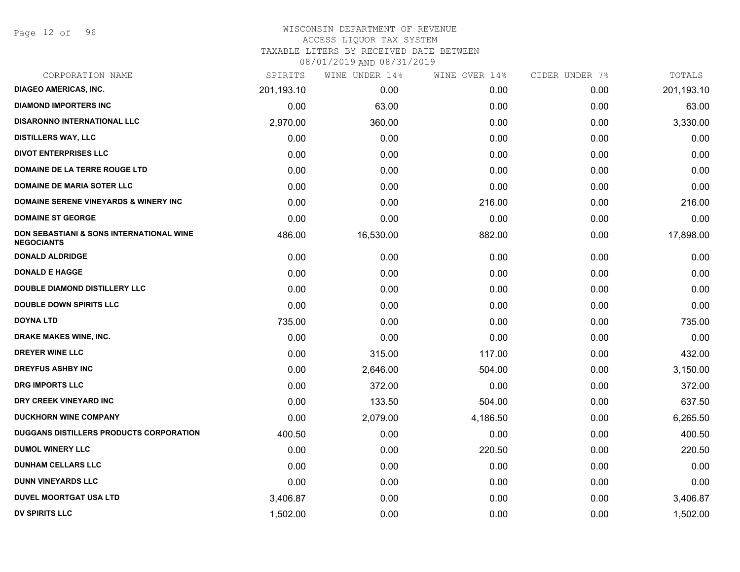Page 12 of 96

## WISCONSIN DEPARTMENT OF REVENUE ACCESS LIQUOR TAX SYSTEM

TAXABLE LITERS BY RECEIVED DATE BETWEEN

| CORPORATION NAME                                              | SPIRITS    | WINE UNDER 14% | WINE OVER 14% | CIDER UNDER 7% | TOTALS     |
|---------------------------------------------------------------|------------|----------------|---------------|----------------|------------|
| <b>DIAGEO AMERICAS, INC.</b>                                  | 201,193.10 | 0.00           | 0.00          | 0.00           | 201,193.10 |
| <b>DIAMOND IMPORTERS INC</b>                                  | 0.00       | 63.00          | 0.00          | 0.00           | 63.00      |
| <b>DISARONNO INTERNATIONAL LLC</b>                            | 2,970.00   | 360.00         | 0.00          | 0.00           | 3,330.00   |
| <b>DISTILLERS WAY, LLC</b>                                    | 0.00       | 0.00           | 0.00          | 0.00           | 0.00       |
| <b>DIVOT ENTERPRISES LLC</b>                                  | 0.00       | 0.00           | 0.00          | 0.00           | 0.00       |
| DOMAINE DE LA TERRE ROUGE LTD                                 | 0.00       | 0.00           | 0.00          | 0.00           | 0.00       |
| <b>DOMAINE DE MARIA SOTER LLC</b>                             | 0.00       | 0.00           | 0.00          | 0.00           | 0.00       |
| <b>DOMAINE SERENE VINEYARDS &amp; WINERY INC</b>              | 0.00       | 0.00           | 216.00        | 0.00           | 216.00     |
| <b>DOMAINE ST GEORGE</b>                                      | 0.00       | 0.00           | 0.00          | 0.00           | 0.00       |
| DON SEBASTIANI & SONS INTERNATIONAL WINE<br><b>NEGOCIANTS</b> | 486.00     | 16,530.00      | 882.00        | 0.00           | 17,898.00  |
| <b>DONALD ALDRIDGE</b>                                        | 0.00       | 0.00           | 0.00          | 0.00           | 0.00       |
| <b>DONALD E HAGGE</b>                                         | 0.00       | 0.00           | 0.00          | 0.00           | 0.00       |
| <b>DOUBLE DIAMOND DISTILLERY LLC</b>                          | 0.00       | 0.00           | 0.00          | 0.00           | 0.00       |
| <b>DOUBLE DOWN SPIRITS LLC</b>                                | 0.00       | 0.00           | 0.00          | 0.00           | 0.00       |
| <b>DOYNA LTD</b>                                              | 735.00     | 0.00           | 0.00          | 0.00           | 735.00     |
| DRAKE MAKES WINE, INC.                                        | 0.00       | 0.00           | 0.00          | 0.00           | 0.00       |
| <b>DREYER WINE LLC</b>                                        | 0.00       | 315.00         | 117.00        | 0.00           | 432.00     |
| <b>DREYFUS ASHBY INC</b>                                      | 0.00       | 2,646.00       | 504.00        | 0.00           | 3,150.00   |
| <b>DRG IMPORTS LLC</b>                                        | 0.00       | 372.00         | 0.00          | 0.00           | 372.00     |
| DRY CREEK VINEYARD INC                                        | 0.00       | 133.50         | 504.00        | 0.00           | 637.50     |
| <b>DUCKHORN WINE COMPANY</b>                                  | 0.00       | 2,079.00       | 4,186.50      | 0.00           | 6,265.50   |
| <b>DUGGANS DISTILLERS PRODUCTS CORPORATION</b>                | 400.50     | 0.00           | 0.00          | 0.00           | 400.50     |
| <b>DUMOL WINERY LLC</b>                                       | 0.00       | 0.00           | 220.50        | 0.00           | 220.50     |
| <b>DUNHAM CELLARS LLC</b>                                     | 0.00       | 0.00           | 0.00          | 0.00           | 0.00       |
| <b>DUNN VINEYARDS LLC</b>                                     | 0.00       | 0.00           | 0.00          | 0.00           | 0.00       |
| <b>DUVEL MOORTGAT USA LTD</b>                                 | 3,406.87   | 0.00           | 0.00          | 0.00           | 3,406.87   |
| <b>DV SPIRITS LLC</b>                                         | 1,502.00   | 0.00           | 0.00          | 0.00           | 1,502.00   |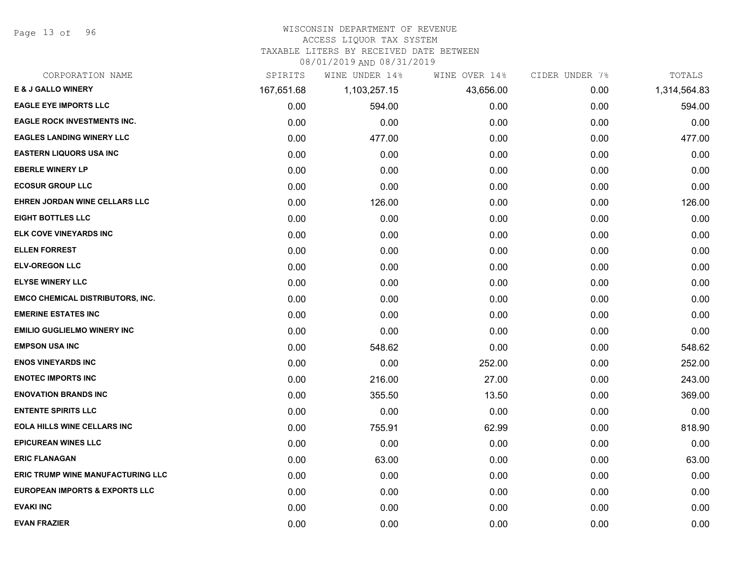Page 13 of 96

#### WISCONSIN DEPARTMENT OF REVENUE

## ACCESS LIQUOR TAX SYSTEM

TAXABLE LITERS BY RECEIVED DATE BETWEEN

| CORPORATION NAME                          | SPIRITS    | WINE UNDER 14% | WINE OVER 14% | CIDER UNDER 7% | TOTALS       |
|-------------------------------------------|------------|----------------|---------------|----------------|--------------|
| <b>E &amp; J GALLO WINERY</b>             | 167,651.68 | 1,103,257.15   | 43,656.00     | 0.00           | 1,314,564.83 |
| <b>EAGLE EYE IMPORTS LLC</b>              | 0.00       | 594.00         | 0.00          | 0.00           | 594.00       |
| <b>EAGLE ROCK INVESTMENTS INC.</b>        | 0.00       | 0.00           | 0.00          | 0.00           | 0.00         |
| <b>EAGLES LANDING WINERY LLC</b>          | 0.00       | 477.00         | 0.00          | 0.00           | 477.00       |
| <b>EASTERN LIQUORS USA INC</b>            | 0.00       | 0.00           | 0.00          | 0.00           | 0.00         |
| <b>EBERLE WINERY LP</b>                   | 0.00       | 0.00           | 0.00          | 0.00           | 0.00         |
| <b>ECOSUR GROUP LLC</b>                   | 0.00       | 0.00           | 0.00          | 0.00           | 0.00         |
| EHREN JORDAN WINE CELLARS LLC             | 0.00       | 126.00         | 0.00          | 0.00           | 126.00       |
| <b>EIGHT BOTTLES LLC</b>                  | 0.00       | 0.00           | 0.00          | 0.00           | 0.00         |
| ELK COVE VINEYARDS INC                    | 0.00       | 0.00           | 0.00          | 0.00           | 0.00         |
| <b>ELLEN FORREST</b>                      | 0.00       | 0.00           | 0.00          | 0.00           | 0.00         |
| <b>ELV-OREGON LLC</b>                     | 0.00       | 0.00           | 0.00          | 0.00           | 0.00         |
| <b>ELYSE WINERY LLC</b>                   | 0.00       | 0.00           | 0.00          | 0.00           | 0.00         |
| <b>EMCO CHEMICAL DISTRIBUTORS, INC.</b>   | 0.00       | 0.00           | 0.00          | 0.00           | 0.00         |
| <b>EMERINE ESTATES INC</b>                | 0.00       | 0.00           | 0.00          | 0.00           | 0.00         |
| <b>EMILIO GUGLIELMO WINERY INC</b>        | 0.00       | 0.00           | 0.00          | 0.00           | 0.00         |
| <b>EMPSON USA INC</b>                     | 0.00       | 548.62         | 0.00          | 0.00           | 548.62       |
| <b>ENOS VINEYARDS INC</b>                 | 0.00       | 0.00           | 252.00        | 0.00           | 252.00       |
| <b>ENOTEC IMPORTS INC</b>                 | 0.00       | 216.00         | 27.00         | 0.00           | 243.00       |
| <b>ENOVATION BRANDS INC</b>               | 0.00       | 355.50         | 13.50         | 0.00           | 369.00       |
| <b>ENTENTE SPIRITS LLC</b>                | 0.00       | 0.00           | 0.00          | 0.00           | 0.00         |
| <b>EOLA HILLS WINE CELLARS INC</b>        | 0.00       | 755.91         | 62.99         | 0.00           | 818.90       |
| <b>EPICUREAN WINES LLC</b>                | 0.00       | 0.00           | 0.00          | 0.00           | 0.00         |
| <b>ERIC FLANAGAN</b>                      | 0.00       | 63.00          | 0.00          | 0.00           | 63.00        |
| <b>ERIC TRUMP WINE MANUFACTURING LLC</b>  | 0.00       | 0.00           | 0.00          | 0.00           | 0.00         |
| <b>EUROPEAN IMPORTS &amp; EXPORTS LLC</b> | 0.00       | 0.00           | 0.00          | 0.00           | 0.00         |
| <b>EVAKI INC</b>                          | 0.00       | 0.00           | 0.00          | 0.00           | 0.00         |
| <b>EVAN FRAZIER</b>                       | 0.00       | 0.00           | 0.00          | 0.00           | 0.00         |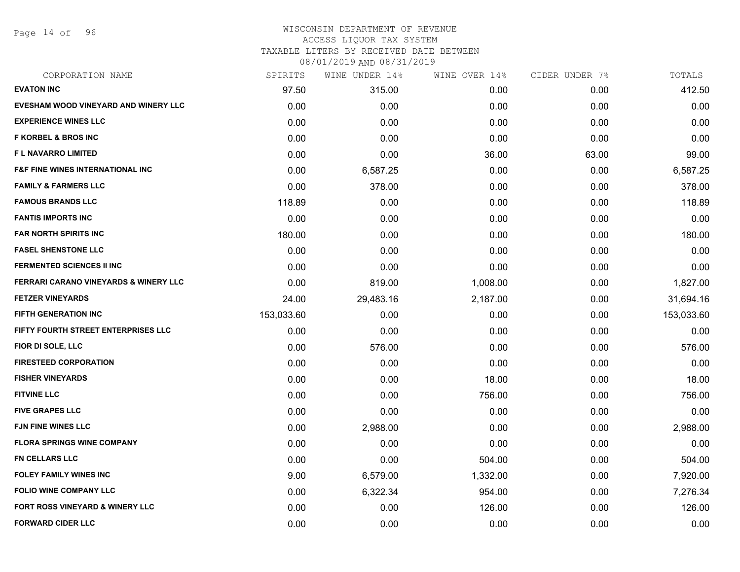Page 14 of 96

## WISCONSIN DEPARTMENT OF REVENUE ACCESS LIQUOR TAX SYSTEM

TAXABLE LITERS BY RECEIVED DATE BETWEEN

| CORPORATION NAME                                 | SPIRITS    | WINE UNDER 14% | WINE OVER 14% | CIDER UNDER 7% | TOTALS     |
|--------------------------------------------------|------------|----------------|---------------|----------------|------------|
| <b>EVATON INC</b>                                | 97.50      | 315.00         | 0.00          | 0.00           | 412.50     |
| EVESHAM WOOD VINEYARD AND WINERY LLC             | 0.00       | 0.00           | 0.00          | 0.00           | 0.00       |
| <b>EXPERIENCE WINES LLC</b>                      | 0.00       | 0.00           | 0.00          | 0.00           | 0.00       |
| <b>F KORBEL &amp; BROS INC</b>                   | 0.00       | 0.00           | 0.00          | 0.00           | 0.00       |
| <b>FL NAVARRO LIMITED</b>                        | 0.00       | 0.00           | 36.00         | 63.00          | 99.00      |
| <b>F&amp;F FINE WINES INTERNATIONAL INC</b>      | 0.00       | 6,587.25       | 0.00          | 0.00           | 6,587.25   |
| <b>FAMILY &amp; FARMERS LLC</b>                  | 0.00       | 378.00         | 0.00          | 0.00           | 378.00     |
| <b>FAMOUS BRANDS LLC</b>                         | 118.89     | 0.00           | 0.00          | 0.00           | 118.89     |
| <b>FANTIS IMPORTS INC</b>                        | 0.00       | 0.00           | 0.00          | 0.00           | 0.00       |
| <b>FAR NORTH SPIRITS INC</b>                     | 180.00     | 0.00           | 0.00          | 0.00           | 180.00     |
| <b>FASEL SHENSTONE LLC</b>                       | 0.00       | 0.00           | 0.00          | 0.00           | 0.00       |
| <b>FERMENTED SCIENCES II INC</b>                 | 0.00       | 0.00           | 0.00          | 0.00           | 0.00       |
| <b>FERRARI CARANO VINEYARDS &amp; WINERY LLC</b> | 0.00       | 819.00         | 1,008.00      | 0.00           | 1,827.00   |
| <b>FETZER VINEYARDS</b>                          | 24.00      | 29,483.16      | 2,187.00      | 0.00           | 31,694.16  |
| <b>FIFTH GENERATION INC</b>                      | 153,033.60 | 0.00           | 0.00          | 0.00           | 153,033.60 |
| FIFTY FOURTH STREET ENTERPRISES LLC              | 0.00       | 0.00           | 0.00          | 0.00           | 0.00       |
| FIOR DI SOLE, LLC                                | 0.00       | 576.00         | 0.00          | 0.00           | 576.00     |
| <b>FIRESTEED CORPORATION</b>                     | 0.00       | 0.00           | 0.00          | 0.00           | 0.00       |
| <b>FISHER VINEYARDS</b>                          | 0.00       | 0.00           | 18.00         | 0.00           | 18.00      |
| <b>FITVINE LLC</b>                               | 0.00       | 0.00           | 756.00        | 0.00           | 756.00     |
| <b>FIVE GRAPES LLC</b>                           | 0.00       | 0.00           | 0.00          | 0.00           | 0.00       |
| <b>FJN FINE WINES LLC</b>                        | 0.00       | 2,988.00       | 0.00          | 0.00           | 2,988.00   |
| <b>FLORA SPRINGS WINE COMPANY</b>                | 0.00       | 0.00           | 0.00          | 0.00           | 0.00       |
| <b>FN CELLARS LLC</b>                            | 0.00       | 0.00           | 504.00        | 0.00           | 504.00     |
| <b>FOLEY FAMILY WINES INC</b>                    | 9.00       | 6,579.00       | 1,332.00      | 0.00           | 7,920.00   |
| <b>FOLIO WINE COMPANY LLC</b>                    | 0.00       | 6,322.34       | 954.00        | 0.00           | 7,276.34   |
| FORT ROSS VINEYARD & WINERY LLC                  | 0.00       | 0.00           | 126.00        | 0.00           | 126.00     |
| <b>FORWARD CIDER LLC</b>                         | 0.00       | 0.00           | 0.00          | 0.00           | 0.00       |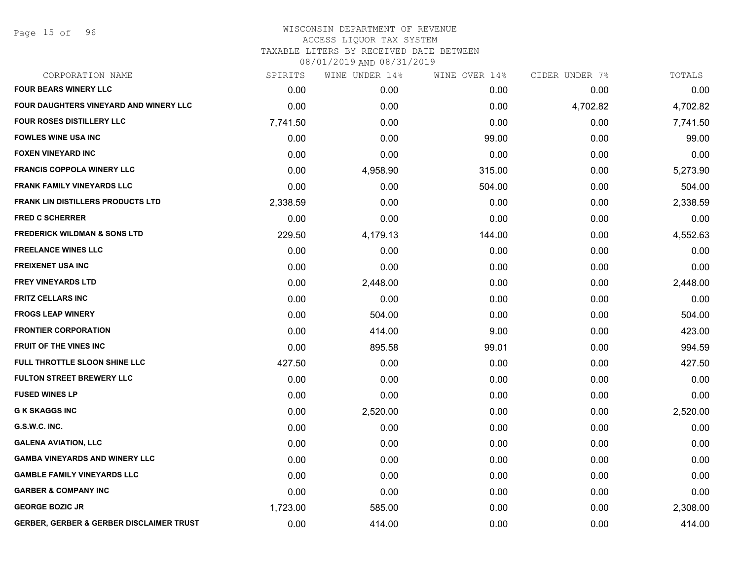Page 15 of 96

## WISCONSIN DEPARTMENT OF REVENUE ACCESS LIQUOR TAX SYSTEM TAXABLE LITERS BY RECEIVED DATE BETWEEN

| CORPORATION NAME                                    | SPIRITS  | WINE UNDER 14% | WINE OVER 14% | CIDER UNDER 7% | TOTALS   |
|-----------------------------------------------------|----------|----------------|---------------|----------------|----------|
| <b>FOUR BEARS WINERY LLC</b>                        | 0.00     | 0.00           | 0.00          | 0.00           | 0.00     |
| <b>FOUR DAUGHTERS VINEYARD AND WINERY LLC</b>       | 0.00     | 0.00           | 0.00          | 4,702.82       | 4,702.82 |
| <b>FOUR ROSES DISTILLERY LLC</b>                    | 7,741.50 | 0.00           | 0.00          | 0.00           | 7,741.50 |
| <b>FOWLES WINE USA INC</b>                          | 0.00     | 0.00           | 99.00         | 0.00           | 99.00    |
| <b>FOXEN VINEYARD INC</b>                           | 0.00     | 0.00           | 0.00          | 0.00           | 0.00     |
| <b>FRANCIS COPPOLA WINERY LLC</b>                   | 0.00     | 4,958.90       | 315.00        | 0.00           | 5,273.90 |
| <b>FRANK FAMILY VINEYARDS LLC</b>                   | 0.00     | 0.00           | 504.00        | 0.00           | 504.00   |
| <b>FRANK LIN DISTILLERS PRODUCTS LTD</b>            | 2,338.59 | 0.00           | 0.00          | 0.00           | 2,338.59 |
| <b>FRED C SCHERRER</b>                              | 0.00     | 0.00           | 0.00          | 0.00           | 0.00     |
| <b>FREDERICK WILDMAN &amp; SONS LTD</b>             | 229.50   | 4,179.13       | 144.00        | 0.00           | 4,552.63 |
| <b>FREELANCE WINES LLC</b>                          | 0.00     | 0.00           | 0.00          | 0.00           | 0.00     |
| <b>FREIXENET USA INC</b>                            | 0.00     | 0.00           | 0.00          | 0.00           | 0.00     |
| <b>FREY VINEYARDS LTD</b>                           | 0.00     | 2,448.00       | 0.00          | 0.00           | 2,448.00 |
| <b>FRITZ CELLARS INC</b>                            | 0.00     | 0.00           | 0.00          | 0.00           | 0.00     |
| <b>FROGS LEAP WINERY</b>                            | 0.00     | 504.00         | 0.00          | 0.00           | 504.00   |
| <b>FRONTIER CORPORATION</b>                         | 0.00     | 414.00         | 9.00          | 0.00           | 423.00   |
| <b>FRUIT OF THE VINES INC</b>                       | 0.00     | 895.58         | 99.01         | 0.00           | 994.59   |
| FULL THROTTLE SLOON SHINE LLC                       | 427.50   | 0.00           | 0.00          | 0.00           | 427.50   |
| <b>FULTON STREET BREWERY LLC</b>                    | 0.00     | 0.00           | 0.00          | 0.00           | 0.00     |
| <b>FUSED WINES LP</b>                               | 0.00     | 0.00           | 0.00          | 0.00           | 0.00     |
| <b>G K SKAGGS INC</b>                               | 0.00     | 2,520.00       | 0.00          | 0.00           | 2,520.00 |
| G.S.W.C. INC.                                       | 0.00     | 0.00           | 0.00          | 0.00           | 0.00     |
| <b>GALENA AVIATION, LLC</b>                         | 0.00     | 0.00           | 0.00          | 0.00           | 0.00     |
| <b>GAMBA VINEYARDS AND WINERY LLC</b>               | 0.00     | 0.00           | 0.00          | 0.00           | 0.00     |
| <b>GAMBLE FAMILY VINEYARDS LLC</b>                  | 0.00     | 0.00           | 0.00          | 0.00           | 0.00     |
| <b>GARBER &amp; COMPANY INC</b>                     | 0.00     | 0.00           | 0.00          | 0.00           | 0.00     |
| <b>GEORGE BOZIC JR</b>                              | 1,723.00 | 585.00         | 0.00          | 0.00           | 2,308.00 |
| <b>GERBER, GERBER &amp; GERBER DISCLAIMER TRUST</b> | 0.00     | 414.00         | 0.00          | 0.00           | 414.00   |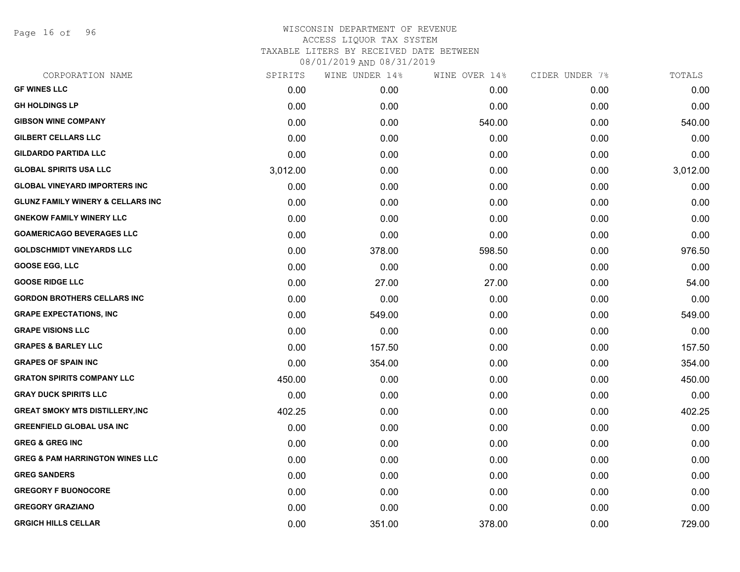Page 16 of 96

| CORPORATION NAME                             | SPIRITS  | WINE UNDER 14% | WINE OVER 14% | CIDER UNDER 7% | TOTALS   |
|----------------------------------------------|----------|----------------|---------------|----------------|----------|
| <b>GF WINES LLC</b>                          | 0.00     | 0.00           | 0.00          | 0.00           | 0.00     |
| <b>GH HOLDINGS LP</b>                        | 0.00     | 0.00           | 0.00          | 0.00           | 0.00     |
| <b>GIBSON WINE COMPANY</b>                   | 0.00     | 0.00           | 540.00        | 0.00           | 540.00   |
| <b>GILBERT CELLARS LLC</b>                   | 0.00     | 0.00           | 0.00          | 0.00           | 0.00     |
| <b>GILDARDO PARTIDA LLC</b>                  | 0.00     | 0.00           | 0.00          | 0.00           | 0.00     |
| <b>GLOBAL SPIRITS USA LLC</b>                | 3,012.00 | 0.00           | 0.00          | 0.00           | 3,012.00 |
| <b>GLOBAL VINEYARD IMPORTERS INC</b>         | 0.00     | 0.00           | 0.00          | 0.00           | 0.00     |
| <b>GLUNZ FAMILY WINERY &amp; CELLARS INC</b> | 0.00     | 0.00           | 0.00          | 0.00           | 0.00     |
| <b>GNEKOW FAMILY WINERY LLC</b>              | 0.00     | 0.00           | 0.00          | 0.00           | 0.00     |
| <b>GOAMERICAGO BEVERAGES LLC</b>             | 0.00     | 0.00           | 0.00          | 0.00           | 0.00     |
| <b>GOLDSCHMIDT VINEYARDS LLC</b>             | 0.00     | 378.00         | 598.50        | 0.00           | 976.50   |
| <b>GOOSE EGG, LLC</b>                        | 0.00     | 0.00           | 0.00          | 0.00           | 0.00     |
| <b>GOOSE RIDGE LLC</b>                       | 0.00     | 27.00          | 27.00         | 0.00           | 54.00    |
| <b>GORDON BROTHERS CELLARS INC</b>           | 0.00     | 0.00           | 0.00          | 0.00           | 0.00     |
| <b>GRAPE EXPECTATIONS, INC</b>               | 0.00     | 549.00         | 0.00          | 0.00           | 549.00   |
| <b>GRAPE VISIONS LLC</b>                     | 0.00     | 0.00           | 0.00          | 0.00           | 0.00     |
| <b>GRAPES &amp; BARLEY LLC</b>               | 0.00     | 157.50         | 0.00          | 0.00           | 157.50   |
| <b>GRAPES OF SPAIN INC</b>                   | 0.00     | 354.00         | 0.00          | 0.00           | 354.00   |
| <b>GRATON SPIRITS COMPANY LLC</b>            | 450.00   | 0.00           | 0.00          | 0.00           | 450.00   |
| <b>GRAY DUCK SPIRITS LLC</b>                 | 0.00     | 0.00           | 0.00          | 0.00           | 0.00     |
| <b>GREAT SMOKY MTS DISTILLERY, INC</b>       | 402.25   | 0.00           | 0.00          | 0.00           | 402.25   |
| <b>GREENFIELD GLOBAL USA INC</b>             | 0.00     | 0.00           | 0.00          | 0.00           | 0.00     |
| <b>GREG &amp; GREG INC</b>                   | 0.00     | 0.00           | 0.00          | 0.00           | 0.00     |
| <b>GREG &amp; PAM HARRINGTON WINES LLC</b>   | 0.00     | 0.00           | 0.00          | 0.00           | 0.00     |
| <b>GREG SANDERS</b>                          | 0.00     | 0.00           | 0.00          | 0.00           | 0.00     |
| <b>GREGORY F BUONOCORE</b>                   | 0.00     | 0.00           | 0.00          | 0.00           | 0.00     |
| <b>GREGORY GRAZIANO</b>                      | 0.00     | 0.00           | 0.00          | 0.00           | 0.00     |
| <b>GRGICH HILLS CELLAR</b>                   | 0.00     | 351.00         | 378.00        | 0.00           | 729.00   |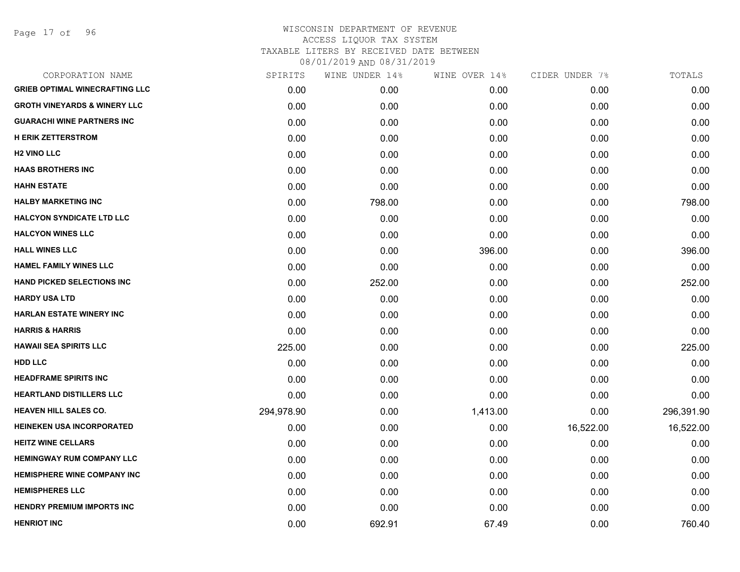Page 17 of 96

| CORPORATION NAME                        | SPIRITS    | WINE UNDER 14% | WINE OVER 14% | CIDER UNDER 7% | TOTALS     |
|-----------------------------------------|------------|----------------|---------------|----------------|------------|
| <b>GRIEB OPTIMAL WINECRAFTING LLC</b>   | 0.00       | 0.00           | 0.00          | 0.00           | 0.00       |
| <b>GROTH VINEYARDS &amp; WINERY LLC</b> | 0.00       | 0.00           | 0.00          | 0.00           | 0.00       |
| <b>GUARACHI WINE PARTNERS INC</b>       | 0.00       | 0.00           | 0.00          | 0.00           | 0.00       |
| <b>H ERIK ZETTERSTROM</b>               | 0.00       | 0.00           | 0.00          | 0.00           | 0.00       |
| <b>H2 VINO LLC</b>                      | 0.00       | 0.00           | 0.00          | 0.00           | 0.00       |
| <b>HAAS BROTHERS INC</b>                | 0.00       | 0.00           | 0.00          | 0.00           | 0.00       |
| <b>HAHN ESTATE</b>                      | 0.00       | 0.00           | 0.00          | 0.00           | 0.00       |
| <b>HALBY MARKETING INC</b>              | 0.00       | 798.00         | 0.00          | 0.00           | 798.00     |
| <b>HALCYON SYNDICATE LTD LLC</b>        | 0.00       | 0.00           | 0.00          | 0.00           | 0.00       |
| <b>HALCYON WINES LLC</b>                | 0.00       | 0.00           | 0.00          | 0.00           | 0.00       |
| <b>HALL WINES LLC</b>                   | 0.00       | 0.00           | 396.00        | 0.00           | 396.00     |
| <b>HAMEL FAMILY WINES LLC</b>           | 0.00       | 0.00           | 0.00          | 0.00           | 0.00       |
| <b>HAND PICKED SELECTIONS INC</b>       | 0.00       | 252.00         | 0.00          | 0.00           | 252.00     |
| <b>HARDY USA LTD</b>                    | 0.00       | 0.00           | 0.00          | 0.00           | 0.00       |
| <b>HARLAN ESTATE WINERY INC</b>         | 0.00       | 0.00           | 0.00          | 0.00           | 0.00       |
| <b>HARRIS &amp; HARRIS</b>              | 0.00       | 0.00           | 0.00          | 0.00           | 0.00       |
| <b>HAWAII SEA SPIRITS LLC</b>           | 225.00     | 0.00           | 0.00          | 0.00           | 225.00     |
| <b>HDD LLC</b>                          | 0.00       | 0.00           | 0.00          | 0.00           | 0.00       |
| <b>HEADFRAME SPIRITS INC</b>            | 0.00       | 0.00           | 0.00          | 0.00           | 0.00       |
| <b>HEARTLAND DISTILLERS LLC</b>         | 0.00       | 0.00           | 0.00          | 0.00           | 0.00       |
| <b>HEAVEN HILL SALES CO.</b>            | 294,978.90 | 0.00           | 1,413.00      | 0.00           | 296,391.90 |
| HEINEKEN USA INCORPORATED               | 0.00       | 0.00           | 0.00          | 16,522.00      | 16,522.00  |
| <b>HEITZ WINE CELLARS</b>               | 0.00       | 0.00           | 0.00          | 0.00           | 0.00       |
| <b>HEMINGWAY RUM COMPANY LLC</b>        | 0.00       | 0.00           | 0.00          | 0.00           | 0.00       |
| <b>HEMISPHERE WINE COMPANY INC</b>      | 0.00       | 0.00           | 0.00          | 0.00           | 0.00       |
| <b>HEMISPHERES LLC</b>                  | 0.00       | 0.00           | 0.00          | 0.00           | 0.00       |
| <b>HENDRY PREMIUM IMPORTS INC</b>       | 0.00       | 0.00           | 0.00          | 0.00           | 0.00       |
| <b>HENRIOT INC</b>                      | 0.00       | 692.91         | 67.49         | 0.00           | 760.40     |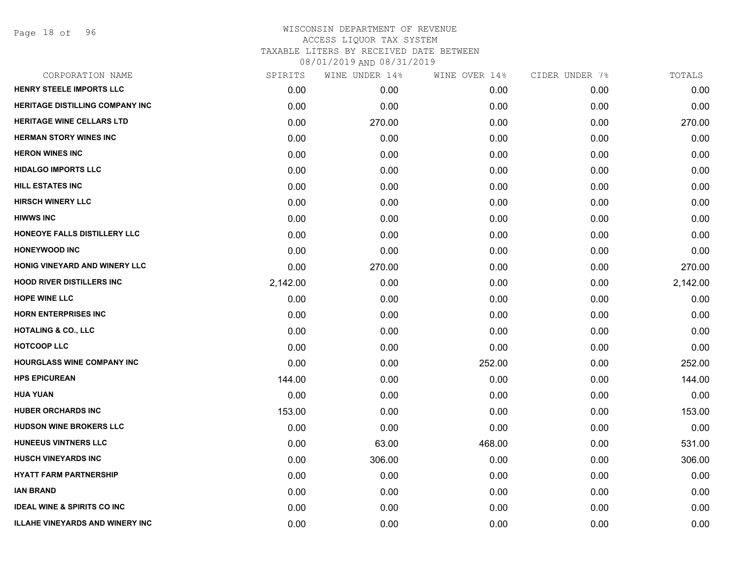Page 18 of 96

| CORPORATION NAME                       | SPIRITS  | WINE UNDER 14% | WINE OVER 14% | CIDER UNDER 7% | TOTALS   |
|----------------------------------------|----------|----------------|---------------|----------------|----------|
| <b>HENRY STEELE IMPORTS LLC</b>        | 0.00     | 0.00           | 0.00          | 0.00           | 0.00     |
| <b>HERITAGE DISTILLING COMPANY INC</b> | 0.00     | 0.00           | 0.00          | 0.00           | 0.00     |
| HERITAGE WINE CELLARS LTD              | 0.00     | 270.00         | 0.00          | 0.00           | 270.00   |
| <b>HERMAN STORY WINES INC</b>          | 0.00     | 0.00           | 0.00          | 0.00           | 0.00     |
| <b>HERON WINES INC</b>                 | 0.00     | 0.00           | 0.00          | 0.00           | 0.00     |
| <b>HIDALGO IMPORTS LLC</b>             | 0.00     | 0.00           | 0.00          | 0.00           | 0.00     |
| <b>HILL ESTATES INC</b>                | 0.00     | 0.00           | 0.00          | 0.00           | 0.00     |
| <b>HIRSCH WINERY LLC</b>               | 0.00     | 0.00           | 0.00          | 0.00           | 0.00     |
| <b>HIWWS INC</b>                       | 0.00     | 0.00           | 0.00          | 0.00           | 0.00     |
| HONEOYE FALLS DISTILLERY LLC           | 0.00     | 0.00           | 0.00          | 0.00           | 0.00     |
| <b>HONEYWOOD INC</b>                   | 0.00     | 0.00           | 0.00          | 0.00           | 0.00     |
| HONIG VINEYARD AND WINERY LLC          | 0.00     | 270.00         | 0.00          | 0.00           | 270.00   |
| <b>HOOD RIVER DISTILLERS INC</b>       | 2,142.00 | 0.00           | 0.00          | 0.00           | 2,142.00 |
| <b>HOPE WINE LLC</b>                   | 0.00     | 0.00           | 0.00          | 0.00           | 0.00     |
| <b>HORN ENTERPRISES INC</b>            | 0.00     | 0.00           | 0.00          | 0.00           | 0.00     |
| <b>HOTALING &amp; CO., LLC</b>         | 0.00     | 0.00           | 0.00          | 0.00           | 0.00     |
| <b>HOTCOOP LLC</b>                     | 0.00     | 0.00           | 0.00          | 0.00           | 0.00     |
| <b>HOURGLASS WINE COMPANY INC</b>      | 0.00     | 0.00           | 252.00        | 0.00           | 252.00   |
| <b>HPS EPICUREAN</b>                   | 144.00   | 0.00           | 0.00          | 0.00           | 144.00   |
| <b>HUA YUAN</b>                        | 0.00     | 0.00           | 0.00          | 0.00           | 0.00     |
| <b>HUBER ORCHARDS INC</b>              | 153.00   | 0.00           | 0.00          | 0.00           | 153.00   |
| <b>HUDSON WINE BROKERS LLC</b>         | 0.00     | 0.00           | 0.00          | 0.00           | 0.00     |
| <b>HUNEEUS VINTNERS LLC</b>            | 0.00     | 63.00          | 468.00        | 0.00           | 531.00   |
| <b>HUSCH VINEYARDS INC</b>             | 0.00     | 306.00         | 0.00          | 0.00           | 306.00   |
| <b>HYATT FARM PARTNERSHIP</b>          | 0.00     | 0.00           | 0.00          | 0.00           | 0.00     |
| <b>IAN BRAND</b>                       | 0.00     | 0.00           | 0.00          | 0.00           | 0.00     |
| <b>IDEAL WINE &amp; SPIRITS CO INC</b> | 0.00     | 0.00           | 0.00          | 0.00           | 0.00     |
| <b>ILLAHE VINEYARDS AND WINERY INC</b> | 0.00     | 0.00           | 0.00          | 0.00           | 0.00     |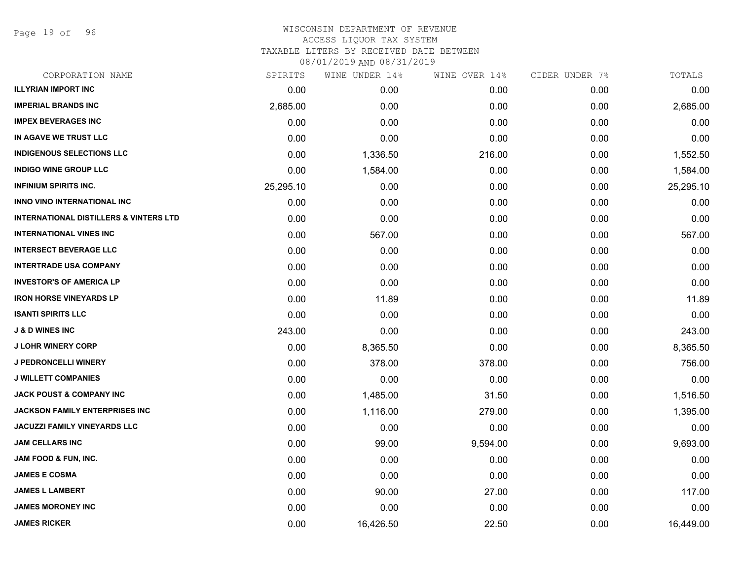Page 19 of 96

## WISCONSIN DEPARTMENT OF REVENUE ACCESS LIQUOR TAX SYSTEM TAXABLE LITERS BY RECEIVED DATE BETWEEN

| CORPORATION NAME                                  | SPIRITS   | WINE UNDER 14% | WINE OVER 14% | CIDER UNDER 7% | TOTALS    |
|---------------------------------------------------|-----------|----------------|---------------|----------------|-----------|
| <b>ILLYRIAN IMPORT INC</b>                        | 0.00      | 0.00           | 0.00          | 0.00           | 0.00      |
| <b>IMPERIAL BRANDS INC</b>                        | 2,685.00  | 0.00           | 0.00          | 0.00           | 2,685.00  |
| <b>IMPEX BEVERAGES INC</b>                        | 0.00      | 0.00           | 0.00          | 0.00           | 0.00      |
| IN AGAVE WE TRUST LLC                             | 0.00      | 0.00           | 0.00          | 0.00           | 0.00      |
| <b>INDIGENOUS SELECTIONS LLC</b>                  | 0.00      | 1,336.50       | 216.00        | 0.00           | 1,552.50  |
| <b>INDIGO WINE GROUP LLC</b>                      | 0.00      | 1,584.00       | 0.00          | 0.00           | 1,584.00  |
| <b>INFINIUM SPIRITS INC.</b>                      | 25,295.10 | 0.00           | 0.00          | 0.00           | 25,295.10 |
| INNO VINO INTERNATIONAL INC                       | 0.00      | 0.00           | 0.00          | 0.00           | 0.00      |
| <b>INTERNATIONAL DISTILLERS &amp; VINTERS LTD</b> | 0.00      | 0.00           | 0.00          | 0.00           | 0.00      |
| <b>INTERNATIONAL VINES INC</b>                    | 0.00      | 567.00         | 0.00          | 0.00           | 567.00    |
| <b>INTERSECT BEVERAGE LLC</b>                     | 0.00      | 0.00           | 0.00          | 0.00           | 0.00      |
| <b>INTERTRADE USA COMPANY</b>                     | 0.00      | 0.00           | 0.00          | 0.00           | 0.00      |
| <b>INVESTOR'S OF AMERICA LP</b>                   | 0.00      | 0.00           | 0.00          | 0.00           | 0.00      |
| <b>IRON HORSE VINEYARDS LP</b>                    | 0.00      | 11.89          | 0.00          | 0.00           | 11.89     |
| <b>ISANTI SPIRITS LLC</b>                         | 0.00      | 0.00           | 0.00          | 0.00           | 0.00      |
| <b>J &amp; D WINES INC</b>                        | 243.00    | 0.00           | 0.00          | 0.00           | 243.00    |
| <b>J LOHR WINERY CORP</b>                         | 0.00      | 8,365.50       | 0.00          | 0.00           | 8,365.50  |
| <b>J PEDRONCELLI WINERY</b>                       | 0.00      | 378.00         | 378.00        | 0.00           | 756.00    |
| <b>J WILLETT COMPANIES</b>                        | 0.00      | 0.00           | 0.00          | 0.00           | 0.00      |
| <b>JACK POUST &amp; COMPANY INC</b>               | 0.00      | 1,485.00       | 31.50         | 0.00           | 1,516.50  |
| JACKSON FAMILY ENTERPRISES INC                    | 0.00      | 1,116.00       | 279.00        | 0.00           | 1,395.00  |
| JACUZZI FAMILY VINEYARDS LLC                      | 0.00      | 0.00           | 0.00          | 0.00           | 0.00      |
| <b>JAM CELLARS INC</b>                            | 0.00      | 99.00          | 9,594.00      | 0.00           | 9,693.00  |
| <b>JAM FOOD &amp; FUN, INC.</b>                   | 0.00      | 0.00           | 0.00          | 0.00           | 0.00      |
| <b>JAMES E COSMA</b>                              | 0.00      | 0.00           | 0.00          | 0.00           | 0.00      |
| <b>JAMES L LAMBERT</b>                            | 0.00      | 90.00          | 27.00         | 0.00           | 117.00    |
| <b>JAMES MORONEY INC</b>                          | 0.00      | 0.00           | 0.00          | 0.00           | 0.00      |
| <b>JAMES RICKER</b>                               | 0.00      | 16,426.50      | 22.50         | 0.00           | 16,449.00 |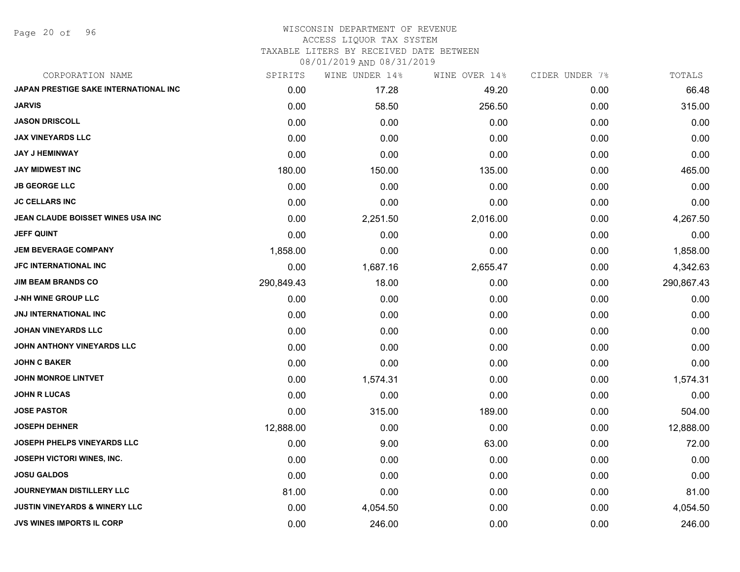Page 20 of 96

## WISCONSIN DEPARTMENT OF REVENUE ACCESS LIQUOR TAX SYSTEM

TAXABLE LITERS BY RECEIVED DATE BETWEEN

| CORPORATION NAME                         | SPIRITS    | WINE UNDER 14% | WINE OVER 14% | CIDER UNDER 7% | TOTALS     |
|------------------------------------------|------------|----------------|---------------|----------------|------------|
| JAPAN PRESTIGE SAKE INTERNATIONAL INC    | 0.00       | 17.28          | 49.20         | 0.00           | 66.48      |
| <b>JARVIS</b>                            | 0.00       | 58.50          | 256.50        | 0.00           | 315.00     |
| <b>JASON DRISCOLL</b>                    | 0.00       | 0.00           | 0.00          | 0.00           | 0.00       |
| <b>JAX VINEYARDS LLC</b>                 | 0.00       | 0.00           | 0.00          | 0.00           | 0.00       |
| <b>JAY J HEMINWAY</b>                    | 0.00       | 0.00           | 0.00          | 0.00           | 0.00       |
| <b>JAY MIDWEST INC</b>                   | 180.00     | 150.00         | 135.00        | 0.00           | 465.00     |
| <b>JB GEORGE LLC</b>                     | 0.00       | 0.00           | 0.00          | 0.00           | 0.00       |
| <b>JC CELLARS INC</b>                    | 0.00       | 0.00           | 0.00          | 0.00           | 0.00       |
| JEAN CLAUDE BOISSET WINES USA INC        | 0.00       | 2,251.50       | 2,016.00      | 0.00           | 4,267.50   |
| <b>JEFF QUINT</b>                        | 0.00       | 0.00           | 0.00          | 0.00           | 0.00       |
| <b>JEM BEVERAGE COMPANY</b>              | 1,858.00   | 0.00           | 0.00          | 0.00           | 1,858.00   |
| JFC INTERNATIONAL INC                    | 0.00       | 1,687.16       | 2,655.47      | 0.00           | 4,342.63   |
| <b>JIM BEAM BRANDS CO</b>                | 290,849.43 | 18.00          | 0.00          | 0.00           | 290,867.43 |
| <b>J-NH WINE GROUP LLC</b>               | 0.00       | 0.00           | 0.00          | 0.00           | 0.00       |
| <b>JNJ INTERNATIONAL INC</b>             | 0.00       | 0.00           | 0.00          | 0.00           | 0.00       |
| <b>JOHAN VINEYARDS LLC</b>               | 0.00       | 0.00           | 0.00          | 0.00           | 0.00       |
| JOHN ANTHONY VINEYARDS LLC               | 0.00       | 0.00           | 0.00          | 0.00           | 0.00       |
| <b>JOHN C BAKER</b>                      | 0.00       | 0.00           | 0.00          | 0.00           | 0.00       |
| <b>JOHN MONROE LINTVET</b>               | 0.00       | 1,574.31       | 0.00          | 0.00           | 1,574.31   |
| <b>JOHN R LUCAS</b>                      | 0.00       | 0.00           | 0.00          | 0.00           | 0.00       |
| <b>JOSE PASTOR</b>                       | 0.00       | 315.00         | 189.00        | 0.00           | 504.00     |
| <b>JOSEPH DEHNER</b>                     | 12,888.00  | 0.00           | 0.00          | 0.00           | 12,888.00  |
| JOSEPH PHELPS VINEYARDS LLC              | 0.00       | 9.00           | 63.00         | 0.00           | 72.00      |
| JOSEPH VICTORI WINES, INC.               | 0.00       | 0.00           | 0.00          | 0.00           | 0.00       |
| <b>JOSU GALDOS</b>                       | 0.00       | 0.00           | 0.00          | 0.00           | 0.00       |
| JOURNEYMAN DISTILLERY LLC                | 81.00      | 0.00           | 0.00          | 0.00           | 81.00      |
| <b>JUSTIN VINEYARDS &amp; WINERY LLC</b> | 0.00       | 4,054.50       | 0.00          | 0.00           | 4,054.50   |
| <b>JVS WINES IMPORTS IL CORP</b>         | 0.00       | 246.00         | 0.00          | 0.00           | 246.00     |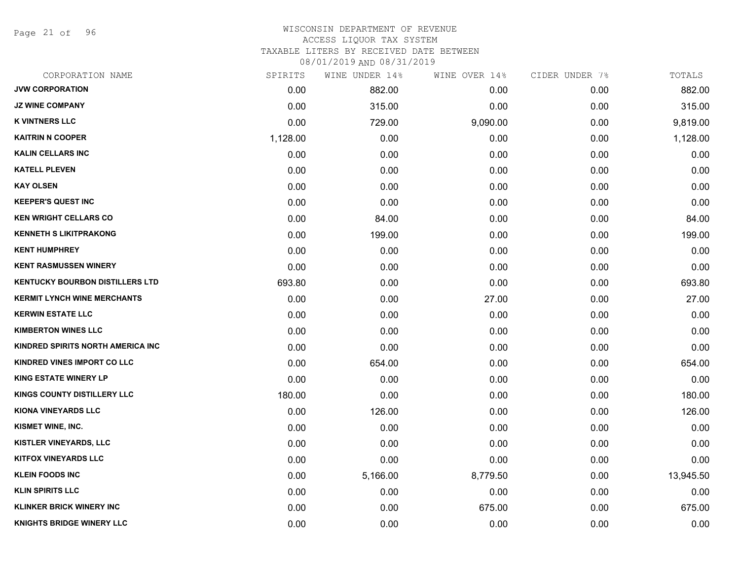Page 21 of 96

## WISCONSIN DEPARTMENT OF REVENUE ACCESS LIQUOR TAX SYSTEM

TAXABLE LITERS BY RECEIVED DATE BETWEEN

| CORPORATION NAME                       | SPIRITS  | WINE UNDER 14% | WINE OVER 14% | CIDER UNDER 7% | TOTALS    |
|----------------------------------------|----------|----------------|---------------|----------------|-----------|
| <b>JVW CORPORATION</b>                 | 0.00     | 882.00         | 0.00          | 0.00           | 882.00    |
| <b>JZ WINE COMPANY</b>                 | 0.00     | 315.00         | 0.00          | 0.00           | 315.00    |
| <b>K VINTNERS LLC</b>                  | 0.00     | 729.00         | 9,090.00      | 0.00           | 9,819.00  |
| <b>KAITRIN N COOPER</b>                | 1,128.00 | 0.00           | 0.00          | 0.00           | 1,128.00  |
| <b>KALIN CELLARS INC</b>               | 0.00     | 0.00           | 0.00          | 0.00           | 0.00      |
| <b>KATELL PLEVEN</b>                   | 0.00     | 0.00           | 0.00          | 0.00           | 0.00      |
| <b>KAY OLSEN</b>                       | 0.00     | 0.00           | 0.00          | 0.00           | 0.00      |
| <b>KEEPER'S QUEST INC</b>              | 0.00     | 0.00           | 0.00          | 0.00           | 0.00      |
| <b>KEN WRIGHT CELLARS CO</b>           | 0.00     | 84.00          | 0.00          | 0.00           | 84.00     |
| <b>KENNETH S LIKITPRAKONG</b>          | 0.00     | 199.00         | 0.00          | 0.00           | 199.00    |
| <b>KENT HUMPHREY</b>                   | 0.00     | 0.00           | 0.00          | 0.00           | 0.00      |
| <b>KENT RASMUSSEN WINERY</b>           | 0.00     | 0.00           | 0.00          | 0.00           | 0.00      |
| <b>KENTUCKY BOURBON DISTILLERS LTD</b> | 693.80   | 0.00           | 0.00          | 0.00           | 693.80    |
| <b>KERMIT LYNCH WINE MERCHANTS</b>     | 0.00     | 0.00           | 27.00         | 0.00           | 27.00     |
| <b>KERWIN ESTATE LLC</b>               | 0.00     | 0.00           | 0.00          | 0.00           | 0.00      |
| <b>KIMBERTON WINES LLC</b>             | 0.00     | 0.00           | 0.00          | 0.00           | 0.00      |
| KINDRED SPIRITS NORTH AMERICA INC      | 0.00     | 0.00           | 0.00          | 0.00           | 0.00      |
| <b>KINDRED VINES IMPORT CO LLC</b>     | 0.00     | 654.00         | 0.00          | 0.00           | 654.00    |
| <b>KING ESTATE WINERY LP</b>           | 0.00     | 0.00           | 0.00          | 0.00           | 0.00      |
| <b>KINGS COUNTY DISTILLERY LLC</b>     | 180.00   | 0.00           | 0.00          | 0.00           | 180.00    |
| KIONA VINEYARDS LLC                    | 0.00     | 126.00         | 0.00          | 0.00           | 126.00    |
| KISMET WINE, INC.                      | 0.00     | 0.00           | 0.00          | 0.00           | 0.00      |
| <b>KISTLER VINEYARDS, LLC</b>          | 0.00     | 0.00           | 0.00          | 0.00           | 0.00      |
| <b>KITFOX VINEYARDS LLC</b>            | 0.00     | 0.00           | 0.00          | 0.00           | 0.00      |
| <b>KLEIN FOODS INC</b>                 | 0.00     | 5,166.00       | 8,779.50      | 0.00           | 13,945.50 |
| <b>KLIN SPIRITS LLC</b>                | 0.00     | 0.00           | 0.00          | 0.00           | 0.00      |
| <b>KLINKER BRICK WINERY INC</b>        | 0.00     | 0.00           | 675.00        | 0.00           | 675.00    |
| <b>KNIGHTS BRIDGE WINERY LLC</b>       | 0.00     | 0.00           | 0.00          | 0.00           | 0.00      |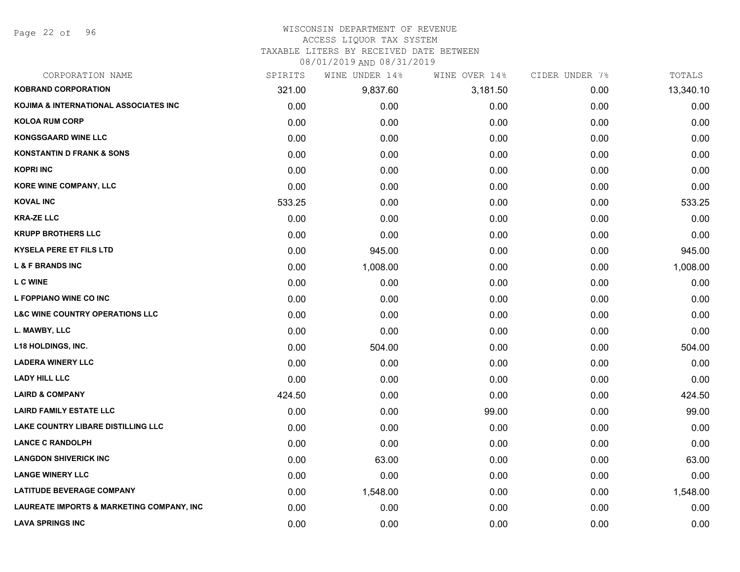Page 22 of 96

## WISCONSIN DEPARTMENT OF REVENUE

## ACCESS LIQUOR TAX SYSTEM

TAXABLE LITERS BY RECEIVED DATE BETWEEN

| CORPORATION NAME                                     | SPIRITS | WINE UNDER 14% | WINE OVER 14% | CIDER UNDER 7% | TOTALS    |
|------------------------------------------------------|---------|----------------|---------------|----------------|-----------|
| <b>KOBRAND CORPORATION</b>                           | 321.00  | 9,837.60       | 3,181.50      | 0.00           | 13,340.10 |
| <b>KOJIMA &amp; INTERNATIONAL ASSOCIATES INC</b>     | 0.00    | 0.00           | 0.00          | 0.00           | 0.00      |
| <b>KOLOA RUM CORP</b>                                | 0.00    | 0.00           | 0.00          | 0.00           | 0.00      |
| <b>KONGSGAARD WINE LLC</b>                           | 0.00    | 0.00           | 0.00          | 0.00           | 0.00      |
| <b>KONSTANTIN D FRANK &amp; SONS</b>                 | 0.00    | 0.00           | 0.00          | 0.00           | 0.00      |
| <b>KOPRI INC</b>                                     | 0.00    | 0.00           | 0.00          | 0.00           | 0.00      |
| KORE WINE COMPANY, LLC                               | 0.00    | 0.00           | 0.00          | 0.00           | 0.00      |
| <b>KOVAL INC</b>                                     | 533.25  | 0.00           | 0.00          | 0.00           | 533.25    |
| <b>KRA-ZE LLC</b>                                    | 0.00    | 0.00           | 0.00          | 0.00           | 0.00      |
| <b>KRUPP BROTHERS LLC</b>                            | 0.00    | 0.00           | 0.00          | 0.00           | 0.00      |
| <b>KYSELA PERE ET FILS LTD</b>                       | 0.00    | 945.00         | 0.00          | 0.00           | 945.00    |
| <b>L &amp; F BRANDS INC</b>                          | 0.00    | 1,008.00       | 0.00          | 0.00           | 1,008.00  |
| <b>L C WINE</b>                                      | 0.00    | 0.00           | 0.00          | 0.00           | 0.00      |
| L FOPPIANO WINE CO INC                               | 0.00    | 0.00           | 0.00          | 0.00           | 0.00      |
| <b>L&amp;C WINE COUNTRY OPERATIONS LLC</b>           | 0.00    | 0.00           | 0.00          | 0.00           | 0.00      |
| L. MAWBY, LLC                                        | 0.00    | 0.00           | 0.00          | 0.00           | 0.00      |
| <b>L18 HOLDINGS, INC.</b>                            | 0.00    | 504.00         | 0.00          | 0.00           | 504.00    |
| <b>LADERA WINERY LLC</b>                             | 0.00    | 0.00           | 0.00          | 0.00           | 0.00      |
| <b>LADY HILL LLC</b>                                 | 0.00    | 0.00           | 0.00          | 0.00           | 0.00      |
| <b>LAIRD &amp; COMPANY</b>                           | 424.50  | 0.00           | 0.00          | 0.00           | 424.50    |
| <b>LAIRD FAMILY ESTATE LLC</b>                       | 0.00    | 0.00           | 99.00         | 0.00           | 99.00     |
| LAKE COUNTRY LIBARE DISTILLING LLC                   | 0.00    | 0.00           | 0.00          | 0.00           | 0.00      |
| <b>LANCE C RANDOLPH</b>                              | 0.00    | 0.00           | 0.00          | 0.00           | 0.00      |
| <b>LANGDON SHIVERICK INC</b>                         | 0.00    | 63.00          | 0.00          | 0.00           | 63.00     |
| <b>LANGE WINERY LLC</b>                              | 0.00    | 0.00           | 0.00          | 0.00           | 0.00      |
| <b>LATITUDE BEVERAGE COMPANY</b>                     | 0.00    | 1,548.00       | 0.00          | 0.00           | 1,548.00  |
| <b>LAUREATE IMPORTS &amp; MARKETING COMPANY, INC</b> | 0.00    | 0.00           | 0.00          | 0.00           | 0.00      |
| <b>LAVA SPRINGS INC</b>                              | 0.00    | 0.00           | 0.00          | 0.00           | 0.00      |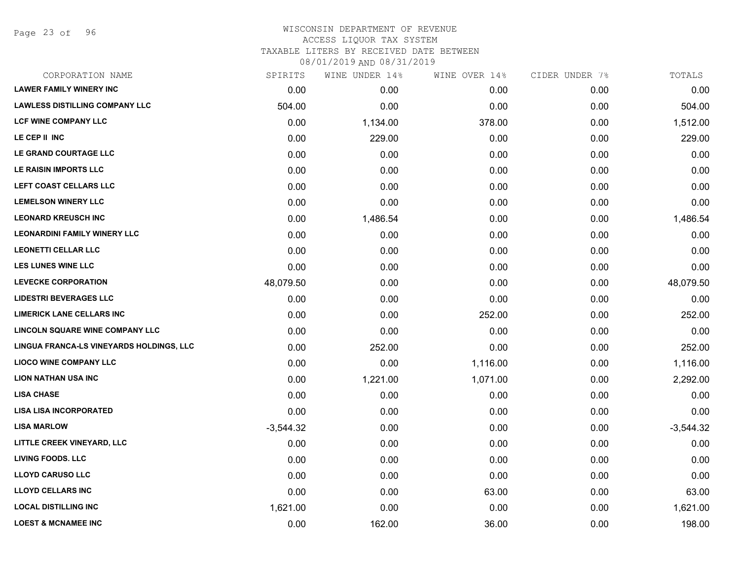Page 23 of 96

| CORPORATION NAME                         | SPIRITS     | WINE UNDER 14% | WINE OVER 14% | CIDER UNDER 7% | TOTALS      |
|------------------------------------------|-------------|----------------|---------------|----------------|-------------|
| <b>LAWER FAMILY WINERY INC</b>           | 0.00        | 0.00           | 0.00          | 0.00           | 0.00        |
| <b>LAWLESS DISTILLING COMPANY LLC</b>    | 504.00      | 0.00           | 0.00          | 0.00           | 504.00      |
| <b>LCF WINE COMPANY LLC</b>              | 0.00        | 1,134.00       | 378.00        | 0.00           | 1,512.00    |
| LE CEP II INC                            | 0.00        | 229.00         | 0.00          | 0.00           | 229.00      |
| LE GRAND COURTAGE LLC                    | 0.00        | 0.00           | 0.00          | 0.00           | 0.00        |
| LE RAISIN IMPORTS LLC                    | 0.00        | 0.00           | 0.00          | 0.00           | 0.00        |
| LEFT COAST CELLARS LLC                   | 0.00        | 0.00           | 0.00          | 0.00           | 0.00        |
| <b>LEMELSON WINERY LLC</b>               | 0.00        | 0.00           | 0.00          | 0.00           | 0.00        |
| <b>LEONARD KREUSCH INC</b>               | 0.00        | 1,486.54       | 0.00          | 0.00           | 1,486.54    |
| <b>LEONARDINI FAMILY WINERY LLC</b>      | 0.00        | 0.00           | 0.00          | 0.00           | 0.00        |
| <b>LEONETTI CELLAR LLC</b>               | 0.00        | 0.00           | 0.00          | 0.00           | 0.00        |
| <b>LES LUNES WINE LLC</b>                | 0.00        | 0.00           | 0.00          | 0.00           | 0.00        |
| <b>LEVECKE CORPORATION</b>               | 48,079.50   | 0.00           | 0.00          | 0.00           | 48,079.50   |
| <b>LIDESTRI BEVERAGES LLC</b>            | 0.00        | 0.00           | 0.00          | 0.00           | 0.00        |
| <b>LIMERICK LANE CELLARS INC</b>         | 0.00        | 0.00           | 252.00        | 0.00           | 252.00      |
| LINCOLN SQUARE WINE COMPANY LLC          | 0.00        | 0.00           | 0.00          | 0.00           | 0.00        |
| LINGUA FRANCA-LS VINEYARDS HOLDINGS, LLC | 0.00        | 252.00         | 0.00          | 0.00           | 252.00      |
| <b>LIOCO WINE COMPANY LLC</b>            | 0.00        | 0.00           | 1,116.00      | 0.00           | 1,116.00    |
| <b>LION NATHAN USA INC</b>               | 0.00        | 1,221.00       | 1,071.00      | 0.00           | 2,292.00    |
| <b>LISA CHASE</b>                        | 0.00        | 0.00           | 0.00          | 0.00           | 0.00        |
| <b>LISA LISA INCORPORATED</b>            | 0.00        | 0.00           | 0.00          | 0.00           | 0.00        |
| <b>LISA MARLOW</b>                       | $-3,544.32$ | 0.00           | 0.00          | 0.00           | $-3,544.32$ |
| LITTLE CREEK VINEYARD, LLC               | 0.00        | 0.00           | 0.00          | 0.00           | 0.00        |
| <b>LIVING FOODS. LLC</b>                 | 0.00        | 0.00           | 0.00          | 0.00           | 0.00        |
| <b>LLOYD CARUSO LLC</b>                  | 0.00        | 0.00           | 0.00          | 0.00           | 0.00        |
| <b>LLOYD CELLARS INC</b>                 | 0.00        | 0.00           | 63.00         | 0.00           | 63.00       |
| <b>LOCAL DISTILLING INC</b>              | 1,621.00    | 0.00           | 0.00          | 0.00           | 1,621.00    |
| <b>LOEST &amp; MCNAMEE INC</b>           | 0.00        | 162.00         | 36.00         | 0.00           | 198.00      |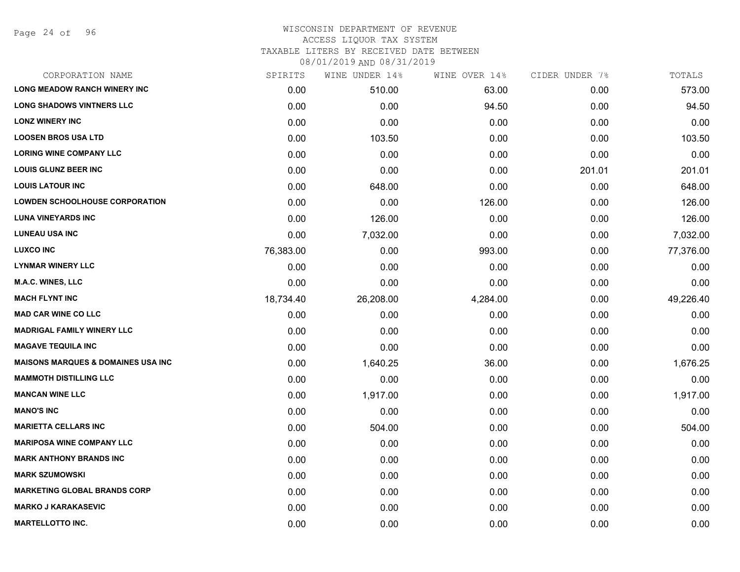Page 24 of 96

## WISCONSIN DEPARTMENT OF REVENUE ACCESS LIQUOR TAX SYSTEM TAXABLE LITERS BY RECEIVED DATE BETWEEN

| CORPORATION NAME                               | SPIRITS           | WINE UNDER 14% | WINE OVER 14% | CIDER UNDER 7% | TOTALS    |
|------------------------------------------------|-------------------|----------------|---------------|----------------|-----------|
| <b>LONG MEADOW RANCH WINERY INC</b>            | 0.00 <sub>1</sub> | 510.00         | 63.00         | 0.00           | 573.00    |
| <b>LONG SHADOWS VINTNERS LLC</b>               | 0.00              | 0.00           | 94.50         | 0.00           | 94.50     |
| <b>LONZ WINERY INC</b>                         | 0.00              | 0.00           | 0.00          | 0.00           | 0.00      |
| <b>LOOSEN BROS USA LTD</b>                     | 0.00              | 103.50         | 0.00          | 0.00           | 103.50    |
| <b>LORING WINE COMPANY LLC</b>                 | 0.00              | 0.00           | 0.00          | 0.00           | 0.00      |
| <b>LOUIS GLUNZ BEER INC</b>                    | 0.00              | 0.00           | 0.00          | 201.01         | 201.01    |
| <b>LOUIS LATOUR INC</b>                        | 0.00              | 648.00         | 0.00          | 0.00           | 648.00    |
| <b>LOWDEN SCHOOLHOUSE CORPORATION</b>          | 0.00              | 0.00           | 126.00        | 0.00           | 126.00    |
| <b>LUNA VINEYARDS INC</b>                      | 0.00              | 126.00         | 0.00          | 0.00           | 126.00    |
| <b>LUNEAU USA INC</b>                          | 0.00              | 7,032.00       | 0.00          | 0.00           | 7,032.00  |
| <b>LUXCO INC</b>                               | 76,383.00         | 0.00           | 993.00        | 0.00           | 77,376.00 |
| <b>LYNMAR WINERY LLC</b>                       | 0.00              | 0.00           | 0.00          | 0.00           | 0.00      |
| M.A.C. WINES, LLC                              | 0.00              | 0.00           | 0.00          | 0.00           | 0.00      |
| <b>MACH FLYNT INC</b>                          | 18,734.40         | 26,208.00      | 4,284.00      | 0.00           | 49,226.40 |
| <b>MAD CAR WINE CO LLC</b>                     | 0.00              | 0.00           | 0.00          | 0.00           | 0.00      |
| <b>MADRIGAL FAMILY WINERY LLC</b>              | 0.00              | 0.00           | 0.00          | 0.00           | 0.00      |
| <b>MAGAVE TEQUILA INC</b>                      | 0.00              | 0.00           | 0.00          | 0.00           | 0.00      |
| <b>MAISONS MARQUES &amp; DOMAINES USA INC.</b> | 0.00              | 1,640.25       | 36.00         | 0.00           | 1,676.25  |
| <b>MAMMOTH DISTILLING LLC</b>                  | 0.00              | 0.00           | 0.00          | 0.00           | 0.00      |
| <b>MANCAN WINE LLC</b>                         | 0.00              | 1,917.00       | 0.00          | 0.00           | 1,917.00  |
| <b>MANO'S INC</b>                              | 0.00              | 0.00           | 0.00          | 0.00           | 0.00      |
| <b>MARIETTA CELLARS INC</b>                    | 0.00              | 504.00         | 0.00          | 0.00           | 504.00    |
| <b>MARIPOSA WINE COMPANY LLC</b>               | 0.00              | 0.00           | 0.00          | 0.00           | 0.00      |
| <b>MARK ANTHONY BRANDS INC</b>                 | 0.00              | 0.00           | 0.00          | 0.00           | 0.00      |
| <b>MARK SZUMOWSKI</b>                          | 0.00              | 0.00           | 0.00          | 0.00           | 0.00      |
| <b>MARKETING GLOBAL BRANDS CORP</b>            | 0.00              | 0.00           | 0.00          | 0.00           | 0.00      |
| <b>MARKO J KARAKASEVIC</b>                     | 0.00              | 0.00           | 0.00          | 0.00           | 0.00      |
| <b>MARTELLOTTO INC.</b>                        | 0.00              | 0.00           | 0.00          | 0.00           | 0.00      |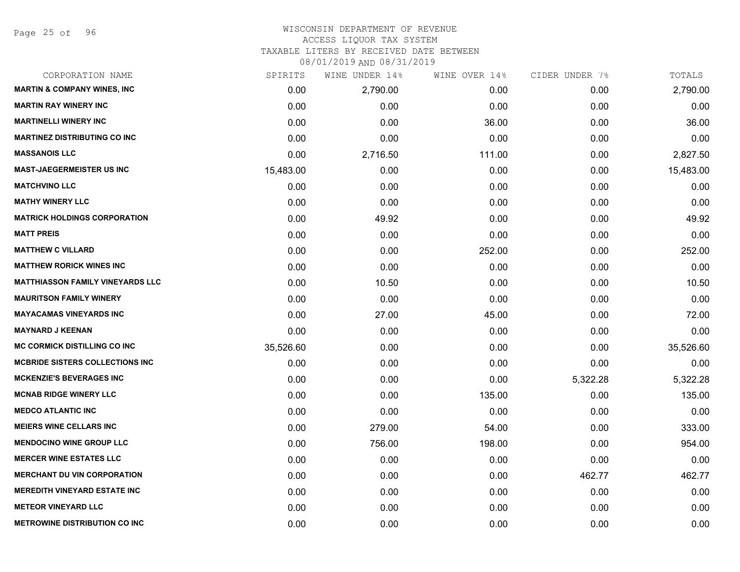## WISCONSIN DEPARTMENT OF REVENUE ACCESS LIQUOR TAX SYSTEM

TAXABLE LITERS BY RECEIVED DATE BETWEEN

| CORPORATION NAME                        | SPIRITS   | WINE UNDER 14% | WINE OVER 14% | CIDER UNDER 7% | TOTALS    |
|-----------------------------------------|-----------|----------------|---------------|----------------|-----------|
| <b>MARTIN &amp; COMPANY WINES, INC</b>  | 0.00      | 2,790.00       | 0.00          | 0.00           | 2,790.00  |
| <b>MARTIN RAY WINERY INC</b>            | 0.00      | 0.00           | 0.00          | 0.00           | 0.00      |
| <b>MARTINELLI WINERY INC</b>            | 0.00      | 0.00           | 36.00         | 0.00           | 36.00     |
| <b>MARTINEZ DISTRIBUTING CO INC</b>     | 0.00      | 0.00           | 0.00          | 0.00           | 0.00      |
| <b>MASSANOIS LLC</b>                    | 0.00      | 2,716.50       | 111.00        | 0.00           | 2,827.50  |
| <b>MAST-JAEGERMEISTER US INC</b>        | 15,483.00 | 0.00           | 0.00          | 0.00           | 15,483.00 |
| <b>MATCHVINO LLC</b>                    | 0.00      | 0.00           | 0.00          | 0.00           | 0.00      |
| <b>MATHY WINERY LLC</b>                 | 0.00      | 0.00           | 0.00          | 0.00           | 0.00      |
| <b>MATRICK HOLDINGS CORPORATION</b>     | 0.00      | 49.92          | 0.00          | 0.00           | 49.92     |
| <b>MATT PREIS</b>                       | 0.00      | 0.00           | 0.00          | 0.00           | 0.00      |
| <b>MATTHEW C VILLARD</b>                | 0.00      | 0.00           | 252.00        | 0.00           | 252.00    |
| <b>MATTHEW RORICK WINES INC</b>         | 0.00      | 0.00           | 0.00          | 0.00           | 0.00      |
| <b>MATTHIASSON FAMILY VINEYARDS LLC</b> | 0.00      | 10.50          | 0.00          | 0.00           | 10.50     |
| <b>MAURITSON FAMILY WINERY</b>          | 0.00      | 0.00           | 0.00          | 0.00           | 0.00      |
| <b>MAYACAMAS VINEYARDS INC</b>          | 0.00      | 27.00          | 45.00         | 0.00           | 72.00     |
| <b>MAYNARD J KEENAN</b>                 | 0.00      | 0.00           | 0.00          | 0.00           | 0.00      |
| <b>MC CORMICK DISTILLING CO INC</b>     | 35,526.60 | 0.00           | 0.00          | 0.00           | 35,526.60 |
| <b>MCBRIDE SISTERS COLLECTIONS INC</b>  | 0.00      | 0.00           | 0.00          | 0.00           | 0.00      |
| <b>MCKENZIE'S BEVERAGES INC</b>         | 0.00      | 0.00           | 0.00          | 5,322.28       | 5,322.28  |
| <b>MCNAB RIDGE WINERY LLC</b>           | 0.00      | 0.00           | 135.00        | 0.00           | 135.00    |
| <b>MEDCO ATLANTIC INC</b>               | 0.00      | 0.00           | 0.00          | 0.00           | 0.00      |
| <b>MEIERS WINE CELLARS INC</b>          | 0.00      | 279.00         | 54.00         | 0.00           | 333.00    |
| <b>MENDOCINO WINE GROUP LLC</b>         | 0.00      | 756.00         | 198.00        | 0.00           | 954.00    |
| <b>MERCER WINE ESTATES LLC</b>          | 0.00      | 0.00           | 0.00          | 0.00           | 0.00      |
| <b>MERCHANT DU VIN CORPORATION</b>      | 0.00      | 0.00           | 0.00          | 462.77         | 462.77    |
| <b>MEREDITH VINEYARD ESTATE INC</b>     | 0.00      | 0.00           | 0.00          | 0.00           | 0.00      |
| <b>METEOR VINEYARD LLC</b>              | 0.00      | 0.00           | 0.00          | 0.00           | 0.00      |
| <b>METROWINE DISTRIBUTION CO INC</b>    | 0.00      | 0.00           | 0.00          | 0.00           | 0.00      |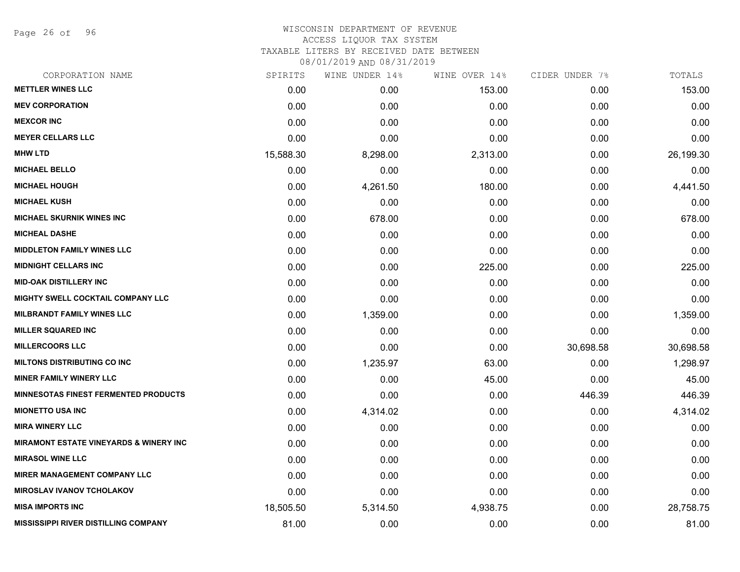Page 26 of 96

## WISCONSIN DEPARTMENT OF REVENUE ACCESS LIQUOR TAX SYSTEM

TAXABLE LITERS BY RECEIVED DATE BETWEEN

| CORPORATION NAME                                   | SPIRITS   | WINE UNDER 14% | WINE OVER 14% | CIDER UNDER 7% | TOTALS    |
|----------------------------------------------------|-----------|----------------|---------------|----------------|-----------|
| <b>METTLER WINES LLC</b>                           | 0.00      | 0.00           | 153.00        | 0.00           | 153.00    |
| <b>MEV CORPORATION</b>                             | 0.00      | 0.00           | 0.00          | 0.00           | 0.00      |
| <b>MEXCOR INC</b>                                  | 0.00      | 0.00           | 0.00          | 0.00           | 0.00      |
| <b>MEYER CELLARS LLC</b>                           | 0.00      | 0.00           | 0.00          | 0.00           | 0.00      |
| <b>MHW LTD</b>                                     | 15,588.30 | 8,298.00       | 2,313.00      | 0.00           | 26,199.30 |
| <b>MICHAEL BELLO</b>                               | 0.00      | 0.00           | 0.00          | 0.00           | 0.00      |
| <b>MICHAEL HOUGH</b>                               | 0.00      | 4,261.50       | 180.00        | 0.00           | 4,441.50  |
| <b>MICHAEL KUSH</b>                                | 0.00      | 0.00           | 0.00          | 0.00           | 0.00      |
| <b>MICHAEL SKURNIK WINES INC</b>                   | 0.00      | 678.00         | 0.00          | 0.00           | 678.00    |
| <b>MICHEAL DASHE</b>                               | 0.00      | 0.00           | 0.00          | 0.00           | 0.00      |
| <b>MIDDLETON FAMILY WINES LLC</b>                  | 0.00      | 0.00           | 0.00          | 0.00           | 0.00      |
| <b>MIDNIGHT CELLARS INC</b>                        | 0.00      | 0.00           | 225.00        | 0.00           | 225.00    |
| <b>MID-OAK DISTILLERY INC</b>                      | 0.00      | 0.00           | 0.00          | 0.00           | 0.00      |
| <b>MIGHTY SWELL COCKTAIL COMPANY LLC</b>           | 0.00      | 0.00           | 0.00          | 0.00           | 0.00      |
| <b>MILBRANDT FAMILY WINES LLC</b>                  | 0.00      | 1,359.00       | 0.00          | 0.00           | 1,359.00  |
| <b>MILLER SQUARED INC</b>                          | 0.00      | 0.00           | 0.00          | 0.00           | 0.00      |
| <b>MILLERCOORS LLC</b>                             | 0.00      | 0.00           | 0.00          | 30,698.58      | 30,698.58 |
| <b>MILTONS DISTRIBUTING CO INC</b>                 | 0.00      | 1,235.97       | 63.00         | 0.00           | 1,298.97  |
| <b>MINER FAMILY WINERY LLC</b>                     | 0.00      | 0.00           | 45.00         | 0.00           | 45.00     |
| <b>MINNESOTAS FINEST FERMENTED PRODUCTS</b>        | 0.00      | 0.00           | 0.00          | 446.39         | 446.39    |
| <b>MIONETTO USA INC</b>                            | 0.00      | 4,314.02       | 0.00          | 0.00           | 4,314.02  |
| <b>MIRA WINERY LLC</b>                             | 0.00      | 0.00           | 0.00          | 0.00           | 0.00      |
| <b>MIRAMONT ESTATE VINEYARDS &amp; WINERY INC.</b> | 0.00      | 0.00           | 0.00          | 0.00           | 0.00      |
| <b>MIRASOL WINE LLC</b>                            | 0.00      | 0.00           | 0.00          | 0.00           | 0.00      |
| <b>MIRER MANAGEMENT COMPANY LLC</b>                | 0.00      | 0.00           | 0.00          | 0.00           | 0.00      |
| <b>MIROSLAV IVANOV TCHOLAKOV</b>                   | 0.00      | 0.00           | 0.00          | 0.00           | 0.00      |
| <b>MISA IMPORTS INC</b>                            | 18,505.50 | 5,314.50       | 4,938.75      | 0.00           | 28,758.75 |
| <b>MISSISSIPPI RIVER DISTILLING COMPANY</b>        | 81.00     | 0.00           | 0.00          | 0.00           | 81.00     |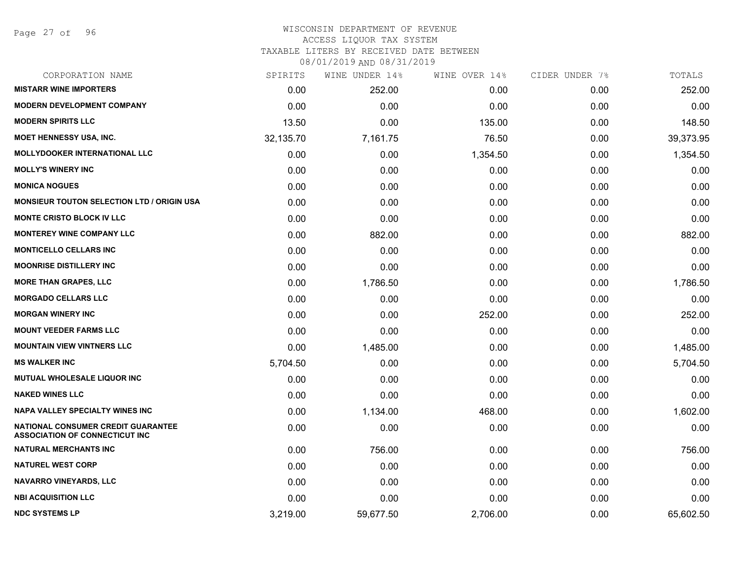## WISCONSIN DEPARTMENT OF REVENUE ACCESS LIQUOR TAX SYSTEM

TAXABLE LITERS BY RECEIVED DATE BETWEEN

| CORPORATION NAME                                                            | SPIRITS   | WINE UNDER 14% | WINE OVER 14% | CIDER UNDER 7% | TOTALS    |
|-----------------------------------------------------------------------------|-----------|----------------|---------------|----------------|-----------|
| <b>MISTARR WINE IMPORTERS</b>                                               | 0.00      | 252.00         | 0.00          | 0.00           | 252.00    |
| <b>MODERN DEVELOPMENT COMPANY</b>                                           | 0.00      | 0.00           | 0.00          | 0.00           | 0.00      |
| <b>MODERN SPIRITS LLC</b>                                                   | 13.50     | 0.00           | 135.00        | 0.00           | 148.50    |
| <b>MOET HENNESSY USA, INC.</b>                                              | 32,135.70 | 7,161.75       | 76.50         | 0.00           | 39,373.95 |
| <b>MOLLYDOOKER INTERNATIONAL LLC</b>                                        | 0.00      | 0.00           | 1,354.50      | 0.00           | 1,354.50  |
| <b>MOLLY'S WINERY INC</b>                                                   | 0.00      | 0.00           | 0.00          | 0.00           | 0.00      |
| <b>MONICA NOGUES</b>                                                        | 0.00      | 0.00           | 0.00          | 0.00           | 0.00      |
| <b>MONSIEUR TOUTON SELECTION LTD / ORIGIN USA</b>                           | 0.00      | 0.00           | 0.00          | 0.00           | 0.00      |
| <b>MONTE CRISTO BLOCK IV LLC</b>                                            | 0.00      | 0.00           | 0.00          | 0.00           | 0.00      |
| <b>MONTEREY WINE COMPANY LLC</b>                                            | 0.00      | 882.00         | 0.00          | 0.00           | 882.00    |
| <b>MONTICELLO CELLARS INC</b>                                               | 0.00      | 0.00           | 0.00          | 0.00           | 0.00      |
| <b>MOONRISE DISTILLERY INC</b>                                              | 0.00      | 0.00           | 0.00          | 0.00           | 0.00      |
| <b>MORE THAN GRAPES, LLC</b>                                                | 0.00      | 1,786.50       | 0.00          | 0.00           | 1,786.50  |
| <b>MORGADO CELLARS LLC</b>                                                  | 0.00      | 0.00           | 0.00          | 0.00           | 0.00      |
| <b>MORGAN WINERY INC</b>                                                    | 0.00      | 0.00           | 252.00        | 0.00           | 252.00    |
| <b>MOUNT VEEDER FARMS LLC</b>                                               | 0.00      | 0.00           | 0.00          | 0.00           | 0.00      |
| <b>MOUNTAIN VIEW VINTNERS LLC</b>                                           | 0.00      | 1,485.00       | 0.00          | 0.00           | 1,485.00  |
| <b>MS WALKER INC</b>                                                        | 5,704.50  | 0.00           | 0.00          | 0.00           | 5,704.50  |
| MUTUAL WHOLESALE LIQUOR INC                                                 | 0.00      | 0.00           | 0.00          | 0.00           | 0.00      |
| <b>NAKED WINES LLC</b>                                                      | 0.00      | 0.00           | 0.00          | 0.00           | 0.00      |
| <b>NAPA VALLEY SPECIALTY WINES INC</b>                                      | 0.00      | 1,134.00       | 468.00        | 0.00           | 1,602.00  |
| NATIONAL CONSUMER CREDIT GUARANTEE<br><b>ASSOCIATION OF CONNECTICUT INC</b> | 0.00      | 0.00           | 0.00          | 0.00           | 0.00      |
| <b>NATURAL MERCHANTS INC</b>                                                | 0.00      | 756.00         | 0.00          | 0.00           | 756.00    |
| <b>NATUREL WEST CORP</b>                                                    | 0.00      | 0.00           | 0.00          | 0.00           | 0.00      |
| <b>NAVARRO VINEYARDS, LLC</b>                                               | 0.00      | 0.00           | 0.00          | 0.00           | 0.00      |
| <b>NBI ACQUISITION LLC</b>                                                  | 0.00      | 0.00           | 0.00          | 0.00           | 0.00      |
| <b>NDC SYSTEMS LP</b>                                                       | 3,219.00  | 59,677.50      | 2,706.00      | 0.00           | 65,602.50 |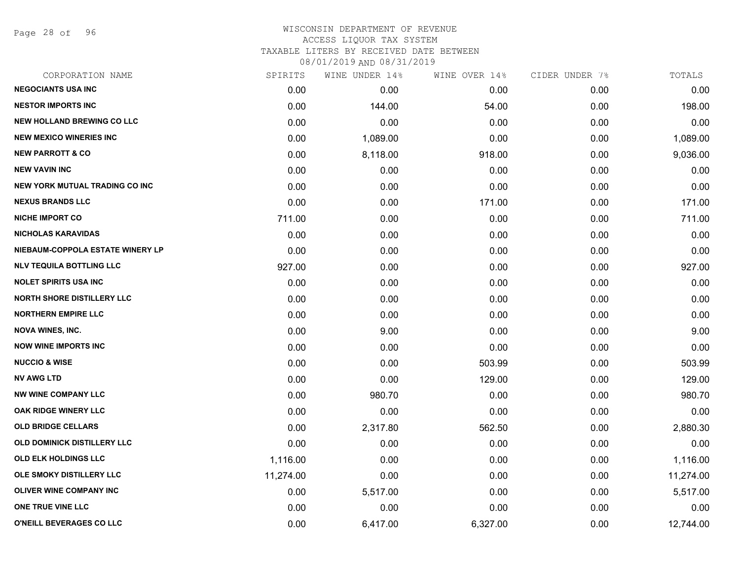Page 28 of 96

## WISCONSIN DEPARTMENT OF REVENUE ACCESS LIQUOR TAX SYSTEM TAXABLE LITERS BY RECEIVED DATE BETWEEN

| CORPORATION NAME                      | SPIRITS   | WINE UNDER 14% | WINE OVER 14% | CIDER UNDER 7% | TOTALS    |
|---------------------------------------|-----------|----------------|---------------|----------------|-----------|
| <b>NEGOCIANTS USA INC</b>             | 0.00      | 0.00           | 0.00          | 0.00           | 0.00      |
| <b>NESTOR IMPORTS INC</b>             | 0.00      | 144.00         | 54.00         | 0.00           | 198.00    |
| <b>NEW HOLLAND BREWING CO LLC</b>     | 0.00      | 0.00           | 0.00          | 0.00           | 0.00      |
| <b>NEW MEXICO WINERIES INC</b>        | 0.00      | 1,089.00       | 0.00          | 0.00           | 1,089.00  |
| <b>NEW PARROTT &amp; CO</b>           | 0.00      | 8,118.00       | 918.00        | 0.00           | 9,036.00  |
| <b>NEW VAVIN INC</b>                  | 0.00      | 0.00           | 0.00          | 0.00           | 0.00      |
| <b>NEW YORK MUTUAL TRADING CO INC</b> | 0.00      | 0.00           | 0.00          | 0.00           | 0.00      |
| <b>NEXUS BRANDS LLC</b>               | 0.00      | 0.00           | 171.00        | 0.00           | 171.00    |
| <b>NICHE IMPORT CO</b>                | 711.00    | 0.00           | 0.00          | 0.00           | 711.00    |
| <b>NICHOLAS KARAVIDAS</b>             | 0.00      | 0.00           | 0.00          | 0.00           | 0.00      |
| NIEBAUM-COPPOLA ESTATE WINERY LP      | 0.00      | 0.00           | 0.00          | 0.00           | 0.00      |
| <b>NLV TEQUILA BOTTLING LLC</b>       | 927.00    | 0.00           | 0.00          | 0.00           | 927.00    |
| <b>NOLET SPIRITS USA INC</b>          | 0.00      | 0.00           | 0.00          | 0.00           | 0.00      |
| <b>NORTH SHORE DISTILLERY LLC</b>     | 0.00      | 0.00           | 0.00          | 0.00           | 0.00      |
| <b>NORTHERN EMPIRE LLC</b>            | 0.00      | 0.00           | 0.00          | 0.00           | 0.00      |
| <b>NOVA WINES, INC.</b>               | 0.00      | 9.00           | 0.00          | 0.00           | 9.00      |
| <b>NOW WINE IMPORTS INC</b>           | 0.00      | 0.00           | 0.00          | 0.00           | 0.00      |
| <b>NUCCIO &amp; WISE</b>              | 0.00      | 0.00           | 503.99        | 0.00           | 503.99    |
| <b>NV AWG LTD</b>                     | 0.00      | 0.00           | 129.00        | 0.00           | 129.00    |
| <b>NW WINE COMPANY LLC</b>            | 0.00      | 980.70         | 0.00          | 0.00           | 980.70    |
| <b>OAK RIDGE WINERY LLC</b>           | 0.00      | 0.00           | 0.00          | 0.00           | 0.00      |
| <b>OLD BRIDGE CELLARS</b>             | 0.00      | 2,317.80       | 562.50        | 0.00           | 2,880.30  |
| <b>OLD DOMINICK DISTILLERY LLC</b>    | 0.00      | 0.00           | 0.00          | 0.00           | 0.00      |
| <b>OLD ELK HOLDINGS LLC</b>           | 1,116.00  | 0.00           | 0.00          | 0.00           | 1,116.00  |
| OLE SMOKY DISTILLERY LLC              | 11,274.00 | 0.00           | 0.00          | 0.00           | 11,274.00 |
| OLIVER WINE COMPANY INC               | 0.00      | 5,517.00       | 0.00          | 0.00           | 5,517.00  |
| ONE TRUE VINE LLC                     | 0.00      | 0.00           | 0.00          | 0.00           | 0.00      |
| O'NEILL BEVERAGES CO LLC              | 0.00      | 6,417.00       | 6,327.00      | 0.00           | 12,744.00 |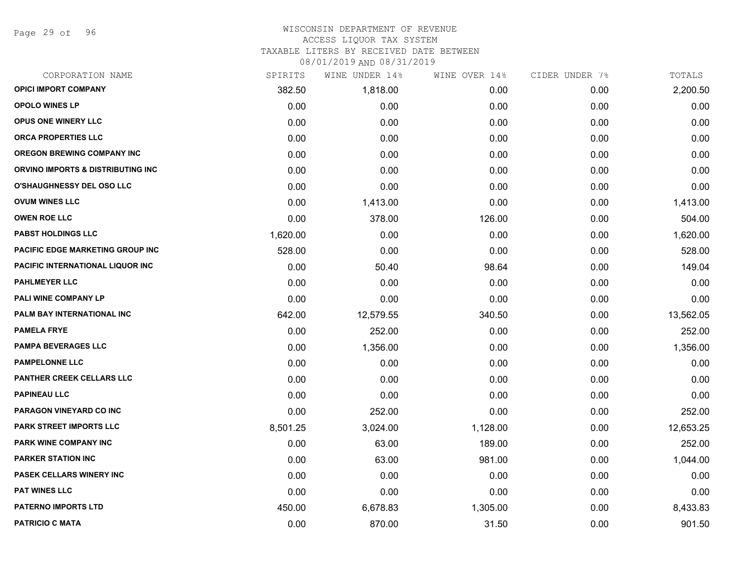Page 29 of 96

## WISCONSIN DEPARTMENT OF REVENUE

# ACCESS LIQUOR TAX SYSTEM

TAXABLE LITERS BY RECEIVED DATE BETWEEN

| CORPORATION NAME                  | SPIRITS  | WINE UNDER 14% | WINE OVER 14% | CIDER UNDER 7% | TOTALS    |
|-----------------------------------|----------|----------------|---------------|----------------|-----------|
| <b>OPICI IMPORT COMPANY</b>       | 382.50   | 1,818.00       | 0.00          | 0.00           | 2,200.50  |
| <b>OPOLO WINES LP</b>             | 0.00     | 0.00           | 0.00          | 0.00           | 0.00      |
| OPUS ONE WINERY LLC               | 0.00     | 0.00           | 0.00          | 0.00           | 0.00      |
| <b>ORCA PROPERTIES LLC</b>        | 0.00     | 0.00           | 0.00          | 0.00           | 0.00      |
| <b>OREGON BREWING COMPANY INC</b> | 0.00     | 0.00           | 0.00          | 0.00           | 0.00      |
| ORVINO IMPORTS & DISTRIBUTING INC | 0.00     | 0.00           | 0.00          | 0.00           | 0.00      |
| <b>O'SHAUGHNESSY DEL OSO LLC</b>  | 0.00     | 0.00           | 0.00          | 0.00           | 0.00      |
| <b>OVUM WINES LLC</b>             | 0.00     | 1,413.00       | 0.00          | 0.00           | 1,413.00  |
| <b>OWEN ROE LLC</b>               | 0.00     | 378.00         | 126.00        | 0.00           | 504.00    |
| <b>PABST HOLDINGS LLC</b>         | 1,620.00 | 0.00           | 0.00          | 0.00           | 1,620.00  |
| PACIFIC EDGE MARKETING GROUP INC  | 528.00   | 0.00           | 0.00          | 0.00           | 528.00    |
| PACIFIC INTERNATIONAL LIQUOR INC  | 0.00     | 50.40          | 98.64         | 0.00           | 149.04    |
| <b>PAHLMEYER LLC</b>              | 0.00     | 0.00           | 0.00          | 0.00           | 0.00      |
| PALI WINE COMPANY LP              | 0.00     | 0.00           | 0.00          | 0.00           | 0.00      |
| PALM BAY INTERNATIONAL INC        | 642.00   | 12,579.55      | 340.50        | 0.00           | 13,562.05 |
| <b>PAMELA FRYE</b>                | 0.00     | 252.00         | 0.00          | 0.00           | 252.00    |
| <b>PAMPA BEVERAGES LLC</b>        | 0.00     | 1,356.00       | 0.00          | 0.00           | 1,356.00  |
| <b>PAMPELONNE LLC</b>             | 0.00     | 0.00           | 0.00          | 0.00           | 0.00      |
| PANTHER CREEK CELLARS LLC         | 0.00     | 0.00           | 0.00          | 0.00           | 0.00      |
| <b>PAPINEAU LLC</b>               | 0.00     | 0.00           | 0.00          | 0.00           | 0.00      |
| PARAGON VINEYARD CO INC           | 0.00     | 252.00         | 0.00          | 0.00           | 252.00    |
| PARK STREET IMPORTS LLC           | 8,501.25 | 3,024.00       | 1,128.00      | 0.00           | 12,653.25 |
| PARK WINE COMPANY INC             | 0.00     | 63.00          | 189.00        | 0.00           | 252.00    |
| PARKER STATION INC                | 0.00     | 63.00          | 981.00        | 0.00           | 1,044.00  |
| <b>PASEK CELLARS WINERY INC</b>   | 0.00     | 0.00           | 0.00          | 0.00           | 0.00      |
| <b>PAT WINES LLC</b>              | 0.00     | 0.00           | 0.00          | 0.00           | 0.00      |
| <b>PATERNO IMPORTS LTD</b>        | 450.00   | 6,678.83       | 1,305.00      | 0.00           | 8,433.83  |
| <b>PATRICIO C MATA</b>            | 0.00     | 870.00         | 31.50         | 0.00           | 901.50    |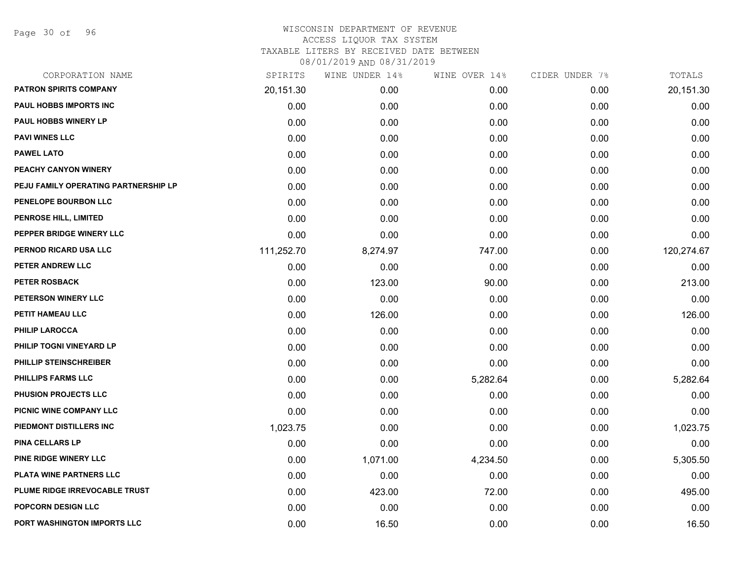Page 30 of 96

| CORPORATION NAME                     | SPIRITS    | WINE UNDER 14% | WINE OVER 14% | CIDER UNDER 7% | TOTALS     |
|--------------------------------------|------------|----------------|---------------|----------------|------------|
| <b>PATRON SPIRITS COMPANY</b>        | 20,151.30  | 0.00           | 0.00          | 0.00           | 20,151.30  |
| PAUL HOBBS IMPORTS INC               | 0.00       | 0.00           | 0.00          | 0.00           | 0.00       |
| <b>PAUL HOBBS WINERY LP</b>          | 0.00       | 0.00           | 0.00          | 0.00           | 0.00       |
| <b>PAVI WINES LLC</b>                | 0.00       | 0.00           | 0.00          | 0.00           | 0.00       |
| <b>PAWEL LATO</b>                    | 0.00       | 0.00           | 0.00          | 0.00           | 0.00       |
| PEACHY CANYON WINERY                 | 0.00       | 0.00           | 0.00          | 0.00           | 0.00       |
| PEJU FAMILY OPERATING PARTNERSHIP LP | 0.00       | 0.00           | 0.00          | 0.00           | 0.00       |
| PENELOPE BOURBON LLC                 | 0.00       | 0.00           | 0.00          | 0.00           | 0.00       |
| <b>PENROSE HILL, LIMITED</b>         | 0.00       | 0.00           | 0.00          | 0.00           | 0.00       |
| PEPPER BRIDGE WINERY LLC             | 0.00       | 0.00           | 0.00          | 0.00           | 0.00       |
| PERNOD RICARD USA LLC                | 111,252.70 | 8,274.97       | 747.00        | 0.00           | 120,274.67 |
| PETER ANDREW LLC                     | 0.00       | 0.00           | 0.00          | 0.00           | 0.00       |
| PETER ROSBACK                        | 0.00       | 123.00         | 90.00         | 0.00           | 213.00     |
| PETERSON WINERY LLC                  | 0.00       | 0.00           | 0.00          | 0.00           | 0.00       |
| PETIT HAMEAU LLC                     | 0.00       | 126.00         | 0.00          | 0.00           | 126.00     |
| <b>PHILIP LAROCCA</b>                | 0.00       | 0.00           | 0.00          | 0.00           | 0.00       |
| PHILIP TOGNI VINEYARD LP             | 0.00       | 0.00           | 0.00          | 0.00           | 0.00       |
| PHILLIP STEINSCHREIBER               | 0.00       | 0.00           | 0.00          | 0.00           | 0.00       |
| <b>PHILLIPS FARMS LLC</b>            | 0.00       | 0.00           | 5,282.64      | 0.00           | 5,282.64   |
| PHUSION PROJECTS LLC                 | 0.00       | 0.00           | 0.00          | 0.00           | 0.00       |
| PICNIC WINE COMPANY LLC              | 0.00       | 0.00           | 0.00          | 0.00           | 0.00       |
| PIEDMONT DISTILLERS INC              | 1,023.75   | 0.00           | 0.00          | 0.00           | 1,023.75   |
| <b>PINA CELLARS LP</b>               | 0.00       | 0.00           | 0.00          | 0.00           | 0.00       |
| PINE RIDGE WINERY LLC                | 0.00       | 1,071.00       | 4,234.50      | 0.00           | 5,305.50   |
| PLATA WINE PARTNERS LLC              | 0.00       | 0.00           | 0.00          | 0.00           | 0.00       |
| PLUME RIDGE IRREVOCABLE TRUST        | 0.00       | 423.00         | 72.00         | 0.00           | 495.00     |
| POPCORN DESIGN LLC                   | 0.00       | 0.00           | 0.00          | 0.00           | 0.00       |
| PORT WASHINGTON IMPORTS LLC          | 0.00       | 16.50          | 0.00          | 0.00           | 16.50      |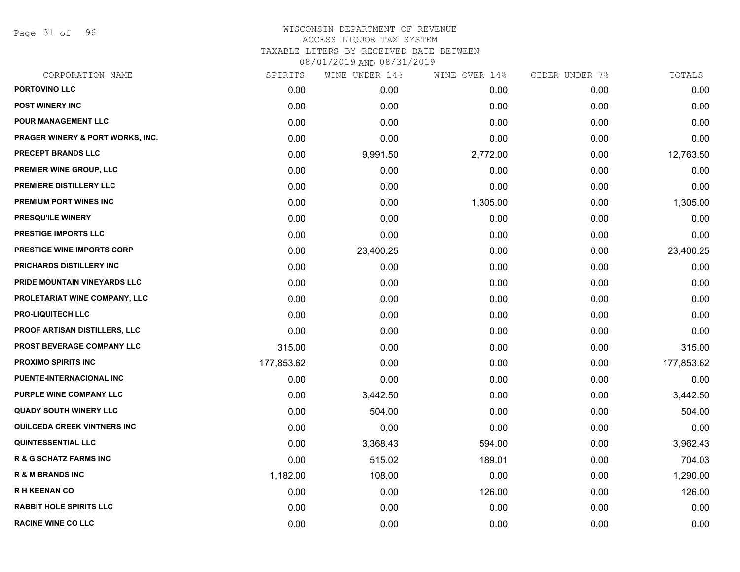Page 31 of 96

## WISCONSIN DEPARTMENT OF REVENUE ACCESS LIQUOR TAX SYSTEM TAXABLE LITERS BY RECEIVED DATE BETWEEN

| CORPORATION NAME                            | SPIRITS    | WINE UNDER 14% | WINE OVER 14% | CIDER UNDER 7% | TOTALS     |
|---------------------------------------------|------------|----------------|---------------|----------------|------------|
| PORTOVINO LLC                               | 0.00       | 0.00           | 0.00          | 0.00           | 0.00       |
| <b>POST WINERY INC</b>                      | 0.00       | 0.00           | 0.00          | 0.00           | 0.00       |
| POUR MANAGEMENT LLC                         | 0.00       | 0.00           | 0.00          | 0.00           | 0.00       |
| <b>PRAGER WINERY &amp; PORT WORKS, INC.</b> | 0.00       | 0.00           | 0.00          | 0.00           | 0.00       |
| PRECEPT BRANDS LLC                          | 0.00       | 9,991.50       | 2,772.00      | 0.00           | 12,763.50  |
| PREMIER WINE GROUP, LLC                     | 0.00       | 0.00           | 0.00          | 0.00           | 0.00       |
| PREMIERE DISTILLERY LLC                     | 0.00       | 0.00           | 0.00          | 0.00           | 0.00       |
| <b>PREMIUM PORT WINES INC</b>               | 0.00       | 0.00           | 1,305.00      | 0.00           | 1,305.00   |
| <b>PRESQU'ILE WINERY</b>                    | 0.00       | 0.00           | 0.00          | 0.00           | 0.00       |
| PRESTIGE IMPORTS LLC                        | 0.00       | 0.00           | 0.00          | 0.00           | 0.00       |
| PRESTIGE WINE IMPORTS CORP                  | 0.00       | 23,400.25      | 0.00          | 0.00           | 23,400.25  |
| PRICHARDS DISTILLERY INC                    | 0.00       | 0.00           | 0.00          | 0.00           | 0.00       |
| PRIDE MOUNTAIN VINEYARDS LLC                | 0.00       | 0.00           | 0.00          | 0.00           | 0.00       |
| PROLETARIAT WINE COMPANY, LLC               | 0.00       | 0.00           | 0.00          | 0.00           | 0.00       |
| <b>PRO-LIQUITECH LLC</b>                    | 0.00       | 0.00           | 0.00          | 0.00           | 0.00       |
| <b>PROOF ARTISAN DISTILLERS, LLC</b>        | 0.00       | 0.00           | 0.00          | 0.00           | 0.00       |
| PROST BEVERAGE COMPANY LLC                  | 315.00     | 0.00           | 0.00          | 0.00           | 315.00     |
| <b>PROXIMO SPIRITS INC</b>                  | 177,853.62 | 0.00           | 0.00          | 0.00           | 177,853.62 |
| PUENTE-INTERNACIONAL INC                    | 0.00       | 0.00           | 0.00          | 0.00           | 0.00       |
| PURPLE WINE COMPANY LLC                     | 0.00       | 3,442.50       | 0.00          | 0.00           | 3,442.50   |
| <b>QUADY SOUTH WINERY LLC</b>               | 0.00       | 504.00         | 0.00          | 0.00           | 504.00     |
| <b>QUILCEDA CREEK VINTNERS INC</b>          | 0.00       | 0.00           | 0.00          | 0.00           | 0.00       |
| <b>QUINTESSENTIAL LLC</b>                   | 0.00       | 3,368.43       | 594.00        | 0.00           | 3,962.43   |
| <b>R &amp; G SCHATZ FARMS INC</b>           | 0.00       | 515.02         | 189.01        | 0.00           | 704.03     |
| <b>R &amp; M BRANDS INC</b>                 | 1,182.00   | 108.00         | 0.00          | 0.00           | 1,290.00   |
| <b>RH KEENAN CO</b>                         | 0.00       | 0.00           | 126.00        | 0.00           | 126.00     |
| <b>RABBIT HOLE SPIRITS LLC</b>              | 0.00       | 0.00           | 0.00          | 0.00           | 0.00       |
| <b>RACINE WINE CO LLC</b>                   | 0.00       | 0.00           | 0.00          | 0.00           | 0.00       |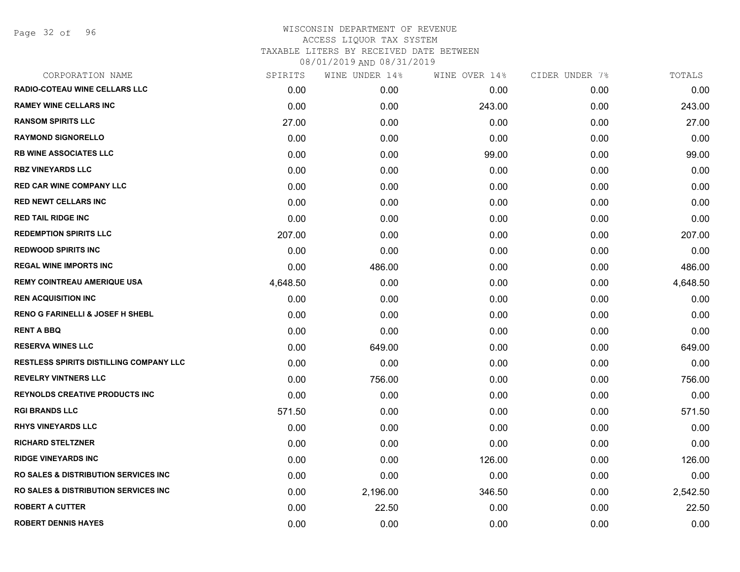Page 32 of 96

| SPIRITS  | WINE UNDER 14% | WINE OVER 14% | CIDER UNDER 7% | TOTALS   |
|----------|----------------|---------------|----------------|----------|
| 0.00     | 0.00           | 0.00          | 0.00           | 0.00     |
| 0.00     | 0.00           | 243.00        | 0.00           | 243.00   |
| 27.00    | 0.00           | 0.00          | 0.00           | 27.00    |
| 0.00     | 0.00           | 0.00          | 0.00           | 0.00     |
| 0.00     | 0.00           | 99.00         | 0.00           | 99.00    |
| 0.00     | 0.00           | 0.00          | 0.00           | 0.00     |
| 0.00     | 0.00           | 0.00          | 0.00           | 0.00     |
| 0.00     | 0.00           | 0.00          | 0.00           | 0.00     |
| 0.00     | 0.00           | 0.00          | 0.00           | 0.00     |
| 207.00   | 0.00           | 0.00          | 0.00           | 207.00   |
| 0.00     | 0.00           | 0.00          | 0.00           | 0.00     |
| 0.00     | 486.00         | 0.00          | 0.00           | 486.00   |
| 4,648.50 | 0.00           | 0.00          | 0.00           | 4,648.50 |
| 0.00     | 0.00           | 0.00          | 0.00           | 0.00     |
| 0.00     | 0.00           | 0.00          | 0.00           | 0.00     |
| 0.00     | 0.00           | 0.00          | 0.00           | 0.00     |
| 0.00     | 649.00         | 0.00          | 0.00           | 649.00   |
| 0.00     | 0.00           | 0.00          | 0.00           | 0.00     |
| 0.00     | 756.00         | 0.00          | 0.00           | 756.00   |
| 0.00     | 0.00           | 0.00          | 0.00           | 0.00     |
| 571.50   | 0.00           | 0.00          | 0.00           | 571.50   |
| 0.00     | 0.00           | 0.00          | 0.00           | 0.00     |
| 0.00     | 0.00           | 0.00          | 0.00           | 0.00     |
| 0.00     | 0.00           | 126.00        | 0.00           | 126.00   |
| 0.00     | 0.00           | 0.00          | 0.00           | 0.00     |
| 0.00     | 2,196.00       | 346.50        | 0.00           | 2,542.50 |
| 0.00     | 22.50          | 0.00          | 0.00           | 22.50    |
| 0.00     | 0.00           | 0.00          | 0.00           | 0.00     |
|          |                |               |                |          |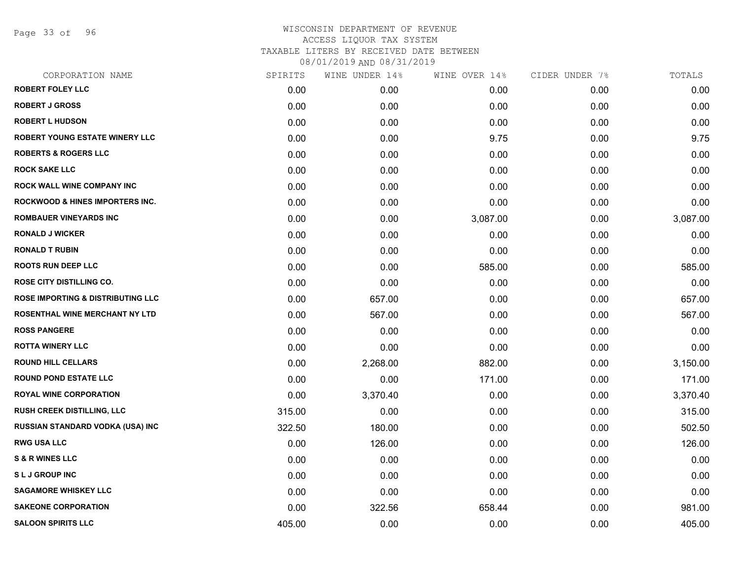Page 33 of 96

| CORPORATION NAME                             | SPIRITS | WINE UNDER 14% | WINE OVER 14% | CIDER UNDER 7% | TOTALS   |
|----------------------------------------------|---------|----------------|---------------|----------------|----------|
| <b>ROBERT FOLEY LLC</b>                      | 0.00    | 0.00           | 0.00          | 0.00           | 0.00     |
| <b>ROBERT J GROSS</b>                        | 0.00    | 0.00           | 0.00          | 0.00           | 0.00     |
| <b>ROBERT L HUDSON</b>                       | 0.00    | 0.00           | 0.00          | 0.00           | 0.00     |
| ROBERT YOUNG ESTATE WINERY LLC               | 0.00    | 0.00           | 9.75          | 0.00           | 9.75     |
| <b>ROBERTS &amp; ROGERS LLC</b>              | 0.00    | 0.00           | 0.00          | 0.00           | 0.00     |
| <b>ROCK SAKE LLC</b>                         | 0.00    | 0.00           | 0.00          | 0.00           | 0.00     |
| <b>ROCK WALL WINE COMPANY INC</b>            | 0.00    | 0.00           | 0.00          | 0.00           | 0.00     |
| <b>ROCKWOOD &amp; HINES IMPORTERS INC.</b>   | 0.00    | 0.00           | 0.00          | 0.00           | 0.00     |
| <b>ROMBAUER VINEYARDS INC</b>                | 0.00    | 0.00           | 3,087.00      | 0.00           | 3,087.00 |
| <b>RONALD J WICKER</b>                       | 0.00    | 0.00           | 0.00          | 0.00           | 0.00     |
| <b>RONALD T RUBIN</b>                        | 0.00    | 0.00           | 0.00          | 0.00           | 0.00     |
| <b>ROOTS RUN DEEP LLC</b>                    | 0.00    | 0.00           | 585.00        | 0.00           | 585.00   |
| ROSE CITY DISTILLING CO.                     | 0.00    | 0.00           | 0.00          | 0.00           | 0.00     |
| <b>ROSE IMPORTING &amp; DISTRIBUTING LLC</b> | 0.00    | 657.00         | 0.00          | 0.00           | 657.00   |
| ROSENTHAL WINE MERCHANT NY LTD               | 0.00    | 567.00         | 0.00          | 0.00           | 567.00   |
| <b>ROSS PANGERE</b>                          | 0.00    | 0.00           | 0.00          | 0.00           | 0.00     |
| <b>ROTTA WINERY LLC</b>                      | 0.00    | 0.00           | 0.00          | 0.00           | 0.00     |
| <b>ROUND HILL CELLARS</b>                    | 0.00    | 2,268.00       | 882.00        | 0.00           | 3,150.00 |
| <b>ROUND POND ESTATE LLC</b>                 | 0.00    | 0.00           | 171.00        | 0.00           | 171.00   |
| <b>ROYAL WINE CORPORATION</b>                | 0.00    | 3,370.40       | 0.00          | 0.00           | 3,370.40 |
| <b>RUSH CREEK DISTILLING, LLC</b>            | 315.00  | 0.00           | 0.00          | 0.00           | 315.00   |
| RUSSIAN STANDARD VODKA (USA) INC             | 322.50  | 180.00         | 0.00          | 0.00           | 502.50   |
| <b>RWG USA LLC</b>                           | 0.00    | 126.00         | 0.00          | 0.00           | 126.00   |
| <b>S &amp; R WINES LLC</b>                   | 0.00    | 0.00           | 0.00          | 0.00           | 0.00     |
| <b>SLJ GROUP INC</b>                         | 0.00    | 0.00           | 0.00          | 0.00           | 0.00     |
| <b>SAGAMORE WHISKEY LLC</b>                  | 0.00    | 0.00           | 0.00          | 0.00           | 0.00     |
| <b>SAKEONE CORPORATION</b>                   | 0.00    | 322.56         | 658.44        | 0.00           | 981.00   |
| <b>SALOON SPIRITS LLC</b>                    | 405.00  | 0.00           | 0.00          | 0.00           | 405.00   |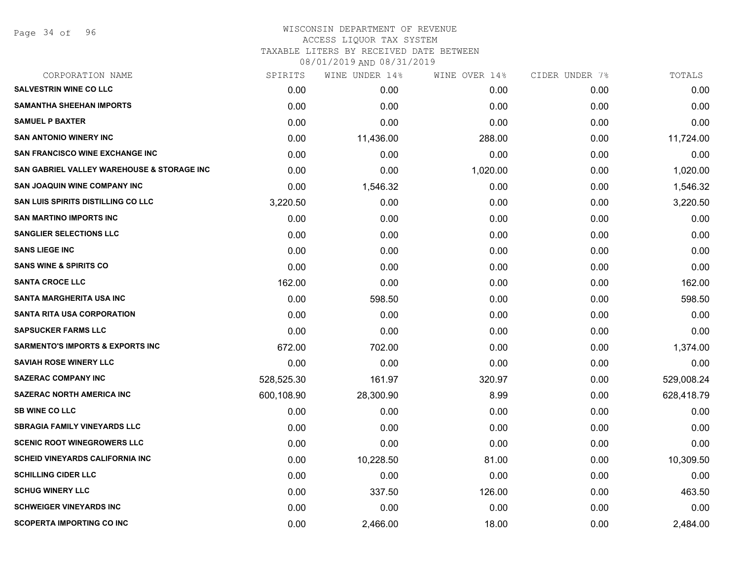Page 34 of 96

## WISCONSIN DEPARTMENT OF REVENUE ACCESS LIQUOR TAX SYSTEM

TAXABLE LITERS BY RECEIVED DATE BETWEEN

| CORPORATION NAME                            | SPIRITS    | WINE UNDER 14% | WINE OVER 14% | CIDER UNDER 7% | TOTALS     |
|---------------------------------------------|------------|----------------|---------------|----------------|------------|
| <b>SALVESTRIN WINE CO LLC</b>               | 0.00       | 0.00           | 0.00          | 0.00           | 0.00       |
| <b>SAMANTHA SHEEHAN IMPORTS</b>             | 0.00       | 0.00           | 0.00          | 0.00           | 0.00       |
| <b>SAMUEL P BAXTER</b>                      | 0.00       | 0.00           | 0.00          | 0.00           | 0.00       |
| <b>SAN ANTONIO WINERY INC</b>               | 0.00       | 11,436.00      | 288.00        | 0.00           | 11,724.00  |
| <b>SAN FRANCISCO WINE EXCHANGE INC</b>      | 0.00       | 0.00           | 0.00          | 0.00           | 0.00       |
| SAN GABRIEL VALLEY WAREHOUSE & STORAGE INC  | 0.00       | 0.00           | 1,020.00      | 0.00           | 1,020.00   |
| SAN JOAQUIN WINE COMPANY INC                | 0.00       | 1,546.32       | 0.00          | 0.00           | 1,546.32   |
| <b>SAN LUIS SPIRITS DISTILLING CO LLC</b>   | 3,220.50   | 0.00           | 0.00          | 0.00           | 3,220.50   |
| <b>SAN MARTINO IMPORTS INC</b>              | 0.00       | 0.00           | 0.00          | 0.00           | 0.00       |
| <b>SANGLIER SELECTIONS LLC</b>              | 0.00       | 0.00           | 0.00          | 0.00           | 0.00       |
| <b>SANS LIEGE INC</b>                       | 0.00       | 0.00           | 0.00          | 0.00           | 0.00       |
| <b>SANS WINE &amp; SPIRITS CO</b>           | 0.00       | 0.00           | 0.00          | 0.00           | 0.00       |
| <b>SANTA CROCE LLC</b>                      | 162.00     | 0.00           | 0.00          | 0.00           | 162.00     |
| <b>SANTA MARGHERITA USA INC</b>             | 0.00       | 598.50         | 0.00          | 0.00           | 598.50     |
| <b>SANTA RITA USA CORPORATION</b>           | 0.00       | 0.00           | 0.00          | 0.00           | 0.00       |
| <b>SAPSUCKER FARMS LLC</b>                  | 0.00       | 0.00           | 0.00          | 0.00           | 0.00       |
| <b>SARMENTO'S IMPORTS &amp; EXPORTS INC</b> | 672.00     | 702.00         | 0.00          | 0.00           | 1,374.00   |
| <b>SAVIAH ROSE WINERY LLC</b>               | 0.00       | 0.00           | 0.00          | 0.00           | 0.00       |
| <b>SAZERAC COMPANY INC</b>                  | 528,525.30 | 161.97         | 320.97        | 0.00           | 529,008.24 |
| <b>SAZERAC NORTH AMERICA INC</b>            | 600,108.90 | 28,300.90      | 8.99          | 0.00           | 628,418.79 |
| <b>SB WINE CO LLC</b>                       | 0.00       | 0.00           | 0.00          | 0.00           | 0.00       |
| <b>SBRAGIA FAMILY VINEYARDS LLC</b>         | 0.00       | 0.00           | 0.00          | 0.00           | 0.00       |
| <b>SCENIC ROOT WINEGROWERS LLC</b>          | 0.00       | 0.00           | 0.00          | 0.00           | 0.00       |
| SCHEID VINEYARDS CALIFORNIA INC             | 0.00       | 10,228.50      | 81.00         | 0.00           | 10,309.50  |
| <b>SCHILLING CIDER LLC</b>                  | 0.00       | 0.00           | 0.00          | 0.00           | 0.00       |
| <b>SCHUG WINERY LLC</b>                     | 0.00       | 337.50         | 126.00        | 0.00           | 463.50     |
| <b>SCHWEIGER VINEYARDS INC</b>              | 0.00       | 0.00           | 0.00          | 0.00           | 0.00       |
| <b>SCOPERTA IMPORTING CO INC</b>            | 0.00       | 2,466.00       | 18.00         | 0.00           | 2,484.00   |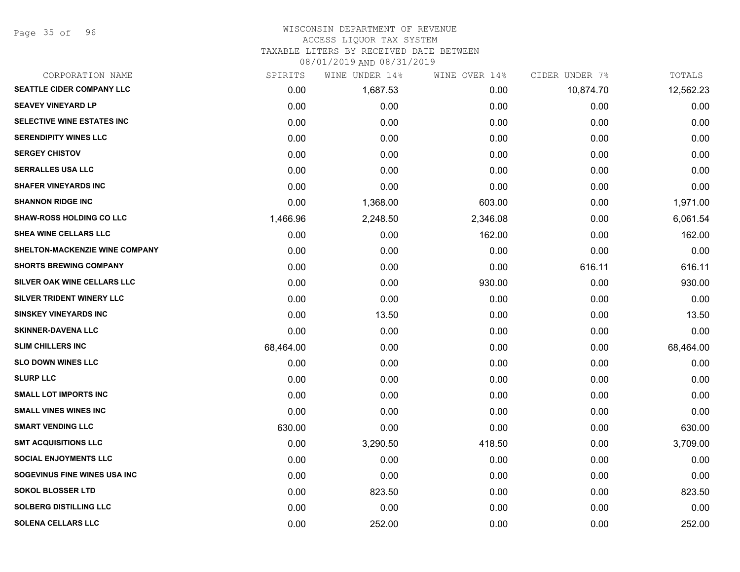Page 35 of 96

## WISCONSIN DEPARTMENT OF REVENUE

# ACCESS LIQUOR TAX SYSTEM

TAXABLE LITERS BY RECEIVED DATE BETWEEN

| CORPORATION NAME                      | SPIRITS   | WINE UNDER 14% | WINE OVER 14% | CIDER UNDER 7% | TOTALS    |
|---------------------------------------|-----------|----------------|---------------|----------------|-----------|
| <b>SEATTLE CIDER COMPANY LLC</b>      | 0.00      | 1,687.53       | 0.00          | 10,874.70      | 12,562.23 |
| <b>SEAVEY VINEYARD LP</b>             | 0.00      | 0.00           | 0.00          | 0.00           | 0.00      |
| SELECTIVE WINE ESTATES INC            | 0.00      | 0.00           | 0.00          | 0.00           | 0.00      |
| <b>SERENDIPITY WINES LLC</b>          | 0.00      | 0.00           | 0.00          | 0.00           | 0.00      |
| <b>SERGEY CHISTOV</b>                 | 0.00      | 0.00           | 0.00          | 0.00           | 0.00      |
| <b>SERRALLES USA LLC</b>              | 0.00      | 0.00           | 0.00          | 0.00           | 0.00      |
| <b>SHAFER VINEYARDS INC</b>           | 0.00      | 0.00           | 0.00          | 0.00           | 0.00      |
| <b>SHANNON RIDGE INC</b>              | 0.00      | 1,368.00       | 603.00        | 0.00           | 1,971.00  |
| <b>SHAW-ROSS HOLDING CO LLC</b>       | 1,466.96  | 2,248.50       | 2,346.08      | 0.00           | 6,061.54  |
| <b>SHEA WINE CELLARS LLC</b>          | 0.00      | 0.00           | 162.00        | 0.00           | 162.00    |
| <b>SHELTON-MACKENZIE WINE COMPANY</b> | 0.00      | 0.00           | 0.00          | 0.00           | 0.00      |
| <b>SHORTS BREWING COMPANY</b>         | 0.00      | 0.00           | 0.00          | 616.11         | 616.11    |
| SILVER OAK WINE CELLARS LLC           | 0.00      | 0.00           | 930.00        | 0.00           | 930.00    |
| SILVER TRIDENT WINERY LLC             | 0.00      | 0.00           | 0.00          | 0.00           | 0.00      |
| <b>SINSKEY VINEYARDS INC</b>          | 0.00      | 13.50          | 0.00          | 0.00           | 13.50     |
| <b>SKINNER-DAVENA LLC</b>             | 0.00      | 0.00           | 0.00          | 0.00           | 0.00      |
| <b>SLIM CHILLERS INC</b>              | 68,464.00 | 0.00           | 0.00          | 0.00           | 68,464.00 |
| <b>SLO DOWN WINES LLC</b>             | 0.00      | 0.00           | 0.00          | 0.00           | 0.00      |
| <b>SLURP LLC</b>                      | 0.00      | 0.00           | 0.00          | 0.00           | 0.00      |
| <b>SMALL LOT IMPORTS INC</b>          | 0.00      | 0.00           | 0.00          | 0.00           | 0.00      |
| <b>SMALL VINES WINES INC</b>          | 0.00      | 0.00           | 0.00          | 0.00           | 0.00      |
| <b>SMART VENDING LLC</b>              | 630.00    | 0.00           | 0.00          | 0.00           | 630.00    |
| <b>SMT ACQUISITIONS LLC</b>           | 0.00      | 3,290.50       | 418.50        | 0.00           | 3,709.00  |
| <b>SOCIAL ENJOYMENTS LLC</b>          | 0.00      | 0.00           | 0.00          | 0.00           | 0.00      |
| SOGEVINUS FINE WINES USA INC          | 0.00      | 0.00           | 0.00          | 0.00           | 0.00      |
| <b>SOKOL BLOSSER LTD</b>              | 0.00      | 823.50         | 0.00          | 0.00           | 823.50    |
| <b>SOLBERG DISTILLING LLC</b>         | 0.00      | 0.00           | 0.00          | 0.00           | 0.00      |
| <b>SOLENA CELLARS LLC</b>             | 0.00      | 252.00         | 0.00          | 0.00           | 252.00    |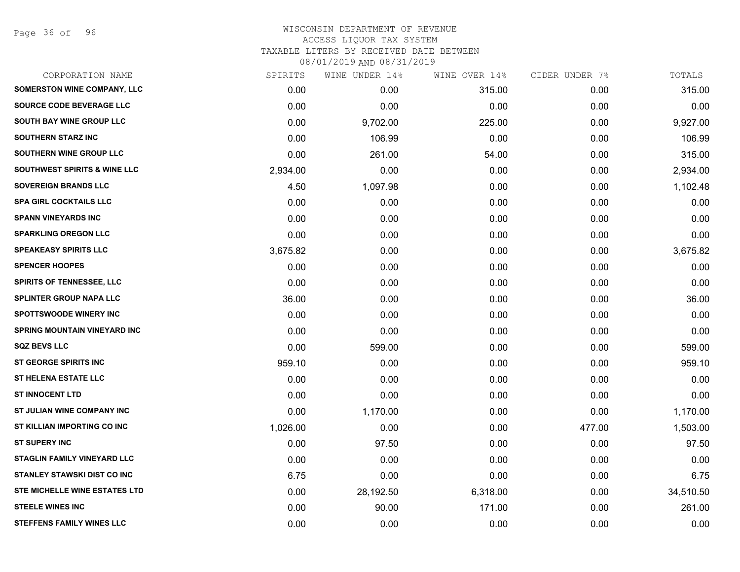Page 36 of 96

## WISCONSIN DEPARTMENT OF REVENUE ACCESS LIQUOR TAX SYSTEM TAXABLE LITERS BY RECEIVED DATE BETWEEN

| CORPORATION NAME                        | SPIRITS  | WINE UNDER 14% | WINE OVER 14% | CIDER UNDER 7% | TOTALS    |
|-----------------------------------------|----------|----------------|---------------|----------------|-----------|
| <b>SOMERSTON WINE COMPANY, LLC</b>      | 0.00     | 0.00           | 315.00        | 0.00           | 315.00    |
| SOURCE CODE BEVERAGE LLC                | 0.00     | 0.00           | 0.00          | 0.00           | 0.00      |
| SOUTH BAY WINE GROUP LLC                | 0.00     | 9,702.00       | 225.00        | 0.00           | 9,927.00  |
| <b>SOUTHERN STARZ INC</b>               | 0.00     | 106.99         | 0.00          | 0.00           | 106.99    |
| SOUTHERN WINE GROUP LLC                 | 0.00     | 261.00         | 54.00         | 0.00           | 315.00    |
| <b>SOUTHWEST SPIRITS &amp; WINE LLC</b> | 2,934.00 | 0.00           | 0.00          | 0.00           | 2,934.00  |
| <b>SOVEREIGN BRANDS LLC</b>             | 4.50     | 1,097.98       | 0.00          | 0.00           | 1,102.48  |
| <b>SPA GIRL COCKTAILS LLC</b>           | 0.00     | 0.00           | 0.00          | 0.00           | 0.00      |
| <b>SPANN VINEYARDS INC</b>              | 0.00     | 0.00           | 0.00          | 0.00           | 0.00      |
| <b>SPARKLING OREGON LLC</b>             | 0.00     | 0.00           | 0.00          | 0.00           | 0.00      |
| <b>SPEAKEASY SPIRITS LLC</b>            | 3,675.82 | 0.00           | 0.00          | 0.00           | 3,675.82  |
| <b>SPENCER HOOPES</b>                   | 0.00     | 0.00           | 0.00          | 0.00           | 0.00      |
| SPIRITS OF TENNESSEE, LLC               | 0.00     | 0.00           | 0.00          | 0.00           | 0.00      |
| <b>SPLINTER GROUP NAPA LLC</b>          | 36.00    | 0.00           | 0.00          | 0.00           | 36.00     |
| <b>SPOTTSWOODE WINERY INC</b>           | 0.00     | 0.00           | 0.00          | 0.00           | 0.00      |
| <b>SPRING MOUNTAIN VINEYARD INC</b>     | 0.00     | 0.00           | 0.00          | 0.00           | 0.00      |
| <b>SQZ BEVS LLC</b>                     | 0.00     | 599.00         | 0.00          | 0.00           | 599.00    |
| ST GEORGE SPIRITS INC                   | 959.10   | 0.00           | 0.00          | 0.00           | 959.10    |
| <b>ST HELENA ESTATE LLC</b>             | 0.00     | 0.00           | 0.00          | 0.00           | 0.00      |
| <b>ST INNOCENT LTD</b>                  | 0.00     | 0.00           | 0.00          | 0.00           | 0.00      |
| ST JULIAN WINE COMPANY INC              | 0.00     | 1,170.00       | 0.00          | 0.00           | 1,170.00  |
| ST KILLIAN IMPORTING CO INC             | 1,026.00 | 0.00           | 0.00          | 477.00         | 1,503.00  |
| <b>ST SUPERY INC</b>                    | 0.00     | 97.50          | 0.00          | 0.00           | 97.50     |
| STAGLIN FAMILY VINEYARD LLC             | 0.00     | 0.00           | 0.00          | 0.00           | 0.00      |
| <b>STANLEY STAWSKI DIST CO INC</b>      | 6.75     | 0.00           | 0.00          | 0.00           | 6.75      |
| <b>STE MICHELLE WINE ESTATES LTD</b>    | 0.00     | 28,192.50      | 6,318.00      | 0.00           | 34,510.50 |
| <b>STEELE WINES INC</b>                 | 0.00     | 90.00          | 171.00        | 0.00           | 261.00    |
| <b>STEFFENS FAMILY WINES LLC</b>        | 0.00     | 0.00           | 0.00          | 0.00           | 0.00      |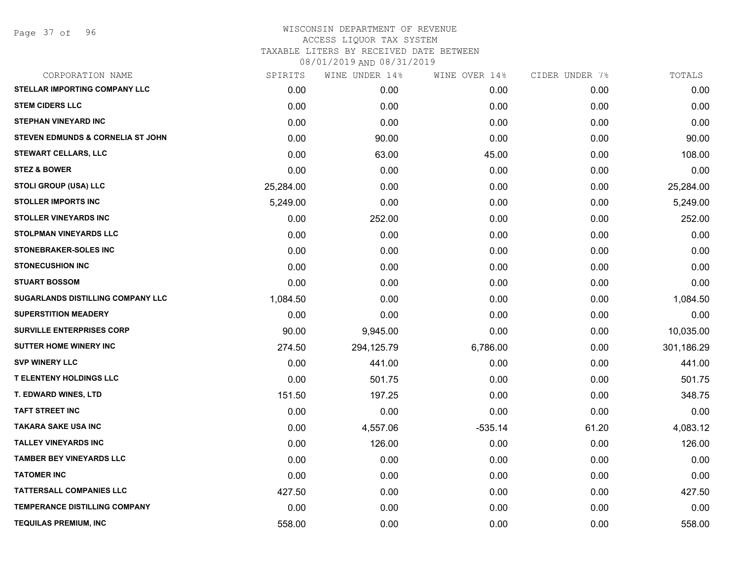Page 37 of 96

| CORPORATION NAME                             | SPIRITS   | WINE UNDER 14% | WINE OVER 14% | CIDER UNDER 7% | TOTALS     |
|----------------------------------------------|-----------|----------------|---------------|----------------|------------|
| <b>STELLAR IMPORTING COMPANY LLC</b>         | 0.00      | 0.00           | 0.00          | 0.00           | 0.00       |
| <b>STEM CIDERS LLC</b>                       | 0.00      | 0.00           | 0.00          | 0.00           | 0.00       |
| <b>STEPHAN VINEYARD INC</b>                  | 0.00      | 0.00           | 0.00          | 0.00           | 0.00       |
| <b>STEVEN EDMUNDS &amp; CORNELIA ST JOHN</b> | 0.00      | 90.00          | 0.00          | 0.00           | 90.00      |
| <b>STEWART CELLARS, LLC</b>                  | 0.00      | 63.00          | 45.00         | 0.00           | 108.00     |
| <b>STEZ &amp; BOWER</b>                      | 0.00      | 0.00           | 0.00          | 0.00           | 0.00       |
| <b>STOLI GROUP (USA) LLC</b>                 | 25,284.00 | 0.00           | 0.00          | 0.00           | 25,284.00  |
| <b>STOLLER IMPORTS INC</b>                   | 5,249.00  | 0.00           | 0.00          | 0.00           | 5,249.00   |
| <b>STOLLER VINEYARDS INC</b>                 | 0.00      | 252.00         | 0.00          | 0.00           | 252.00     |
| <b>STOLPMAN VINEYARDS LLC</b>                | 0.00      | 0.00           | 0.00          | 0.00           | 0.00       |
| <b>STONEBRAKER-SOLES INC</b>                 | 0.00      | 0.00           | 0.00          | 0.00           | 0.00       |
| <b>STONECUSHION INC</b>                      | 0.00      | 0.00           | 0.00          | 0.00           | 0.00       |
| <b>STUART BOSSOM</b>                         | 0.00      | 0.00           | 0.00          | 0.00           | 0.00       |
| SUGARLANDS DISTILLING COMPANY LLC            | 1,084.50  | 0.00           | 0.00          | 0.00           | 1,084.50   |
| <b>SUPERSTITION MEADERY</b>                  | 0.00      | 0.00           | 0.00          | 0.00           | 0.00       |
| <b>SURVILLE ENTERPRISES CORP</b>             | 90.00     | 9,945.00       | 0.00          | 0.00           | 10,035.00  |
| <b>SUTTER HOME WINERY INC</b>                | 274.50    | 294,125.79     | 6,786.00      | 0.00           | 301,186.29 |
| <b>SVP WINERY LLC</b>                        | 0.00      | 441.00         | 0.00          | 0.00           | 441.00     |
| <b>T ELENTENY HOLDINGS LLC</b>               | 0.00      | 501.75         | 0.00          | 0.00           | 501.75     |
| T. EDWARD WINES, LTD                         | 151.50    | 197.25         | 0.00          | 0.00           | 348.75     |
| <b>TAFT STREET INC</b>                       | 0.00      | 0.00           | 0.00          | 0.00           | 0.00       |
| <b>TAKARA SAKE USA INC</b>                   | 0.00      | 4,557.06       | $-535.14$     | 61.20          | 4,083.12   |
| <b>TALLEY VINEYARDS INC</b>                  | 0.00      | 126.00         | 0.00          | 0.00           | 126.00     |
| <b>TAMBER BEY VINEYARDS LLC</b>              | 0.00      | 0.00           | 0.00          | 0.00           | 0.00       |
| <b>TATOMER INC</b>                           | 0.00      | 0.00           | 0.00          | 0.00           | 0.00       |
| <b>TATTERSALL COMPANIES LLC</b>              | 427.50    | 0.00           | 0.00          | 0.00           | 427.50     |
| <b>TEMPERANCE DISTILLING COMPANY</b>         | 0.00      | 0.00           | 0.00          | 0.00           | 0.00       |
| <b>TEQUILAS PREMIUM, INC</b>                 | 558.00    | 0.00           | 0.00          | 0.00           | 558.00     |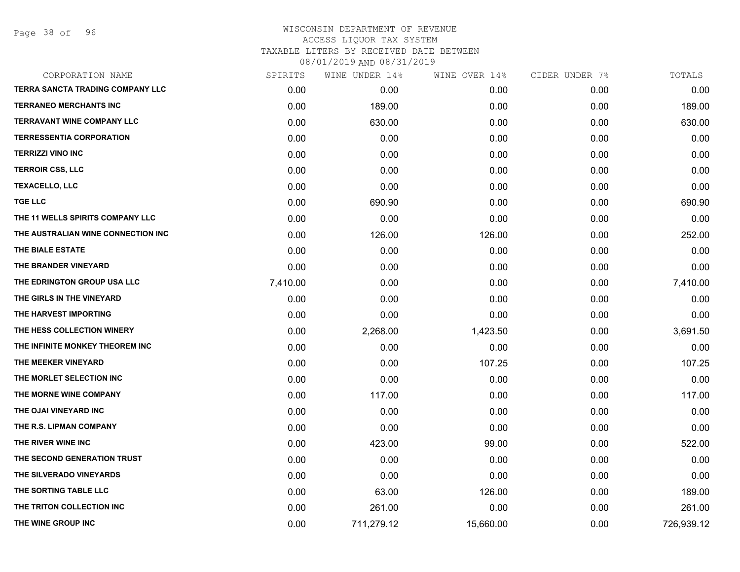Page 38 of 96

| CORPORATION NAME                        | SPIRITS  | WINE UNDER 14% | WINE OVER 14% | CIDER UNDER 7% | TOTALS     |
|-----------------------------------------|----------|----------------|---------------|----------------|------------|
| <b>TERRA SANCTA TRADING COMPANY LLC</b> | 0.00     | 0.00           | 0.00          | 0.00           | 0.00       |
| <b>TERRANEO MERCHANTS INC</b>           | 0.00     | 189.00         | 0.00          | 0.00           | 189.00     |
| <b>TERRAVANT WINE COMPANY LLC</b>       | 0.00     | 630.00         | 0.00          | 0.00           | 630.00     |
| <b>TERRESSENTIA CORPORATION</b>         | 0.00     | 0.00           | 0.00          | 0.00           | 0.00       |
| <b>TERRIZZI VINO INC</b>                | 0.00     | 0.00           | 0.00          | 0.00           | 0.00       |
| <b>TERROIR CSS, LLC</b>                 | 0.00     | 0.00           | 0.00          | 0.00           | 0.00       |
| <b>TEXACELLO, LLC</b>                   | 0.00     | 0.00           | 0.00          | 0.00           | 0.00       |
| <b>TGE LLC</b>                          | 0.00     | 690.90         | 0.00          | 0.00           | 690.90     |
| THE 11 WELLS SPIRITS COMPANY LLC        | 0.00     | 0.00           | 0.00          | 0.00           | 0.00       |
| THE AUSTRALIAN WINE CONNECTION INC      | 0.00     | 126.00         | 126.00        | 0.00           | 252.00     |
| THE BIALE ESTATE                        | 0.00     | 0.00           | 0.00          | 0.00           | 0.00       |
| THE BRANDER VINEYARD                    | 0.00     | 0.00           | 0.00          | 0.00           | 0.00       |
| THE EDRINGTON GROUP USA LLC             | 7,410.00 | 0.00           | 0.00          | 0.00           | 7,410.00   |
| THE GIRLS IN THE VINEYARD               | 0.00     | 0.00           | 0.00          | 0.00           | 0.00       |
| THE HARVEST IMPORTING                   | 0.00     | 0.00           | 0.00          | 0.00           | 0.00       |
| THE HESS COLLECTION WINERY              | 0.00     | 2,268.00       | 1,423.50      | 0.00           | 3,691.50   |
| THE INFINITE MONKEY THEOREM INC         | 0.00     | 0.00           | 0.00          | 0.00           | 0.00       |
| THE MEEKER VINEYARD                     | 0.00     | 0.00           | 107.25        | 0.00           | 107.25     |
| THE MORLET SELECTION INC                | 0.00     | 0.00           | 0.00          | 0.00           | 0.00       |
| THE MORNE WINE COMPANY                  | 0.00     | 117.00         | 0.00          | 0.00           | 117.00     |
| THE OJAI VINEYARD INC                   | 0.00     | 0.00           | 0.00          | 0.00           | 0.00       |
| THE R.S. LIPMAN COMPANY                 | 0.00     | 0.00           | 0.00          | 0.00           | 0.00       |
| THE RIVER WINE INC                      | 0.00     | 423.00         | 99.00         | 0.00           | 522.00     |
| THE SECOND GENERATION TRUST             | 0.00     | 0.00           | 0.00          | 0.00           | 0.00       |
| THE SILVERADO VINEYARDS                 | 0.00     | 0.00           | 0.00          | 0.00           | 0.00       |
| THE SORTING TABLE LLC                   | 0.00     | 63.00          | 126.00        | 0.00           | 189.00     |
| THE TRITON COLLECTION INC               | 0.00     | 261.00         | 0.00          | 0.00           | 261.00     |
| THE WINE GROUP INC                      | 0.00     | 711,279.12     | 15,660.00     | 0.00           | 726,939.12 |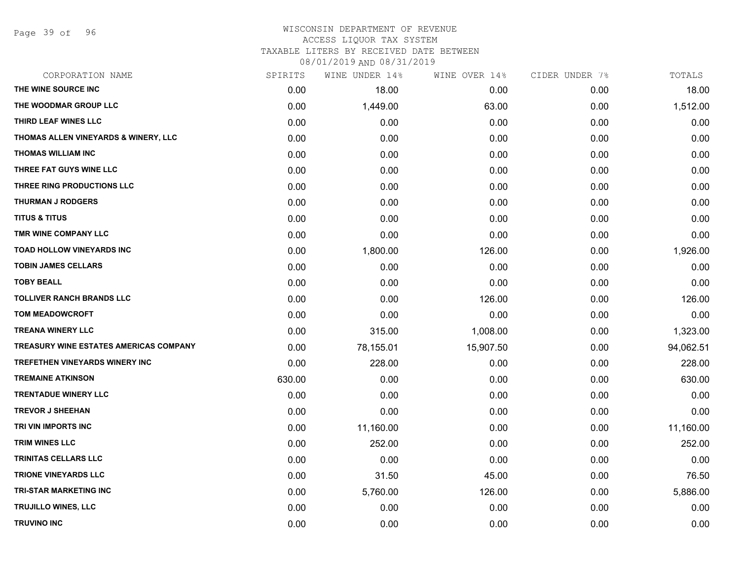Page 39 of 96

# WISCONSIN DEPARTMENT OF REVENUE ACCESS LIQUOR TAX SYSTEM

TAXABLE LITERS BY RECEIVED DATE BETWEEN 08/01/2019 AND 08/31/2019

| 08/01/2019 AND 08/31/2019 |  |  |
|---------------------------|--|--|
|                           |  |  |

| CORPORATION NAME                              | SPIRITS | WINE UNDER 14% | WINE OVER 14% | CIDER UNDER 7% | TOTALS    |
|-----------------------------------------------|---------|----------------|---------------|----------------|-----------|
| THE WINE SOURCE INC                           | 0.00    | 18.00          | 0.00          | 0.00           | 18.00     |
| THE WOODMAR GROUP LLC                         | 0.00    | 1,449.00       | 63.00         | 0.00           | 1,512.00  |
| THIRD LEAF WINES LLC                          | 0.00    | 0.00           | 0.00          | 0.00           | 0.00      |
| THOMAS ALLEN VINEYARDS & WINERY, LLC          | 0.00    | 0.00           | 0.00          | 0.00           | 0.00      |
| <b>THOMAS WILLIAM INC</b>                     | 0.00    | 0.00           | 0.00          | 0.00           | 0.00      |
| THREE FAT GUYS WINE LLC                       | 0.00    | 0.00           | 0.00          | 0.00           | 0.00      |
| THREE RING PRODUCTIONS LLC                    | 0.00    | 0.00           | 0.00          | 0.00           | 0.00      |
| <b>THURMAN J RODGERS</b>                      | 0.00    | 0.00           | 0.00          | 0.00           | 0.00      |
| <b>TITUS &amp; TITUS</b>                      | 0.00    | 0.00           | 0.00          | 0.00           | 0.00      |
| TMR WINE COMPANY LLC                          | 0.00    | 0.00           | 0.00          | 0.00           | 0.00      |
| TOAD HOLLOW VINEYARDS INC                     | 0.00    | 1,800.00       | 126.00        | 0.00           | 1,926.00  |
| <b>TOBIN JAMES CELLARS</b>                    | 0.00    | 0.00           | 0.00          | 0.00           | 0.00      |
| <b>TOBY BEALL</b>                             | 0.00    | 0.00           | 0.00          | 0.00           | 0.00      |
| <b>TOLLIVER RANCH BRANDS LLC</b>              | 0.00    | 0.00           | 126.00        | 0.00           | 126.00    |
| <b>TOM MEADOWCROFT</b>                        | 0.00    | 0.00           | 0.00          | 0.00           | 0.00      |
| <b>TREANA WINERY LLC</b>                      | 0.00    | 315.00         | 1,008.00      | 0.00           | 1,323.00  |
| <b>TREASURY WINE ESTATES AMERICAS COMPANY</b> | 0.00    | 78,155.01      | 15,907.50     | 0.00           | 94,062.51 |
| TREFETHEN VINEYARDS WINERY INC                | 0.00    | 228.00         | 0.00          | 0.00           | 228.00    |
| <b>TREMAINE ATKINSON</b>                      | 630.00  | 0.00           | 0.00          | 0.00           | 630.00    |
| <b>TRENTADUE WINERY LLC</b>                   | 0.00    | 0.00           | 0.00          | 0.00           | 0.00      |
| <b>TREVOR J SHEEHAN</b>                       | 0.00    | 0.00           | 0.00          | 0.00           | 0.00      |
| TRI VIN IMPORTS INC                           | 0.00    | 11,160.00      | 0.00          | 0.00           | 11,160.00 |
| <b>TRIM WINES LLC</b>                         | 0.00    | 252.00         | 0.00          | 0.00           | 252.00    |
| TRINITAS CELLARS LLC                          | 0.00    | 0.00           | 0.00          | 0.00           | 0.00      |
| <b>TRIONE VINEYARDS LLC</b>                   | 0.00    | 31.50          | 45.00         | 0.00           | 76.50     |
| <b>TRI-STAR MARKETING INC</b>                 | 0.00    | 5,760.00       | 126.00        | 0.00           | 5,886.00  |
| TRUJILLO WINES, LLC                           | 0.00    | 0.00           | 0.00          | 0.00           | 0.00      |
| <b>TRUVINO INC</b>                            | 0.00    | 0.00           | 0.00          | 0.00           | 0.00      |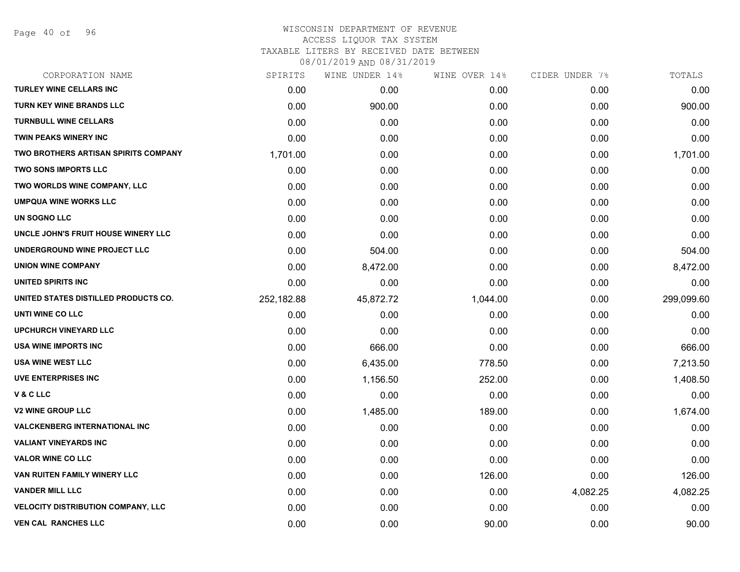Page 40 of 96

#### WISCONSIN DEPARTMENT OF REVENUE ACCESS LIQUOR TAX SYSTEM

TAXABLE LITERS BY RECEIVED DATE BETWEEN

| CORPORATION NAME                            | SPIRITS    | WINE UNDER 14% | WINE OVER 14% | CIDER UNDER 7% | TOTALS     |
|---------------------------------------------|------------|----------------|---------------|----------------|------------|
| <b>TURLEY WINE CELLARS INC</b>              | 0.00       | 0.00           | 0.00          | 0.00           | 0.00       |
| <b>TURN KEY WINE BRANDS LLC</b>             | 0.00       | 900.00         | 0.00          | 0.00           | 900.00     |
| <b>TURNBULL WINE CELLARS</b>                | 0.00       | 0.00           | 0.00          | 0.00           | 0.00       |
| <b>TWIN PEAKS WINERY INC</b>                | 0.00       | 0.00           | 0.00          | 0.00           | 0.00       |
| <b>TWO BROTHERS ARTISAN SPIRITS COMPANY</b> | 1,701.00   | 0.00           | 0.00          | 0.00           | 1,701.00   |
| <b>TWO SONS IMPORTS LLC</b>                 | 0.00       | 0.00           | 0.00          | 0.00           | 0.00       |
| TWO WORLDS WINE COMPANY, LLC                | 0.00       | 0.00           | 0.00          | 0.00           | 0.00       |
| <b>UMPQUA WINE WORKS LLC</b>                | 0.00       | 0.00           | 0.00          | 0.00           | 0.00       |
| UN SOGNO LLC                                | 0.00       | 0.00           | 0.00          | 0.00           | 0.00       |
| UNCLE JOHN'S FRUIT HOUSE WINERY LLC         | 0.00       | 0.00           | 0.00          | 0.00           | 0.00       |
| UNDERGROUND WINE PROJECT LLC                | 0.00       | 504.00         | 0.00          | 0.00           | 504.00     |
| <b>UNION WINE COMPANY</b>                   | 0.00       | 8,472.00       | 0.00          | 0.00           | 8,472.00   |
| UNITED SPIRITS INC                          | 0.00       | 0.00           | 0.00          | 0.00           | 0.00       |
| UNITED STATES DISTILLED PRODUCTS CO.        | 252,182.88 | 45,872.72      | 1,044.00      | 0.00           | 299,099.60 |
| UNTI WINE CO LLC                            | 0.00       | 0.00           | 0.00          | 0.00           | 0.00       |
| <b>UPCHURCH VINEYARD LLC</b>                | 0.00       | 0.00           | 0.00          | 0.00           | 0.00       |
| <b>USA WINE IMPORTS INC</b>                 | 0.00       | 666.00         | 0.00          | 0.00           | 666.00     |
| USA WINE WEST LLC                           | 0.00       | 6,435.00       | 778.50        | 0.00           | 7,213.50   |
| <b>UVE ENTERPRISES INC</b>                  | 0.00       | 1,156.50       | 252.00        | 0.00           | 1,408.50   |
| V&CLLC                                      | 0.00       | 0.00           | 0.00          | 0.00           | 0.00       |
| <b>V2 WINE GROUP LLC</b>                    | 0.00       | 1,485.00       | 189.00        | 0.00           | 1,674.00   |
| <b>VALCKENBERG INTERNATIONAL INC</b>        | 0.00       | 0.00           | 0.00          | 0.00           | 0.00       |
| <b>VALIANT VINEYARDS INC</b>                | 0.00       | 0.00           | 0.00          | 0.00           | 0.00       |
| <b>VALOR WINE CO LLC</b>                    | 0.00       | 0.00           | 0.00          | 0.00           | 0.00       |
| VAN RUITEN FAMILY WINERY LLC                | 0.00       | 0.00           | 126.00        | 0.00           | 126.00     |
| <b>VANDER MILL LLC</b>                      | 0.00       | 0.00           | 0.00          | 4,082.25       | 4,082.25   |
| <b>VELOCITY DISTRIBUTION COMPANY, LLC</b>   | 0.00       | 0.00           | 0.00          | 0.00           | 0.00       |
| <b>VEN CAL RANCHES LLC</b>                  | 0.00       | 0.00           | 90.00         | 0.00           | 90.00      |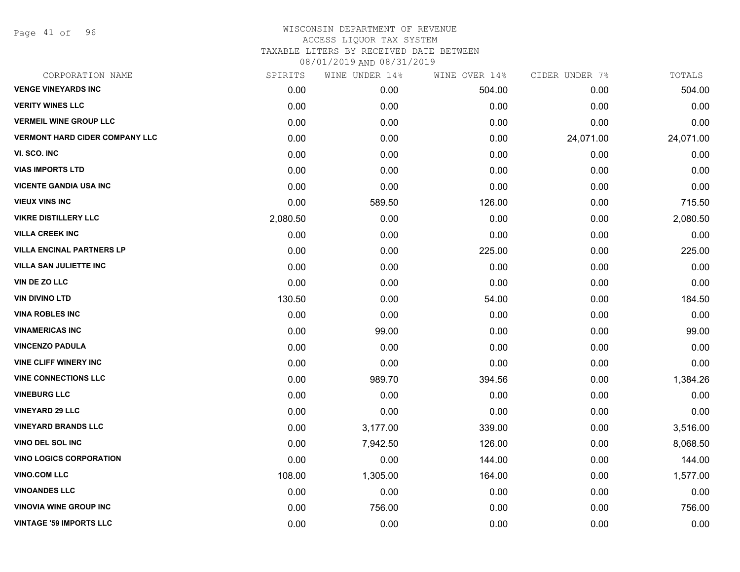Page 41 of 96

## WISCONSIN DEPARTMENT OF REVENUE ACCESS LIQUOR TAX SYSTEM TAXABLE LITERS BY RECEIVED DATE BETWEEN

| CORPORATION NAME                      | SPIRITS  | WINE UNDER 14% | WINE OVER 14% | CIDER UNDER 7% | TOTALS    |
|---------------------------------------|----------|----------------|---------------|----------------|-----------|
| <b>VENGE VINEYARDS INC</b>            | 0.00     | 0.00           | 504.00        | 0.00           | 504.00    |
| <b>VERITY WINES LLC</b>               | 0.00     | 0.00           | 0.00          | 0.00           | 0.00      |
| <b>VERMEIL WINE GROUP LLC</b>         | 0.00     | 0.00           | 0.00          | 0.00           | 0.00      |
| <b>VERMONT HARD CIDER COMPANY LLC</b> | 0.00     | 0.00           | 0.00          | 24,071.00      | 24,071.00 |
| VI. SCO. INC                          | 0.00     | 0.00           | 0.00          | 0.00           | 0.00      |
| <b>VIAS IMPORTS LTD</b>               | 0.00     | 0.00           | 0.00          | 0.00           | 0.00      |
| <b>VICENTE GANDIA USA INC</b>         | 0.00     | 0.00           | 0.00          | 0.00           | 0.00      |
| <b>VIEUX VINS INC</b>                 | 0.00     | 589.50         | 126.00        | 0.00           | 715.50    |
| <b>VIKRE DISTILLERY LLC</b>           | 2,080.50 | 0.00           | 0.00          | 0.00           | 2,080.50  |
| <b>VILLA CREEK INC</b>                | 0.00     | 0.00           | 0.00          | 0.00           | 0.00      |
| <b>VILLA ENCINAL PARTNERS LP</b>      | 0.00     | 0.00           | 225.00        | 0.00           | 225.00    |
| <b>VILLA SAN JULIETTE INC</b>         | 0.00     | 0.00           | 0.00          | 0.00           | 0.00      |
| VIN DE ZO LLC                         | 0.00     | 0.00           | 0.00          | 0.00           | 0.00      |
| <b>VIN DIVINO LTD</b>                 | 130.50   | 0.00           | 54.00         | 0.00           | 184.50    |
| <b>VINA ROBLES INC</b>                | 0.00     | 0.00           | 0.00          | 0.00           | 0.00      |
| <b>VINAMERICAS INC</b>                | 0.00     | 99.00          | 0.00          | 0.00           | 99.00     |
| <b>VINCENZO PADULA</b>                | 0.00     | 0.00           | 0.00          | 0.00           | 0.00      |
| <b>VINE CLIFF WINERY INC</b>          | 0.00     | 0.00           | 0.00          | 0.00           | 0.00      |
| <b>VINE CONNECTIONS LLC</b>           | 0.00     | 989.70         | 394.56        | 0.00           | 1,384.26  |
| <b>VINEBURG LLC</b>                   | 0.00     | 0.00           | 0.00          | 0.00           | 0.00      |
| <b>VINEYARD 29 LLC</b>                | 0.00     | 0.00           | 0.00          | 0.00           | 0.00      |
| <b>VINEYARD BRANDS LLC</b>            | 0.00     | 3,177.00       | 339.00        | 0.00           | 3,516.00  |
| VINO DEL SOL INC                      | 0.00     | 7,942.50       | 126.00        | 0.00           | 8,068.50  |
| <b>VINO LOGICS CORPORATION</b>        | 0.00     | 0.00           | 144.00        | 0.00           | 144.00    |
| <b>VINO.COM LLC</b>                   | 108.00   | 1,305.00       | 164.00        | 0.00           | 1,577.00  |
| <b>VINOANDES LLC</b>                  | 0.00     | 0.00           | 0.00          | 0.00           | 0.00      |
| <b>VINOVIA WINE GROUP INC</b>         | 0.00     | 756.00         | 0.00          | 0.00           | 756.00    |
| <b>VINTAGE '59 IMPORTS LLC</b>        | 0.00     | 0.00           | 0.00          | 0.00           | 0.00      |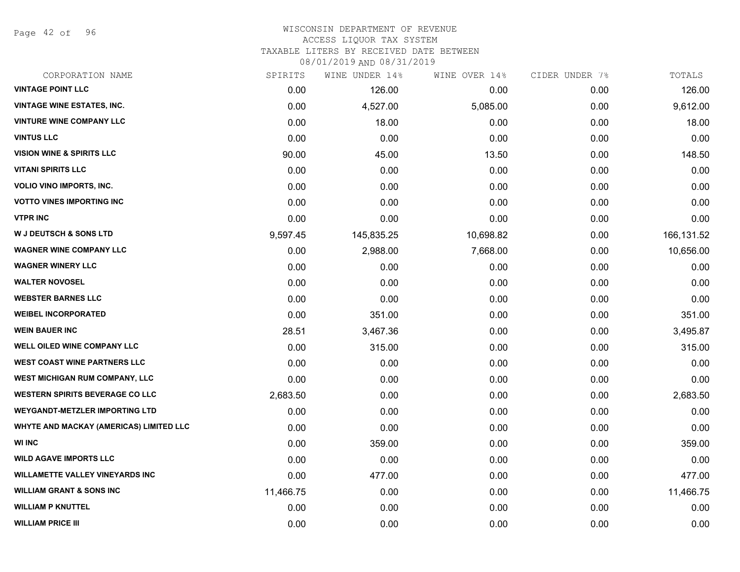Page 42 of 96

### WISCONSIN DEPARTMENT OF REVENUE ACCESS LIQUOR TAX SYSTEM TAXABLE LITERS BY RECEIVED DATE BETWEEN

| CORPORATION NAME                        | SPIRITS   | WINE UNDER 14% | WINE OVER 14% | CIDER UNDER 7% | TOTALS     |
|-----------------------------------------|-----------|----------------|---------------|----------------|------------|
| <b>VINTAGE POINT LLC</b>                | 0.00      | 126.00         | 0.00          | 0.00           | 126.00     |
| <b>VINTAGE WINE ESTATES, INC.</b>       | 0.00      | 4,527.00       | 5,085.00      | 0.00           | 9,612.00   |
| <b>VINTURE WINE COMPANY LLC</b>         | 0.00      | 18.00          | 0.00          | 0.00           | 18.00      |
| <b>VINTUS LLC</b>                       | 0.00      | 0.00           | 0.00          | 0.00           | 0.00       |
| <b>VISION WINE &amp; SPIRITS LLC</b>    | 90.00     | 45.00          | 13.50         | 0.00           | 148.50     |
| <b>VITANI SPIRITS LLC</b>               | 0.00      | 0.00           | 0.00          | 0.00           | 0.00       |
| <b>VOLIO VINO IMPORTS, INC.</b>         | 0.00      | 0.00           | 0.00          | 0.00           | 0.00       |
| <b>VOTTO VINES IMPORTING INC</b>        | 0.00      | 0.00           | 0.00          | 0.00           | 0.00       |
| <b>VTPR INC</b>                         | 0.00      | 0.00           | 0.00          | 0.00           | 0.00       |
| <b>W J DEUTSCH &amp; SONS LTD</b>       | 9,597.45  | 145,835.25     | 10,698.82     | 0.00           | 166,131.52 |
| <b>WAGNER WINE COMPANY LLC</b>          | 0.00      | 2,988.00       | 7,668.00      | 0.00           | 10,656.00  |
| <b>WAGNER WINERY LLC</b>                | 0.00      | 0.00           | 0.00          | 0.00           | 0.00       |
| <b>WALTER NOVOSEL</b>                   | 0.00      | 0.00           | 0.00          | 0.00           | 0.00       |
| <b>WEBSTER BARNES LLC</b>               | 0.00      | 0.00           | 0.00          | 0.00           | 0.00       |
| <b>WEIBEL INCORPORATED</b>              | 0.00      | 351.00         | 0.00          | 0.00           | 351.00     |
| <b>WEIN BAUER INC</b>                   | 28.51     | 3,467.36       | 0.00          | 0.00           | 3,495.87   |
| WELL OILED WINE COMPANY LLC             | 0.00      | 315.00         | 0.00          | 0.00           | 315.00     |
| <b>WEST COAST WINE PARTNERS LLC</b>     | 0.00      | 0.00           | 0.00          | 0.00           | 0.00       |
| WEST MICHIGAN RUM COMPANY, LLC          | 0.00      | 0.00           | 0.00          | 0.00           | 0.00       |
| <b>WESTERN SPIRITS BEVERAGE CO LLC</b>  | 2,683.50  | 0.00           | 0.00          | 0.00           | 2,683.50   |
| <b>WEYGANDT-METZLER IMPORTING LTD</b>   | 0.00      | 0.00           | 0.00          | 0.00           | 0.00       |
| WHYTE AND MACKAY (AMERICAS) LIMITED LLC | 0.00      | 0.00           | 0.00          | 0.00           | 0.00       |
| <b>WI INC</b>                           | 0.00      | 359.00         | 0.00          | 0.00           | 359.00     |
| <b>WILD AGAVE IMPORTS LLC</b>           | 0.00      | 0.00           | 0.00          | 0.00           | 0.00       |
| <b>WILLAMETTE VALLEY VINEYARDS INC</b>  | 0.00      | 477.00         | 0.00          | 0.00           | 477.00     |
| <b>WILLIAM GRANT &amp; SONS INC</b>     | 11,466.75 | 0.00           | 0.00          | 0.00           | 11,466.75  |
| <b>WILLIAM P KNUTTEL</b>                | 0.00      | 0.00           | 0.00          | 0.00           | 0.00       |
| <b>WILLIAM PRICE III</b>                | 0.00      | 0.00           | 0.00          | 0.00           | 0.00       |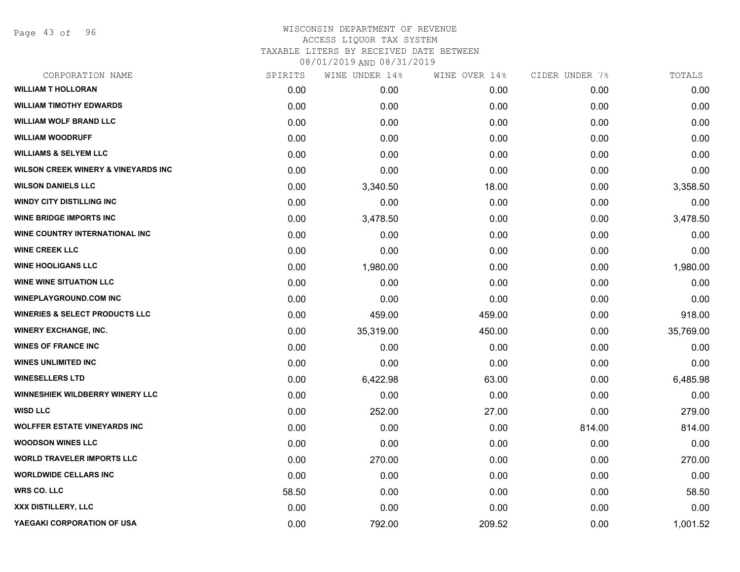Page 43 of 96

## WISCONSIN DEPARTMENT OF REVENUE ACCESS LIQUOR TAX SYSTEM TAXABLE LITERS BY RECEIVED DATE BETWEEN

| CORPORATION NAME                               | SPIRITS | WINE UNDER 14% | WINE OVER 14% | CIDER UNDER 7% | TOTALS    |
|------------------------------------------------|---------|----------------|---------------|----------------|-----------|
| <b>WILLIAM T HOLLORAN</b>                      | 0.00    | 0.00           | 0.00          | 0.00           | 0.00      |
| <b>WILLIAM TIMOTHY EDWARDS</b>                 | 0.00    | 0.00           | 0.00          | 0.00           | 0.00      |
| <b>WILLIAM WOLF BRAND LLC</b>                  | 0.00    | 0.00           | 0.00          | 0.00           | 0.00      |
| <b>WILLIAM WOODRUFF</b>                        | 0.00    | 0.00           | 0.00          | 0.00           | 0.00      |
| <b>WILLIAMS &amp; SELYEM LLC</b>               | 0.00    | 0.00           | 0.00          | 0.00           | 0.00      |
| <b>WILSON CREEK WINERY &amp; VINEYARDS INC</b> | 0.00    | 0.00           | 0.00          | 0.00           | 0.00      |
| <b>WILSON DANIELS LLC</b>                      | 0.00    | 3,340.50       | 18.00         | 0.00           | 3,358.50  |
| <b>WINDY CITY DISTILLING INC</b>               | 0.00    | 0.00           | 0.00          | 0.00           | 0.00      |
| <b>WINE BRIDGE IMPORTS INC</b>                 | 0.00    | 3,478.50       | 0.00          | 0.00           | 3,478.50  |
| WINE COUNTRY INTERNATIONAL INC                 | 0.00    | 0.00           | 0.00          | 0.00           | 0.00      |
| <b>WINE CREEK LLC</b>                          | 0.00    | 0.00           | 0.00          | 0.00           | 0.00      |
| <b>WINE HOOLIGANS LLC</b>                      | 0.00    | 1,980.00       | 0.00          | 0.00           | 1,980.00  |
| <b>WINE WINE SITUATION LLC</b>                 | 0.00    | 0.00           | 0.00          | 0.00           | 0.00      |
| <b>WINEPLAYGROUND.COM INC</b>                  | 0.00    | 0.00           | 0.00          | 0.00           | 0.00      |
| <b>WINERIES &amp; SELECT PRODUCTS LLC</b>      | 0.00    | 459.00         | 459.00        | 0.00           | 918.00    |
| <b>WINERY EXCHANGE, INC.</b>                   | 0.00    | 35,319.00      | 450.00        | 0.00           | 35,769.00 |
| <b>WINES OF FRANCE INC</b>                     | 0.00    | 0.00           | 0.00          | 0.00           | 0.00      |
| <b>WINES UNLIMITED INC</b>                     | 0.00    | 0.00           | 0.00          | 0.00           | 0.00      |
| <b>WINESELLERS LTD</b>                         | 0.00    | 6,422.98       | 63.00         | 0.00           | 6,485.98  |
| <b>WINNESHIEK WILDBERRY WINERY LLC</b>         | 0.00    | 0.00           | 0.00          | 0.00           | 0.00      |
| <b>WISD LLC</b>                                | 0.00    | 252.00         | 27.00         | 0.00           | 279.00    |
| <b>WOLFFER ESTATE VINEYARDS INC</b>            | 0.00    | 0.00           | 0.00          | 814.00         | 814.00    |
| <b>WOODSON WINES LLC</b>                       | 0.00    | 0.00           | 0.00          | 0.00           | 0.00      |
| <b>WORLD TRAVELER IMPORTS LLC</b>              | 0.00    | 270.00         | 0.00          | 0.00           | 270.00    |
| <b>WORLDWIDE CELLARS INC</b>                   | 0.00    | 0.00           | 0.00          | 0.00           | 0.00      |
| <b>WRS CO. LLC</b>                             | 58.50   | 0.00           | 0.00          | 0.00           | 58.50     |
| <b>XXX DISTILLERY, LLC</b>                     | 0.00    | 0.00           | 0.00          | 0.00           | 0.00      |
| YAEGAKI CORPORATION OF USA                     | 0.00    | 792.00         | 209.52        | 0.00           | 1,001.52  |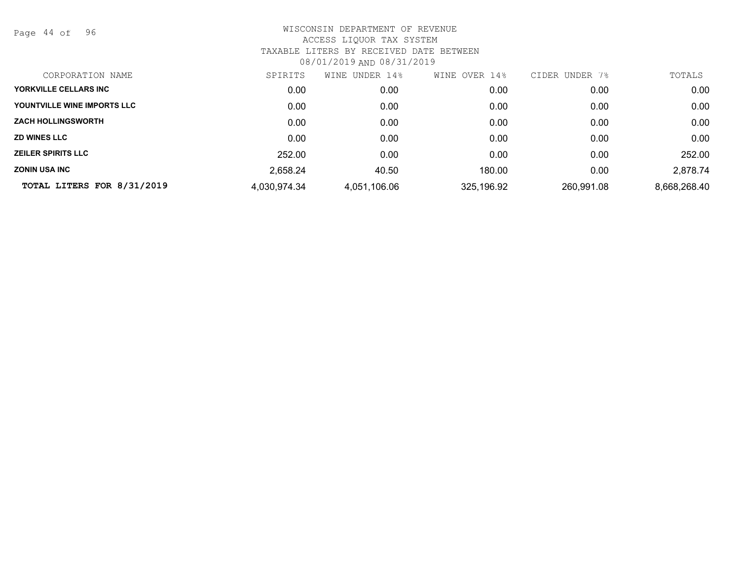Page 44 of 96

| CORPORATION NAME            | SPIRITS      | UNDER 14%<br>WINE | OVER 14%<br>WINE | CIDER<br>UNDER 7% | TOTALS       |
|-----------------------------|--------------|-------------------|------------------|-------------------|--------------|
| YORKVILLE CELLARS INC       | 0.00         | 0.00              | 0.00             | 0.00              | 0.00         |
| YOUNTVILLE WINE IMPORTS LLC | 0.00         | 0.00              | 0.00             | 0.00              | 0.00         |
| <b>ZACH HOLLINGSWORTH</b>   | 0.00         | 0.00              | 0.00             | 0.00              | 0.00         |
| <b>ZD WINES LLC</b>         | 0.00         | 0.00              | 0.00             | 0.00              | 0.00         |
| <b>ZEILER SPIRITS LLC</b>   | 252.00       | 0.00              | 0.00             | 0.00              | 252.00       |
| <b>ZONIN USA INC</b>        | 2,658.24     | 40.50             | 180.00           | 0.00              | 2,878.74     |
| TOTAL LITERS FOR 8/31/2019  | 4,030,974.34 | 4,051,106.06      | 325,196.92       | 260,991.08        | 8,668,268.40 |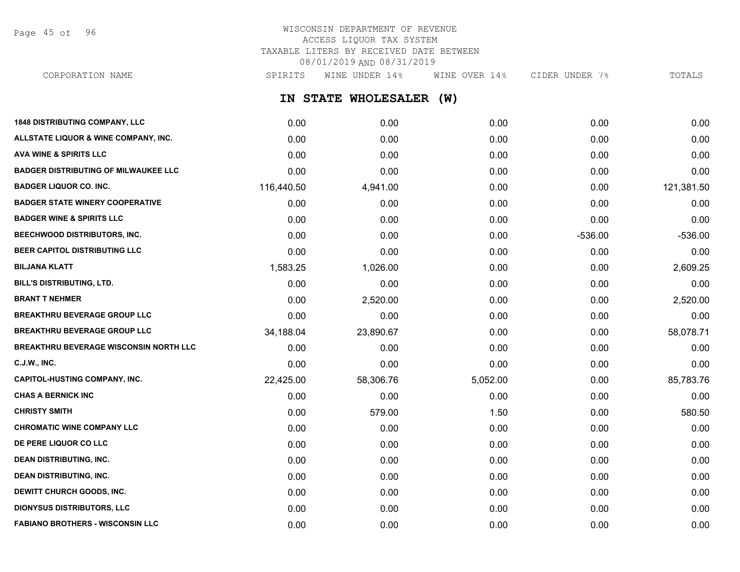Page 45 of 96

## WISCONSIN DEPARTMENT OF REVENUE ACCESS LIQUOR TAX SYSTEM TAXABLE LITERS BY RECEIVED DATE BETWEEN 08/01/2019 AND 08/31/2019

**IN STATE WHOLESALER (W) 1848 DISTRIBUTING COMPANY, LLC** 0.00 0.00 0.00 0.00 0.00 CORPORATION NAME SALL SPIRITS WINE UNDER 14% WINE OVER 14% CIDER UNDER 7% TOTALS

| 1848 DISTRIBUTING COMPANY, LLC                | <b>0.00</b> | <b>0.00</b> | 0.00     | 0.00      | <b>0.00</b> |
|-----------------------------------------------|-------------|-------------|----------|-----------|-------------|
| ALLSTATE LIQUOR & WINE COMPANY, INC.          | 0.00        | 0.00        | 0.00     | 0.00      | 0.00        |
| <b>AVA WINE &amp; SPIRITS LLC</b>             | 0.00        | 0.00        | 0.00     | 0.00      | 0.00        |
| <b>BADGER DISTRIBUTING OF MILWAUKEE LLC</b>   | 0.00        | 0.00        | 0.00     | 0.00      | 0.00        |
| <b>BADGER LIQUOR CO. INC.</b>                 | 116,440.50  | 4,941.00    | 0.00     | 0.00      | 121,381.50  |
| <b>BADGER STATE WINERY COOPERATIVE</b>        | 0.00        | 0.00        | 0.00     | 0.00      | 0.00        |
| <b>BADGER WINE &amp; SPIRITS LLC</b>          | 0.00        | 0.00        | 0.00     | 0.00      | 0.00        |
| BEECHWOOD DISTRIBUTORS, INC.                  | 0.00        | 0.00        | 0.00     | $-536.00$ | $-536.00$   |
| BEER CAPITOL DISTRIBUTING LLC                 | 0.00        | 0.00        | 0.00     | 0.00      | 0.00        |
| <b>BILJANA KLATT</b>                          | 1,583.25    | 1,026.00    | 0.00     | 0.00      | 2,609.25    |
| BILL'S DISTRIBUTING, LTD.                     | 0.00        | 0.00        | 0.00     | 0.00      | 0.00        |
| <b>BRANT T NEHMER</b>                         | 0.00        | 2,520.00    | 0.00     | 0.00      | 2,520.00    |
| <b>BREAKTHRU BEVERAGE GROUP LLC</b>           | 0.00        | 0.00        | 0.00     | 0.00      | 0.00        |
| <b>BREAKTHRU BEVERAGE GROUP LLC</b>           | 34,188.04   | 23,890.67   | 0.00     | 0.00      | 58,078.71   |
| <b>BREAKTHRU BEVERAGE WISCONSIN NORTH LLC</b> | 0.00        | 0.00        | 0.00     | 0.00      | 0.00        |
| <b>C.J.W., INC.</b>                           | 0.00        | 0.00        | 0.00     | 0.00      | 0.00        |
| <b>CAPITOL-HUSTING COMPANY, INC.</b>          | 22,425.00   | 58,306.76   | 5,052.00 | 0.00      | 85,783.76   |
| <b>CHAS A BERNICK INC</b>                     | 0.00        | 0.00        | 0.00     | 0.00      | 0.00        |
| <b>CHRISTY SMITH</b>                          | 0.00        | 579.00      | 1.50     | 0.00      | 580.50      |
| <b>CHROMATIC WINE COMPANY LLC</b>             | 0.00        | 0.00        | 0.00     | 0.00      | 0.00        |
| DE PERE LIQUOR CO LLC                         | 0.00        | 0.00        | 0.00     | 0.00      | 0.00        |
| <b>DEAN DISTRIBUTING, INC.</b>                | 0.00        | 0.00        | 0.00     | 0.00      | 0.00        |
| <b>DEAN DISTRIBUTING, INC.</b>                | 0.00        | 0.00        | 0.00     | 0.00      | 0.00        |
| DEWITT CHURCH GOODS, INC.                     | 0.00        | 0.00        | 0.00     | 0.00      | 0.00        |
| <b>DIONYSUS DISTRIBUTORS, LLC</b>             | 0.00        | 0.00        | 0.00     | 0.00      | 0.00        |
| <b>FABIANO BROTHERS - WISCONSIN LLC</b>       | 0.00        | 0.00        | 0.00     | 0.00      | 0.00        |
|                                               |             |             |          |           |             |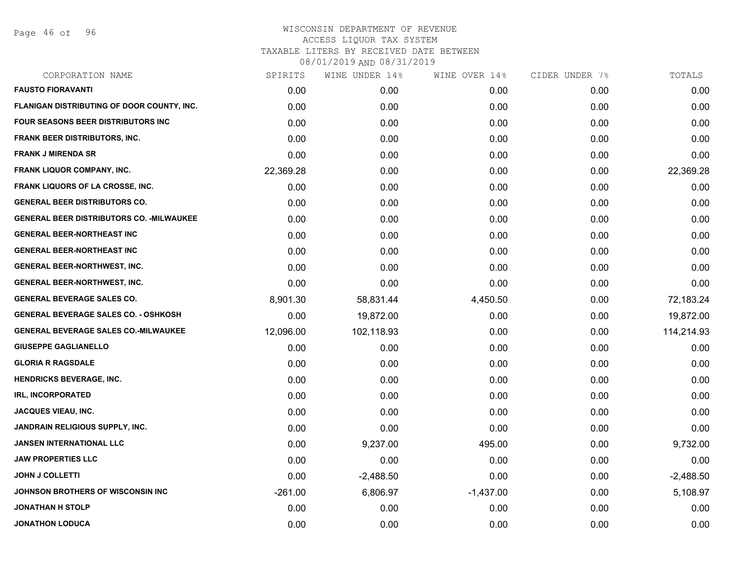Page 46 of 96

| CORPORATION NAME                                 | SPIRITS   | WINE UNDER 14% | WINE OVER 14% | CIDER UNDER 7% | TOTALS      |
|--------------------------------------------------|-----------|----------------|---------------|----------------|-------------|
| <b>FAUSTO FIORAVANTI</b>                         | 0.00      | 0.00           | 0.00          | 0.00           | 0.00        |
| FLANIGAN DISTRIBUTING OF DOOR COUNTY, INC.       | 0.00      | 0.00           | 0.00          | 0.00           | 0.00        |
| <b>FOUR SEASONS BEER DISTRIBUTORS INC.</b>       | 0.00      | 0.00           | 0.00          | 0.00           | 0.00        |
| <b>FRANK BEER DISTRIBUTORS, INC.</b>             | 0.00      | 0.00           | 0.00          | 0.00           | 0.00        |
| <b>FRANK J MIRENDA SR</b>                        | 0.00      | 0.00           | 0.00          | 0.00           | 0.00        |
| <b>FRANK LIQUOR COMPANY, INC.</b>                | 22,369.28 | 0.00           | 0.00          | 0.00           | 22,369.28   |
| FRANK LIQUORS OF LA CROSSE, INC.                 | 0.00      | 0.00           | 0.00          | 0.00           | 0.00        |
| <b>GENERAL BEER DISTRIBUTORS CO.</b>             | 0.00      | 0.00           | 0.00          | 0.00           | 0.00        |
| <b>GENERAL BEER DISTRIBUTORS CO. - MILWAUKEE</b> | 0.00      | 0.00           | 0.00          | 0.00           | 0.00        |
| <b>GENERAL BEER-NORTHEAST INC</b>                | 0.00      | 0.00           | 0.00          | 0.00           | 0.00        |
| <b>GENERAL BEER-NORTHEAST INC</b>                | 0.00      | 0.00           | 0.00          | 0.00           | 0.00        |
| GENERAL BEER-NORTHWEST, INC.                     | 0.00      | 0.00           | 0.00          | 0.00           | 0.00        |
| <b>GENERAL BEER-NORTHWEST, INC.</b>              | 0.00      | 0.00           | 0.00          | 0.00           | 0.00        |
| <b>GENERAL BEVERAGE SALES CO.</b>                | 8,901.30  | 58,831.44      | 4,450.50      | 0.00           | 72,183.24   |
| <b>GENERAL BEVERAGE SALES CO. - OSHKOSH</b>      | 0.00      | 19,872.00      | 0.00          | 0.00           | 19,872.00   |
| <b>GENERAL BEVERAGE SALES CO.-MILWAUKEE</b>      | 12,096.00 | 102,118.93     | 0.00          | 0.00           | 114,214.93  |
| <b>GIUSEPPE GAGLIANELLO</b>                      | 0.00      | 0.00           | 0.00          | 0.00           | 0.00        |
| <b>GLORIA R RAGSDALE</b>                         | 0.00      | 0.00           | 0.00          | 0.00           | 0.00        |
| <b>HENDRICKS BEVERAGE, INC.</b>                  | 0.00      | 0.00           | 0.00          | 0.00           | 0.00        |
| <b>IRL, INCORPORATED</b>                         | 0.00      | 0.00           | 0.00          | 0.00           | 0.00        |
| <b>JACQUES VIEAU, INC.</b>                       | 0.00      | 0.00           | 0.00          | 0.00           | 0.00        |
| JANDRAIN RELIGIOUS SUPPLY, INC.                  | 0.00      | 0.00           | 0.00          | 0.00           | 0.00        |
| <b>JANSEN INTERNATIONAL LLC</b>                  | 0.00      | 9,237.00       | 495.00        | 0.00           | 9,732.00    |
| <b>JAW PROPERTIES LLC</b>                        | 0.00      | 0.00           | 0.00          | 0.00           | 0.00        |
| <b>JOHN J COLLETTI</b>                           | 0.00      | $-2,488.50$    | 0.00          | 0.00           | $-2,488.50$ |
| JOHNSON BROTHERS OF WISCONSIN INC                | $-261.00$ | 6,806.97       | $-1,437.00$   | 0.00           | 5,108.97    |
| <b>JONATHAN H STOLP</b>                          | 0.00      | 0.00           | 0.00          | 0.00           | 0.00        |
| <b>JONATHON LODUCA</b>                           | 0.00      | 0.00           | 0.00          | 0.00           | 0.00        |
|                                                  |           |                |               |                |             |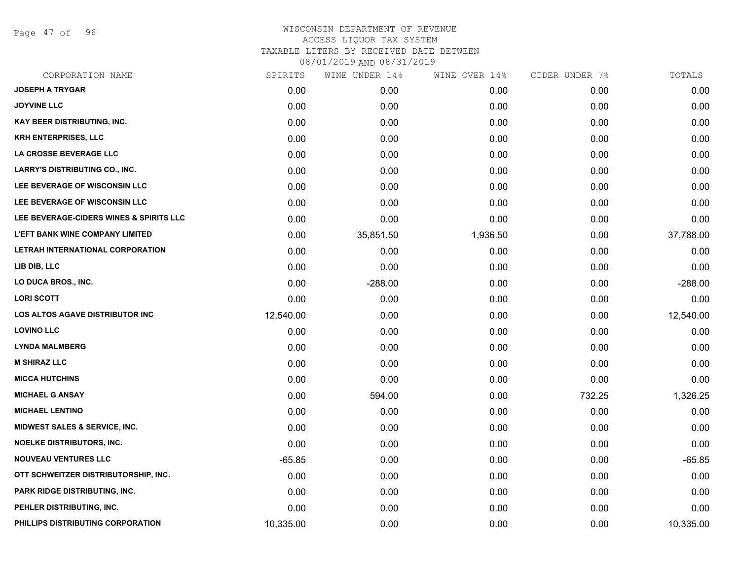Page 47 of 96

| CORPORATION NAME                         | SPIRITS   | WINE UNDER 14% | WINE OVER 14% | CIDER UNDER 7% | TOTALS    |
|------------------------------------------|-----------|----------------|---------------|----------------|-----------|
| <b>JOSEPH A TRYGAR</b>                   | 0.00      | 0.00           | 0.00          | 0.00           | 0.00      |
| <b>JOYVINE LLC</b>                       | 0.00      | 0.00           | 0.00          | 0.00           | 0.00      |
| <b>KAY BEER DISTRIBUTING, INC.</b>       | 0.00      | 0.00           | 0.00          | 0.00           | 0.00      |
| <b>KRH ENTERPRISES, LLC</b>              | 0.00      | 0.00           | 0.00          | 0.00           | 0.00      |
| LA CROSSE BEVERAGE LLC                   | 0.00      | 0.00           | 0.00          | 0.00           | 0.00      |
| <b>LARRY'S DISTRIBUTING CO., INC.</b>    | 0.00      | 0.00           | 0.00          | 0.00           | 0.00      |
| LEE BEVERAGE OF WISCONSIN LLC            | 0.00      | 0.00           | 0.00          | 0.00           | 0.00      |
| LEE BEVERAGE OF WISCONSIN LLC            | 0.00      | 0.00           | 0.00          | 0.00           | 0.00      |
| LEE BEVERAGE-CIDERS WINES & SPIRITS LLC  | 0.00      | 0.00           | 0.00          | 0.00           | 0.00      |
| <b>L'EFT BANK WINE COMPANY LIMITED</b>   | 0.00      | 35,851.50      | 1,936.50      | 0.00           | 37,788.00 |
| LETRAH INTERNATIONAL CORPORATION         | 0.00      | 0.00           | 0.00          | 0.00           | 0.00      |
| LIB DIB, LLC                             | 0.00      | 0.00           | 0.00          | 0.00           | 0.00      |
| LO DUCA BROS., INC.                      | 0.00      | $-288.00$      | 0.00          | 0.00           | $-288.00$ |
| <b>LORI SCOTT</b>                        | 0.00      | 0.00           | 0.00          | 0.00           | 0.00      |
| LOS ALTOS AGAVE DISTRIBUTOR INC          | 12,540.00 | 0.00           | 0.00          | 0.00           | 12,540.00 |
| <b>LOVINO LLC</b>                        | 0.00      | 0.00           | 0.00          | 0.00           | 0.00      |
| <b>LYNDA MALMBERG</b>                    | 0.00      | 0.00           | 0.00          | 0.00           | 0.00      |
| <b>M SHIRAZ LLC</b>                      | 0.00      | 0.00           | 0.00          | 0.00           | 0.00      |
| <b>MICCA HUTCHINS</b>                    | 0.00      | 0.00           | 0.00          | 0.00           | 0.00      |
| <b>MICHAEL G ANSAY</b>                   | 0.00      | 594.00         | 0.00          | 732.25         | 1,326.25  |
| <b>MICHAEL LENTINO</b>                   | 0.00      | 0.00           | 0.00          | 0.00           | 0.00      |
| <b>MIDWEST SALES &amp; SERVICE, INC.</b> | 0.00      | 0.00           | 0.00          | 0.00           | 0.00      |
| <b>NOELKE DISTRIBUTORS, INC.</b>         | 0.00      | 0.00           | 0.00          | 0.00           | 0.00      |
| <b>NOUVEAU VENTURES LLC</b>              | $-65.85$  | 0.00           | 0.00          | 0.00           | $-65.85$  |
| OTT SCHWEITZER DISTRIBUTORSHIP, INC.     | 0.00      | 0.00           | 0.00          | 0.00           | 0.00      |
| <b>PARK RIDGE DISTRIBUTING, INC.</b>     | 0.00      | 0.00           | 0.00          | 0.00           | 0.00      |
| PEHLER DISTRIBUTING, INC.                | 0.00      | 0.00           | 0.00          | 0.00           | 0.00      |
| PHILLIPS DISTRIBUTING CORPORATION        | 10,335.00 | 0.00           | 0.00          | 0.00           | 10,335.00 |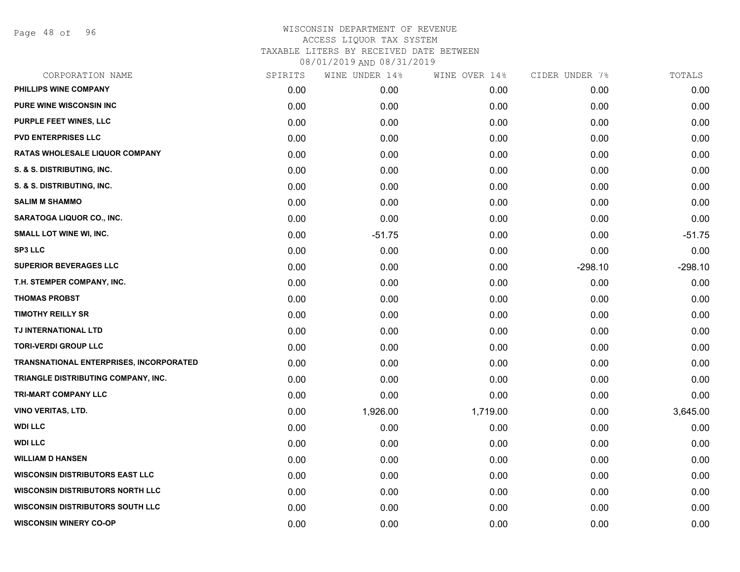Page 48 of 96

| CORPORATION NAME                               | SPIRITS | WINE UNDER 14% | WINE OVER 14% | CIDER UNDER 7% | TOTALS    |
|------------------------------------------------|---------|----------------|---------------|----------------|-----------|
| PHILLIPS WINE COMPANY                          | 0.00    | 0.00           | 0.00          | 0.00           | 0.00      |
| <b>PURE WINE WISCONSIN INC.</b>                | 0.00    | 0.00           | 0.00          | 0.00           | 0.00      |
| PURPLE FEET WINES, LLC                         | 0.00    | 0.00           | 0.00          | 0.00           | 0.00      |
| <b>PVD ENTERPRISES LLC</b>                     | 0.00    | 0.00           | 0.00          | 0.00           | 0.00      |
| <b>RATAS WHOLESALE LIQUOR COMPANY</b>          | 0.00    | 0.00           | 0.00          | 0.00           | 0.00      |
| S. & S. DISTRIBUTING, INC.                     | 0.00    | 0.00           | 0.00          | 0.00           | 0.00      |
| S. & S. DISTRIBUTING, INC.                     | 0.00    | 0.00           | 0.00          | 0.00           | 0.00      |
| <b>SALIM M SHAMMO</b>                          | 0.00    | 0.00           | 0.00          | 0.00           | 0.00      |
| SARATOGA LIQUOR CO., INC.                      | 0.00    | 0.00           | 0.00          | 0.00           | 0.00      |
| SMALL LOT WINE WI, INC.                        | 0.00    | $-51.75$       | 0.00          | 0.00           | $-51.75$  |
| <b>SP3 LLC</b>                                 | 0.00    | 0.00           | 0.00          | 0.00           | 0.00      |
| <b>SUPERIOR BEVERAGES LLC</b>                  | 0.00    | 0.00           | 0.00          | $-298.10$      | $-298.10$ |
| T.H. STEMPER COMPANY, INC.                     | 0.00    | 0.00           | 0.00          | 0.00           | 0.00      |
| <b>THOMAS PROBST</b>                           | 0.00    | 0.00           | 0.00          | 0.00           | 0.00      |
| <b>TIMOTHY REILLY SR</b>                       | 0.00    | 0.00           | 0.00          | 0.00           | 0.00      |
| TJ INTERNATIONAL LTD                           | 0.00    | 0.00           | 0.00          | 0.00           | 0.00      |
| <b>TORI-VERDI GROUP LLC</b>                    | 0.00    | 0.00           | 0.00          | 0.00           | 0.00      |
| <b>TRANSNATIONAL ENTERPRISES, INCORPORATED</b> | 0.00    | 0.00           | 0.00          | 0.00           | 0.00      |
| TRIANGLE DISTRIBUTING COMPANY, INC.            | 0.00    | 0.00           | 0.00          | 0.00           | 0.00      |
| <b>TRI-MART COMPANY LLC</b>                    | 0.00    | 0.00           | 0.00          | 0.00           | 0.00      |
| <b>VINO VERITAS, LTD.</b>                      | 0.00    | 1,926.00       | 1,719.00      | 0.00           | 3,645.00  |
| <b>WDI LLC</b>                                 | 0.00    | 0.00           | 0.00          | 0.00           | 0.00      |
| <b>WDI LLC</b>                                 | 0.00    | 0.00           | 0.00          | 0.00           | 0.00      |
| <b>WILLIAM D HANSEN</b>                        | 0.00    | 0.00           | 0.00          | 0.00           | 0.00      |
| <b>WISCONSIN DISTRIBUTORS EAST LLC</b>         | 0.00    | 0.00           | 0.00          | 0.00           | 0.00      |
| <b>WISCONSIN DISTRIBUTORS NORTH LLC</b>        | 0.00    | 0.00           | 0.00          | 0.00           | 0.00      |
| <b>WISCONSIN DISTRIBUTORS SOUTH LLC</b>        | 0.00    | 0.00           | 0.00          | 0.00           | 0.00      |
| <b>WISCONSIN WINERY CO-OP</b>                  | 0.00    | 0.00           | 0.00          | 0.00           | 0.00      |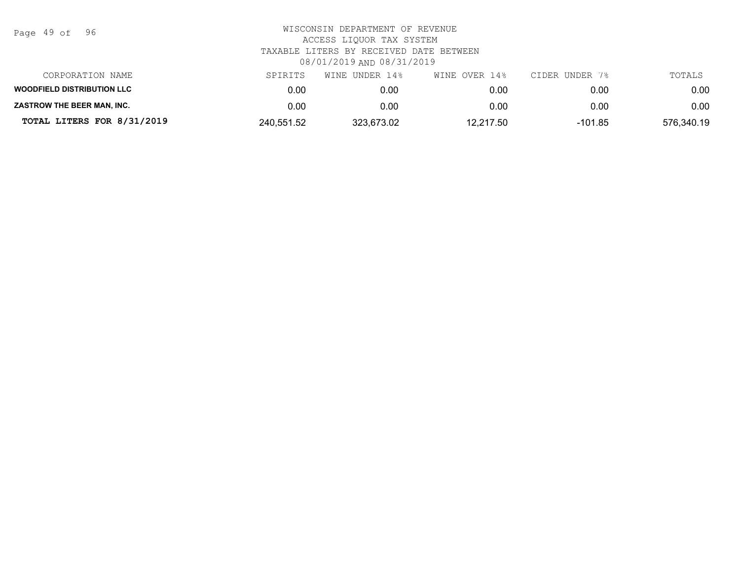| Page | 49 of |  | 96 |
|------|-------|--|----|
|------|-------|--|----|

| CORPORATION NAME                  | SPIRITS    | WINE UNDER 14% | WINE OVER 14% | CIDER UNDER 7% | TOTALS     |
|-----------------------------------|------------|----------------|---------------|----------------|------------|
| <b>WOODFIELD DISTRIBUTION LLC</b> | 0.00       | 0.00           | 0.00          | 0.00           | 0.00       |
| <b>ZASTROW THE BEER MAN. INC.</b> | 0.00       | 0.00           | 0.00          | 0.00           | 0.00       |
| TOTAL LITERS FOR 8/31/2019        | 240,551.52 | 323,673.02     | 12,217.50     | -101.85        | 576,340.19 |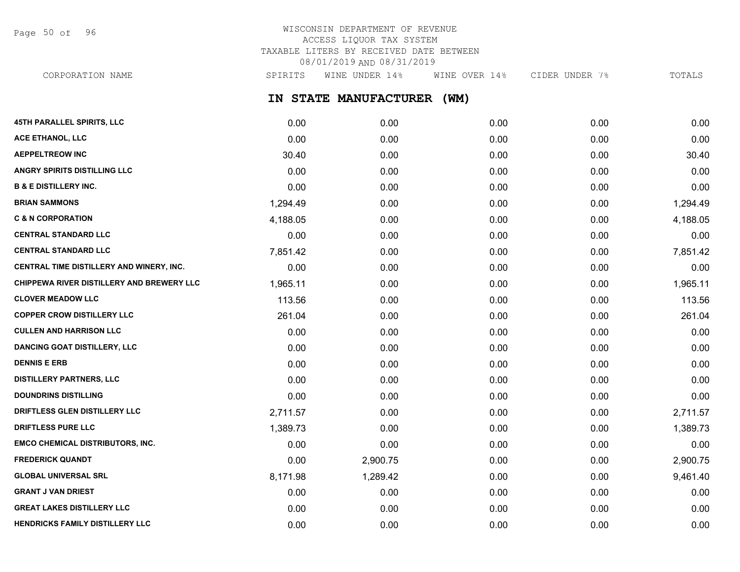Page 50 of 96

## WISCONSIN DEPARTMENT OF REVENUE ACCESS LIQUOR TAX SYSTEM TAXABLE LITERS BY RECEIVED DATE BETWEEN 08/01/2019 AND 08/31/2019

**IN STATE MANUFACTURER (WM)** CORPORATION NAME SPIRITS WINE UNDER 14% WINE OVER 14% CIDER UNDER 7% TOTALS

| 45TH PARALLEL SPIRITS, LLC                       | 0.00     | 0.00     | 0.00 | 0.00 | 0.00     |
|--------------------------------------------------|----------|----------|------|------|----------|
| <b>ACE ETHANOL, LLC</b>                          | 0.00     | 0.00     | 0.00 | 0.00 | 0.00     |
| <b>AEPPELTREOW INC</b>                           | 30.40    | 0.00     | 0.00 | 0.00 | 30.40    |
| ANGRY SPIRITS DISTILLING LLC                     | 0.00     | 0.00     | 0.00 | 0.00 | 0.00     |
| <b>B &amp; E DISTILLERY INC.</b>                 | 0.00     | 0.00     | 0.00 | 0.00 | 0.00     |
| <b>BRIAN SAMMONS</b>                             | 1,294.49 | 0.00     | 0.00 | 0.00 | 1,294.49 |
| <b>C &amp; N CORPORATION</b>                     | 4,188.05 | 0.00     | 0.00 | 0.00 | 4,188.05 |
| <b>CENTRAL STANDARD LLC</b>                      | 0.00     | 0.00     | 0.00 | 0.00 | 0.00     |
| <b>CENTRAL STANDARD LLC</b>                      | 7,851.42 | 0.00     | 0.00 | 0.00 | 7,851.42 |
| CENTRAL TIME DISTILLERY AND WINERY, INC.         | 0.00     | 0.00     | 0.00 | 0.00 | 0.00     |
| <b>CHIPPEWA RIVER DISTILLERY AND BREWERY LLC</b> | 1,965.11 | 0.00     | 0.00 | 0.00 | 1,965.11 |
| <b>CLOVER MEADOW LLC</b>                         | 113.56   | 0.00     | 0.00 | 0.00 | 113.56   |
| <b>COPPER CROW DISTILLERY LLC</b>                | 261.04   | 0.00     | 0.00 | 0.00 | 261.04   |
| <b>CULLEN AND HARRISON LLC</b>                   | 0.00     | 0.00     | 0.00 | 0.00 | 0.00     |
| <b>DANCING GOAT DISTILLERY, LLC</b>              | 0.00     | 0.00     | 0.00 | 0.00 | 0.00     |
| <b>DENNIS E ERB</b>                              | 0.00     | 0.00     | 0.00 | 0.00 | 0.00     |
| <b>DISTILLERY PARTNERS, LLC</b>                  | 0.00     | 0.00     | 0.00 | 0.00 | 0.00     |
| <b>DOUNDRINS DISTILLING</b>                      | 0.00     | 0.00     | 0.00 | 0.00 | 0.00     |
| DRIFTLESS GLEN DISTILLERY LLC                    | 2,711.57 | 0.00     | 0.00 | 0.00 | 2,711.57 |
| <b>DRIFTLESS PURE LLC</b>                        | 1,389.73 | 0.00     | 0.00 | 0.00 | 1,389.73 |
| <b>EMCO CHEMICAL DISTRIBUTORS, INC.</b>          | 0.00     | 0.00     | 0.00 | 0.00 | 0.00     |
| <b>FREDERICK QUANDT</b>                          | 0.00     | 2,900.75 | 0.00 | 0.00 | 2,900.75 |
| <b>GLOBAL UNIVERSAL SRL</b>                      | 8,171.98 | 1,289.42 | 0.00 | 0.00 | 9,461.40 |
| <b>GRANT J VAN DRIEST</b>                        | 0.00     | 0.00     | 0.00 | 0.00 | 0.00     |
| <b>GREAT LAKES DISTILLERY LLC</b>                | 0.00     | 0.00     | 0.00 | 0.00 | 0.00     |
| HENDRICKS FAMILY DISTILLERY LLC                  | 0.00     | 0.00     | 0.00 | 0.00 | 0.00     |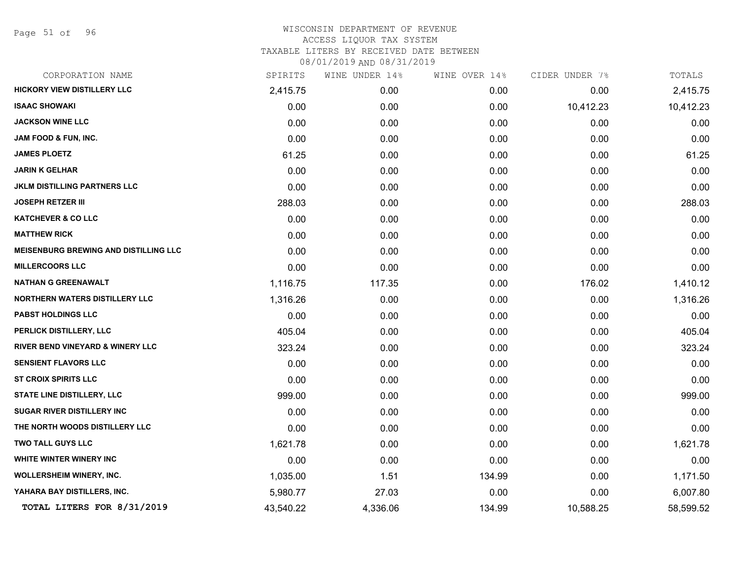Page 51 of 96

| CORPORATION NAME                             | SPIRITS   | WINE UNDER 14% | WINE OVER 14% | CIDER UNDER 7% | TOTALS    |
|----------------------------------------------|-----------|----------------|---------------|----------------|-----------|
| <b>HICKORY VIEW DISTILLERY LLC</b>           | 2,415.75  | 0.00           | 0.00          | 0.00           | 2,415.75  |
| <b>ISAAC SHOWAKI</b>                         | 0.00      | 0.00           | 0.00          | 10,412.23      | 10,412.23 |
| <b>JACKSON WINE LLC</b>                      | 0.00      | 0.00           | 0.00          | 0.00           | 0.00      |
| <b>JAM FOOD &amp; FUN, INC.</b>              | 0.00      | 0.00           | 0.00          | 0.00           | 0.00      |
| <b>JAMES PLOETZ</b>                          | 61.25     | 0.00           | 0.00          | 0.00           | 61.25     |
| <b>JARIN K GELHAR</b>                        | 0.00      | 0.00           | 0.00          | 0.00           | 0.00      |
| <b>JKLM DISTILLING PARTNERS LLC</b>          | 0.00      | 0.00           | 0.00          | 0.00           | 0.00      |
| <b>JOSEPH RETZER III</b>                     | 288.03    | 0.00           | 0.00          | 0.00           | 288.03    |
| <b>KATCHEVER &amp; CO LLC</b>                | 0.00      | 0.00           | 0.00          | 0.00           | 0.00      |
| <b>MATTHEW RICK</b>                          | 0.00      | 0.00           | 0.00          | 0.00           | 0.00      |
| <b>MEISENBURG BREWING AND DISTILLING LLC</b> | 0.00      | 0.00           | 0.00          | 0.00           | 0.00      |
| <b>MILLERCOORS LLC</b>                       | 0.00      | 0.00           | 0.00          | 0.00           | 0.00      |
| <b>NATHAN G GREENAWALT</b>                   | 1,116.75  | 117.35         | 0.00          | 176.02         | 1,410.12  |
| <b>NORTHERN WATERS DISTILLERY LLC</b>        | 1,316.26  | 0.00           | 0.00          | 0.00           | 1,316.26  |
| PABST HOLDINGS LLC                           | 0.00      | 0.00           | 0.00          | 0.00           | 0.00      |
| PERLICK DISTILLERY, LLC                      | 405.04    | 0.00           | 0.00          | 0.00           | 405.04    |
| <b>RIVER BEND VINEYARD &amp; WINERY LLC</b>  | 323.24    | 0.00           | 0.00          | 0.00           | 323.24    |
| <b>SENSIENT FLAVORS LLC</b>                  | 0.00      | 0.00           | 0.00          | 0.00           | 0.00      |
| <b>ST CROIX SPIRITS LLC</b>                  | 0.00      | 0.00           | 0.00          | 0.00           | 0.00      |
| <b>STATE LINE DISTILLERY, LLC</b>            | 999.00    | 0.00           | 0.00          | 0.00           | 999.00    |
| <b>SUGAR RIVER DISTILLERY INC</b>            | 0.00      | 0.00           | 0.00          | 0.00           | 0.00      |
| THE NORTH WOODS DISTILLERY LLC               | 0.00      | 0.00           | 0.00          | 0.00           | 0.00      |
| <b>TWO TALL GUYS LLC</b>                     | 1,621.78  | 0.00           | 0.00          | 0.00           | 1,621.78  |
| WHITE WINTER WINERY INC                      | 0.00      | 0.00           | 0.00          | 0.00           | 0.00      |
| WOLLERSHEIM WINERY, INC.                     | 1,035.00  | 1.51           | 134.99        | 0.00           | 1,171.50  |
| YAHARA BAY DISTILLERS, INC.                  | 5,980.77  | 27.03          | 0.00          | 0.00           | 6,007.80  |
| TOTAL LITERS FOR 8/31/2019                   | 43,540.22 | 4,336.06       | 134.99        | 10,588.25      | 58,599.52 |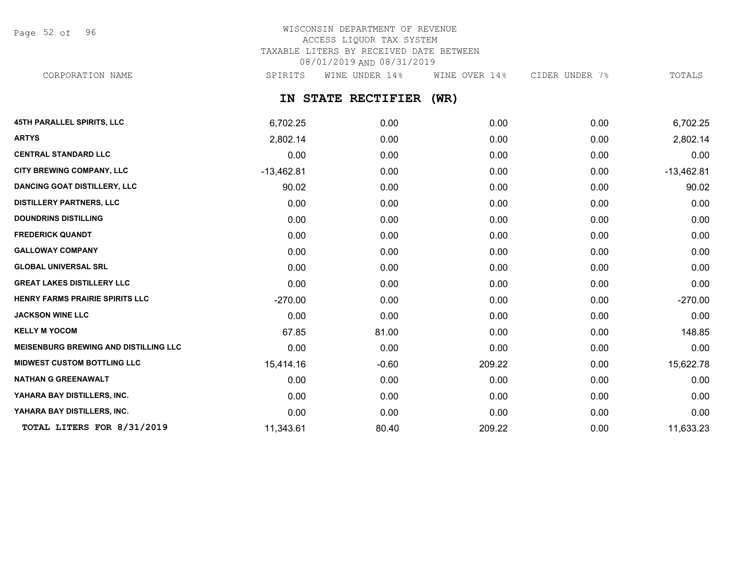Page 52 of 96

# WISCONSIN DEPARTMENT OF REVENUE ACCESS LIQUOR TAX SYSTEM TAXABLE LITERS BY RECEIVED DATE BETWEEN 08/01/2019 AND 08/31/2019

CORPORATION NAME SPIRITS WINE UNDER 14% WINE OVER 14% CIDER UNDER 7% TOTALS

**IN STATE RECTIFIER (WR)**

| <b>45TH PARALLEL SPIRITS, LLC</b>            | 6,702.25     | 0.00    | 0.00   | 0.00 | 6,702.25     |
|----------------------------------------------|--------------|---------|--------|------|--------------|
| <b>ARTYS</b>                                 | 2,802.14     | 0.00    | 0.00   | 0.00 | 2,802.14     |
| <b>CENTRAL STANDARD LLC</b>                  | 0.00         | 0.00    | 0.00   | 0.00 | 0.00         |
| <b>CITY BREWING COMPANY, LLC</b>             | $-13,462.81$ | 0.00    | 0.00   | 0.00 | $-13,462.81$ |
| <b>DANCING GOAT DISTILLERY, LLC</b>          | 90.02        | 0.00    | 0.00   | 0.00 | 90.02        |
| <b>DISTILLERY PARTNERS, LLC</b>              | 0.00         | 0.00    | 0.00   | 0.00 | 0.00         |
| <b>DOUNDRINS DISTILLING</b>                  | 0.00         | 0.00    | 0.00   | 0.00 | 0.00         |
| <b>FREDERICK QUANDT</b>                      | 0.00         | 0.00    | 0.00   | 0.00 | 0.00         |
| <b>GALLOWAY COMPANY</b>                      | 0.00         | 0.00    | 0.00   | 0.00 | 0.00         |
| <b>GLOBAL UNIVERSAL SRL</b>                  | 0.00         | 0.00    | 0.00   | 0.00 | 0.00         |
| <b>GREAT LAKES DISTILLERY LLC</b>            | 0.00         | 0.00    | 0.00   | 0.00 | 0.00         |
| HENRY FARMS PRAIRIE SPIRITS LLC              | $-270.00$    | 0.00    | 0.00   | 0.00 | $-270.00$    |
| <b>JACKSON WINE LLC</b>                      | 0.00         | 0.00    | 0.00   | 0.00 | 0.00         |
| <b>KELLY M YOCOM</b>                         | 67.85        | 81.00   | 0.00   | 0.00 | 148.85       |
| <b>MEISENBURG BREWING AND DISTILLING LLC</b> | 0.00         | 0.00    | 0.00   | 0.00 | 0.00         |
| <b>MIDWEST CUSTOM BOTTLING LLC</b>           | 15,414.16    | $-0.60$ | 209.22 | 0.00 | 15,622.78    |
| <b>NATHAN G GREENAWALT</b>                   | 0.00         | 0.00    | 0.00   | 0.00 | 0.00         |
| YAHARA BAY DISTILLERS, INC.                  | 0.00         | 0.00    | 0.00   | 0.00 | 0.00         |
| YAHARA BAY DISTILLERS, INC.                  | 0.00         | 0.00    | 0.00   | 0.00 | 0.00         |
| TOTAL LITERS FOR 8/31/2019                   | 11,343.61    | 80.40   | 209.22 | 0.00 | 11,633.23    |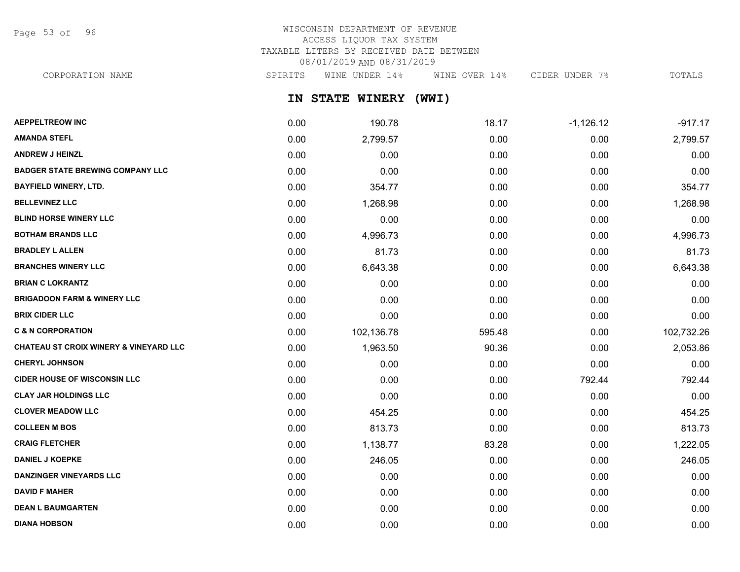Page 53 of 96

## WISCONSIN DEPARTMENT OF REVENUE ACCESS LIQUOR TAX SYSTEM TAXABLE LITERS BY RECEIVED DATE BETWEEN 08/01/2019 AND 08/31/2019

CORPORATION NAME SPIRITS WINE UNDER 14% WINE OVER 14% CIDER UNDER 7% TOTALS

**IN STATE WINERY (WWI)**

| <b>AEPPELTREOW INC</b>                            | 0.00 | 190.78     | 18.17  | $-1,126.12$ | $-917.17$  |
|---------------------------------------------------|------|------------|--------|-------------|------------|
| <b>AMANDA STEFL</b>                               | 0.00 | 2,799.57   | 0.00   | 0.00        | 2,799.57   |
| <b>ANDREW J HEINZL</b>                            | 0.00 | 0.00       | 0.00   | 0.00        | 0.00       |
| <b>BADGER STATE BREWING COMPANY LLC</b>           | 0.00 | 0.00       | 0.00   | 0.00        | 0.00       |
| <b>BAYFIELD WINERY, LTD.</b>                      | 0.00 | 354.77     | 0.00   | 0.00        | 354.77     |
| <b>BELLEVINEZ LLC</b>                             | 0.00 | 1,268.98   | 0.00   | 0.00        | 1,268.98   |
| <b>BLIND HORSE WINERY LLC</b>                     | 0.00 | 0.00       | 0.00   | 0.00        | 0.00       |
| <b>BOTHAM BRANDS LLC</b>                          | 0.00 | 4,996.73   | 0.00   | 0.00        | 4,996.73   |
| <b>BRADLEY L ALLEN</b>                            | 0.00 | 81.73      | 0.00   | 0.00        | 81.73      |
| <b>BRANCHES WINERY LLC</b>                        | 0.00 | 6,643.38   | 0.00   | 0.00        | 6,643.38   |
| <b>BRIAN C LOKRANTZ</b>                           | 0.00 | 0.00       | 0.00   | 0.00        | 0.00       |
| <b>BRIGADOON FARM &amp; WINERY LLC</b>            | 0.00 | 0.00       | 0.00   | 0.00        | 0.00       |
| <b>BRIX CIDER LLC</b>                             | 0.00 | 0.00       | 0.00   | 0.00        | 0.00       |
| <b>C &amp; N CORPORATION</b>                      | 0.00 | 102,136.78 | 595.48 | 0.00        | 102,732.26 |
| <b>CHATEAU ST CROIX WINERY &amp; VINEYARD LLC</b> | 0.00 | 1,963.50   | 90.36  | 0.00        | 2,053.86   |
| <b>CHERYL JOHNSON</b>                             | 0.00 | 0.00       | 0.00   | 0.00        | 0.00       |
| <b>CIDER HOUSE OF WISCONSIN LLC</b>               | 0.00 | 0.00       | 0.00   | 792.44      | 792.44     |
| <b>CLAY JAR HOLDINGS LLC</b>                      | 0.00 | 0.00       | 0.00   | 0.00        | 0.00       |
| <b>CLOVER MEADOW LLC</b>                          | 0.00 | 454.25     | 0.00   | 0.00        | 454.25     |
| <b>COLLEEN M BOS</b>                              | 0.00 | 813.73     | 0.00   | 0.00        | 813.73     |
| <b>CRAIG FLETCHER</b>                             | 0.00 | 1,138.77   | 83.28  | 0.00        | 1,222.05   |
| <b>DANIEL J KOEPKE</b>                            | 0.00 | 246.05     | 0.00   | 0.00        | 246.05     |
| <b>DANZINGER VINEYARDS LLC</b>                    | 0.00 | 0.00       | 0.00   | 0.00        | 0.00       |
| <b>DAVID F MAHER</b>                              | 0.00 | 0.00       | 0.00   | 0.00        | 0.00       |
| <b>DEAN L BAUMGARTEN</b>                          | 0.00 | 0.00       | 0.00   | 0.00        | 0.00       |
| <b>DIANA HOBSON</b>                               | 0.00 | 0.00       | 0.00   | 0.00        | 0.00       |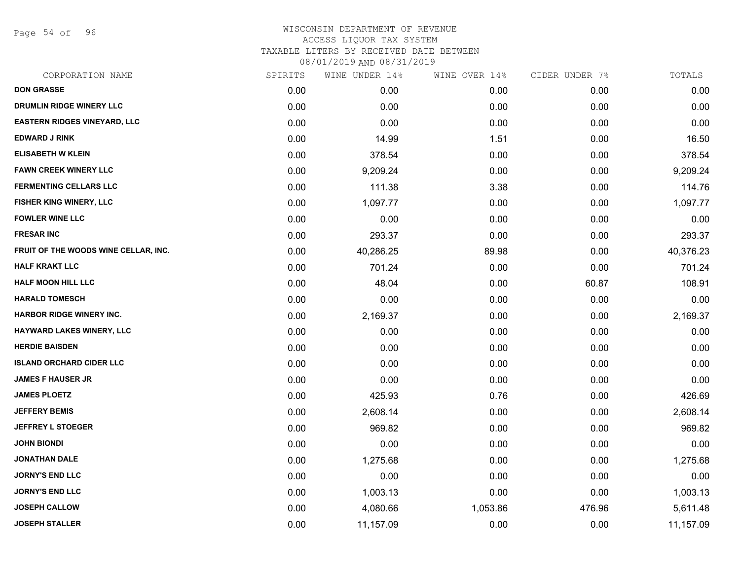Page 54 of 96

## WISCONSIN DEPARTMENT OF REVENUE ACCESS LIQUOR TAX SYSTEM TAXABLE LITERS BY RECEIVED DATE BETWEEN

| CORPORATION NAME                     | SPIRITS | WINE UNDER 14% | WINE OVER 14% | CIDER UNDER 7% | TOTALS    |
|--------------------------------------|---------|----------------|---------------|----------------|-----------|
| <b>DON GRASSE</b>                    | 0.00    | 0.00           | 0.00          | 0.00           | 0.00      |
| DRUMLIN RIDGE WINERY LLC             | 0.00    | 0.00           | 0.00          | 0.00           | 0.00      |
| <b>EASTERN RIDGES VINEYARD, LLC</b>  | 0.00    | 0.00           | 0.00          | 0.00           | 0.00      |
| <b>EDWARD J RINK</b>                 | 0.00    | 14.99          | 1.51          | 0.00           | 16.50     |
| <b>ELISABETH W KLEIN</b>             | 0.00    | 378.54         | 0.00          | 0.00           | 378.54    |
| <b>FAWN CREEK WINERY LLC</b>         | 0.00    | 9,209.24       | 0.00          | 0.00           | 9,209.24  |
| <b>FERMENTING CELLARS LLC</b>        | 0.00    | 111.38         | 3.38          | 0.00           | 114.76    |
| <b>FISHER KING WINERY, LLC</b>       | 0.00    | 1,097.77       | 0.00          | 0.00           | 1,097.77  |
| <b>FOWLER WINE LLC</b>               | 0.00    | 0.00           | 0.00          | 0.00           | 0.00      |
| <b>FRESAR INC</b>                    | 0.00    | 293.37         | 0.00          | 0.00           | 293.37    |
| FRUIT OF THE WOODS WINE CELLAR, INC. | 0.00    | 40,286.25      | 89.98         | 0.00           | 40,376.23 |
| <b>HALF KRAKT LLC</b>                | 0.00    | 701.24         | 0.00          | 0.00           | 701.24    |
| <b>HALF MOON HILL LLC</b>            | 0.00    | 48.04          | 0.00          | 60.87          | 108.91    |
| <b>HARALD TOMESCH</b>                | 0.00    | 0.00           | 0.00          | 0.00           | 0.00      |
| <b>HARBOR RIDGE WINERY INC.</b>      | 0.00    | 2,169.37       | 0.00          | 0.00           | 2,169.37  |
| HAYWARD LAKES WINERY, LLC            | 0.00    | 0.00           | 0.00          | 0.00           | 0.00      |
| <b>HERDIE BAISDEN</b>                | 0.00    | 0.00           | 0.00          | 0.00           | 0.00      |
| <b>ISLAND ORCHARD CIDER LLC</b>      | 0.00    | 0.00           | 0.00          | 0.00           | 0.00      |
| <b>JAMES F HAUSER JR</b>             | 0.00    | 0.00           | 0.00          | 0.00           | 0.00      |
| <b>JAMES PLOETZ</b>                  | 0.00    | 425.93         | 0.76          | 0.00           | 426.69    |
| <b>JEFFERY BEMIS</b>                 | 0.00    | 2,608.14       | 0.00          | 0.00           | 2,608.14  |
| <b>JEFFREY L STOEGER</b>             | 0.00    | 969.82         | 0.00          | 0.00           | 969.82    |
| <b>JOHN BIONDI</b>                   | 0.00    | 0.00           | 0.00          | 0.00           | 0.00      |
| <b>JONATHAN DALE</b>                 | 0.00    | 1,275.68       | 0.00          | 0.00           | 1,275.68  |
| <b>JORNY'S END LLC</b>               | 0.00    | 0.00           | 0.00          | 0.00           | 0.00      |
| <b>JORNY'S END LLC</b>               | 0.00    | 1,003.13       | 0.00          | 0.00           | 1,003.13  |
| <b>JOSEPH CALLOW</b>                 | 0.00    | 4,080.66       | 1,053.86      | 476.96         | 5,611.48  |
| <b>JOSEPH STALLER</b>                | 0.00    | 11,157.09      | 0.00          | 0.00           | 11,157.09 |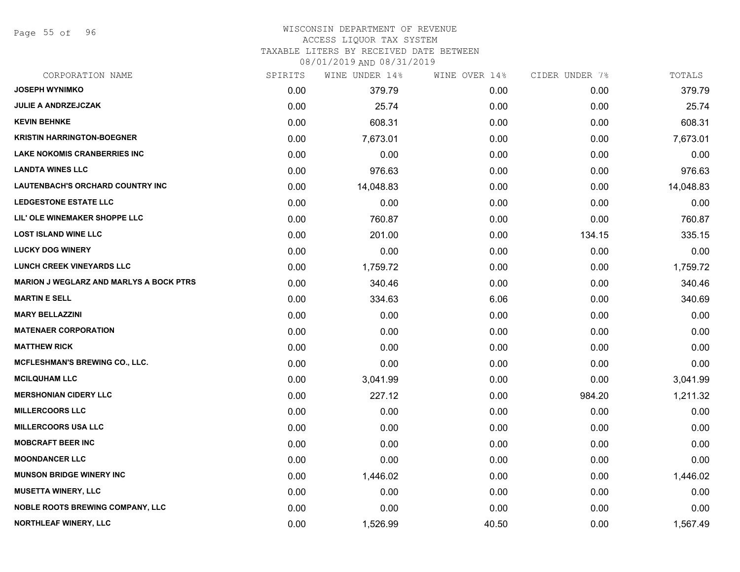Page 55 of 96

## WISCONSIN DEPARTMENT OF REVENUE ACCESS LIQUOR TAX SYSTEM

TAXABLE LITERS BY RECEIVED DATE BETWEEN

| CORPORATION NAME                               | SPIRITS | WINE UNDER 14% | WINE OVER 14% | CIDER UNDER 7% | TOTALS    |
|------------------------------------------------|---------|----------------|---------------|----------------|-----------|
| <b>JOSEPH WYNIMKO</b>                          | 0.00    | 379.79         | 0.00          | 0.00           | 379.79    |
| <b>JULIE A ANDRZEJCZAK</b>                     | 0.00    | 25.74          | 0.00          | 0.00           | 25.74     |
| <b>KEVIN BEHNKE</b>                            | 0.00    | 608.31         | 0.00          | 0.00           | 608.31    |
| <b>KRISTIN HARRINGTON-BOEGNER</b>              | 0.00    | 7,673.01       | 0.00          | 0.00           | 7,673.01  |
| <b>LAKE NOKOMIS CRANBERRIES INC</b>            | 0.00    | 0.00           | 0.00          | 0.00           | 0.00      |
| <b>LANDTA WINES LLC</b>                        | 0.00    | 976.63         | 0.00          | 0.00           | 976.63    |
| <b>LAUTENBACH'S ORCHARD COUNTRY INC</b>        | 0.00    | 14,048.83      | 0.00          | 0.00           | 14,048.83 |
| <b>LEDGESTONE ESTATE LLC</b>                   | 0.00    | 0.00           | 0.00          | 0.00           | 0.00      |
| LIL' OLE WINEMAKER SHOPPE LLC                  | 0.00    | 760.87         | 0.00          | 0.00           | 760.87    |
| <b>LOST ISLAND WINE LLC</b>                    | 0.00    | 201.00         | 0.00          | 134.15         | 335.15    |
| <b>LUCKY DOG WINERY</b>                        | 0.00    | 0.00           | 0.00          | 0.00           | 0.00      |
| <b>LUNCH CREEK VINEYARDS LLC</b>               | 0.00    | 1,759.72       | 0.00          | 0.00           | 1,759.72  |
| <b>MARION J WEGLARZ AND MARLYS A BOCK PTRS</b> | 0.00    | 340.46         | 0.00          | 0.00           | 340.46    |
| <b>MARTIN E SELL</b>                           | 0.00    | 334.63         | 6.06          | 0.00           | 340.69    |
| <b>MARY BELLAZZINI</b>                         | 0.00    | 0.00           | 0.00          | 0.00           | 0.00      |
| <b>MATENAER CORPORATION</b>                    | 0.00    | 0.00           | 0.00          | 0.00           | 0.00      |
| <b>MATTHEW RICK</b>                            | 0.00    | 0.00           | 0.00          | 0.00           | 0.00      |
| <b>MCFLESHMAN'S BREWING CO., LLC.</b>          | 0.00    | 0.00           | 0.00          | 0.00           | 0.00      |
| <b>MCILQUHAM LLC</b>                           | 0.00    | 3,041.99       | 0.00          | 0.00           | 3,041.99  |
| <b>MERSHONIAN CIDERY LLC</b>                   | 0.00    | 227.12         | 0.00          | 984.20         | 1,211.32  |
| <b>MILLERCOORS LLC</b>                         | 0.00    | 0.00           | 0.00          | 0.00           | 0.00      |
| MILLERCOORS USA LLC                            | 0.00    | 0.00           | 0.00          | 0.00           | 0.00      |
| <b>MOBCRAFT BEER INC</b>                       | 0.00    | 0.00           | 0.00          | 0.00           | 0.00      |
| <b>MOONDANCER LLC</b>                          | 0.00    | 0.00           | 0.00          | 0.00           | 0.00      |
| <b>MUNSON BRIDGE WINERY INC</b>                | 0.00    | 1,446.02       | 0.00          | 0.00           | 1,446.02  |
| <b>MUSETTA WINERY, LLC</b>                     | 0.00    | 0.00           | 0.00          | 0.00           | 0.00      |
| <b>NOBLE ROOTS BREWING COMPANY, LLC</b>        | 0.00    | 0.00           | 0.00          | 0.00           | 0.00      |
| NORTHLEAF WINERY, LLC                          | 0.00    | 1,526.99       | 40.50         | 0.00           | 1,567.49  |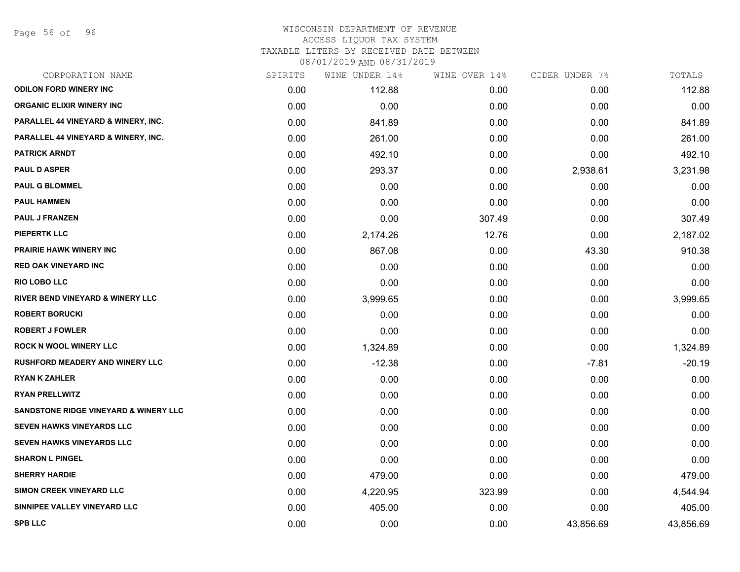Page 56 of 96

### WISCONSIN DEPARTMENT OF REVENUE ACCESS LIQUOR TAX SYSTEM TAXABLE LITERS BY RECEIVED DATE BETWEEN

| CORPORATION NAME                                 | SPIRITS | WINE UNDER 14% | WINE OVER 14% | CIDER UNDER 7% | TOTALS    |
|--------------------------------------------------|---------|----------------|---------------|----------------|-----------|
| <b>ODILON FORD WINERY INC</b>                    | 0.00    | 112.88         | 0.00          | 0.00           | 112.88    |
| <b>ORGANIC ELIXIR WINERY INC</b>                 | 0.00    | 0.00           | 0.00          | 0.00           | 0.00      |
| PARALLEL 44 VINEYARD & WINERY, INC.              | 0.00    | 841.89         | 0.00          | 0.00           | 841.89    |
| <b>PARALLEL 44 VINEYARD &amp; WINERY, INC.</b>   | 0.00    | 261.00         | 0.00          | 0.00           | 261.00    |
| <b>PATRICK ARNDT</b>                             | 0.00    | 492.10         | 0.00          | 0.00           | 492.10    |
| <b>PAUL D ASPER</b>                              | 0.00    | 293.37         | 0.00          | 2,938.61       | 3,231.98  |
| <b>PAUL G BLOMMEL</b>                            | 0.00    | 0.00           | 0.00          | 0.00           | 0.00      |
| <b>PAUL HAMMEN</b>                               | 0.00    | 0.00           | 0.00          | 0.00           | 0.00      |
| <b>PAUL J FRANZEN</b>                            | 0.00    | 0.00           | 307.49        | 0.00           | 307.49    |
| <b>PIEPERTK LLC</b>                              | 0.00    | 2,174.26       | 12.76         | 0.00           | 2,187.02  |
| <b>PRAIRIE HAWK WINERY INC</b>                   | 0.00    | 867.08         | 0.00          | 43.30          | 910.38    |
| <b>RED OAK VINEYARD INC</b>                      | 0.00    | 0.00           | 0.00          | 0.00           | 0.00      |
| <b>RIO LOBO LLC</b>                              | 0.00    | 0.00           | 0.00          | 0.00           | 0.00      |
| <b>RIVER BEND VINEYARD &amp; WINERY LLC</b>      | 0.00    | 3,999.65       | 0.00          | 0.00           | 3,999.65  |
| <b>ROBERT BORUCKI</b>                            | 0.00    | 0.00           | 0.00          | 0.00           | 0.00      |
| <b>ROBERT J FOWLER</b>                           | 0.00    | 0.00           | 0.00          | 0.00           | 0.00      |
| <b>ROCK N WOOL WINERY LLC</b>                    | 0.00    | 1,324.89       | 0.00          | 0.00           | 1,324.89  |
| <b>RUSHFORD MEADERY AND WINERY LLC</b>           | 0.00    | $-12.38$       | 0.00          | -7.81          | $-20.19$  |
| <b>RYAN K ZAHLER</b>                             | 0.00    | 0.00           | 0.00          | 0.00           | 0.00      |
| <b>RYAN PRELLWITZ</b>                            | 0.00    | 0.00           | 0.00          | 0.00           | 0.00      |
| <b>SANDSTONE RIDGE VINEYARD &amp; WINERY LLC</b> | 0.00    | 0.00           | 0.00          | 0.00           | 0.00      |
| <b>SEVEN HAWKS VINEYARDS LLC</b>                 | 0.00    | 0.00           | 0.00          | 0.00           | 0.00      |
| <b>SEVEN HAWKS VINEYARDS LLC</b>                 | 0.00    | 0.00           | 0.00          | 0.00           | 0.00      |
| <b>SHARON L PINGEL</b>                           | 0.00    | 0.00           | 0.00          | 0.00           | 0.00      |
| <b>SHERRY HARDIE</b>                             | 0.00    | 479.00         | 0.00          | 0.00           | 479.00    |
| SIMON CREEK VINEYARD LLC                         | 0.00    | 4,220.95       | 323.99        | 0.00           | 4,544.94  |
| SINNIPEE VALLEY VINEYARD LLC                     | 0.00    | 405.00         | 0.00          | 0.00           | 405.00    |
| <b>SPB LLC</b>                                   | 0.00    | 0.00           | 0.00          | 43,856.69      | 43,856.69 |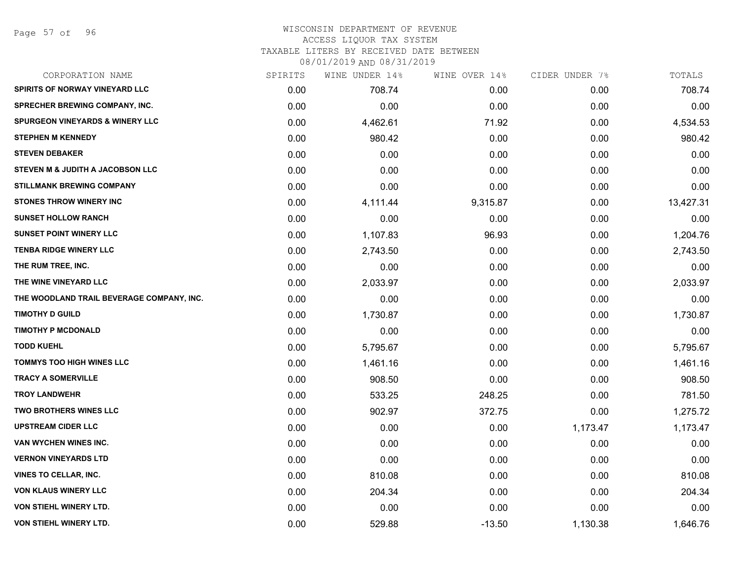Page 57 of 96

#### WISCONSIN DEPARTMENT OF REVENUE ACCESS LIQUOR TAX SYSTEM

TAXABLE LITERS BY RECEIVED DATE BETWEEN

| CORPORATION NAME                           | SPIRITS | WINE UNDER 14% | WINE OVER 14% | CIDER UNDER 7% | TOTALS    |
|--------------------------------------------|---------|----------------|---------------|----------------|-----------|
| <b>SPIRITS OF NORWAY VINEYARD LLC</b>      | 0.00    | 708.74         | 0.00          | 0.00           | 708.74    |
| <b>SPRECHER BREWING COMPANY, INC.</b>      | 0.00    | 0.00           | 0.00          | 0.00           | 0.00      |
| <b>SPURGEON VINEYARDS &amp; WINERY LLC</b> | 0.00    | 4,462.61       | 71.92         | 0.00           | 4,534.53  |
| <b>STEPHEN M KENNEDY</b>                   | 0.00    | 980.42         | 0.00          | 0.00           | 980.42    |
| <b>STEVEN DEBAKER</b>                      | 0.00    | 0.00           | 0.00          | 0.00           | 0.00      |
| STEVEN M & JUDITH A JACOBSON LLC           | 0.00    | 0.00           | 0.00          | 0.00           | 0.00      |
| <b>STILLMANK BREWING COMPANY</b>           | 0.00    | 0.00           | 0.00          | 0.00           | 0.00      |
| <b>STONES THROW WINERY INC</b>             | 0.00    | 4,111.44       | 9,315.87      | 0.00           | 13,427.31 |
| <b>SUNSET HOLLOW RANCH</b>                 | 0.00    | 0.00           | 0.00          | 0.00           | 0.00      |
| <b>SUNSET POINT WINERY LLC</b>             | 0.00    | 1,107.83       | 96.93         | 0.00           | 1,204.76  |
| <b>TENBA RIDGE WINERY LLC</b>              | 0.00    | 2,743.50       | 0.00          | 0.00           | 2,743.50  |
| THE RUM TREE, INC.                         | 0.00    | 0.00           | 0.00          | 0.00           | 0.00      |
| THE WINE VINEYARD LLC                      | 0.00    | 2,033.97       | 0.00          | 0.00           | 2,033.97  |
| THE WOODLAND TRAIL BEVERAGE COMPANY, INC.  | 0.00    | 0.00           | 0.00          | 0.00           | 0.00      |
| <b>TIMOTHY D GUILD</b>                     | 0.00    | 1,730.87       | 0.00          | 0.00           | 1,730.87  |
| <b>TIMOTHY P MCDONALD</b>                  | 0.00    | 0.00           | 0.00          | 0.00           | 0.00      |
| <b>TODD KUEHL</b>                          | 0.00    | 5,795.67       | 0.00          | 0.00           | 5,795.67  |
| <b>TOMMYS TOO HIGH WINES LLC</b>           | 0.00    | 1,461.16       | 0.00          | 0.00           | 1,461.16  |
| <b>TRACY A SOMERVILLE</b>                  | 0.00    | 908.50         | 0.00          | 0.00           | 908.50    |
| <b>TROY LANDWEHR</b>                       | 0.00    | 533.25         | 248.25        | 0.00           | 781.50    |
| <b>TWO BROTHERS WINES LLC</b>              | 0.00    | 902.97         | 372.75        | 0.00           | 1,275.72  |
| <b>UPSTREAM CIDER LLC</b>                  | 0.00    | 0.00           | 0.00          | 1,173.47       | 1,173.47  |
| VAN WYCHEN WINES INC.                      | 0.00    | 0.00           | 0.00          | 0.00           | 0.00      |
| <b>VERNON VINEYARDS LTD</b>                | 0.00    | 0.00           | 0.00          | 0.00           | 0.00      |
| <b>VINES TO CELLAR, INC.</b>               | 0.00    | 810.08         | 0.00          | 0.00           | 810.08    |
| <b>VON KLAUS WINERY LLC</b>                | 0.00    | 204.34         | 0.00          | 0.00           | 204.34    |
| <b>VON STIEHL WINERY LTD.</b>              | 0.00    | 0.00           | 0.00          | 0.00           | 0.00      |
| VON STIEHL WINERY LTD.                     | 0.00    | 529.88         | $-13.50$      | 1,130.38       | 1,646.76  |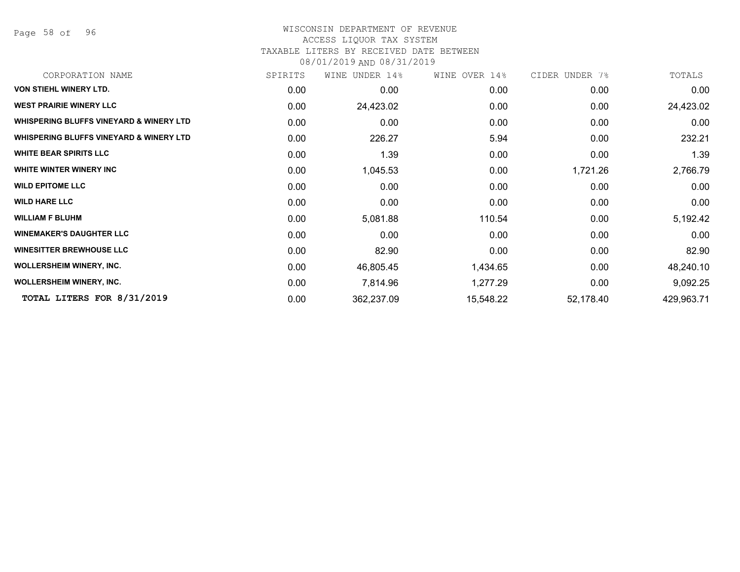Page 58 of 96

#### WISCONSIN DEPARTMENT OF REVENUE ACCESS LIQUOR TAX SYSTEM

#### TAXABLE LITERS BY RECEIVED DATE BETWEEN

| CORPORATION NAME                                   | SPIRITS | WINE UNDER 14% | WINE OVER 14% | CIDER UNDER 7% | TOTALS     |
|----------------------------------------------------|---------|----------------|---------------|----------------|------------|
| <b>VON STIEHL WINERY LTD.</b>                      | 0.00    | 0.00           | 0.00          | 0.00           | 0.00       |
| <b>WEST PRAIRIE WINERY LLC</b>                     | 0.00    | 24,423.02      | 0.00          | 0.00           | 24,423.02  |
| <b>WHISPERING BLUFFS VINEYARD &amp; WINERY LTD</b> | 0.00    | 0.00           | 0.00          | 0.00           | 0.00       |
| <b>WHISPERING BLUFFS VINEYARD &amp; WINERY LTD</b> | 0.00    | 226.27         | 5.94          | 0.00           | 232.21     |
| <b>WHITE BEAR SPIRITS LLC</b>                      | 0.00    | 1.39           | 0.00          | 0.00           | 1.39       |
| WHITE WINTER WINERY INC                            | 0.00    | 1,045.53       | 0.00          | 1,721.26       | 2,766.79   |
| <b>WILD EPITOME LLC</b>                            | 0.00    | 0.00           | 0.00          | 0.00           | 0.00       |
| <b>WILD HARE LLC</b>                               | 0.00    | 0.00           | 0.00          | 0.00           | 0.00       |
| <b>WILLIAM F BLUHM</b>                             | 0.00    | 5,081.88       | 110.54        | 0.00           | 5,192.42   |
| <b>WINEMAKER'S DAUGHTER LLC</b>                    | 0.00    | 0.00           | 0.00          | 0.00           | 0.00       |
| <b>WINESITTER BREWHOUSE LLC</b>                    | 0.00    | 82.90          | 0.00          | 0.00           | 82.90      |
| <b>WOLLERSHEIM WINERY, INC.</b>                    | 0.00    | 46,805.45      | 1,434.65      | 0.00           | 48,240.10  |
| <b>WOLLERSHEIM WINERY, INC.</b>                    | 0.00    | 7,814.96       | 1,277.29      | 0.00           | 9,092.25   |
| TOTAL LITERS FOR 8/31/2019                         | 0.00    | 362,237.09     | 15,548.22     | 52,178.40      | 429,963.71 |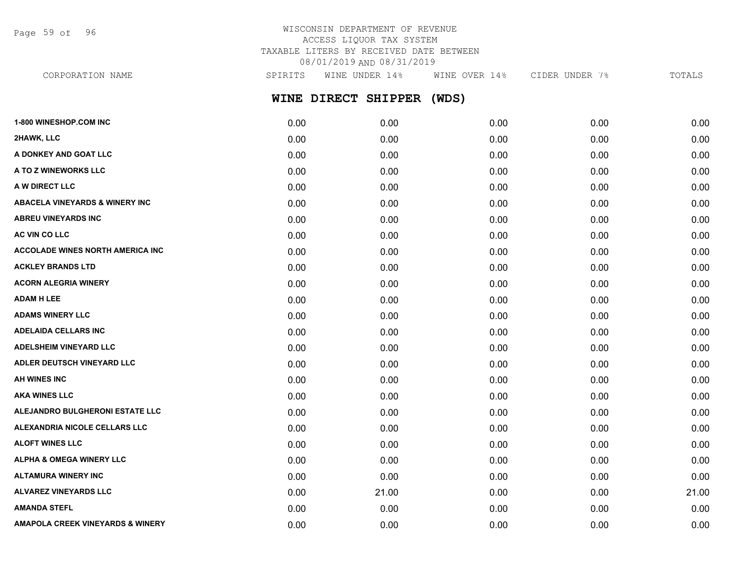Page 59 of 96

## WISCONSIN DEPARTMENT OF REVENUE ACCESS LIQUOR TAX SYSTEM TAXABLE LITERS BY RECEIVED DATE BETWEEN 08/01/2019 AND 08/31/2019

| CORPORATION NAME                          | SPIRITS | WINE UNDER 14%      | WINE OVER 14% | CIDER UNDER 7% | TOTALS |
|-------------------------------------------|---------|---------------------|---------------|----------------|--------|
|                                           |         | WINE DIRECT SHIPPER | (WDS)         |                |        |
| 1-800 WINESHOP.COM INC                    | 0.00    | 0.00                | 0.00          | 0.00           | 0.00   |
| 2HAWK, LLC                                | 0.00    | 0.00                | 0.00          | 0.00           | 0.00   |
| A DONKEY AND GOAT LLC                     | 0.00    | 0.00                | 0.00          | 0.00           | 0.00   |
| A TO Z WINEWORKS LLC                      | 0.00    | 0.00                | 0.00          | 0.00           | 0.00   |
| A W DIRECT LLC                            | 0.00    | 0.00                | 0.00          | 0.00           | 0.00   |
| <b>ABACELA VINEYARDS &amp; WINERY INC</b> | 0.00    | 0.00                | 0.00          | 0.00           | 0.00   |
| <b>ABREU VINEYARDS INC</b>                | 0.00    | 0.00                | 0.00          | 0.00           | 0.00   |
| <b>AC VIN CO LLC</b>                      | 0.00    | 0.00                | 0.00          | 0.00           | 0.00   |
| <b>ACCOLADE WINES NORTH AMERICA INC.</b>  | 0.00    | 0.00                | 0.00          | 0.00           | 0.00   |
| <b>ACKLEY BRANDS LTD</b>                  | 0.00    | 0.00                | 0.00          | 0.00           | 0.00   |
| <b>ACORN ALEGRIA WINERY</b>               | 0.00    | 0.00                | 0.00          | 0.00           | 0.00   |
| <b>ADAM H LEE</b>                         | 0.00    | 0.00                | 0.00          | 0.00           | 0.00   |
| <b>ADAMS WINERY LLC</b>                   | 0.00    | 0.00                | 0.00          | 0.00           | 0.00   |
| <b>ADELAIDA CELLARS INC</b>               | 0.00    | 0.00                | 0.00          | 0.00           | 0.00   |
| <b>ADELSHEIM VINEYARD LLC</b>             | 0.00    | 0.00                | 0.00          | 0.00           | 0.00   |
| ADLER DEUTSCH VINEYARD LLC                | 0.00    | 0.00                | 0.00          | 0.00           | 0.00   |
| <b>AH WINES INC</b>                       | 0.00    | 0.00                | 0.00          | 0.00           | 0.00   |
| <b>AKA WINES LLC</b>                      | 0.00    | 0.00                | 0.00          | 0.00           | 0.00   |

**ALEJANDRO BULGHERONI ESTATE LLC** 0.00 0.00 0.00 0.00 0.00 **ALEXANDRIA NICOLE CELLARS LLC** 0.00 0.00 0.00 0.00 0.00 **ALOFT WINES LLC** 0.00 0.00 0.00 0.00 0.00 **ALPHA & OMEGA WINERY LLC** 0.00 0.00 0.00 0.00 0.00 **ALTAMURA WINERY INC** 0.00 0.00 0.00 0.00 0.00 **ALVAREZ VINEYARDS LLC** 0.00 21.00 0.00 0.00 21.00 **AMANDA STEFL** 0.00 0.00 0.00 0.00 0.00 **AMAPOLA CREEK VINEYARDS & WINERY** 0.00 0.00 0.00 0.00 0.00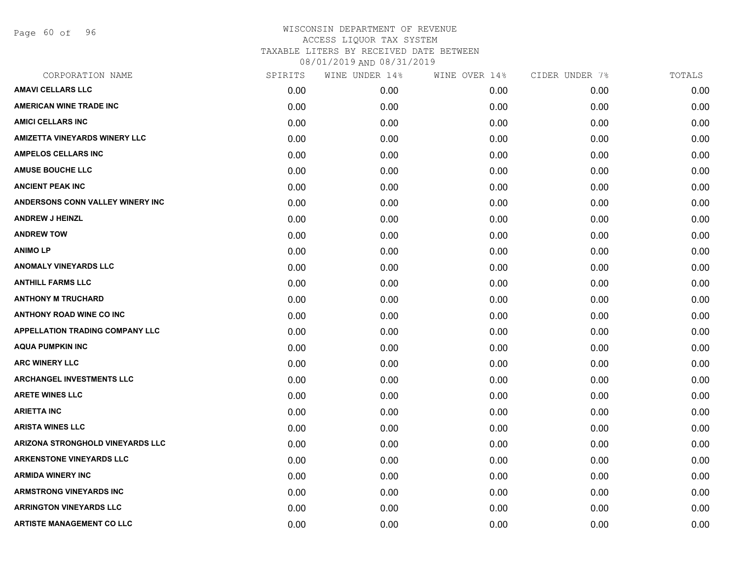Page 60 of 96

| CORPORATION NAME                        | SPIRITS | WINE UNDER 14% | WINE OVER 14% | CIDER UNDER 7% | TOTALS |
|-----------------------------------------|---------|----------------|---------------|----------------|--------|
| <b>AMAVI CELLARS LLC</b>                | 0.00    | 0.00           | 0.00          | 0.00           | 0.00   |
| <b>AMERICAN WINE TRADE INC</b>          | 0.00    | 0.00           | 0.00          | 0.00           | 0.00   |
| <b>AMICI CELLARS INC</b>                | 0.00    | 0.00           | 0.00          | 0.00           | 0.00   |
| <b>AMIZETTA VINEYARDS WINERY LLC</b>    | 0.00    | 0.00           | 0.00          | 0.00           | 0.00   |
| <b>AMPELOS CELLARS INC</b>              | 0.00    | 0.00           | 0.00          | 0.00           | 0.00   |
| <b>AMUSE BOUCHE LLC</b>                 | 0.00    | 0.00           | 0.00          | 0.00           | 0.00   |
| <b>ANCIENT PEAK INC</b>                 | 0.00    | 0.00           | 0.00          | 0.00           | 0.00   |
| <b>ANDERSONS CONN VALLEY WINERY INC</b> | 0.00    | 0.00           | 0.00          | 0.00           | 0.00   |
| <b>ANDREW J HEINZL</b>                  | 0.00    | 0.00           | 0.00          | 0.00           | 0.00   |
| <b>ANDREW TOW</b>                       | 0.00    | 0.00           | 0.00          | 0.00           | 0.00   |
| <b>ANIMOLP</b>                          | 0.00    | 0.00           | 0.00          | 0.00           | 0.00   |
| <b>ANOMALY VINEYARDS LLC</b>            | 0.00    | 0.00           | 0.00          | 0.00           | 0.00   |
| <b>ANTHILL FARMS LLC</b>                | 0.00    | 0.00           | 0.00          | 0.00           | 0.00   |
| <b>ANTHONY M TRUCHARD</b>               | 0.00    | 0.00           | 0.00          | 0.00           | 0.00   |
| <b>ANTHONY ROAD WINE CO INC</b>         | 0.00    | 0.00           | 0.00          | 0.00           | 0.00   |
| <b>APPELLATION TRADING COMPANY LLC</b>  | 0.00    | 0.00           | 0.00          | 0.00           | 0.00   |
| <b>AQUA PUMPKIN INC</b>                 | 0.00    | 0.00           | 0.00          | 0.00           | 0.00   |
| <b>ARC WINERY LLC</b>                   | 0.00    | 0.00           | 0.00          | 0.00           | 0.00   |
| <b>ARCHANGEL INVESTMENTS LLC</b>        | 0.00    | 0.00           | 0.00          | 0.00           | 0.00   |
| <b>ARETE WINES LLC</b>                  | 0.00    | 0.00           | 0.00          | 0.00           | 0.00   |
| <b>ARIETTA INC</b>                      | 0.00    | 0.00           | 0.00          | 0.00           | 0.00   |
| <b>ARISTA WINES LLC</b>                 | 0.00    | 0.00           | 0.00          | 0.00           | 0.00   |
| ARIZONA STRONGHOLD VINEYARDS LLC        | 0.00    | 0.00           | 0.00          | 0.00           | 0.00   |
| <b>ARKENSTONE VINEYARDS LLC</b>         | 0.00    | 0.00           | 0.00          | 0.00           | 0.00   |
| <b>ARMIDA WINERY INC</b>                | 0.00    | 0.00           | 0.00          | 0.00           | 0.00   |
| <b>ARMSTRONG VINEYARDS INC</b>          | 0.00    | 0.00           | 0.00          | 0.00           | 0.00   |
| <b>ARRINGTON VINEYARDS LLC</b>          | 0.00    | 0.00           | 0.00          | 0.00           | 0.00   |
| <b>ARTISTE MANAGEMENT CO LLC</b>        | 0.00    | 0.00           | 0.00          | 0.00           | 0.00   |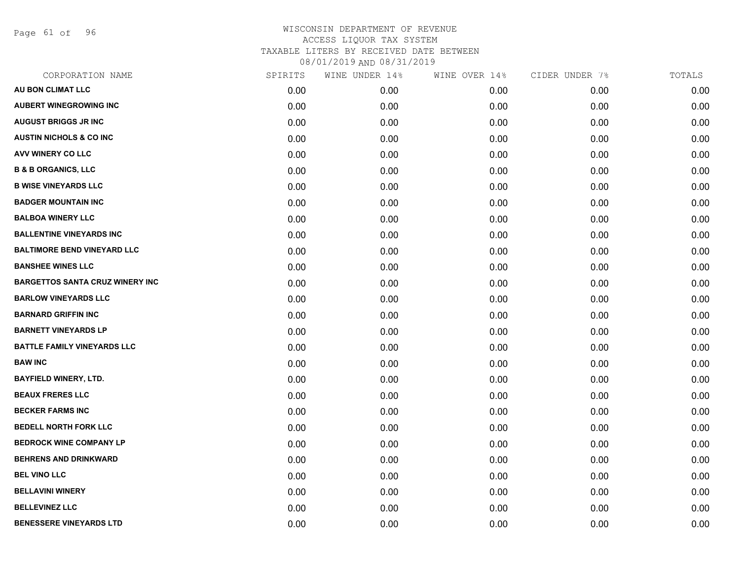Page 61 of 96

| CORPORATION NAME                       | SPIRITS | WINE UNDER 14% | WINE OVER 14% | CIDER UNDER 7% | TOTALS |
|----------------------------------------|---------|----------------|---------------|----------------|--------|
| AU BON CLIMAT LLC                      | 0.00    | 0.00           | 0.00          | 0.00           | 0.00   |
| <b>AUBERT WINEGROWING INC</b>          | 0.00    | 0.00           | 0.00          | 0.00           | 0.00   |
| <b>AUGUST BRIGGS JR INC</b>            | 0.00    | 0.00           | 0.00          | 0.00           | 0.00   |
| <b>AUSTIN NICHOLS &amp; CO INC</b>     | 0.00    | 0.00           | 0.00          | 0.00           | 0.00   |
| <b>AVV WINERY CO LLC</b>               | 0.00    | 0.00           | 0.00          | 0.00           | 0.00   |
| <b>B &amp; B ORGANICS, LLC</b>         | 0.00    | 0.00           | 0.00          | 0.00           | 0.00   |
| <b>B WISE VINEYARDS LLC</b>            | 0.00    | 0.00           | 0.00          | 0.00           | 0.00   |
| <b>BADGER MOUNTAIN INC</b>             | 0.00    | 0.00           | 0.00          | 0.00           | 0.00   |
| <b>BALBOA WINERY LLC</b>               | 0.00    | 0.00           | 0.00          | 0.00           | 0.00   |
| <b>BALLENTINE VINEYARDS INC</b>        | 0.00    | 0.00           | 0.00          | 0.00           | 0.00   |
| <b>BALTIMORE BEND VINEYARD LLC</b>     | 0.00    | 0.00           | 0.00          | 0.00           | 0.00   |
| <b>BANSHEE WINES LLC</b>               | 0.00    | 0.00           | 0.00          | 0.00           | 0.00   |
| <b>BARGETTOS SANTA CRUZ WINERY INC</b> | 0.00    | 0.00           | 0.00          | 0.00           | 0.00   |
| <b>BARLOW VINEYARDS LLC</b>            | 0.00    | 0.00           | 0.00          | 0.00           | 0.00   |
| <b>BARNARD GRIFFIN INC</b>             | 0.00    | 0.00           | 0.00          | 0.00           | 0.00   |
| <b>BARNETT VINEYARDS LP</b>            | 0.00    | 0.00           | 0.00          | 0.00           | 0.00   |
| <b>BATTLE FAMILY VINEYARDS LLC</b>     | 0.00    | 0.00           | 0.00          | 0.00           | 0.00   |
| <b>BAW INC</b>                         | 0.00    | 0.00           | 0.00          | 0.00           | 0.00   |
| <b>BAYFIELD WINERY, LTD.</b>           | 0.00    | 0.00           | 0.00          | 0.00           | 0.00   |
| <b>BEAUX FRERES LLC</b>                | 0.00    | 0.00           | 0.00          | 0.00           | 0.00   |
| <b>BECKER FARMS INC</b>                | 0.00    | 0.00           | 0.00          | 0.00           | 0.00   |
| <b>BEDELL NORTH FORK LLC</b>           | 0.00    | 0.00           | 0.00          | 0.00           | 0.00   |
| <b>BEDROCK WINE COMPANY LP</b>         | 0.00    | 0.00           | 0.00          | 0.00           | 0.00   |
| <b>BEHRENS AND DRINKWARD</b>           | 0.00    | 0.00           | 0.00          | 0.00           | 0.00   |
| <b>BEL VINO LLC</b>                    | 0.00    | 0.00           | 0.00          | 0.00           | 0.00   |
| <b>BELLAVINI WINERY</b>                | 0.00    | 0.00           | 0.00          | 0.00           | 0.00   |
| <b>BELLEVINEZ LLC</b>                  | 0.00    | 0.00           | 0.00          | 0.00           | 0.00   |
| <b>BENESSERE VINEYARDS LTD</b>         | 0.00    | 0.00           | 0.00          | 0.00           | 0.00   |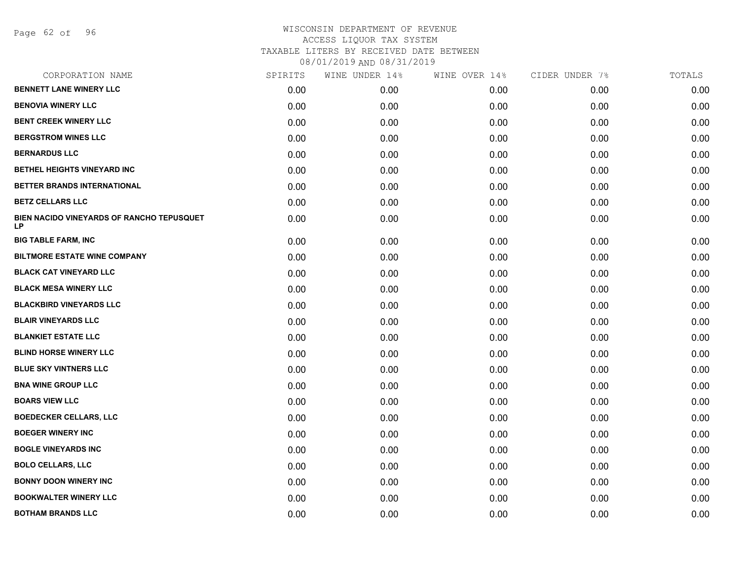Page 62 of 96

| CORPORATION NAME                                | SPIRITS | WINE UNDER 14% | WINE OVER 14% | CIDER UNDER 7% | TOTALS |
|-------------------------------------------------|---------|----------------|---------------|----------------|--------|
| <b>BENNETT LANE WINERY LLC</b>                  | 0.00    | 0.00           | 0.00          | 0.00           | 0.00   |
| <b>BENOVIA WINERY LLC</b>                       | 0.00    | 0.00           | 0.00          | 0.00           | 0.00   |
| <b>BENT CREEK WINERY LLC</b>                    | 0.00    | 0.00           | 0.00          | 0.00           | 0.00   |
| <b>BERGSTROM WINES LLC</b>                      | 0.00    | 0.00           | 0.00          | 0.00           | 0.00   |
| <b>BERNARDUS LLC</b>                            | 0.00    | 0.00           | 0.00          | 0.00           | 0.00   |
| BETHEL HEIGHTS VINEYARD INC                     | 0.00    | 0.00           | 0.00          | 0.00           | 0.00   |
| BETTER BRANDS INTERNATIONAL                     | 0.00    | 0.00           | 0.00          | 0.00           | 0.00   |
| <b>BETZ CELLARS LLC</b>                         | 0.00    | 0.00           | 0.00          | 0.00           | 0.00   |
| BIEN NACIDO VINEYARDS OF RANCHO TEPUSQUET<br>LP | 0.00    | 0.00           | 0.00          | 0.00           | 0.00   |
| <b>BIG TABLE FARM, INC</b>                      | 0.00    | 0.00           | 0.00          | 0.00           | 0.00   |
| <b>BILTMORE ESTATE WINE COMPANY</b>             | 0.00    | 0.00           | 0.00          | 0.00           | 0.00   |
| <b>BLACK CAT VINEYARD LLC</b>                   | 0.00    | 0.00           | 0.00          | 0.00           | 0.00   |
| <b>BLACK MESA WINERY LLC</b>                    | 0.00    | 0.00           | 0.00          | 0.00           | 0.00   |
| <b>BLACKBIRD VINEYARDS LLC</b>                  | 0.00    | 0.00           | 0.00          | 0.00           | 0.00   |
| <b>BLAIR VINEYARDS LLC</b>                      | 0.00    | 0.00           | 0.00          | 0.00           | 0.00   |
| <b>BLANKIET ESTATE LLC</b>                      | 0.00    | 0.00           | 0.00          | 0.00           | 0.00   |
| <b>BLIND HORSE WINERY LLC</b>                   | 0.00    | 0.00           | 0.00          | 0.00           | 0.00   |
| <b>BLUE SKY VINTNERS LLC</b>                    | 0.00    | 0.00           | 0.00          | 0.00           | 0.00   |
| <b>BNA WINE GROUP LLC</b>                       | 0.00    | 0.00           | 0.00          | 0.00           | 0.00   |
| <b>BOARS VIEW LLC</b>                           | 0.00    | 0.00           | 0.00          | 0.00           | 0.00   |
| <b>BOEDECKER CELLARS, LLC</b>                   | 0.00    | 0.00           | 0.00          | 0.00           | 0.00   |
| <b>BOEGER WINERY INC</b>                        | 0.00    | 0.00           | 0.00          | 0.00           | 0.00   |
| <b>BOGLE VINEYARDS INC</b>                      | 0.00    | 0.00           | 0.00          | 0.00           | 0.00   |
| <b>BOLO CELLARS, LLC</b>                        | 0.00    | 0.00           | 0.00          | 0.00           | 0.00   |
| <b>BONNY DOON WINERY INC</b>                    | 0.00    | 0.00           | 0.00          | 0.00           | 0.00   |
| <b>BOOKWALTER WINERY LLC</b>                    | 0.00    | 0.00           | 0.00          | 0.00           | 0.00   |
| <b>BOTHAM BRANDS LLC</b>                        | 0.00    | 0.00           | 0.00          | 0.00           | 0.00   |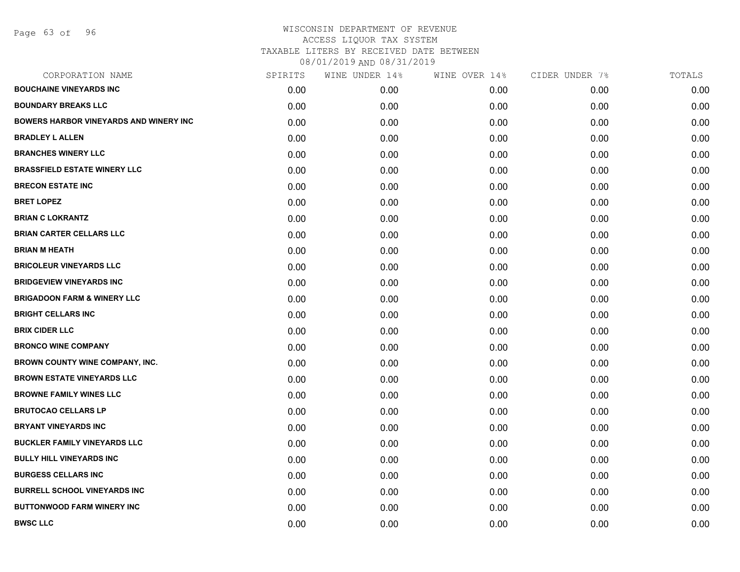Page 63 of 96

| CORPORATION NAME                              | SPIRITS | WINE UNDER 14% | WINE OVER 14% | CIDER UNDER 7% | TOTALS |
|-----------------------------------------------|---------|----------------|---------------|----------------|--------|
| <b>BOUCHAINE VINEYARDS INC</b>                | 0.00    | 0.00           | 0.00          | 0.00           | 0.00   |
| <b>BOUNDARY BREAKS LLC</b>                    | 0.00    | 0.00           | 0.00          | 0.00           | 0.00   |
| <b>BOWERS HARBOR VINEYARDS AND WINERY INC</b> | 0.00    | 0.00           | 0.00          | 0.00           | 0.00   |
| <b>BRADLEY L ALLEN</b>                        | 0.00    | 0.00           | 0.00          | 0.00           | 0.00   |
| <b>BRANCHES WINERY LLC</b>                    | 0.00    | 0.00           | 0.00          | 0.00           | 0.00   |
| <b>BRASSFIELD ESTATE WINERY LLC</b>           | 0.00    | 0.00           | 0.00          | 0.00           | 0.00   |
| <b>BRECON ESTATE INC</b>                      | 0.00    | 0.00           | 0.00          | 0.00           | 0.00   |
| <b>BRET LOPEZ</b>                             | 0.00    | 0.00           | 0.00          | 0.00           | 0.00   |
| <b>BRIAN C LOKRANTZ</b>                       | 0.00    | 0.00           | 0.00          | 0.00           | 0.00   |
| <b>BRIAN CARTER CELLARS LLC</b>               | 0.00    | 0.00           | 0.00          | 0.00           | 0.00   |
| <b>BRIAN M HEATH</b>                          | 0.00    | 0.00           | 0.00          | 0.00           | 0.00   |
| <b>BRICOLEUR VINEYARDS LLC</b>                | 0.00    | 0.00           | 0.00          | 0.00           | 0.00   |
| <b>BRIDGEVIEW VINEYARDS INC</b>               | 0.00    | 0.00           | 0.00          | 0.00           | 0.00   |
| <b>BRIGADOON FARM &amp; WINERY LLC</b>        | 0.00    | 0.00           | 0.00          | 0.00           | 0.00   |
| <b>BRIGHT CELLARS INC</b>                     | 0.00    | 0.00           | 0.00          | 0.00           | 0.00   |
| <b>BRIX CIDER LLC</b>                         | 0.00    | 0.00           | 0.00          | 0.00           | 0.00   |
| <b>BRONCO WINE COMPANY</b>                    | 0.00    | 0.00           | 0.00          | 0.00           | 0.00   |
| BROWN COUNTY WINE COMPANY, INC.               | 0.00    | 0.00           | 0.00          | 0.00           | 0.00   |
| <b>BROWN ESTATE VINEYARDS LLC</b>             | 0.00    | 0.00           | 0.00          | 0.00           | 0.00   |
| <b>BROWNE FAMILY WINES LLC</b>                | 0.00    | 0.00           | 0.00          | 0.00           | 0.00   |
| <b>BRUTOCAO CELLARS LP</b>                    | 0.00    | 0.00           | 0.00          | 0.00           | 0.00   |
| <b>BRYANT VINEYARDS INC</b>                   | 0.00    | 0.00           | 0.00          | 0.00           | 0.00   |
| <b>BUCKLER FAMILY VINEYARDS LLC</b>           | 0.00    | 0.00           | 0.00          | 0.00           | 0.00   |
| <b>BULLY HILL VINEYARDS INC</b>               | 0.00    | 0.00           | 0.00          | 0.00           | 0.00   |
| <b>BURGESS CELLARS INC</b>                    | 0.00    | 0.00           | 0.00          | 0.00           | 0.00   |
| <b>BURRELL SCHOOL VINEYARDS INC</b>           | 0.00    | 0.00           | 0.00          | 0.00           | 0.00   |
| <b>BUTTONWOOD FARM WINERY INC</b>             | 0.00    | 0.00           | 0.00          | 0.00           | 0.00   |
| <b>BWSC LLC</b>                               | 0.00    | 0.00           | 0.00          | 0.00           | 0.00   |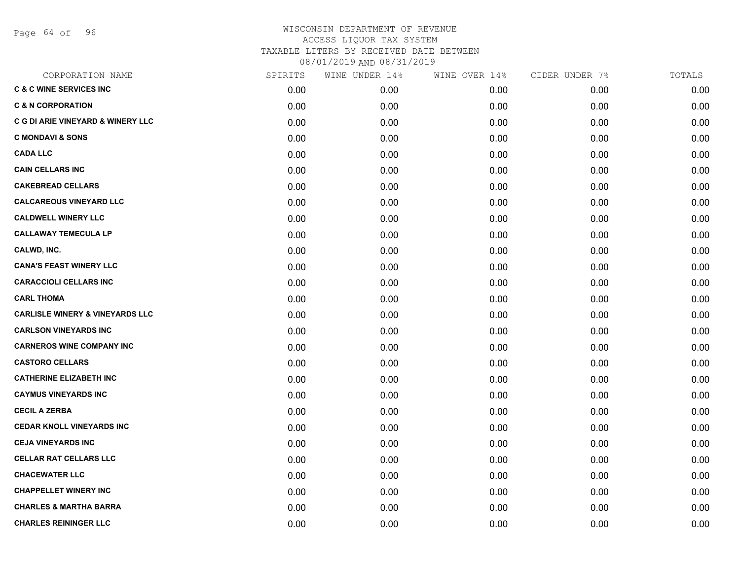Page 64 of 96

| CORPORATION NAME                             | SPIRITS | WINE UNDER 14% | WINE OVER 14% | CIDER UNDER 7% | TOTALS |
|----------------------------------------------|---------|----------------|---------------|----------------|--------|
| <b>C &amp; C WINE SERVICES INC</b>           | 0.00    | 0.00           | 0.00          | 0.00           | 0.00   |
| <b>C &amp; N CORPORATION</b>                 | 0.00    | 0.00           | 0.00          | 0.00           | 0.00   |
| <b>C G DI ARIE VINEYARD &amp; WINERY LLC</b> | 0.00    | 0.00           | 0.00          | 0.00           | 0.00   |
| <b>C MONDAVI &amp; SONS</b>                  | 0.00    | 0.00           | 0.00          | 0.00           | 0.00   |
| <b>CADA LLC</b>                              | 0.00    | 0.00           | 0.00          | 0.00           | 0.00   |
| <b>CAIN CELLARS INC</b>                      | 0.00    | 0.00           | 0.00          | 0.00           | 0.00   |
| <b>CAKEBREAD CELLARS</b>                     | 0.00    | 0.00           | 0.00          | 0.00           | 0.00   |
| <b>CALCAREOUS VINEYARD LLC</b>               | 0.00    | 0.00           | 0.00          | 0.00           | 0.00   |
| <b>CALDWELL WINERY LLC</b>                   | 0.00    | 0.00           | 0.00          | 0.00           | 0.00   |
| <b>CALLAWAY TEMECULA LP</b>                  | 0.00    | 0.00           | 0.00          | 0.00           | 0.00   |
| CALWD, INC.                                  | 0.00    | 0.00           | 0.00          | 0.00           | 0.00   |
| <b>CANA'S FEAST WINERY LLC</b>               | 0.00    | 0.00           | 0.00          | 0.00           | 0.00   |
| <b>CARACCIOLI CELLARS INC</b>                | 0.00    | 0.00           | 0.00          | 0.00           | 0.00   |
| <b>CARL THOMA</b>                            | 0.00    | 0.00           | 0.00          | 0.00           | 0.00   |
| <b>CARLISLE WINERY &amp; VINEYARDS LLC</b>   | 0.00    | 0.00           | 0.00          | 0.00           | 0.00   |
| <b>CARLSON VINEYARDS INC</b>                 | 0.00    | 0.00           | 0.00          | 0.00           | 0.00   |
| <b>CARNEROS WINE COMPANY INC</b>             | 0.00    | 0.00           | 0.00          | 0.00           | 0.00   |
| <b>CASTORO CELLARS</b>                       | 0.00    | 0.00           | 0.00          | 0.00           | 0.00   |
| <b>CATHERINE ELIZABETH INC</b>               | 0.00    | 0.00           | 0.00          | 0.00           | 0.00   |
| <b>CAYMUS VINEYARDS INC</b>                  | 0.00    | 0.00           | 0.00          | 0.00           | 0.00   |
| <b>CECIL A ZERBA</b>                         | 0.00    | 0.00           | 0.00          | 0.00           | 0.00   |
| <b>CEDAR KNOLL VINEYARDS INC</b>             | 0.00    | 0.00           | 0.00          | 0.00           | 0.00   |
| <b>CEJA VINEYARDS INC</b>                    | 0.00    | 0.00           | 0.00          | 0.00           | 0.00   |
| <b>CELLAR RAT CELLARS LLC</b>                | 0.00    | 0.00           | 0.00          | 0.00           | 0.00   |
| <b>CHACEWATER LLC</b>                        | 0.00    | 0.00           | 0.00          | 0.00           | 0.00   |
| <b>CHAPPELLET WINERY INC</b>                 | 0.00    | 0.00           | 0.00          | 0.00           | 0.00   |
| <b>CHARLES &amp; MARTHA BARRA</b>            | 0.00    | 0.00           | 0.00          | 0.00           | 0.00   |
| <b>CHARLES REININGER LLC</b>                 | 0.00    | 0.00           | 0.00          | 0.00           | 0.00   |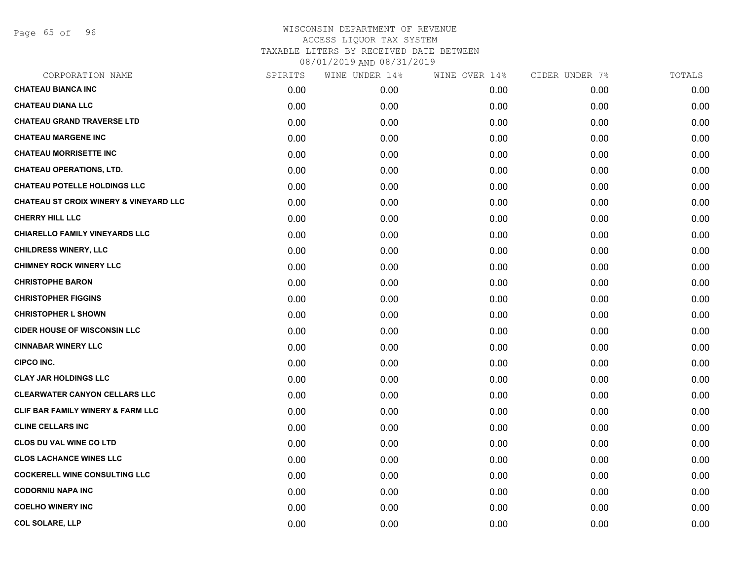Page 65 of 96

| CORPORATION NAME                                  | SPIRITS | WINE UNDER 14% | WINE OVER 14% | CIDER UNDER 7% | TOTALS |
|---------------------------------------------------|---------|----------------|---------------|----------------|--------|
| <b>CHATEAU BIANCA INC</b>                         | 0.00    | 0.00           | 0.00          | 0.00           | 0.00   |
| <b>CHATEAU DIANA LLC</b>                          | 0.00    | 0.00           | 0.00          | 0.00           | 0.00   |
| <b>CHATEAU GRAND TRAVERSE LTD</b>                 | 0.00    | 0.00           | 0.00          | 0.00           | 0.00   |
| <b>CHATEAU MARGENE INC</b>                        | 0.00    | 0.00           | 0.00          | 0.00           | 0.00   |
| <b>CHATEAU MORRISETTE INC</b>                     | 0.00    | 0.00           | 0.00          | 0.00           | 0.00   |
| <b>CHATEAU OPERATIONS, LTD.</b>                   | 0.00    | 0.00           | 0.00          | 0.00           | 0.00   |
| <b>CHATEAU POTELLE HOLDINGS LLC</b>               | 0.00    | 0.00           | 0.00          | 0.00           | 0.00   |
| <b>CHATEAU ST CROIX WINERY &amp; VINEYARD LLC</b> | 0.00    | 0.00           | 0.00          | 0.00           | 0.00   |
| <b>CHERRY HILL LLC</b>                            | 0.00    | 0.00           | 0.00          | 0.00           | 0.00   |
| <b>CHIARELLO FAMILY VINEYARDS LLC</b>             | 0.00    | 0.00           | 0.00          | 0.00           | 0.00   |
| <b>CHILDRESS WINERY, LLC</b>                      | 0.00    | 0.00           | 0.00          | 0.00           | 0.00   |
| <b>CHIMNEY ROCK WINERY LLC</b>                    | 0.00    | 0.00           | 0.00          | 0.00           | 0.00   |
| <b>CHRISTOPHE BARON</b>                           | 0.00    | 0.00           | 0.00          | 0.00           | 0.00   |
| <b>CHRISTOPHER FIGGINS</b>                        | 0.00    | 0.00           | 0.00          | 0.00           | 0.00   |
| <b>CHRISTOPHER L SHOWN</b>                        | 0.00    | 0.00           | 0.00          | 0.00           | 0.00   |
| <b>CIDER HOUSE OF WISCONSIN LLC</b>               | 0.00    | 0.00           | 0.00          | 0.00           | 0.00   |
| <b>CINNABAR WINERY LLC</b>                        | 0.00    | 0.00           | 0.00          | 0.00           | 0.00   |
| <b>CIPCO INC.</b>                                 | 0.00    | 0.00           | 0.00          | 0.00           | 0.00   |
| <b>CLAY JAR HOLDINGS LLC</b>                      | 0.00    | 0.00           | 0.00          | 0.00           | 0.00   |
| <b>CLEARWATER CANYON CELLARS LLC</b>              | 0.00    | 0.00           | 0.00          | 0.00           | 0.00   |
| <b>CLIF BAR FAMILY WINERY &amp; FARM LLC</b>      | 0.00    | 0.00           | 0.00          | 0.00           | 0.00   |
| <b>CLINE CELLARS INC</b>                          | 0.00    | 0.00           | 0.00          | 0.00           | 0.00   |
| <b>CLOS DU VAL WINE CO LTD</b>                    | 0.00    | 0.00           | 0.00          | 0.00           | 0.00   |
| <b>CLOS LACHANCE WINES LLC</b>                    | 0.00    | 0.00           | 0.00          | 0.00           | 0.00   |
| <b>COCKERELL WINE CONSULTING LLC</b>              | 0.00    | 0.00           | 0.00          | 0.00           | 0.00   |
| <b>CODORNIU NAPA INC</b>                          | 0.00    | 0.00           | 0.00          | 0.00           | 0.00   |
| <b>COELHO WINERY INC</b>                          | 0.00    | 0.00           | 0.00          | 0.00           | 0.00   |
| <b>COL SOLARE, LLP</b>                            | 0.00    | 0.00           | 0.00          | 0.00           | 0.00   |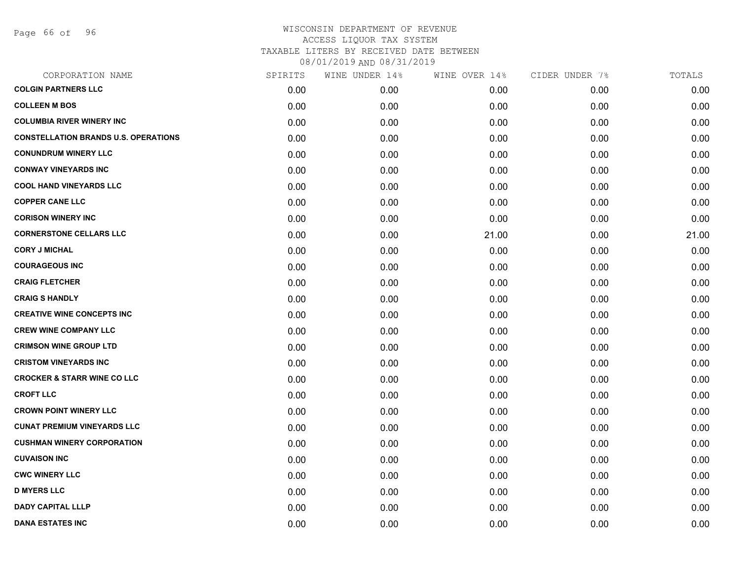Page 66 of 96

| CORPORATION NAME                            | SPIRITS | WINE UNDER 14% | WINE OVER 14% | CIDER UNDER 7% | TOTALS |
|---------------------------------------------|---------|----------------|---------------|----------------|--------|
| <b>COLGIN PARTNERS LLC</b>                  | 0.00    | 0.00           | 0.00          | 0.00           | 0.00   |
| <b>COLLEEN M BOS</b>                        | 0.00    | 0.00           | 0.00          | 0.00           | 0.00   |
| <b>COLUMBIA RIVER WINERY INC</b>            | 0.00    | 0.00           | 0.00          | 0.00           | 0.00   |
| <b>CONSTELLATION BRANDS U.S. OPERATIONS</b> | 0.00    | 0.00           | 0.00          | 0.00           | 0.00   |
| <b>CONUNDRUM WINERY LLC</b>                 | 0.00    | 0.00           | 0.00          | 0.00           | 0.00   |
| <b>CONWAY VINEYARDS INC</b>                 | 0.00    | 0.00           | 0.00          | 0.00           | 0.00   |
| <b>COOL HAND VINEYARDS LLC</b>              | 0.00    | 0.00           | 0.00          | 0.00           | 0.00   |
| <b>COPPER CANE LLC</b>                      | 0.00    | 0.00           | 0.00          | 0.00           | 0.00   |
| <b>CORISON WINERY INC</b>                   | 0.00    | 0.00           | 0.00          | 0.00           | 0.00   |
| <b>CORNERSTONE CELLARS LLC</b>              | 0.00    | 0.00           | 21.00         | 0.00           | 21.00  |
| <b>CORY J MICHAL</b>                        | 0.00    | 0.00           | 0.00          | 0.00           | 0.00   |
| <b>COURAGEOUS INC</b>                       | 0.00    | 0.00           | 0.00          | 0.00           | 0.00   |
| <b>CRAIG FLETCHER</b>                       | 0.00    | 0.00           | 0.00          | 0.00           | 0.00   |
| <b>CRAIG S HANDLY</b>                       | 0.00    | 0.00           | 0.00          | 0.00           | 0.00   |
| <b>CREATIVE WINE CONCEPTS INC</b>           | 0.00    | 0.00           | 0.00          | 0.00           | 0.00   |
| <b>CREW WINE COMPANY LLC</b>                | 0.00    | 0.00           | 0.00          | 0.00           | 0.00   |
| <b>CRIMSON WINE GROUP LTD</b>               | 0.00    | 0.00           | 0.00          | 0.00           | 0.00   |
| <b>CRISTOM VINEYARDS INC</b>                | 0.00    | 0.00           | 0.00          | 0.00           | 0.00   |
| <b>CROCKER &amp; STARR WINE CO LLC</b>      | 0.00    | 0.00           | 0.00          | 0.00           | 0.00   |
| <b>CROFT LLC</b>                            | 0.00    | 0.00           | 0.00          | 0.00           | 0.00   |
| <b>CROWN POINT WINERY LLC</b>               | 0.00    | 0.00           | 0.00          | 0.00           | 0.00   |
| <b>CUNAT PREMIUM VINEYARDS LLC</b>          | 0.00    | 0.00           | 0.00          | 0.00           | 0.00   |
| <b>CUSHMAN WINERY CORPORATION</b>           | 0.00    | 0.00           | 0.00          | 0.00           | 0.00   |
| <b>CUVAISON INC</b>                         | 0.00    | 0.00           | 0.00          | 0.00           | 0.00   |
| <b>CWC WINERY LLC</b>                       | 0.00    | 0.00           | 0.00          | 0.00           | 0.00   |
| <b>D MYERS LLC</b>                          | 0.00    | 0.00           | 0.00          | 0.00           | 0.00   |
| <b>DADY CAPITAL LLLP</b>                    | 0.00    | 0.00           | 0.00          | 0.00           | 0.00   |
| <b>DANA ESTATES INC</b>                     | 0.00    | 0.00           | 0.00          | 0.00           | 0.00   |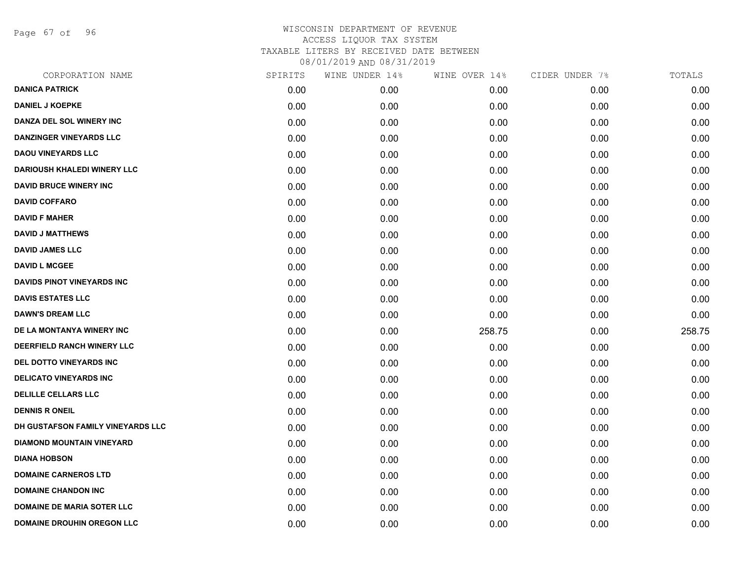Page 67 of 96

| CORPORATION NAME                   | SPIRITS | WINE UNDER 14% | WINE OVER 14% | CIDER UNDER 7% | TOTALS |
|------------------------------------|---------|----------------|---------------|----------------|--------|
| <b>DANICA PATRICK</b>              | 0.00    | 0.00           | 0.00          | 0.00           | 0.00   |
| <b>DANIEL J KOEPKE</b>             | 0.00    | 0.00           | 0.00          | 0.00           | 0.00   |
| DANZA DEL SOL WINERY INC           | 0.00    | 0.00           | 0.00          | 0.00           | 0.00   |
| <b>DANZINGER VINEYARDS LLC</b>     | 0.00    | 0.00           | 0.00          | 0.00           | 0.00   |
| <b>DAOU VINEYARDS LLC</b>          | 0.00    | 0.00           | 0.00          | 0.00           | 0.00   |
| <b>DARIOUSH KHALEDI WINERY LLC</b> | 0.00    | 0.00           | 0.00          | 0.00           | 0.00   |
| <b>DAVID BRUCE WINERY INC</b>      | 0.00    | 0.00           | 0.00          | 0.00           | 0.00   |
| <b>DAVID COFFARO</b>               | 0.00    | 0.00           | 0.00          | 0.00           | 0.00   |
| <b>DAVID F MAHER</b>               | 0.00    | 0.00           | 0.00          | 0.00           | 0.00   |
| <b>DAVID J MATTHEWS</b>            | 0.00    | 0.00           | 0.00          | 0.00           | 0.00   |
| <b>DAVID JAMES LLC</b>             | 0.00    | 0.00           | 0.00          | 0.00           | 0.00   |
| <b>DAVID L MCGEE</b>               | 0.00    | 0.00           | 0.00          | 0.00           | 0.00   |
| DAVIDS PINOT VINEYARDS INC         | 0.00    | 0.00           | 0.00          | 0.00           | 0.00   |
| <b>DAVIS ESTATES LLC</b>           | 0.00    | 0.00           | 0.00          | 0.00           | 0.00   |
| <b>DAWN'S DREAM LLC</b>            | 0.00    | 0.00           | 0.00          | 0.00           | 0.00   |
| DE LA MONTANYA WINERY INC          | 0.00    | 0.00           | 258.75        | 0.00           | 258.75 |
| DEERFIELD RANCH WINERY LLC         | 0.00    | 0.00           | 0.00          | 0.00           | 0.00   |
| DEL DOTTO VINEYARDS INC            | 0.00    | 0.00           | 0.00          | 0.00           | 0.00   |
| <b>DELICATO VINEYARDS INC</b>      | 0.00    | 0.00           | 0.00          | 0.00           | 0.00   |
| <b>DELILLE CELLARS LLC</b>         | 0.00    | 0.00           | 0.00          | 0.00           | 0.00   |
| <b>DENNIS R ONEIL</b>              | 0.00    | 0.00           | 0.00          | 0.00           | 0.00   |
| DH GUSTAFSON FAMILY VINEYARDS LLC  | 0.00    | 0.00           | 0.00          | 0.00           | 0.00   |
| <b>DIAMOND MOUNTAIN VINEYARD</b>   | 0.00    | 0.00           | 0.00          | 0.00           | 0.00   |
| <b>DIANA HOBSON</b>                | 0.00    | 0.00           | 0.00          | 0.00           | 0.00   |
| <b>DOMAINE CARNEROS LTD</b>        | 0.00    | 0.00           | 0.00          | 0.00           | 0.00   |
| <b>DOMAINE CHANDON INC</b>         | 0.00    | 0.00           | 0.00          | 0.00           | 0.00   |
| <b>DOMAINE DE MARIA SOTER LLC</b>  | 0.00    | 0.00           | 0.00          | 0.00           | 0.00   |
| <b>DOMAINE DROUHIN OREGON LLC</b>  | 0.00    | 0.00           | 0.00          | 0.00           | 0.00   |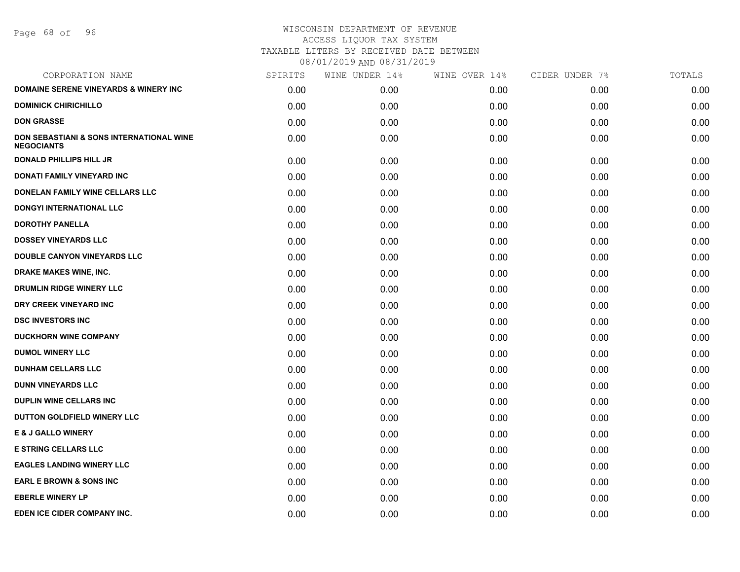Page 68 of 96

| CORPORATION NAME                                                         | SPIRITS | WINE UNDER 14% | WINE OVER 14% | CIDER UNDER 7% | TOTALS |
|--------------------------------------------------------------------------|---------|----------------|---------------|----------------|--------|
| <b>DOMAINE SERENE VINEYARDS &amp; WINERY INC</b>                         | 0.00    | 0.00           | 0.00          | 0.00           | 0.00   |
| <b>DOMINICK CHIRICHILLO</b>                                              | 0.00    | 0.00           | 0.00          | 0.00           | 0.00   |
| <b>DON GRASSE</b>                                                        | 0.00    | 0.00           | 0.00          | 0.00           | 0.00   |
| <b>DON SEBASTIANI &amp; SONS INTERNATIONAL WINE</b><br><b>NEGOCIANTS</b> | 0.00    | 0.00           | 0.00          | 0.00           | 0.00   |
| <b>DONALD PHILLIPS HILL JR</b>                                           | 0.00    | 0.00           | 0.00          | 0.00           | 0.00   |
| DONATI FAMILY VINEYARD INC                                               | 0.00    | 0.00           | 0.00          | 0.00           | 0.00   |
| DONELAN FAMILY WINE CELLARS LLC                                          | 0.00    | 0.00           | 0.00          | 0.00           | 0.00   |
| <b>DONGYI INTERNATIONAL LLC</b>                                          | 0.00    | 0.00           | 0.00          | 0.00           | 0.00   |
| <b>DOROTHY PANELLA</b>                                                   | 0.00    | 0.00           | 0.00          | 0.00           | 0.00   |
| <b>DOSSEY VINEYARDS LLC</b>                                              | 0.00    | 0.00           | 0.00          | 0.00           | 0.00   |
| <b>DOUBLE CANYON VINEYARDS LLC</b>                                       | 0.00    | 0.00           | 0.00          | 0.00           | 0.00   |
| DRAKE MAKES WINE, INC.                                                   | 0.00    | 0.00           | 0.00          | 0.00           | 0.00   |
| DRUMLIN RIDGE WINERY LLC                                                 | 0.00    | 0.00           | 0.00          | 0.00           | 0.00   |
| DRY CREEK VINEYARD INC                                                   | 0.00    | 0.00           | 0.00          | 0.00           | 0.00   |
| <b>DSC INVESTORS INC</b>                                                 | 0.00    | 0.00           | 0.00          | 0.00           | 0.00   |
| <b>DUCKHORN WINE COMPANY</b>                                             | 0.00    | 0.00           | 0.00          | 0.00           | 0.00   |
| <b>DUMOL WINERY LLC</b>                                                  | 0.00    | 0.00           | 0.00          | 0.00           | 0.00   |
| <b>DUNHAM CELLARS LLC</b>                                                | 0.00    | 0.00           | 0.00          | 0.00           | 0.00   |
| <b>DUNN VINEYARDS LLC</b>                                                | 0.00    | 0.00           | 0.00          | 0.00           | 0.00   |
| <b>DUPLIN WINE CELLARS INC.</b>                                          | 0.00    | 0.00           | 0.00          | 0.00           | 0.00   |
| DUTTON GOLDFIELD WINERY LLC                                              | 0.00    | 0.00           | 0.00          | 0.00           | 0.00   |
| <b>E &amp; J GALLO WINERY</b>                                            | 0.00    | 0.00           | 0.00          | 0.00           | 0.00   |
| <b>E STRING CELLARS LLC</b>                                              | 0.00    | 0.00           | 0.00          | 0.00           | 0.00   |
| <b>EAGLES LANDING WINERY LLC</b>                                         | 0.00    | 0.00           | 0.00          | 0.00           | 0.00   |
| <b>EARL E BROWN &amp; SONS INC</b>                                       | 0.00    | 0.00           | 0.00          | 0.00           | 0.00   |
| <b>EBERLE WINERY LP</b>                                                  | 0.00    | 0.00           | 0.00          | 0.00           | 0.00   |
| EDEN ICE CIDER COMPANY INC.                                              | 0.00    | 0.00           | 0.00          | 0.00           | 0.00   |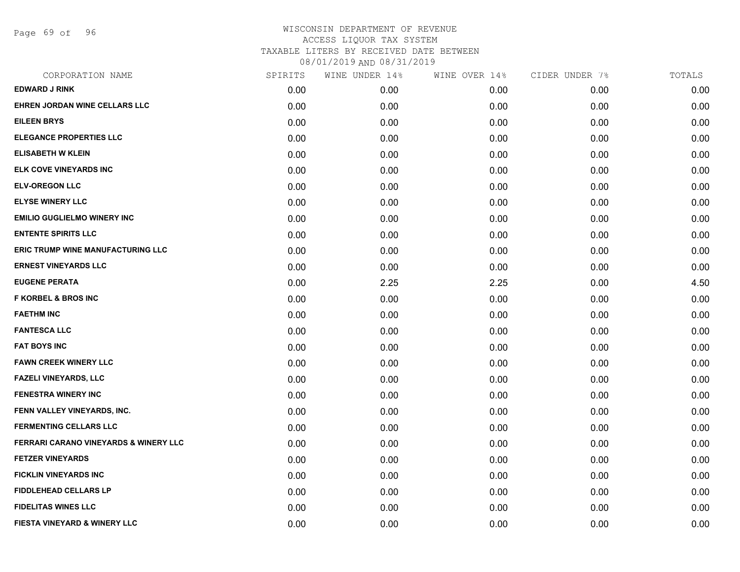Page 69 of 96

| CORPORATION NAME                                 | SPIRITS | WINE UNDER 14% | WINE OVER 14% | CIDER UNDER 7% | TOTALS |
|--------------------------------------------------|---------|----------------|---------------|----------------|--------|
| <b>EDWARD J RINK</b>                             | 0.00    | 0.00           | 0.00          | 0.00           | 0.00   |
| EHREN JORDAN WINE CELLARS LLC                    | 0.00    | 0.00           | 0.00          | 0.00           | 0.00   |
| <b>EILEEN BRYS</b>                               | 0.00    | 0.00           | 0.00          | 0.00           | 0.00   |
| <b>ELEGANCE PROPERTIES LLC</b>                   | 0.00    | 0.00           | 0.00          | 0.00           | 0.00   |
| <b>ELISABETH W KLEIN</b>                         | 0.00    | 0.00           | 0.00          | 0.00           | 0.00   |
| ELK COVE VINEYARDS INC                           | 0.00    | 0.00           | 0.00          | 0.00           | 0.00   |
| <b>ELV-OREGON LLC</b>                            | 0.00    | 0.00           | 0.00          | 0.00           | 0.00   |
| <b>ELYSE WINERY LLC</b>                          | 0.00    | 0.00           | 0.00          | 0.00           | 0.00   |
| <b>EMILIO GUGLIELMO WINERY INC</b>               | 0.00    | 0.00           | 0.00          | 0.00           | 0.00   |
| <b>ENTENTE SPIRITS LLC</b>                       | 0.00    | 0.00           | 0.00          | 0.00           | 0.00   |
| ERIC TRUMP WINE MANUFACTURING LLC                | 0.00    | 0.00           | 0.00          | 0.00           | 0.00   |
| <b>ERNEST VINEYARDS LLC</b>                      | 0.00    | 0.00           | 0.00          | 0.00           | 0.00   |
| <b>EUGENE PERATA</b>                             | 0.00    | 2.25           | 2.25          | 0.00           | 4.50   |
| <b>F KORBEL &amp; BROS INC</b>                   | 0.00    | 0.00           | 0.00          | 0.00           | 0.00   |
| <b>FAETHM INC</b>                                | 0.00    | 0.00           | 0.00          | 0.00           | 0.00   |
| <b>FANTESCA LLC</b>                              | 0.00    | 0.00           | 0.00          | 0.00           | 0.00   |
| <b>FAT BOYS INC</b>                              | 0.00    | 0.00           | 0.00          | 0.00           | 0.00   |
| <b>FAWN CREEK WINERY LLC</b>                     | 0.00    | 0.00           | 0.00          | 0.00           | 0.00   |
| FAZELI VINEYARDS, LLC                            | 0.00    | 0.00           | 0.00          | 0.00           | 0.00   |
| <b>FENESTRA WINERY INC</b>                       | 0.00    | 0.00           | 0.00          | 0.00           | 0.00   |
| FENN VALLEY VINEYARDS, INC.                      | 0.00    | 0.00           | 0.00          | 0.00           | 0.00   |
| <b>FERMENTING CELLARS LLC</b>                    | 0.00    | 0.00           | 0.00          | 0.00           | 0.00   |
| <b>FERRARI CARANO VINEYARDS &amp; WINERY LLC</b> | 0.00    | 0.00           | 0.00          | 0.00           | 0.00   |
| <b>FETZER VINEYARDS</b>                          | 0.00    | 0.00           | 0.00          | 0.00           | 0.00   |
| <b>FICKLIN VINEYARDS INC</b>                     | 0.00    | 0.00           | 0.00          | 0.00           | 0.00   |
| <b>FIDDLEHEAD CELLARS LP</b>                     | 0.00    | 0.00           | 0.00          | 0.00           | 0.00   |
| <b>FIDELITAS WINES LLC</b>                       | 0.00    | 0.00           | 0.00          | 0.00           | 0.00   |
| FIESTA VINEYARD & WINERY LLC                     | 0.00    | 0.00           | 0.00          | 0.00           | 0.00   |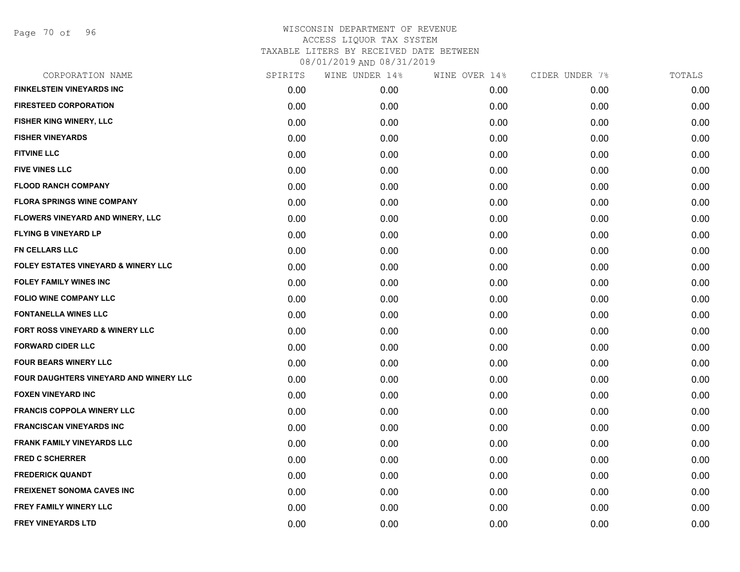Page 70 of 96

| CORPORATION NAME                               | SPIRITS | WINE UNDER 14% | WINE OVER 14% | CIDER UNDER 7% | TOTALS |
|------------------------------------------------|---------|----------------|---------------|----------------|--------|
| <b>FINKELSTEIN VINEYARDS INC</b>               | 0.00    | 0.00           | 0.00          | 0.00           | 0.00   |
| <b>FIRESTEED CORPORATION</b>                   | 0.00    | 0.00           | 0.00          | 0.00           | 0.00   |
| FISHER KING WINERY, LLC                        | 0.00    | 0.00           | 0.00          | 0.00           | 0.00   |
| <b>FISHER VINEYARDS</b>                        | 0.00    | 0.00           | 0.00          | 0.00           | 0.00   |
| <b>FITVINE LLC</b>                             | 0.00    | 0.00           | 0.00          | 0.00           | 0.00   |
| <b>FIVE VINES LLC</b>                          | 0.00    | 0.00           | 0.00          | 0.00           | 0.00   |
| <b>FLOOD RANCH COMPANY</b>                     | 0.00    | 0.00           | 0.00          | 0.00           | 0.00   |
| <b>FLORA SPRINGS WINE COMPANY</b>              | 0.00    | 0.00           | 0.00          | 0.00           | 0.00   |
| FLOWERS VINEYARD AND WINERY, LLC               | 0.00    | 0.00           | 0.00          | 0.00           | 0.00   |
| <b>FLYING B VINEYARD LP</b>                    | 0.00    | 0.00           | 0.00          | 0.00           | 0.00   |
| <b>FN CELLARS LLC</b>                          | 0.00    | 0.00           | 0.00          | 0.00           | 0.00   |
| <b>FOLEY ESTATES VINEYARD &amp; WINERY LLC</b> | 0.00    | 0.00           | 0.00          | 0.00           | 0.00   |
| <b>FOLEY FAMILY WINES INC</b>                  | 0.00    | 0.00           | 0.00          | 0.00           | 0.00   |
| <b>FOLIO WINE COMPANY LLC</b>                  | 0.00    | 0.00           | 0.00          | 0.00           | 0.00   |
| <b>FONTANELLA WINES LLC</b>                    | 0.00    | 0.00           | 0.00          | 0.00           | 0.00   |
| FORT ROSS VINEYARD & WINERY LLC                | 0.00    | 0.00           | 0.00          | 0.00           | 0.00   |
| <b>FORWARD CIDER LLC</b>                       | 0.00    | 0.00           | 0.00          | 0.00           | 0.00   |
| <b>FOUR BEARS WINERY LLC</b>                   | 0.00    | 0.00           | 0.00          | 0.00           | 0.00   |
| FOUR DAUGHTERS VINEYARD AND WINERY LLC         | 0.00    | 0.00           | 0.00          | 0.00           | 0.00   |
| <b>FOXEN VINEYARD INC</b>                      | 0.00    | 0.00           | 0.00          | 0.00           | 0.00   |
| <b>FRANCIS COPPOLA WINERY LLC</b>              | 0.00    | 0.00           | 0.00          | 0.00           | 0.00   |
| <b>FRANCISCAN VINEYARDS INC</b>                | 0.00    | 0.00           | 0.00          | 0.00           | 0.00   |
| <b>FRANK FAMILY VINEYARDS LLC</b>              | 0.00    | 0.00           | 0.00          | 0.00           | 0.00   |
| <b>FRED C SCHERRER</b>                         | 0.00    | 0.00           | 0.00          | 0.00           | 0.00   |
| <b>FREDERICK QUANDT</b>                        | 0.00    | 0.00           | 0.00          | 0.00           | 0.00   |
| <b>FREIXENET SONOMA CAVES INC</b>              | 0.00    | 0.00           | 0.00          | 0.00           | 0.00   |
| <b>FREY FAMILY WINERY LLC</b>                  | 0.00    | 0.00           | 0.00          | 0.00           | 0.00   |
| <b>FREY VINEYARDS LTD</b>                      | 0.00    | 0.00           | 0.00          | 0.00           | 0.00   |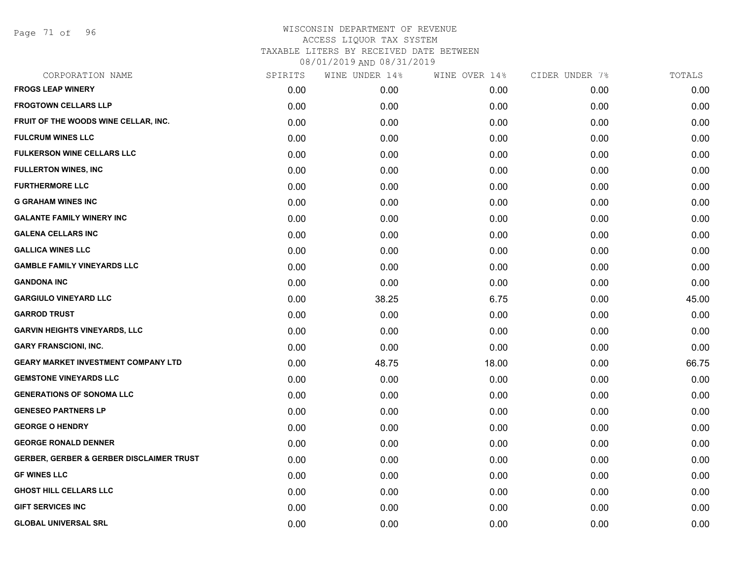Page 71 of 96

| CORPORATION NAME                                    | SPIRITS | WINE UNDER 14% | WINE OVER 14% | CIDER UNDER 7% | TOTALS |
|-----------------------------------------------------|---------|----------------|---------------|----------------|--------|
| <b>FROGS LEAP WINERY</b>                            | 0.00    | 0.00           | 0.00          | 0.00           | 0.00   |
| <b>FROGTOWN CELLARS LLP</b>                         | 0.00    | 0.00           | 0.00          | 0.00           | 0.00   |
| FRUIT OF THE WOODS WINE CELLAR, INC.                | 0.00    | 0.00           | 0.00          | 0.00           | 0.00   |
| <b>FULCRUM WINES LLC</b>                            | 0.00    | 0.00           | 0.00          | 0.00           | 0.00   |
| <b>FULKERSON WINE CELLARS LLC</b>                   | 0.00    | 0.00           | 0.00          | 0.00           | 0.00   |
| <b>FULLERTON WINES, INC</b>                         | 0.00    | 0.00           | 0.00          | 0.00           | 0.00   |
| <b>FURTHERMORE LLC</b>                              | 0.00    | 0.00           | 0.00          | 0.00           | 0.00   |
| <b>G GRAHAM WINES INC</b>                           | 0.00    | 0.00           | 0.00          | 0.00           | 0.00   |
| <b>GALANTE FAMILY WINERY INC</b>                    | 0.00    | 0.00           | 0.00          | 0.00           | 0.00   |
| <b>GALENA CELLARS INC</b>                           | 0.00    | 0.00           | 0.00          | 0.00           | 0.00   |
| <b>GALLICA WINES LLC</b>                            | 0.00    | 0.00           | 0.00          | 0.00           | 0.00   |
| <b>GAMBLE FAMILY VINEYARDS LLC</b>                  | 0.00    | 0.00           | 0.00          | 0.00           | 0.00   |
| <b>GANDONA INC</b>                                  | 0.00    | 0.00           | 0.00          | 0.00           | 0.00   |
| <b>GARGIULO VINEYARD LLC</b>                        | 0.00    | 38.25          | 6.75          | 0.00           | 45.00  |
| <b>GARROD TRUST</b>                                 | 0.00    | 0.00           | 0.00          | 0.00           | 0.00   |
| <b>GARVIN HEIGHTS VINEYARDS, LLC</b>                | 0.00    | 0.00           | 0.00          | 0.00           | 0.00   |
| <b>GARY FRANSCIONI, INC.</b>                        | 0.00    | 0.00           | 0.00          | 0.00           | 0.00   |
| <b>GEARY MARKET INVESTMENT COMPANY LTD</b>          | 0.00    | 48.75          | 18.00         | 0.00           | 66.75  |
| <b>GEMSTONE VINEYARDS LLC</b>                       | 0.00    | 0.00           | 0.00          | 0.00           | 0.00   |
| <b>GENERATIONS OF SONOMA LLC</b>                    | 0.00    | 0.00           | 0.00          | 0.00           | 0.00   |
| <b>GENESEO PARTNERS LP</b>                          | 0.00    | 0.00           | 0.00          | 0.00           | 0.00   |
| <b>GEORGE O HENDRY</b>                              | 0.00    | 0.00           | 0.00          | 0.00           | 0.00   |
| <b>GEORGE RONALD DENNER</b>                         | 0.00    | 0.00           | 0.00          | 0.00           | 0.00   |
| <b>GERBER, GERBER &amp; GERBER DISCLAIMER TRUST</b> | 0.00    | 0.00           | 0.00          | 0.00           | 0.00   |
| <b>GF WINES LLC</b>                                 | 0.00    | 0.00           | 0.00          | 0.00           | 0.00   |
| <b>GHOST HILL CELLARS LLC</b>                       | 0.00    | 0.00           | 0.00          | 0.00           | 0.00   |
| <b>GIFT SERVICES INC</b>                            | 0.00    | 0.00           | 0.00          | 0.00           | 0.00   |
| <b>GLOBAL UNIVERSAL SRL</b>                         | 0.00    | 0.00           | 0.00          | 0.00           | 0.00   |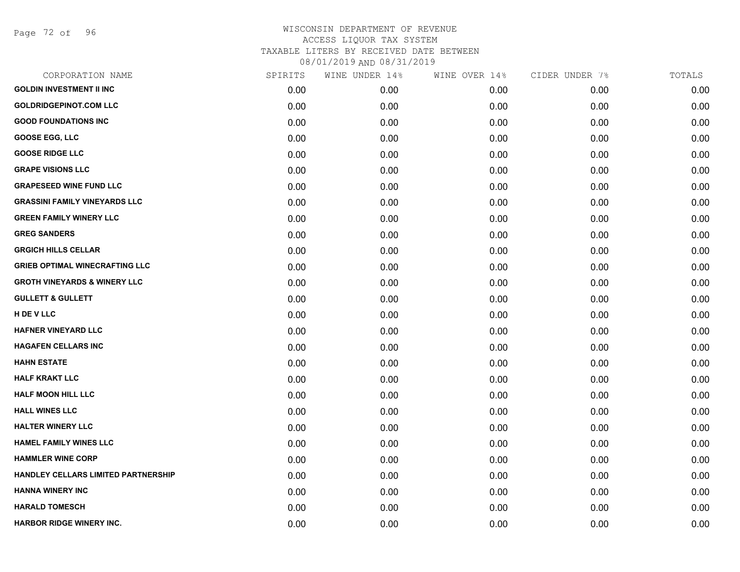Page 72 of 96

| CORPORATION NAME                        | SPIRITS | WINE UNDER 14% | WINE OVER 14% | CIDER UNDER 7% | TOTALS |
|-----------------------------------------|---------|----------------|---------------|----------------|--------|
| <b>GOLDIN INVESTMENT II INC</b>         | 0.00    | 0.00           | 0.00          | 0.00           | 0.00   |
| <b>GOLDRIDGEPINOT.COM LLC</b>           | 0.00    | 0.00           | 0.00          | 0.00           | 0.00   |
| <b>GOOD FOUNDATIONS INC</b>             | 0.00    | 0.00           | 0.00          | 0.00           | 0.00   |
| <b>GOOSE EGG, LLC</b>                   | 0.00    | 0.00           | 0.00          | 0.00           | 0.00   |
| <b>GOOSE RIDGE LLC</b>                  | 0.00    | 0.00           | 0.00          | 0.00           | 0.00   |
| <b>GRAPE VISIONS LLC</b>                | 0.00    | 0.00           | 0.00          | 0.00           | 0.00   |
| <b>GRAPESEED WINE FUND LLC</b>          | 0.00    | 0.00           | 0.00          | 0.00           | 0.00   |
| <b>GRASSINI FAMILY VINEYARDS LLC</b>    | 0.00    | 0.00           | 0.00          | 0.00           | 0.00   |
| <b>GREEN FAMILY WINERY LLC</b>          | 0.00    | 0.00           | 0.00          | 0.00           | 0.00   |
| <b>GREG SANDERS</b>                     | 0.00    | 0.00           | 0.00          | 0.00           | 0.00   |
| <b>GRGICH HILLS CELLAR</b>              | 0.00    | 0.00           | 0.00          | 0.00           | 0.00   |
| <b>GRIEB OPTIMAL WINECRAFTING LLC</b>   | 0.00    | 0.00           | 0.00          | 0.00           | 0.00   |
| <b>GROTH VINEYARDS &amp; WINERY LLC</b> | 0.00    | 0.00           | 0.00          | 0.00           | 0.00   |
| <b>GULLETT &amp; GULLETT</b>            | 0.00    | 0.00           | 0.00          | 0.00           | 0.00   |
| H DE V LLC                              | 0.00    | 0.00           | 0.00          | 0.00           | 0.00   |
| HAFNER VINEYARD LLC                     | 0.00    | 0.00           | 0.00          | 0.00           | 0.00   |
| <b>HAGAFEN CELLARS INC</b>              | 0.00    | 0.00           | 0.00          | 0.00           | 0.00   |
| <b>HAHN ESTATE</b>                      | 0.00    | 0.00           | 0.00          | 0.00           | 0.00   |
| <b>HALF KRAKT LLC</b>                   | 0.00    | 0.00           | 0.00          | 0.00           | 0.00   |
| HALF MOON HILL LLC                      | 0.00    | 0.00           | 0.00          | 0.00           | 0.00   |
| <b>HALL WINES LLC</b>                   | 0.00    | 0.00           | 0.00          | 0.00           | 0.00   |
| HALTER WINERY LLC                       | 0.00    | 0.00           | 0.00          | 0.00           | 0.00   |
| <b>HAMEL FAMILY WINES LLC</b>           | 0.00    | 0.00           | 0.00          | 0.00           | 0.00   |
| <b>HAMMLER WINE CORP</b>                | 0.00    | 0.00           | 0.00          | 0.00           | 0.00   |
| HANDLEY CELLARS LIMITED PARTNERSHIP     | 0.00    | 0.00           | 0.00          | 0.00           | 0.00   |
| <b>HANNA WINERY INC</b>                 | 0.00    | 0.00           | 0.00          | 0.00           | 0.00   |
| <b>HARALD TOMESCH</b>                   | 0.00    | 0.00           | 0.00          | 0.00           | 0.00   |
| HARBOR RIDGE WINERY INC.                | 0.00    | 0.00           | 0.00          | 0.00           | 0.00   |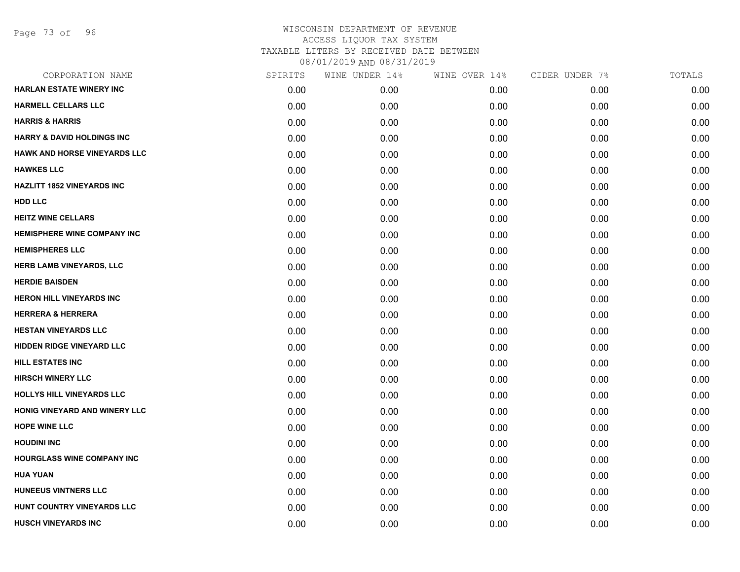Page 73 of 96

| CORPORATION NAME                      | SPIRITS | WINE UNDER 14% | WINE OVER 14% | CIDER UNDER 7% | TOTALS |
|---------------------------------------|---------|----------------|---------------|----------------|--------|
| <b>HARLAN ESTATE WINERY INC</b>       | 0.00    | 0.00           | 0.00          | 0.00           | 0.00   |
| <b>HARMELL CELLARS LLC</b>            | 0.00    | 0.00           | 0.00          | 0.00           | 0.00   |
| <b>HARRIS &amp; HARRIS</b>            | 0.00    | 0.00           | 0.00          | 0.00           | 0.00   |
| <b>HARRY &amp; DAVID HOLDINGS INC</b> | 0.00    | 0.00           | 0.00          | 0.00           | 0.00   |
| <b>HAWK AND HORSE VINEYARDS LLC</b>   | 0.00    | 0.00           | 0.00          | 0.00           | 0.00   |
| <b>HAWKES LLC</b>                     | 0.00    | 0.00           | 0.00          | 0.00           | 0.00   |
| <b>HAZLITT 1852 VINEYARDS INC</b>     | 0.00    | 0.00           | 0.00          | 0.00           | 0.00   |
| <b>HDD LLC</b>                        | 0.00    | 0.00           | 0.00          | 0.00           | 0.00   |
| <b>HEITZ WINE CELLARS</b>             | 0.00    | 0.00           | 0.00          | 0.00           | 0.00   |
| <b>HEMISPHERE WINE COMPANY INC</b>    | 0.00    | 0.00           | 0.00          | 0.00           | 0.00   |
| <b>HEMISPHERES LLC</b>                | 0.00    | 0.00           | 0.00          | 0.00           | 0.00   |
| HERB LAMB VINEYARDS, LLC              | 0.00    | 0.00           | 0.00          | 0.00           | 0.00   |
| <b>HERDIE BAISDEN</b>                 | 0.00    | 0.00           | 0.00          | 0.00           | 0.00   |
| <b>HERON HILL VINEYARDS INC</b>       | 0.00    | 0.00           | 0.00          | 0.00           | 0.00   |
| <b>HERRERA &amp; HERRERA</b>          | 0.00    | 0.00           | 0.00          | 0.00           | 0.00   |
| <b>HESTAN VINEYARDS LLC</b>           | 0.00    | 0.00           | 0.00          | 0.00           | 0.00   |
| <b>HIDDEN RIDGE VINEYARD LLC</b>      | 0.00    | 0.00           | 0.00          | 0.00           | 0.00   |
| <b>HILL ESTATES INC</b>               | 0.00    | 0.00           | 0.00          | 0.00           | 0.00   |
| <b>HIRSCH WINERY LLC</b>              | 0.00    | 0.00           | 0.00          | 0.00           | 0.00   |
| HOLLYS HILL VINEYARDS LLC             | 0.00    | 0.00           | 0.00          | 0.00           | 0.00   |
| HONIG VINEYARD AND WINERY LLC         | 0.00    | 0.00           | 0.00          | 0.00           | 0.00   |
| <b>HOPE WINE LLC</b>                  | 0.00    | 0.00           | 0.00          | 0.00           | 0.00   |
| <b>HOUDINI INC</b>                    | 0.00    | 0.00           | 0.00          | 0.00           | 0.00   |
| <b>HOURGLASS WINE COMPANY INC</b>     | 0.00    | 0.00           | 0.00          | 0.00           | 0.00   |
| <b>HUA YUAN</b>                       | 0.00    | 0.00           | 0.00          | 0.00           | 0.00   |
| HUNEEUS VINTNERS LLC                  | 0.00    | 0.00           | 0.00          | 0.00           | 0.00   |
| HUNT COUNTRY VINEYARDS LLC            | 0.00    | 0.00           | 0.00          | 0.00           | 0.00   |
| <b>HUSCH VINEYARDS INC</b>            | 0.00    | 0.00           | 0.00          | 0.00           | 0.00   |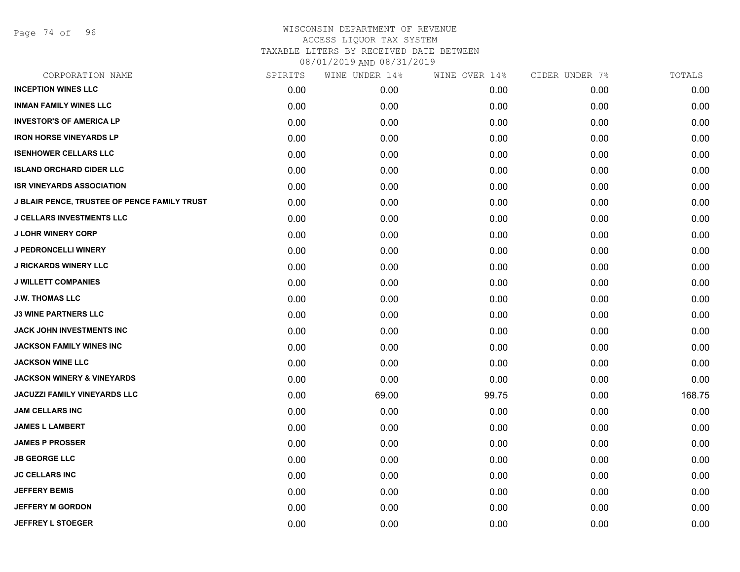Page 74 of 96

# WISCONSIN DEPARTMENT OF REVENUE ACCESS LIQUOR TAX SYSTEM TAXABLE LITERS BY RECEIVED DATE BETWEEN

08/01/2019 AND 08/31/2019

| CORPORATION NAME                                    | SPIRITS | WINE UNDER 14% | WINE OVER 14% | CIDER UNDER 7% | TOTALS |
|-----------------------------------------------------|---------|----------------|---------------|----------------|--------|
| <b>INCEPTION WINES LLC</b>                          | 0.00    | 0.00           | 0.00          | 0.00           | 0.00   |
| <b>INMAN FAMILY WINES LLC</b>                       | 0.00    | 0.00           | 0.00          | 0.00           | 0.00   |
| <b>INVESTOR'S OF AMERICA LP</b>                     | 0.00    | 0.00           | 0.00          | 0.00           | 0.00   |
| <b>IRON HORSE VINEYARDS LP</b>                      | 0.00    | 0.00           | 0.00          | 0.00           | 0.00   |
| <b>ISENHOWER CELLARS LLC</b>                        | 0.00    | 0.00           | 0.00          | 0.00           | 0.00   |
| <b>ISLAND ORCHARD CIDER LLC</b>                     | 0.00    | 0.00           | 0.00          | 0.00           | 0.00   |
| <b>ISR VINEYARDS ASSOCIATION</b>                    | 0.00    | 0.00           | 0.00          | 0.00           | 0.00   |
| <b>J BLAIR PENCE, TRUSTEE OF PENCE FAMILY TRUST</b> | 0.00    | 0.00           | 0.00          | 0.00           | 0.00   |
| <b>J CELLARS INVESTMENTS LLC</b>                    | 0.00    | 0.00           | 0.00          | 0.00           | 0.00   |
| <b>J LOHR WINERY CORP</b>                           | 0.00    | 0.00           | 0.00          | 0.00           | 0.00   |
| J PEDRONCELLI WINERY                                | 0.00    | 0.00           | 0.00          | 0.00           | 0.00   |
| <b>J RICKARDS WINERY LLC</b>                        | 0.00    | 0.00           | 0.00          | 0.00           | 0.00   |
| <b>J WILLETT COMPANIES</b>                          | 0.00    | 0.00           | 0.00          | 0.00           | 0.00   |
| <b>J.W. THOMAS LLC</b>                              | 0.00    | 0.00           | 0.00          | 0.00           | 0.00   |
| <b>J3 WINE PARTNERS LLC</b>                         | 0.00    | 0.00           | 0.00          | 0.00           | 0.00   |
| JACK JOHN INVESTMENTS INC                           | 0.00    | 0.00           | 0.00          | 0.00           | 0.00   |
| <b>JACKSON FAMILY WINES INC</b>                     | 0.00    | 0.00           | 0.00          | 0.00           | 0.00   |
| <b>JACKSON WINE LLC</b>                             | 0.00    | 0.00           | 0.00          | 0.00           | 0.00   |
| <b>JACKSON WINERY &amp; VINEYARDS</b>               | 0.00    | 0.00           | 0.00          | 0.00           | 0.00   |
| <b>JACUZZI FAMILY VINEYARDS LLC</b>                 | 0.00    | 69.00          | 99.75         | 0.00           | 168.75 |
| <b>JAM CELLARS INC</b>                              | 0.00    | 0.00           | 0.00          | 0.00           | 0.00   |
| <b>JAMES L LAMBERT</b>                              | 0.00    | 0.00           | 0.00          | 0.00           | 0.00   |
| <b>JAMES P PROSSER</b>                              | 0.00    | 0.00           | 0.00          | 0.00           | 0.00   |
| <b>JB GEORGE LLC</b>                                | 0.00    | 0.00           | 0.00          | 0.00           | 0.00   |
| <b>JC CELLARS INC</b>                               | 0.00    | 0.00           | 0.00          | 0.00           | 0.00   |
| <b>JEFFERY BEMIS</b>                                | 0.00    | 0.00           | 0.00          | 0.00           | 0.00   |
| <b>JEFFERY M GORDON</b>                             | 0.00    | 0.00           | 0.00          | 0.00           | 0.00   |
| <b>JEFFREY L STOEGER</b>                            | 0.00    | 0.00           | 0.00          | 0.00           | 0.00   |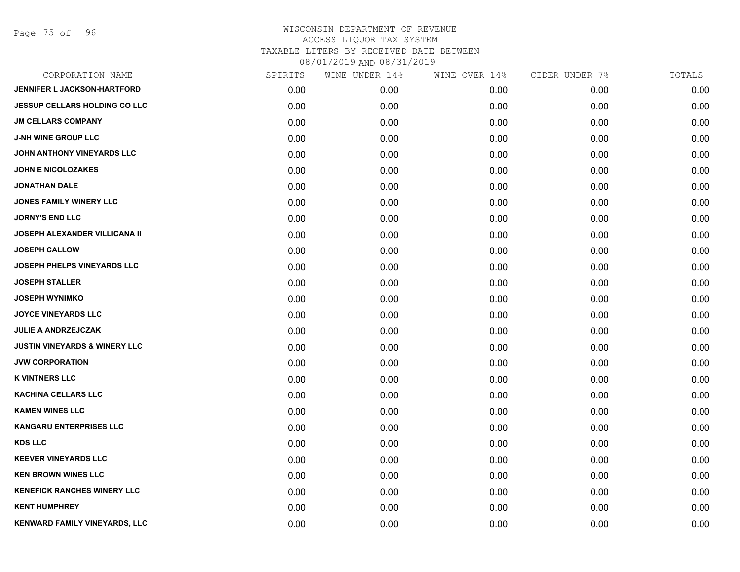Page 75 of 96

| CORPORATION NAME                         | SPIRITS | WINE UNDER 14% | WINE OVER 14% | CIDER UNDER 7% | TOTALS |
|------------------------------------------|---------|----------------|---------------|----------------|--------|
| <b>JENNIFER L JACKSON-HARTFORD</b>       | 0.00    | 0.00           | 0.00          | 0.00           | 0.00   |
| <b>JESSUP CELLARS HOLDING CO LLC</b>     | 0.00    | 0.00           | 0.00          | 0.00           | 0.00   |
| <b>JM CELLARS COMPANY</b>                | 0.00    | 0.00           | 0.00          | 0.00           | 0.00   |
| <b>J-NH WINE GROUP LLC</b>               | 0.00    | 0.00           | 0.00          | 0.00           | 0.00   |
| <b>JOHN ANTHONY VINEYARDS LLC</b>        | 0.00    | 0.00           | 0.00          | 0.00           | 0.00   |
| <b>JOHN E NICOLOZAKES</b>                | 0.00    | 0.00           | 0.00          | 0.00           | 0.00   |
| <b>JONATHAN DALE</b>                     | 0.00    | 0.00           | 0.00          | 0.00           | 0.00   |
| <b>JONES FAMILY WINERY LLC</b>           | 0.00    | 0.00           | 0.00          | 0.00           | 0.00   |
| <b>JORNY'S END LLC</b>                   | 0.00    | 0.00           | 0.00          | 0.00           | 0.00   |
| <b>JOSEPH ALEXANDER VILLICANA II</b>     | 0.00    | 0.00           | 0.00          | 0.00           | 0.00   |
| <b>JOSEPH CALLOW</b>                     | 0.00    | 0.00           | 0.00          | 0.00           | 0.00   |
| JOSEPH PHELPS VINEYARDS LLC              | 0.00    | 0.00           | 0.00          | 0.00           | 0.00   |
| <b>JOSEPH STALLER</b>                    | 0.00    | 0.00           | 0.00          | 0.00           | 0.00   |
| <b>JOSEPH WYNIMKO</b>                    | 0.00    | 0.00           | 0.00          | 0.00           | 0.00   |
| <b>JOYCE VINEYARDS LLC</b>               | 0.00    | 0.00           | 0.00          | 0.00           | 0.00   |
| JULIE A ANDRZEJCZAK                      | 0.00    | 0.00           | 0.00          | 0.00           | 0.00   |
| <b>JUSTIN VINEYARDS &amp; WINERY LLC</b> | 0.00    | 0.00           | 0.00          | 0.00           | 0.00   |
| <b>JVW CORPORATION</b>                   | 0.00    | 0.00           | 0.00          | 0.00           | 0.00   |
| <b>K VINTNERS LLC</b>                    | 0.00    | 0.00           | 0.00          | 0.00           | 0.00   |
| <b>KACHINA CELLARS LLC</b>               | 0.00    | 0.00           | 0.00          | 0.00           | 0.00   |
| <b>KAMEN WINES LLC</b>                   | 0.00    | 0.00           | 0.00          | 0.00           | 0.00   |
| <b>KANGARU ENTERPRISES LLC</b>           | 0.00    | 0.00           | 0.00          | 0.00           | 0.00   |
| <b>KDS LLC</b>                           | 0.00    | 0.00           | 0.00          | 0.00           | 0.00   |
| <b>KEEVER VINEYARDS LLC</b>              | 0.00    | 0.00           | 0.00          | 0.00           | 0.00   |
| <b>KEN BROWN WINES LLC</b>               | 0.00    | 0.00           | 0.00          | 0.00           | 0.00   |
| <b>KENEFICK RANCHES WINERY LLC</b>       | 0.00    | 0.00           | 0.00          | 0.00           | 0.00   |
| <b>KENT HUMPHREY</b>                     | 0.00    | 0.00           | 0.00          | 0.00           | 0.00   |
| KENWARD FAMILY VINEYARDS, LLC            | 0.00    | 0.00           | 0.00          | 0.00           | 0.00   |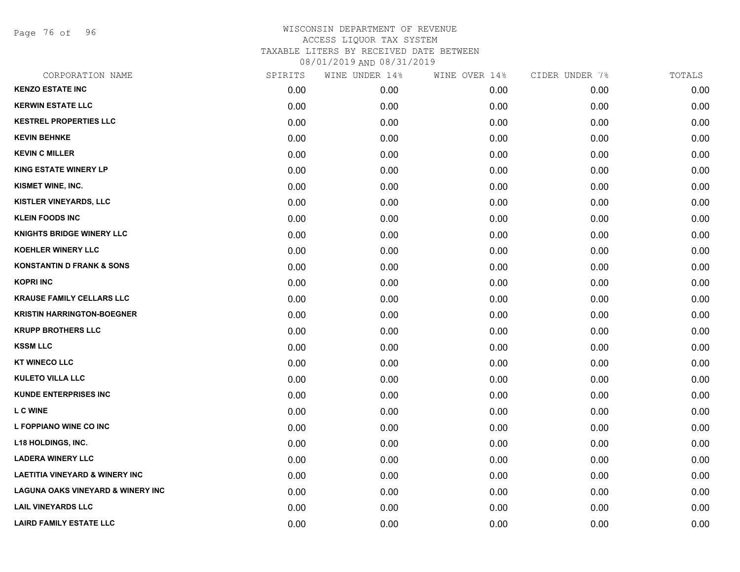Page 76 of 96

| CORPORATION NAME                             | SPIRITS | WINE UNDER 14% | WINE OVER 14% | CIDER UNDER 7% | TOTALS |
|----------------------------------------------|---------|----------------|---------------|----------------|--------|
| <b>KENZO ESTATE INC</b>                      | 0.00    | 0.00           | 0.00          | 0.00           | 0.00   |
| <b>KERWIN ESTATE LLC</b>                     | 0.00    | 0.00           | 0.00          | 0.00           | 0.00   |
| <b>KESTREL PROPERTIES LLC</b>                | 0.00    | 0.00           | 0.00          | 0.00           | 0.00   |
| <b>KEVIN BEHNKE</b>                          | 0.00    | 0.00           | 0.00          | 0.00           | 0.00   |
| <b>KEVIN C MILLER</b>                        | 0.00    | 0.00           | 0.00          | 0.00           | 0.00   |
| <b>KING ESTATE WINERY LP</b>                 | 0.00    | 0.00           | 0.00          | 0.00           | 0.00   |
| KISMET WINE, INC.                            | 0.00    | 0.00           | 0.00          | 0.00           | 0.00   |
| KISTLER VINEYARDS, LLC                       | 0.00    | 0.00           | 0.00          | 0.00           | 0.00   |
| <b>KLEIN FOODS INC</b>                       | 0.00    | 0.00           | 0.00          | 0.00           | 0.00   |
| <b>KNIGHTS BRIDGE WINERY LLC</b>             | 0.00    | 0.00           | 0.00          | 0.00           | 0.00   |
| <b>KOEHLER WINERY LLC</b>                    | 0.00    | 0.00           | 0.00          | 0.00           | 0.00   |
| <b>KONSTANTIN D FRANK &amp; SONS</b>         | 0.00    | 0.00           | 0.00          | 0.00           | 0.00   |
| <b>KOPRI INC</b>                             | 0.00    | 0.00           | 0.00          | 0.00           | 0.00   |
| <b>KRAUSE FAMILY CELLARS LLC</b>             | 0.00    | 0.00           | 0.00          | 0.00           | 0.00   |
| <b>KRISTIN HARRINGTON-BOEGNER</b>            | 0.00    | 0.00           | 0.00          | 0.00           | 0.00   |
| <b>KRUPP BROTHERS LLC</b>                    | 0.00    | 0.00           | 0.00          | 0.00           | 0.00   |
| <b>KSSM LLC</b>                              | 0.00    | 0.00           | 0.00          | 0.00           | 0.00   |
| <b>KT WINECO LLC</b>                         | 0.00    | 0.00           | 0.00          | 0.00           | 0.00   |
| <b>KULETO VILLA LLC</b>                      | 0.00    | 0.00           | 0.00          | 0.00           | 0.00   |
| <b>KUNDE ENTERPRISES INC</b>                 | 0.00    | 0.00           | 0.00          | 0.00           | 0.00   |
| L C WINE                                     | 0.00    | 0.00           | 0.00          | 0.00           | 0.00   |
| L FOPPIANO WINE CO INC                       | 0.00    | 0.00           | 0.00          | 0.00           | 0.00   |
| L18 HOLDINGS, INC.                           | 0.00    | 0.00           | 0.00          | 0.00           | 0.00   |
| <b>LADERA WINERY LLC</b>                     | 0.00    | 0.00           | 0.00          | 0.00           | 0.00   |
| <b>LAETITIA VINEYARD &amp; WINERY INC</b>    | 0.00    | 0.00           | 0.00          | 0.00           | 0.00   |
| <b>LAGUNA OAKS VINEYARD &amp; WINERY INC</b> | 0.00    | 0.00           | 0.00          | 0.00           | 0.00   |
| <b>LAIL VINEYARDS LLC</b>                    | 0.00    | 0.00           | 0.00          | 0.00           | 0.00   |
| <b>LAIRD FAMILY ESTATE LLC</b>               | 0.00    | 0.00           | 0.00          | 0.00           | 0.00   |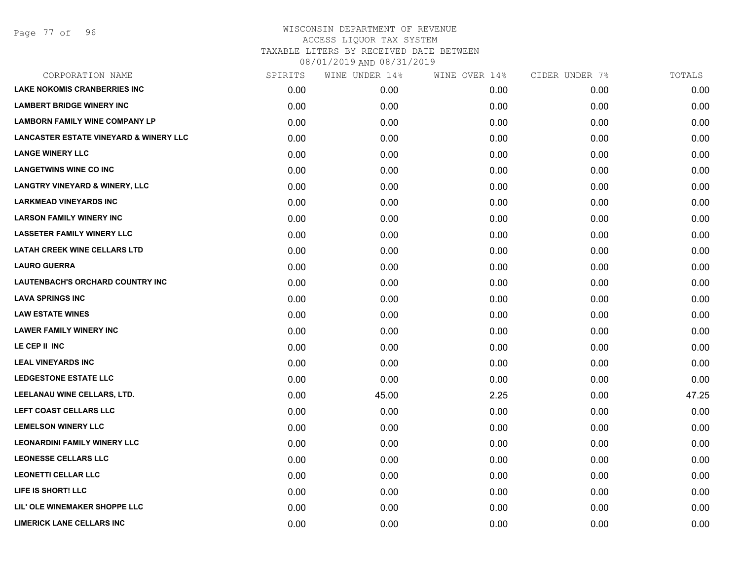| CORPORATION NAME                                  | SPIRITS | WINE UNDER 14% | WINE OVER 14% | CIDER UNDER 7% | TOTALS |
|---------------------------------------------------|---------|----------------|---------------|----------------|--------|
| <b>LAKE NOKOMIS CRANBERRIES INC</b>               | 0.00    | 0.00           | 0.00          | 0.00           | 0.00   |
| <b>LAMBERT BRIDGE WINERY INC</b>                  | 0.00    | 0.00           | 0.00          | 0.00           | 0.00   |
| <b>LAMBORN FAMILY WINE COMPANY LP</b>             | 0.00    | 0.00           | 0.00          | 0.00           | 0.00   |
| <b>LANCASTER ESTATE VINEYARD &amp; WINERY LLC</b> | 0.00    | 0.00           | 0.00          | 0.00           | 0.00   |
| <b>LANGE WINERY LLC</b>                           | 0.00    | 0.00           | 0.00          | 0.00           | 0.00   |
| <b>LANGETWINS WINE CO INC</b>                     | 0.00    | 0.00           | 0.00          | 0.00           | 0.00   |
| <b>LANGTRY VINEYARD &amp; WINERY, LLC</b>         | 0.00    | 0.00           | 0.00          | 0.00           | 0.00   |
| <b>LARKMEAD VINEYARDS INC</b>                     | 0.00    | 0.00           | 0.00          | 0.00           | 0.00   |
| <b>LARSON FAMILY WINERY INC</b>                   | 0.00    | 0.00           | 0.00          | 0.00           | 0.00   |
| <b>LASSETER FAMILY WINERY LLC</b>                 | 0.00    | 0.00           | 0.00          | 0.00           | 0.00   |
| <b>LATAH CREEK WINE CELLARS LTD</b>               | 0.00    | 0.00           | 0.00          | 0.00           | 0.00   |
| <b>LAURO GUERRA</b>                               | 0.00    | 0.00           | 0.00          | 0.00           | 0.00   |
| LAUTENBACH'S ORCHARD COUNTRY INC                  | 0.00    | 0.00           | 0.00          | 0.00           | 0.00   |
| <b>LAVA SPRINGS INC</b>                           | 0.00    | 0.00           | 0.00          | 0.00           | 0.00   |
| <b>LAW ESTATE WINES</b>                           | 0.00    | 0.00           | 0.00          | 0.00           | 0.00   |
| <b>LAWER FAMILY WINERY INC</b>                    | 0.00    | 0.00           | 0.00          | 0.00           | 0.00   |
| LE CEP II INC                                     | 0.00    | 0.00           | 0.00          | 0.00           | 0.00   |
| <b>LEAL VINEYARDS INC</b>                         | 0.00    | 0.00           | 0.00          | 0.00           | 0.00   |
| <b>LEDGESTONE ESTATE LLC</b>                      | 0.00    | 0.00           | 0.00          | 0.00           | 0.00   |
| LEELANAU WINE CELLARS, LTD.                       | 0.00    | 45.00          | 2.25          | 0.00           | 47.25  |
| LEFT COAST CELLARS LLC                            | 0.00    | 0.00           | 0.00          | 0.00           | 0.00   |
| <b>LEMELSON WINERY LLC</b>                        | 0.00    | 0.00           | 0.00          | 0.00           | 0.00   |
| <b>LEONARDINI FAMILY WINERY LLC</b>               | 0.00    | 0.00           | 0.00          | 0.00           | 0.00   |
| <b>LEONESSE CELLARS LLC</b>                       | 0.00    | 0.00           | 0.00          | 0.00           | 0.00   |
| <b>LEONETTI CELLAR LLC</b>                        | 0.00    | 0.00           | 0.00          | 0.00           | 0.00   |
| LIFE IS SHORT! LLC                                | 0.00    | 0.00           | 0.00          | 0.00           | 0.00   |
| LIL' OLE WINEMAKER SHOPPE LLC                     | 0.00    | 0.00           | 0.00          | 0.00           | 0.00   |
| <b>LIMERICK LANE CELLARS INC</b>                  | 0.00    | 0.00           | 0.00          | 0.00           | 0.00   |
|                                                   |         |                |               |                |        |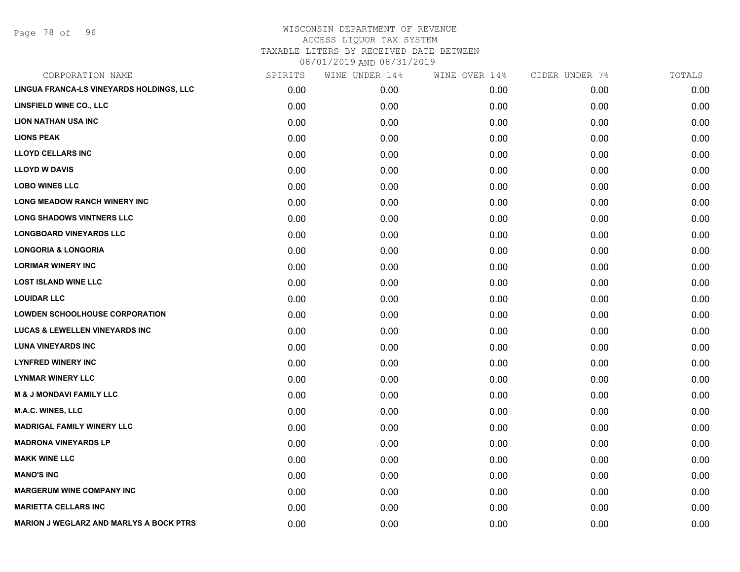Page 78 of 96

| CORPORATION NAME                               | SPIRITS | WINE UNDER 14% | WINE OVER 14% | CIDER UNDER 7% | TOTALS |
|------------------------------------------------|---------|----------------|---------------|----------------|--------|
| LINGUA FRANCA-LS VINEYARDS HOLDINGS, LLC       | 0.00    | 0.00           | 0.00          | 0.00           | 0.00   |
| LINSFIELD WINE CO., LLC                        | 0.00    | 0.00           | 0.00          | 0.00           | 0.00   |
| <b>LION NATHAN USA INC</b>                     | 0.00    | 0.00           | 0.00          | 0.00           | 0.00   |
| <b>LIONS PEAK</b>                              | 0.00    | 0.00           | 0.00          | 0.00           | 0.00   |
| <b>LLOYD CELLARS INC</b>                       | 0.00    | 0.00           | 0.00          | 0.00           | 0.00   |
| <b>LLOYD W DAVIS</b>                           | 0.00    | 0.00           | 0.00          | 0.00           | 0.00   |
| <b>LOBO WINES LLC</b>                          | 0.00    | 0.00           | 0.00          | 0.00           | 0.00   |
| LONG MEADOW RANCH WINERY INC                   | 0.00    | 0.00           | 0.00          | 0.00           | 0.00   |
| <b>LONG SHADOWS VINTNERS LLC</b>               | 0.00    | 0.00           | 0.00          | 0.00           | 0.00   |
| <b>LONGBOARD VINEYARDS LLC</b>                 | 0.00    | 0.00           | 0.00          | 0.00           | 0.00   |
| <b>LONGORIA &amp; LONGORIA</b>                 | 0.00    | 0.00           | 0.00          | 0.00           | 0.00   |
| <b>LORIMAR WINERY INC</b>                      | 0.00    | 0.00           | 0.00          | 0.00           | 0.00   |
| <b>LOST ISLAND WINE LLC</b>                    | 0.00    | 0.00           | 0.00          | 0.00           | 0.00   |
| <b>LOUIDAR LLC</b>                             | 0.00    | 0.00           | 0.00          | 0.00           | 0.00   |
| <b>LOWDEN SCHOOLHOUSE CORPORATION</b>          | 0.00    | 0.00           | 0.00          | 0.00           | 0.00   |
| <b>LUCAS &amp; LEWELLEN VINEYARDS INC</b>      | 0.00    | 0.00           | 0.00          | 0.00           | 0.00   |
| <b>LUNA VINEYARDS INC</b>                      | 0.00    | 0.00           | 0.00          | 0.00           | 0.00   |
| <b>LYNFRED WINERY INC</b>                      | 0.00    | 0.00           | 0.00          | 0.00           | 0.00   |
| <b>LYNMAR WINERY LLC</b>                       | 0.00    | 0.00           | 0.00          | 0.00           | 0.00   |
| <b>M &amp; J MONDAVI FAMILY LLC</b>            | 0.00    | 0.00           | 0.00          | 0.00           | 0.00   |
| <b>M.A.C. WINES, LLC</b>                       | 0.00    | 0.00           | 0.00          | 0.00           | 0.00   |
| <b>MADRIGAL FAMILY WINERY LLC</b>              | 0.00    | 0.00           | 0.00          | 0.00           | 0.00   |
| <b>MADRONA VINEYARDS LP</b>                    | 0.00    | 0.00           | 0.00          | 0.00           | 0.00   |
| <b>MAKK WINE LLC</b>                           | 0.00    | 0.00           | 0.00          | 0.00           | 0.00   |
| <b>MANO'S INC</b>                              | 0.00    | 0.00           | 0.00          | 0.00           | 0.00   |
| <b>MARGERUM WINE COMPANY INC</b>               | 0.00    | 0.00           | 0.00          | 0.00           | 0.00   |
| <b>MARIETTA CELLARS INC</b>                    | 0.00    | 0.00           | 0.00          | 0.00           | 0.00   |
| <b>MARION J WEGLARZ AND MARLYS A BOCK PTRS</b> | 0.00    | 0.00           | 0.00          | 0.00           | 0.00   |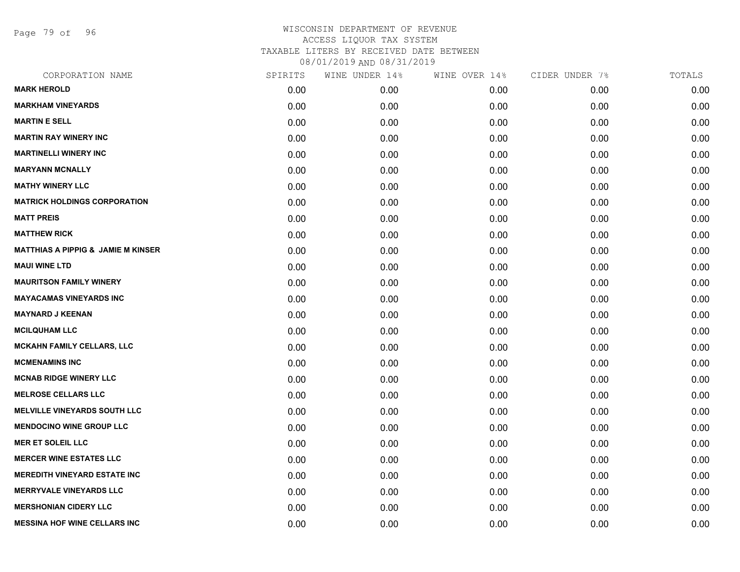Page 79 of 96

| CORPORATION NAME                              | SPIRITS | WINE UNDER 14% | WINE OVER 14% | CIDER UNDER 7% | TOTALS |
|-----------------------------------------------|---------|----------------|---------------|----------------|--------|
| <b>MARK HEROLD</b>                            | 0.00    | 0.00           | 0.00          | 0.00           | 0.00   |
| <b>MARKHAM VINEYARDS</b>                      | 0.00    | 0.00           | 0.00          | 0.00           | 0.00   |
| <b>MARTIN E SELL</b>                          | 0.00    | 0.00           | 0.00          | 0.00           | 0.00   |
| <b>MARTIN RAY WINERY INC</b>                  | 0.00    | 0.00           | 0.00          | 0.00           | 0.00   |
| <b>MARTINELLI WINERY INC</b>                  | 0.00    | 0.00           | 0.00          | 0.00           | 0.00   |
| <b>MARYANN MCNALLY</b>                        | 0.00    | 0.00           | 0.00          | 0.00           | 0.00   |
| <b>MATHY WINERY LLC</b>                       | 0.00    | 0.00           | 0.00          | 0.00           | 0.00   |
| <b>MATRICK HOLDINGS CORPORATION</b>           | 0.00    | 0.00           | 0.00          | 0.00           | 0.00   |
| <b>MATT PREIS</b>                             | 0.00    | 0.00           | 0.00          | 0.00           | 0.00   |
| <b>MATTHEW RICK</b>                           | 0.00    | 0.00           | 0.00          | 0.00           | 0.00   |
| <b>MATTHIAS A PIPPIG &amp; JAMIE M KINSER</b> | 0.00    | 0.00           | 0.00          | 0.00           | 0.00   |
| <b>MAUI WINE LTD</b>                          | 0.00    | 0.00           | 0.00          | 0.00           | 0.00   |
| <b>MAURITSON FAMILY WINERY</b>                | 0.00    | 0.00           | 0.00          | 0.00           | 0.00   |
| <b>MAYACAMAS VINEYARDS INC</b>                | 0.00    | 0.00           | 0.00          | 0.00           | 0.00   |
| <b>MAYNARD J KEENAN</b>                       | 0.00    | 0.00           | 0.00          | 0.00           | 0.00   |
| <b>MCILQUHAM LLC</b>                          | 0.00    | 0.00           | 0.00          | 0.00           | 0.00   |
| <b>MCKAHN FAMILY CELLARS, LLC</b>             | 0.00    | 0.00           | 0.00          | 0.00           | 0.00   |
| <b>MCMENAMINS INC</b>                         | 0.00    | 0.00           | 0.00          | 0.00           | 0.00   |
| <b>MCNAB RIDGE WINERY LLC</b>                 | 0.00    | 0.00           | 0.00          | 0.00           | 0.00   |
| <b>MELROSE CELLARS LLC</b>                    | 0.00    | 0.00           | 0.00          | 0.00           | 0.00   |
| <b>MELVILLE VINEYARDS SOUTH LLC</b>           | 0.00    | 0.00           | 0.00          | 0.00           | 0.00   |
| <b>MENDOCINO WINE GROUP LLC</b>               | 0.00    | 0.00           | 0.00          | 0.00           | 0.00   |
| <b>MER ET SOLEIL LLC</b>                      | 0.00    | 0.00           | 0.00          | 0.00           | 0.00   |
| <b>MERCER WINE ESTATES LLC</b>                | 0.00    | 0.00           | 0.00          | 0.00           | 0.00   |
| <b>MEREDITH VINEYARD ESTATE INC</b>           | 0.00    | 0.00           | 0.00          | 0.00           | 0.00   |
| <b>MERRYVALE VINEYARDS LLC</b>                | 0.00    | 0.00           | 0.00          | 0.00           | 0.00   |
| <b>MERSHONIAN CIDERY LLC</b>                  | 0.00    | 0.00           | 0.00          | 0.00           | 0.00   |
| <b>MESSINA HOF WINE CELLARS INC</b>           | 0.00    | 0.00           | 0.00          | 0.00           | 0.00   |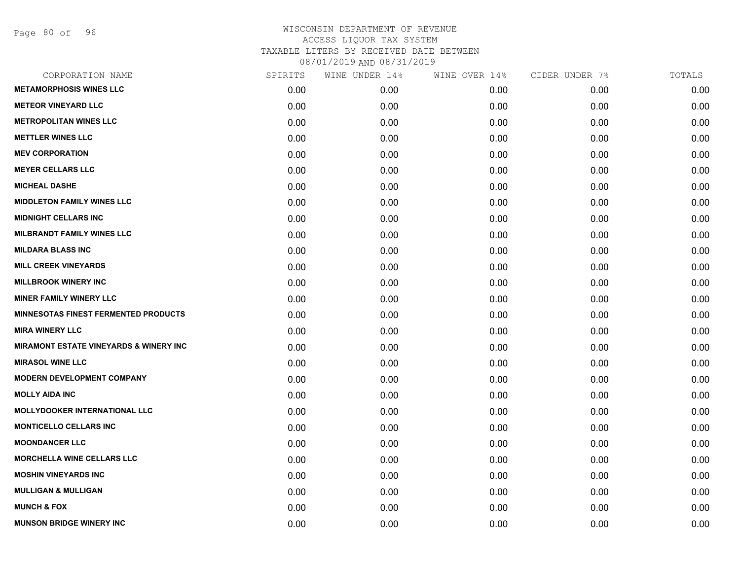Page 80 of 96

| CORPORATION NAME                                  | SPIRITS | WINE UNDER 14% | WINE OVER 14% | CIDER UNDER 7% | TOTALS |
|---------------------------------------------------|---------|----------------|---------------|----------------|--------|
| <b>METAMORPHOSIS WINES LLC</b>                    | 0.00    | 0.00           | 0.00          | 0.00           | 0.00   |
| <b>METEOR VINEYARD LLC</b>                        | 0.00    | 0.00           | 0.00          | 0.00           | 0.00   |
| <b>METROPOLITAN WINES LLC</b>                     | 0.00    | 0.00           | 0.00          | 0.00           | 0.00   |
| <b>METTLER WINES LLC</b>                          | 0.00    | 0.00           | 0.00          | 0.00           | 0.00   |
| <b>MEV CORPORATION</b>                            | 0.00    | 0.00           | 0.00          | 0.00           | 0.00   |
| <b>MEYER CELLARS LLC</b>                          | 0.00    | 0.00           | 0.00          | 0.00           | 0.00   |
| <b>MICHEAL DASHE</b>                              | 0.00    | 0.00           | 0.00          | 0.00           | 0.00   |
| <b>MIDDLETON FAMILY WINES LLC</b>                 | 0.00    | 0.00           | 0.00          | 0.00           | 0.00   |
| <b>MIDNIGHT CELLARS INC</b>                       | 0.00    | 0.00           | 0.00          | 0.00           | 0.00   |
| <b>MILBRANDT FAMILY WINES LLC</b>                 | 0.00    | 0.00           | 0.00          | 0.00           | 0.00   |
| <b>MILDARA BLASS INC</b>                          | 0.00    | 0.00           | 0.00          | 0.00           | 0.00   |
| <b>MILL CREEK VINEYARDS</b>                       | 0.00    | 0.00           | 0.00          | 0.00           | 0.00   |
| <b>MILLBROOK WINERY INC</b>                       | 0.00    | 0.00           | 0.00          | 0.00           | 0.00   |
| <b>MINER FAMILY WINERY LLC</b>                    | 0.00    | 0.00           | 0.00          | 0.00           | 0.00   |
| <b>MINNESOTAS FINEST FERMENTED PRODUCTS</b>       | 0.00    | 0.00           | 0.00          | 0.00           | 0.00   |
| <b>MIRA WINERY LLC</b>                            | 0.00    | 0.00           | 0.00          | 0.00           | 0.00   |
| <b>MIRAMONT ESTATE VINEYARDS &amp; WINERY INC</b> | 0.00    | 0.00           | 0.00          | 0.00           | 0.00   |
| <b>MIRASOL WINE LLC</b>                           | 0.00    | 0.00           | 0.00          | 0.00           | 0.00   |
| <b>MODERN DEVELOPMENT COMPANY</b>                 | 0.00    | 0.00           | 0.00          | 0.00           | 0.00   |
| <b>MOLLY AIDA INC</b>                             | 0.00    | 0.00           | 0.00          | 0.00           | 0.00   |
| <b>MOLLYDOOKER INTERNATIONAL LLC</b>              | 0.00    | 0.00           | 0.00          | 0.00           | 0.00   |
| <b>MONTICELLO CELLARS INC</b>                     | 0.00    | 0.00           | 0.00          | 0.00           | 0.00   |
| <b>MOONDANCER LLC</b>                             | 0.00    | 0.00           | 0.00          | 0.00           | 0.00   |
| <b>MORCHELLA WINE CELLARS LLC</b>                 | 0.00    | 0.00           | 0.00          | 0.00           | 0.00   |
| <b>MOSHIN VINEYARDS INC</b>                       | 0.00    | 0.00           | 0.00          | 0.00           | 0.00   |
| <b>MULLIGAN &amp; MULLIGAN</b>                    | 0.00    | 0.00           | 0.00          | 0.00           | 0.00   |
| <b>MUNCH &amp; FOX</b>                            | 0.00    | 0.00           | 0.00          | 0.00           | 0.00   |
| <b>MUNSON BRIDGE WINERY INC</b>                   | 0.00    | 0.00           | 0.00          | 0.00           | 0.00   |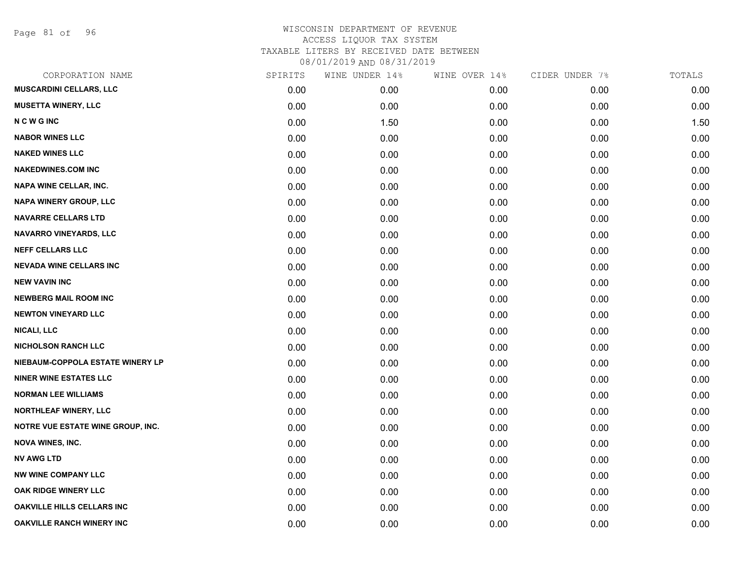Page 81 of 96

| CORPORATION NAME                  | SPIRITS | WINE UNDER 14% | WINE OVER 14% | CIDER UNDER 7% | TOTALS |
|-----------------------------------|---------|----------------|---------------|----------------|--------|
| <b>MUSCARDINI CELLARS, LLC</b>    | 0.00    | 0.00           | 0.00          | 0.00           | 0.00   |
| <b>MUSETTA WINERY, LLC</b>        | 0.00    | 0.00           | 0.00          | 0.00           | 0.00   |
| <b>NCWGINC</b>                    | 0.00    | 1.50           | 0.00          | 0.00           | 1.50   |
| <b>NABOR WINES LLC</b>            | 0.00    | 0.00           | 0.00          | 0.00           | 0.00   |
| <b>NAKED WINES LLC</b>            | 0.00    | 0.00           | 0.00          | 0.00           | 0.00   |
| <b>NAKEDWINES.COM INC</b>         | 0.00    | 0.00           | 0.00          | 0.00           | 0.00   |
| <b>NAPA WINE CELLAR, INC.</b>     | 0.00    | 0.00           | 0.00          | 0.00           | 0.00   |
| NAPA WINERY GROUP, LLC            | 0.00    | 0.00           | 0.00          | 0.00           | 0.00   |
| <b>NAVARRE CELLARS LTD</b>        | 0.00    | 0.00           | 0.00          | 0.00           | 0.00   |
| <b>NAVARRO VINEYARDS, LLC</b>     | 0.00    | 0.00           | 0.00          | 0.00           | 0.00   |
| <b>NEFF CELLARS LLC</b>           | 0.00    | 0.00           | 0.00          | 0.00           | 0.00   |
| <b>NEVADA WINE CELLARS INC</b>    | 0.00    | 0.00           | 0.00          | 0.00           | 0.00   |
| <b>NEW VAVIN INC</b>              | 0.00    | 0.00           | 0.00          | 0.00           | 0.00   |
| <b>NEWBERG MAIL ROOM INC</b>      | 0.00    | 0.00           | 0.00          | 0.00           | 0.00   |
| <b>NEWTON VINEYARD LLC</b>        | 0.00    | 0.00           | 0.00          | 0.00           | 0.00   |
| <b>NICALI, LLC</b>                | 0.00    | 0.00           | 0.00          | 0.00           | 0.00   |
| <b>NICHOLSON RANCH LLC</b>        | 0.00    | 0.00           | 0.00          | 0.00           | 0.00   |
| NIEBAUM-COPPOLA ESTATE WINERY LP  | 0.00    | 0.00           | 0.00          | 0.00           | 0.00   |
| <b>NINER WINE ESTATES LLC</b>     | 0.00    | 0.00           | 0.00          | 0.00           | 0.00   |
| <b>NORMAN LEE WILLIAMS</b>        | 0.00    | 0.00           | 0.00          | 0.00           | 0.00   |
| NORTHLEAF WINERY, LLC             | 0.00    | 0.00           | 0.00          | 0.00           | 0.00   |
| NOTRE VUE ESTATE WINE GROUP, INC. | 0.00    | 0.00           | 0.00          | 0.00           | 0.00   |
| <b>NOVA WINES, INC.</b>           | 0.00    | 0.00           | 0.00          | 0.00           | 0.00   |
| <b>NV AWG LTD</b>                 | 0.00    | 0.00           | 0.00          | 0.00           | 0.00   |
| <b>NW WINE COMPANY LLC</b>        | 0.00    | 0.00           | 0.00          | 0.00           | 0.00   |
| OAK RIDGE WINERY LLC              | 0.00    | 0.00           | 0.00          | 0.00           | 0.00   |
| <b>OAKVILLE HILLS CELLARS INC</b> | 0.00    | 0.00           | 0.00          | 0.00           | 0.00   |
| <b>OAKVILLE RANCH WINERY INC</b>  | 0.00    | 0.00           | 0.00          | 0.00           | 0.00   |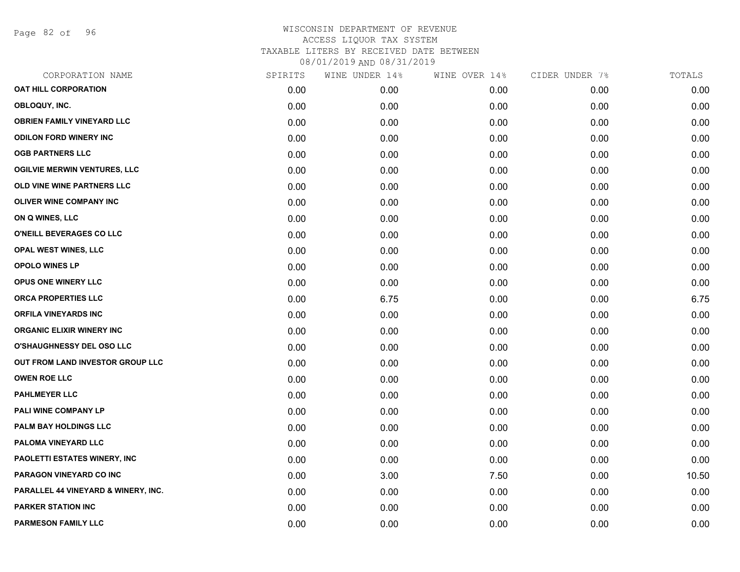Page 82 of 96

| CORPORATION NAME                    | SPIRITS | WINE UNDER 14% | WINE OVER 14% | CIDER UNDER 7% | TOTALS |
|-------------------------------------|---------|----------------|---------------|----------------|--------|
| <b>OAT HILL CORPORATION</b>         | 0.00    | 0.00           | 0.00          | 0.00           | 0.00   |
| OBLOQUY, INC.                       | 0.00    | 0.00           | 0.00          | 0.00           | 0.00   |
| <b>OBRIEN FAMILY VINEYARD LLC</b>   | 0.00    | 0.00           | 0.00          | 0.00           | 0.00   |
| <b>ODILON FORD WINERY INC</b>       | 0.00    | 0.00           | 0.00          | 0.00           | 0.00   |
| <b>OGB PARTNERS LLC</b>             | 0.00    | 0.00           | 0.00          | 0.00           | 0.00   |
| <b>OGILVIE MERWIN VENTURES, LLC</b> | 0.00    | 0.00           | 0.00          | 0.00           | 0.00   |
| OLD VINE WINE PARTNERS LLC          | 0.00    | 0.00           | 0.00          | 0.00           | 0.00   |
| <b>OLIVER WINE COMPANY INC</b>      | 0.00    | 0.00           | 0.00          | 0.00           | 0.00   |
| ON Q WINES, LLC                     | 0.00    | 0.00           | 0.00          | 0.00           | 0.00   |
| O'NEILL BEVERAGES CO LLC            | 0.00    | 0.00           | 0.00          | 0.00           | 0.00   |
| OPAL WEST WINES, LLC                | 0.00    | 0.00           | 0.00          | 0.00           | 0.00   |
| <b>OPOLO WINES LP</b>               | 0.00    | 0.00           | 0.00          | 0.00           | 0.00   |
| OPUS ONE WINERY LLC                 | 0.00    | 0.00           | 0.00          | 0.00           | 0.00   |
| ORCA PROPERTIES LLC                 | 0.00    | 6.75           | 0.00          | 0.00           | 6.75   |
| <b>ORFILA VINEYARDS INC</b>         | 0.00    | 0.00           | 0.00          | 0.00           | 0.00   |
| <b>ORGANIC ELIXIR WINERY INC</b>    | 0.00    | 0.00           | 0.00          | 0.00           | 0.00   |
| O'SHAUGHNESSY DEL OSO LLC           | 0.00    | 0.00           | 0.00          | 0.00           | 0.00   |
| OUT FROM LAND INVESTOR GROUP LLC    | 0.00    | 0.00           | 0.00          | 0.00           | 0.00   |
| <b>OWEN ROE LLC</b>                 | 0.00    | 0.00           | 0.00          | 0.00           | 0.00   |
| <b>PAHLMEYER LLC</b>                | 0.00    | 0.00           | 0.00          | 0.00           | 0.00   |
| PALI WINE COMPANY LP                | 0.00    | 0.00           | 0.00          | 0.00           | 0.00   |
| PALM BAY HOLDINGS LLC               | 0.00    | 0.00           | 0.00          | 0.00           | 0.00   |
| PALOMA VINEYARD LLC                 | 0.00    | 0.00           | 0.00          | 0.00           | 0.00   |
| PAOLETTI ESTATES WINERY, INC        | 0.00    | 0.00           | 0.00          | 0.00           | 0.00   |
| PARAGON VINEYARD CO INC             | 0.00    | 3.00           | 7.50          | 0.00           | 10.50  |
| PARALLEL 44 VINEYARD & WINERY, INC. | 0.00    | 0.00           | 0.00          | 0.00           | 0.00   |
| <b>PARKER STATION INC</b>           | 0.00    | 0.00           | 0.00          | 0.00           | 0.00   |
| <b>PARMESON FAMILY LLC</b>          | 0.00    | 0.00           | 0.00          | 0.00           | 0.00   |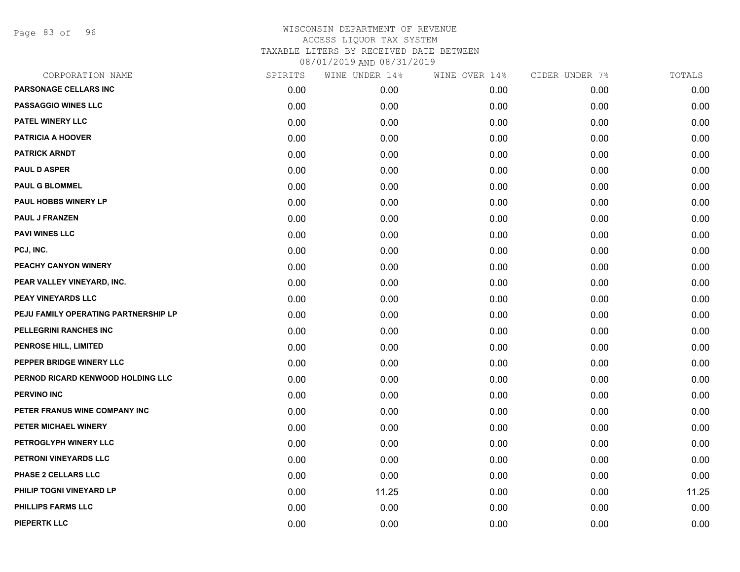Page 83 of 96

| CORPORATION NAME                     | SPIRITS | WINE UNDER 14% | WINE OVER 14% | CIDER UNDER 7% | TOTALS |
|--------------------------------------|---------|----------------|---------------|----------------|--------|
| PARSONAGE CELLARS INC                | 0.00    | 0.00           | 0.00          | 0.00           | 0.00   |
| <b>PASSAGGIO WINES LLC</b>           | 0.00    | 0.00           | 0.00          | 0.00           | 0.00   |
| <b>PATEL WINERY LLC</b>              | 0.00    | 0.00           | 0.00          | 0.00           | 0.00   |
| <b>PATRICIA A HOOVER</b>             | 0.00    | 0.00           | 0.00          | 0.00           | 0.00   |
| <b>PATRICK ARNDT</b>                 | 0.00    | 0.00           | 0.00          | 0.00           | 0.00   |
| <b>PAUL D ASPER</b>                  | 0.00    | 0.00           | 0.00          | 0.00           | 0.00   |
| <b>PAUL G BLOMMEL</b>                | 0.00    | 0.00           | 0.00          | 0.00           | 0.00   |
| PAUL HOBBS WINERY LP                 | 0.00    | 0.00           | 0.00          | 0.00           | 0.00   |
| <b>PAUL J FRANZEN</b>                | 0.00    | 0.00           | 0.00          | 0.00           | 0.00   |
| <b>PAVI WINES LLC</b>                | 0.00    | 0.00           | 0.00          | 0.00           | 0.00   |
| PCJ, INC.                            | 0.00    | 0.00           | 0.00          | 0.00           | 0.00   |
| PEACHY CANYON WINERY                 | 0.00    | 0.00           | 0.00          | 0.00           | 0.00   |
| PEAR VALLEY VINEYARD, INC.           | 0.00    | 0.00           | 0.00          | 0.00           | 0.00   |
| PEAY VINEYARDS LLC                   | 0.00    | 0.00           | 0.00          | 0.00           | 0.00   |
| PEJU FAMILY OPERATING PARTNERSHIP LP | 0.00    | 0.00           | 0.00          | 0.00           | 0.00   |
| PELLEGRINI RANCHES INC               | 0.00    | 0.00           | 0.00          | 0.00           | 0.00   |
| PENROSE HILL, LIMITED                | 0.00    | 0.00           | 0.00          | 0.00           | 0.00   |
| PEPPER BRIDGE WINERY LLC             | 0.00    | 0.00           | 0.00          | 0.00           | 0.00   |
| PERNOD RICARD KENWOOD HOLDING LLC    | 0.00    | 0.00           | 0.00          | 0.00           | 0.00   |
| <b>PERVINO INC</b>                   | 0.00    | 0.00           | 0.00          | 0.00           | 0.00   |
| PETER FRANUS WINE COMPANY INC        | 0.00    | 0.00           | 0.00          | 0.00           | 0.00   |
| PETER MICHAEL WINERY                 | 0.00    | 0.00           | 0.00          | 0.00           | 0.00   |
| PETROGLYPH WINERY LLC                | 0.00    | 0.00           | 0.00          | 0.00           | 0.00   |
| PETRONI VINEYARDS LLC                | 0.00    | 0.00           | 0.00          | 0.00           | 0.00   |
| PHASE 2 CELLARS LLC                  | 0.00    | 0.00           | 0.00          | 0.00           | 0.00   |
| PHILIP TOGNI VINEYARD LP             | 0.00    | 11.25          | 0.00          | 0.00           | 11.25  |
| PHILLIPS FARMS LLC                   | 0.00    | 0.00           | 0.00          | 0.00           | 0.00   |
| <b>PIEPERTK LLC</b>                  | 0.00    | 0.00           | 0.00          | 0.00           | 0.00   |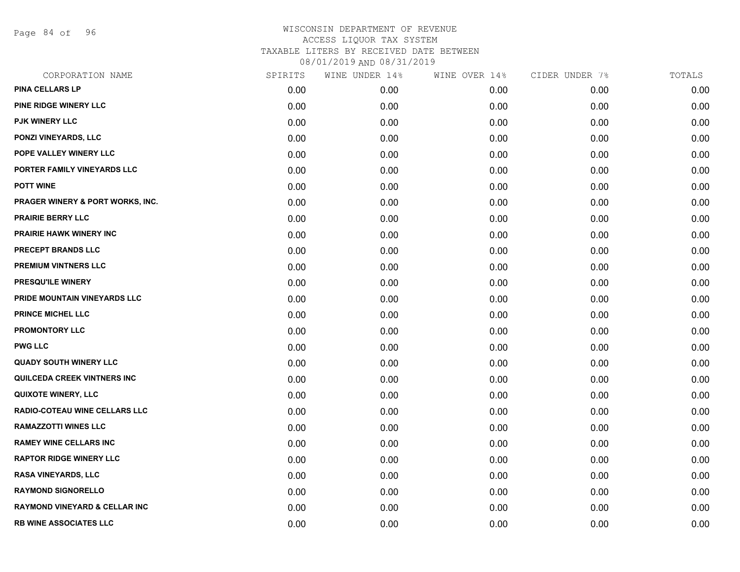Page 84 of 96

| CORPORATION NAME                         | SPIRITS | WINE UNDER 14% | WINE OVER 14% | CIDER UNDER 7% | TOTALS |
|------------------------------------------|---------|----------------|---------------|----------------|--------|
| <b>PINA CELLARS LP</b>                   | 0.00    | 0.00           | 0.00          | 0.00           | 0.00   |
| PINE RIDGE WINERY LLC                    | 0.00    | 0.00           | 0.00          | 0.00           | 0.00   |
| PJK WINERY LLC                           | 0.00    | 0.00           | 0.00          | 0.00           | 0.00   |
| PONZI VINEYARDS, LLC                     | 0.00    | 0.00           | 0.00          | 0.00           | 0.00   |
| POPE VALLEY WINERY LLC                   | 0.00    | 0.00           | 0.00          | 0.00           | 0.00   |
| PORTER FAMILY VINEYARDS LLC              | 0.00    | 0.00           | 0.00          | 0.00           | 0.00   |
| <b>POTT WINE</b>                         | 0.00    | 0.00           | 0.00          | 0.00           | 0.00   |
| PRAGER WINERY & PORT WORKS, INC.         | 0.00    | 0.00           | 0.00          | 0.00           | 0.00   |
| <b>PRAIRIE BERRY LLC</b>                 | 0.00    | 0.00           | 0.00          | 0.00           | 0.00   |
| PRAIRIE HAWK WINERY INC                  | 0.00    | 0.00           | 0.00          | 0.00           | 0.00   |
| PRECEPT BRANDS LLC                       | 0.00    | 0.00           | 0.00          | 0.00           | 0.00   |
| PREMIUM VINTNERS LLC                     | 0.00    | 0.00           | 0.00          | 0.00           | 0.00   |
| PRESQU'ILE WINERY                        | 0.00    | 0.00           | 0.00          | 0.00           | 0.00   |
| PRIDE MOUNTAIN VINEYARDS LLC             | 0.00    | 0.00           | 0.00          | 0.00           | 0.00   |
| <b>PRINCE MICHEL LLC</b>                 | 0.00    | 0.00           | 0.00          | 0.00           | 0.00   |
| <b>PROMONTORY LLC</b>                    | 0.00    | 0.00           | 0.00          | 0.00           | 0.00   |
| <b>PWG LLC</b>                           | 0.00    | 0.00           | 0.00          | 0.00           | 0.00   |
| <b>QUADY SOUTH WINERY LLC</b>            | 0.00    | 0.00           | 0.00          | 0.00           | 0.00   |
| QUILCEDA CREEK VINTNERS INC              | 0.00    | 0.00           | 0.00          | 0.00           | 0.00   |
| <b>QUIXOTE WINERY, LLC</b>               | 0.00    | 0.00           | 0.00          | 0.00           | 0.00   |
| <b>RADIO-COTEAU WINE CELLARS LLC</b>     | 0.00    | 0.00           | 0.00          | 0.00           | 0.00   |
| <b>RAMAZZOTTI WINES LLC</b>              | 0.00    | 0.00           | 0.00          | 0.00           | 0.00   |
| <b>RAMEY WINE CELLARS INC</b>            | 0.00    | 0.00           | 0.00          | 0.00           | 0.00   |
| <b>RAPTOR RIDGE WINERY LLC</b>           | 0.00    | 0.00           | 0.00          | 0.00           | 0.00   |
| <b>RASA VINEYARDS, LLC</b>               | 0.00    | 0.00           | 0.00          | 0.00           | 0.00   |
| <b>RAYMOND SIGNORELLO</b>                | 0.00    | 0.00           | 0.00          | 0.00           | 0.00   |
| <b>RAYMOND VINEYARD &amp; CELLAR INC</b> | 0.00    | 0.00           | 0.00          | 0.00           | 0.00   |
| <b>RB WINE ASSOCIATES LLC</b>            | 0.00    | 0.00           | 0.00          | 0.00           | 0.00   |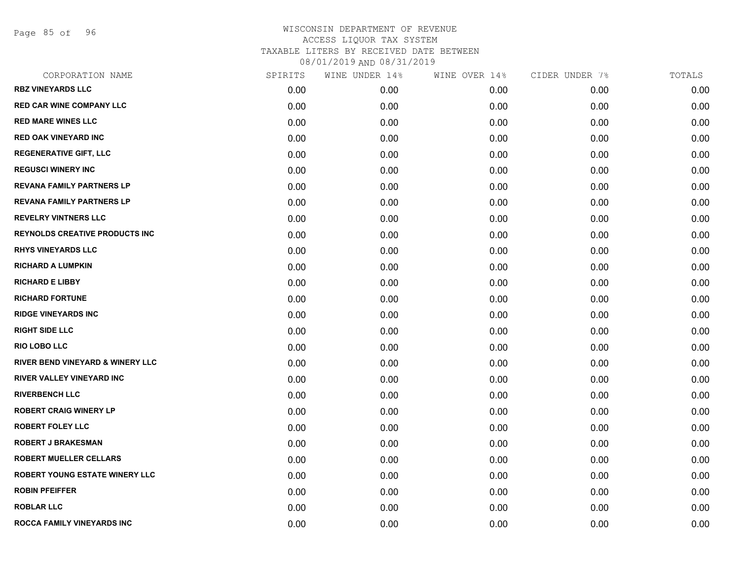Page 85 of 96

| CORPORATION NAME                      | SPIRITS | WINE UNDER 14% | WINE OVER 14% | CIDER UNDER 7% | TOTALS |
|---------------------------------------|---------|----------------|---------------|----------------|--------|
| <b>RBZ VINEYARDS LLC</b>              | 0.00    | 0.00           | 0.00          | 0.00           | 0.00   |
| <b>RED CAR WINE COMPANY LLC</b>       | 0.00    | 0.00           | 0.00          | 0.00           | 0.00   |
| <b>RED MARE WINES LLC</b>             | 0.00    | 0.00           | 0.00          | 0.00           | 0.00   |
| <b>RED OAK VINEYARD INC</b>           | 0.00    | 0.00           | 0.00          | 0.00           | 0.00   |
| <b>REGENERATIVE GIFT, LLC</b>         | 0.00    | 0.00           | 0.00          | 0.00           | 0.00   |
| <b>REGUSCI WINERY INC</b>             | 0.00    | 0.00           | 0.00          | 0.00           | 0.00   |
| <b>REVANA FAMILY PARTNERS LP</b>      | 0.00    | 0.00           | 0.00          | 0.00           | 0.00   |
| <b>REVANA FAMILY PARTNERS LP</b>      | 0.00    | 0.00           | 0.00          | 0.00           | 0.00   |
| <b>REVELRY VINTNERS LLC</b>           | 0.00    | 0.00           | 0.00          | 0.00           | 0.00   |
| <b>REYNOLDS CREATIVE PRODUCTS INC</b> | 0.00    | 0.00           | 0.00          | 0.00           | 0.00   |
| <b>RHYS VINEYARDS LLC</b>             | 0.00    | 0.00           | 0.00          | 0.00           | 0.00   |
| <b>RICHARD A LUMPKIN</b>              | 0.00    | 0.00           | 0.00          | 0.00           | 0.00   |
| <b>RICHARD E LIBBY</b>                | 0.00    | 0.00           | 0.00          | 0.00           | 0.00   |
| <b>RICHARD FORTUNE</b>                | 0.00    | 0.00           | 0.00          | 0.00           | 0.00   |
| <b>RIDGE VINEYARDS INC</b>            | 0.00    | 0.00           | 0.00          | 0.00           | 0.00   |
| <b>RIGHT SIDE LLC</b>                 | 0.00    | 0.00           | 0.00          | 0.00           | 0.00   |
| <b>RIO LOBO LLC</b>                   | 0.00    | 0.00           | 0.00          | 0.00           | 0.00   |
| RIVER BEND VINEYARD & WINERY LLC      | 0.00    | 0.00           | 0.00          | 0.00           | 0.00   |
| <b>RIVER VALLEY VINEYARD INC</b>      | 0.00    | 0.00           | 0.00          | 0.00           | 0.00   |
| <b>RIVERBENCH LLC</b>                 | 0.00    | 0.00           | 0.00          | 0.00           | 0.00   |
| <b>ROBERT CRAIG WINERY LP</b>         | 0.00    | 0.00           | 0.00          | 0.00           | 0.00   |
| <b>ROBERT FOLEY LLC</b>               | 0.00    | 0.00           | 0.00          | 0.00           | 0.00   |
| <b>ROBERT J BRAKESMAN</b>             | 0.00    | 0.00           | 0.00          | 0.00           | 0.00   |
| <b>ROBERT MUELLER CELLARS</b>         | 0.00    | 0.00           | 0.00          | 0.00           | 0.00   |
| <b>ROBERT YOUNG ESTATE WINERY LLC</b> | 0.00    | 0.00           | 0.00          | 0.00           | 0.00   |
| <b>ROBIN PFEIFFER</b>                 | 0.00    | 0.00           | 0.00          | 0.00           | 0.00   |
| <b>ROBLAR LLC</b>                     | 0.00    | 0.00           | 0.00          | 0.00           | 0.00   |
| ROCCA FAMILY VINEYARDS INC            | 0.00    | 0.00           | 0.00          | 0.00           | 0.00   |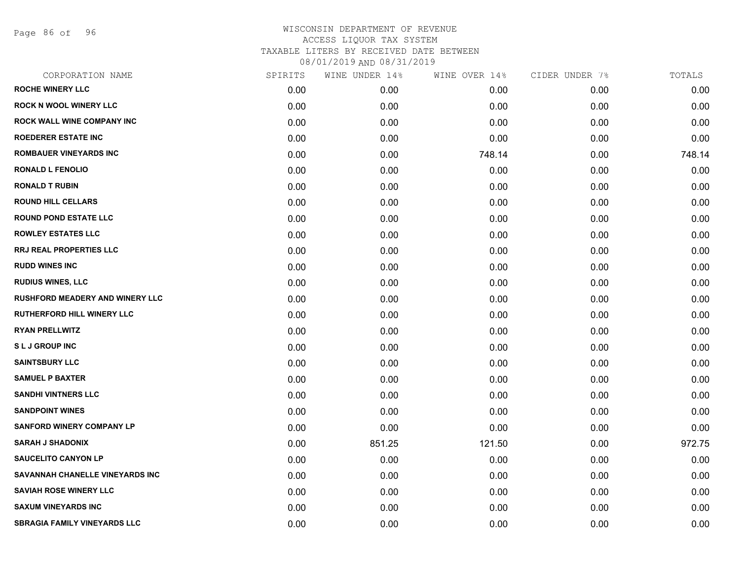Page 86 of 96

| CORPORATION NAME                       | SPIRITS | WINE UNDER 14% | WINE OVER 14% | CIDER UNDER 7% | TOTALS |
|----------------------------------------|---------|----------------|---------------|----------------|--------|
| <b>ROCHE WINERY LLC</b>                | 0.00    | 0.00           | 0.00          | 0.00           | 0.00   |
| <b>ROCK N WOOL WINERY LLC</b>          | 0.00    | 0.00           | 0.00          | 0.00           | 0.00   |
| ROCK WALL WINE COMPANY INC             | 0.00    | 0.00           | 0.00          | 0.00           | 0.00   |
| <b>ROEDERER ESTATE INC</b>             | 0.00    | 0.00           | 0.00          | 0.00           | 0.00   |
| <b>ROMBAUER VINEYARDS INC</b>          | 0.00    | 0.00           | 748.14        | 0.00           | 748.14 |
| <b>RONALD L FENOLIO</b>                | 0.00    | 0.00           | 0.00          | 0.00           | 0.00   |
| <b>RONALD T RUBIN</b>                  | 0.00    | 0.00           | 0.00          | 0.00           | 0.00   |
| <b>ROUND HILL CELLARS</b>              | 0.00    | 0.00           | 0.00          | 0.00           | 0.00   |
| <b>ROUND POND ESTATE LLC</b>           | 0.00    | 0.00           | 0.00          | 0.00           | 0.00   |
| <b>ROWLEY ESTATES LLC</b>              | 0.00    | 0.00           | 0.00          | 0.00           | 0.00   |
| RRJ REAL PROPERTIES LLC                | 0.00    | 0.00           | 0.00          | 0.00           | 0.00   |
| <b>RUDD WINES INC</b>                  | 0.00    | 0.00           | 0.00          | 0.00           | 0.00   |
| <b>RUDIUS WINES, LLC</b>               | 0.00    | 0.00           | 0.00          | 0.00           | 0.00   |
| <b>RUSHFORD MEADERY AND WINERY LLC</b> | 0.00    | 0.00           | 0.00          | 0.00           | 0.00   |
| <b>RUTHERFORD HILL WINERY LLC</b>      | 0.00    | 0.00           | 0.00          | 0.00           | 0.00   |
| <b>RYAN PRELLWITZ</b>                  | 0.00    | 0.00           | 0.00          | 0.00           | 0.00   |
| <b>SLJ GROUP INC</b>                   | 0.00    | 0.00           | 0.00          | 0.00           | 0.00   |
| <b>SAINTSBURY LLC</b>                  | 0.00    | 0.00           | 0.00          | 0.00           | 0.00   |
| <b>SAMUEL P BAXTER</b>                 | 0.00    | 0.00           | 0.00          | 0.00           | 0.00   |
| <b>SANDHI VINTNERS LLC</b>             | 0.00    | 0.00           | 0.00          | 0.00           | 0.00   |
| <b>SANDPOINT WINES</b>                 | 0.00    | 0.00           | 0.00          | 0.00           | 0.00   |
| <b>SANFORD WINERY COMPANY LP</b>       | 0.00    | 0.00           | 0.00          | 0.00           | 0.00   |
| <b>SARAH J SHADONIX</b>                | 0.00    | 851.25         | 121.50        | 0.00           | 972.75 |
| <b>SAUCELITO CANYON LP</b>             | 0.00    | 0.00           | 0.00          | 0.00           | 0.00   |
| SAVANNAH CHANELLE VINEYARDS INC        | 0.00    | 0.00           | 0.00          | 0.00           | 0.00   |
| <b>SAVIAH ROSE WINERY LLC</b>          | 0.00    | 0.00           | 0.00          | 0.00           | 0.00   |
| <b>SAXUM VINEYARDS INC</b>             | 0.00    | 0.00           | 0.00          | 0.00           | 0.00   |
| <b>SBRAGIA FAMILY VINEYARDS LLC</b>    | 0.00    | 0.00           | 0.00          | 0.00           | 0.00   |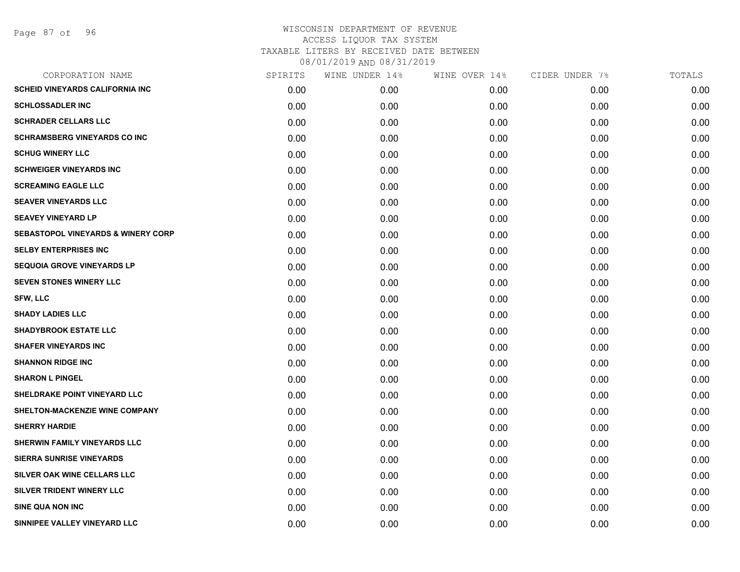| CORPORATION NAME                              | SPIRITS | WINE UNDER 14% | WINE OVER 14% | CIDER UNDER 7% | TOTALS |
|-----------------------------------------------|---------|----------------|---------------|----------------|--------|
| <b>SCHEID VINEYARDS CALIFORNIA INC</b>        | 0.00    | 0.00           | 0.00          | 0.00           | 0.00   |
| <b>SCHLOSSADLER INC</b>                       | 0.00    | 0.00           | 0.00          | 0.00           | 0.00   |
| <b>SCHRADER CELLARS LLC</b>                   | 0.00    | 0.00           | 0.00          | 0.00           | 0.00   |
| <b>SCHRAMSBERG VINEYARDS CO INC</b>           | 0.00    | 0.00           | 0.00          | 0.00           | 0.00   |
| <b>SCHUG WINERY LLC</b>                       | 0.00    | 0.00           | 0.00          | 0.00           | 0.00   |
| <b>SCHWEIGER VINEYARDS INC</b>                | 0.00    | 0.00           | 0.00          | 0.00           | 0.00   |
| <b>SCREAMING EAGLE LLC</b>                    | 0.00    | 0.00           | 0.00          | 0.00           | 0.00   |
| SEAVER VINEYARDS LLC                          | 0.00    | 0.00           | 0.00          | 0.00           | 0.00   |
| <b>SEAVEY VINEYARD LP</b>                     | 0.00    | 0.00           | 0.00          | 0.00           | 0.00   |
| <b>SEBASTOPOL VINEYARDS &amp; WINERY CORP</b> | 0.00    | 0.00           | 0.00          | 0.00           | 0.00   |
| <b>SELBY ENTERPRISES INC</b>                  | 0.00    | 0.00           | 0.00          | 0.00           | 0.00   |
| <b>SEQUOIA GROVE VINEYARDS LP</b>             | 0.00    | 0.00           | 0.00          | 0.00           | 0.00   |
| <b>SEVEN STONES WINERY LLC</b>                | 0.00    | 0.00           | 0.00          | 0.00           | 0.00   |
| <b>SFW, LLC</b>                               | 0.00    | 0.00           | 0.00          | 0.00           | 0.00   |
| <b>SHADY LADIES LLC</b>                       | 0.00    | 0.00           | 0.00          | 0.00           | 0.00   |
| <b>SHADYBROOK ESTATE LLC</b>                  | 0.00    | 0.00           | 0.00          | 0.00           | 0.00   |
| <b>SHAFER VINEYARDS INC</b>                   | 0.00    | 0.00           | 0.00          | 0.00           | 0.00   |
| <b>SHANNON RIDGE INC</b>                      | 0.00    | 0.00           | 0.00          | 0.00           | 0.00   |
| <b>SHARON L PINGEL</b>                        | 0.00    | 0.00           | 0.00          | 0.00           | 0.00   |
| <b>SHELDRAKE POINT VINEYARD LLC</b>           | 0.00    | 0.00           | 0.00          | 0.00           | 0.00   |
| SHELTON-MACKENZIE WINE COMPANY                | 0.00    | 0.00           | 0.00          | 0.00           | 0.00   |
| <b>SHERRY HARDIE</b>                          | 0.00    | 0.00           | 0.00          | 0.00           | 0.00   |
| SHERWIN FAMILY VINEYARDS LLC                  | 0.00    | 0.00           | 0.00          | 0.00           | 0.00   |
| <b>SIERRA SUNRISE VINEYARDS</b>               | 0.00    | 0.00           | 0.00          | 0.00           | 0.00   |
| SILVER OAK WINE CELLARS LLC                   | 0.00    | 0.00           | 0.00          | 0.00           | 0.00   |
| SILVER TRIDENT WINERY LLC                     | 0.00    | 0.00           | 0.00          | 0.00           | 0.00   |
| <b>SINE QUA NON INC</b>                       | 0.00    | 0.00           | 0.00          | 0.00           | 0.00   |
| SINNIPEE VALLEY VINEYARD LLC                  | 0.00    | 0.00           | 0.00          | 0.00           | 0.00   |
|                                               |         |                |               |                |        |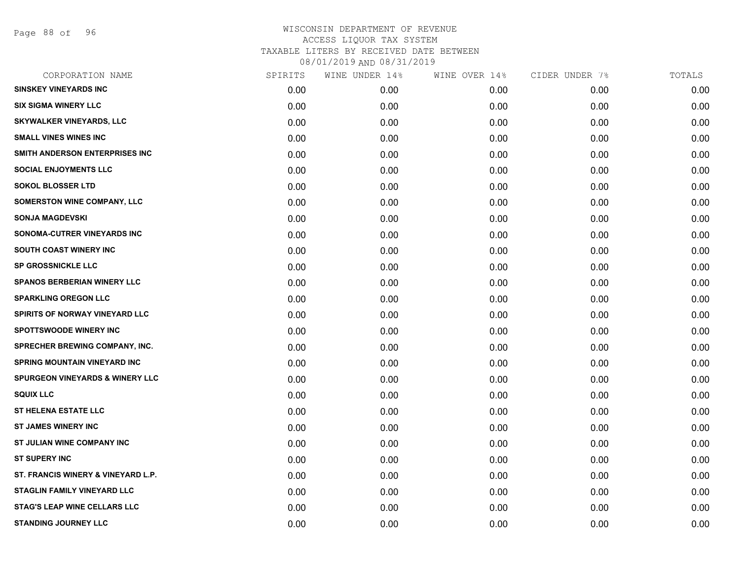Page 88 of 96

| CORPORATION NAME                           | SPIRITS | WINE UNDER 14% | WINE OVER 14% | CIDER UNDER 7% | TOTALS |
|--------------------------------------------|---------|----------------|---------------|----------------|--------|
| <b>SINSKEY VINEYARDS INC</b>               | 0.00    | 0.00           | 0.00          | 0.00           | 0.00   |
| <b>SIX SIGMA WINERY LLC</b>                | 0.00    | 0.00           | 0.00          | 0.00           | 0.00   |
| <b>SKYWALKER VINEYARDS, LLC</b>            | 0.00    | 0.00           | 0.00          | 0.00           | 0.00   |
| <b>SMALL VINES WINES INC</b>               | 0.00    | 0.00           | 0.00          | 0.00           | 0.00   |
| SMITH ANDERSON ENTERPRISES INC             | 0.00    | 0.00           | 0.00          | 0.00           | 0.00   |
| <b>SOCIAL ENJOYMENTS LLC</b>               | 0.00    | 0.00           | 0.00          | 0.00           | 0.00   |
| <b>SOKOL BLOSSER LTD</b>                   | 0.00    | 0.00           | 0.00          | 0.00           | 0.00   |
| <b>SOMERSTON WINE COMPANY, LLC</b>         | 0.00    | 0.00           | 0.00          | 0.00           | 0.00   |
| <b>SONJA MAGDEVSKI</b>                     | 0.00    | 0.00           | 0.00          | 0.00           | 0.00   |
| SONOMA-CUTRER VINEYARDS INC                | 0.00    | 0.00           | 0.00          | 0.00           | 0.00   |
| SOUTH COAST WINERY INC                     | 0.00    | 0.00           | 0.00          | 0.00           | 0.00   |
| <b>SP GROSSNICKLE LLC</b>                  | 0.00    | 0.00           | 0.00          | 0.00           | 0.00   |
| <b>SPANOS BERBERIAN WINERY LLC</b>         | 0.00    | 0.00           | 0.00          | 0.00           | 0.00   |
| <b>SPARKLING OREGON LLC</b>                | 0.00    | 0.00           | 0.00          | 0.00           | 0.00   |
| SPIRITS OF NORWAY VINEYARD LLC             | 0.00    | 0.00           | 0.00          | 0.00           | 0.00   |
| <b>SPOTTSWOODE WINERY INC</b>              | 0.00    | 0.00           | 0.00          | 0.00           | 0.00   |
| <b>SPRECHER BREWING COMPANY, INC.</b>      | 0.00    | 0.00           | 0.00          | 0.00           | 0.00   |
| <b>SPRING MOUNTAIN VINEYARD INC</b>        | 0.00    | 0.00           | 0.00          | 0.00           | 0.00   |
| <b>SPURGEON VINEYARDS &amp; WINERY LLC</b> | 0.00    | 0.00           | 0.00          | 0.00           | 0.00   |
| <b>SQUIX LLC</b>                           | 0.00    | 0.00           | 0.00          | 0.00           | 0.00   |
| <b>ST HELENA ESTATE LLC</b>                | 0.00    | 0.00           | 0.00          | 0.00           | 0.00   |
| <b>ST JAMES WINERY INC</b>                 | 0.00    | 0.00           | 0.00          | 0.00           | 0.00   |
| ST JULIAN WINE COMPANY INC                 | 0.00    | 0.00           | 0.00          | 0.00           | 0.00   |
| <b>ST SUPERY INC</b>                       | 0.00    | 0.00           | 0.00          | 0.00           | 0.00   |
| ST. FRANCIS WINERY & VINEYARD L.P.         | 0.00    | 0.00           | 0.00          | 0.00           | 0.00   |
| <b>STAGLIN FAMILY VINEYARD LLC</b>         | 0.00    | 0.00           | 0.00          | 0.00           | 0.00   |
| <b>STAG'S LEAP WINE CELLARS LLC</b>        | 0.00    | 0.00           | 0.00          | 0.00           | 0.00   |
| <b>STANDING JOURNEY LLC</b>                | 0.00    | 0.00           | 0.00          | 0.00           | 0.00   |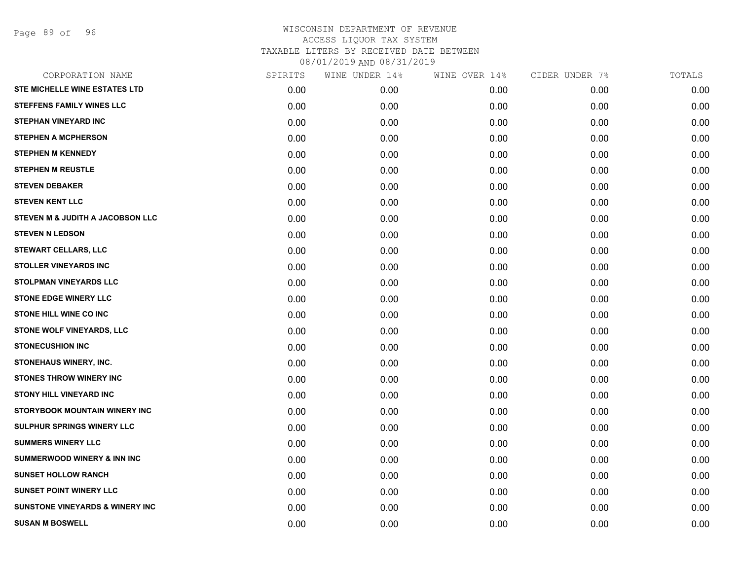Page 89 of 96

| CORPORATION NAME                           | SPIRITS | WINE UNDER 14% | WINE OVER 14% | CIDER UNDER 7% | TOTALS |
|--------------------------------------------|---------|----------------|---------------|----------------|--------|
| <b>STE MICHELLE WINE ESTATES LTD</b>       | 0.00    | 0.00           | 0.00          | 0.00           | 0.00   |
| <b>STEFFENS FAMILY WINES LLC</b>           | 0.00    | 0.00           | 0.00          | 0.00           | 0.00   |
| <b>STEPHAN VINEYARD INC</b>                | 0.00    | 0.00           | 0.00          | 0.00           | 0.00   |
| <b>STEPHEN A MCPHERSON</b>                 | 0.00    | 0.00           | 0.00          | 0.00           | 0.00   |
| <b>STEPHEN M KENNEDY</b>                   | 0.00    | 0.00           | 0.00          | 0.00           | 0.00   |
| <b>STEPHEN M REUSTLE</b>                   | 0.00    | 0.00           | 0.00          | 0.00           | 0.00   |
| <b>STEVEN DEBAKER</b>                      | 0.00    | 0.00           | 0.00          | 0.00           | 0.00   |
| <b>STEVEN KENT LLC</b>                     | 0.00    | 0.00           | 0.00          | 0.00           | 0.00   |
| STEVEN M & JUDITH A JACOBSON LLC           | 0.00    | 0.00           | 0.00          | 0.00           | 0.00   |
| <b>STEVEN N LEDSON</b>                     | 0.00    | 0.00           | 0.00          | 0.00           | 0.00   |
| <b>STEWART CELLARS, LLC</b>                | 0.00    | 0.00           | 0.00          | 0.00           | 0.00   |
| <b>STOLLER VINEYARDS INC</b>               | 0.00    | 0.00           | 0.00          | 0.00           | 0.00   |
| <b>STOLPMAN VINEYARDS LLC</b>              | 0.00    | 0.00           | 0.00          | 0.00           | 0.00   |
| <b>STONE EDGE WINERY LLC</b>               | 0.00    | 0.00           | 0.00          | 0.00           | 0.00   |
| STONE HILL WINE CO INC                     | 0.00    | 0.00           | 0.00          | 0.00           | 0.00   |
| <b>STONE WOLF VINEYARDS, LLC</b>           | 0.00    | 0.00           | 0.00          | 0.00           | 0.00   |
| <b>STONECUSHION INC</b>                    | 0.00    | 0.00           | 0.00          | 0.00           | 0.00   |
| STONEHAUS WINERY, INC.                     | 0.00    | 0.00           | 0.00          | 0.00           | 0.00   |
| <b>STONES THROW WINERY INC</b>             | 0.00    | 0.00           | 0.00          | 0.00           | 0.00   |
| <b>STONY HILL VINEYARD INC</b>             | 0.00    | 0.00           | 0.00          | 0.00           | 0.00   |
| STORYBOOK MOUNTAIN WINERY INC              | 0.00    | 0.00           | 0.00          | 0.00           | 0.00   |
| <b>SULPHUR SPRINGS WINERY LLC</b>          | 0.00    | 0.00           | 0.00          | 0.00           | 0.00   |
| <b>SUMMERS WINERY LLC</b>                  | 0.00    | 0.00           | 0.00          | 0.00           | 0.00   |
| <b>SUMMERWOOD WINERY &amp; INN INC</b>     | 0.00    | 0.00           | 0.00          | 0.00           | 0.00   |
| <b>SUNSET HOLLOW RANCH</b>                 | 0.00    | 0.00           | 0.00          | 0.00           | 0.00   |
| <b>SUNSET POINT WINERY LLC</b>             | 0.00    | 0.00           | 0.00          | 0.00           | 0.00   |
| <b>SUNSTONE VINEYARDS &amp; WINERY INC</b> | 0.00    | 0.00           | 0.00          | 0.00           | 0.00   |
| <b>SUSAN M BOSWELL</b>                     | 0.00    | 0.00           | 0.00          | 0.00           | 0.00   |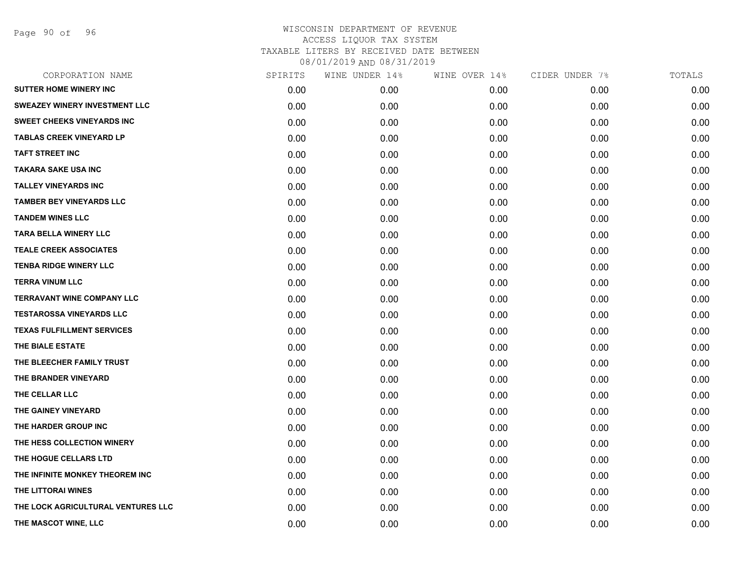Page 90 of 96

| CORPORATION NAME                     | SPIRITS | WINE UNDER 14% | WINE OVER 14% | CIDER UNDER 7% | TOTALS |
|--------------------------------------|---------|----------------|---------------|----------------|--------|
| <b>SUTTER HOME WINERY INC</b>        | 0.00    | 0.00           | 0.00          | 0.00           | 0.00   |
| <b>SWEAZEY WINERY INVESTMENT LLC</b> | 0.00    | 0.00           | 0.00          | 0.00           | 0.00   |
| <b>SWEET CHEEKS VINEYARDS INC</b>    | 0.00    | 0.00           | 0.00          | 0.00           | 0.00   |
| <b>TABLAS CREEK VINEYARD LP</b>      | 0.00    | 0.00           | 0.00          | 0.00           | 0.00   |
| <b>TAFT STREET INC</b>               | 0.00    | 0.00           | 0.00          | 0.00           | 0.00   |
| <b>TAKARA SAKE USA INC</b>           | 0.00    | 0.00           | 0.00          | 0.00           | 0.00   |
| <b>TALLEY VINEYARDS INC</b>          | 0.00    | 0.00           | 0.00          | 0.00           | 0.00   |
| <b>TAMBER BEY VINEYARDS LLC</b>      | 0.00    | 0.00           | 0.00          | 0.00           | 0.00   |
| <b>TANDEM WINES LLC</b>              | 0.00    | 0.00           | 0.00          | 0.00           | 0.00   |
| <b>TARA BELLA WINERY LLC</b>         | 0.00    | 0.00           | 0.00          | 0.00           | 0.00   |
| <b>TEALE CREEK ASSOCIATES</b>        | 0.00    | 0.00           | 0.00          | 0.00           | 0.00   |
| <b>TENBA RIDGE WINERY LLC</b>        | 0.00    | 0.00           | 0.00          | 0.00           | 0.00   |
| <b>TERRA VINUM LLC</b>               | 0.00    | 0.00           | 0.00          | 0.00           | 0.00   |
| <b>TERRAVANT WINE COMPANY LLC</b>    | 0.00    | 0.00           | 0.00          | 0.00           | 0.00   |
| <b>TESTAROSSA VINEYARDS LLC</b>      | 0.00    | 0.00           | 0.00          | 0.00           | 0.00   |
| <b>TEXAS FULFILLMENT SERVICES</b>    | 0.00    | 0.00           | 0.00          | 0.00           | 0.00   |
| THE BIALE ESTATE                     | 0.00    | 0.00           | 0.00          | 0.00           | 0.00   |
| THE BLEECHER FAMILY TRUST            | 0.00    | 0.00           | 0.00          | 0.00           | 0.00   |
| THE BRANDER VINEYARD                 | 0.00    | 0.00           | 0.00          | 0.00           | 0.00   |
| THE CELLAR LLC                       | 0.00    | 0.00           | 0.00          | 0.00           | 0.00   |
| THE GAINEY VINEYARD                  | 0.00    | 0.00           | 0.00          | 0.00           | 0.00   |
| THE HARDER GROUP INC                 | 0.00    | 0.00           | 0.00          | 0.00           | 0.00   |
| THE HESS COLLECTION WINERY           | 0.00    | 0.00           | 0.00          | 0.00           | 0.00   |
| THE HOGUE CELLARS LTD                | 0.00    | 0.00           | 0.00          | 0.00           | 0.00   |
| THE INFINITE MONKEY THEOREM INC      | 0.00    | 0.00           | 0.00          | 0.00           | 0.00   |
| THE LITTORAI WINES                   | 0.00    | 0.00           | 0.00          | 0.00           | 0.00   |
| THE LOCK AGRICULTURAL VENTURES LLC   | 0.00    | 0.00           | 0.00          | 0.00           | 0.00   |
| THE MASCOT WINE, LLC                 | 0.00    | 0.00           | 0.00          | 0.00           | 0.00   |
|                                      |         |                |               |                |        |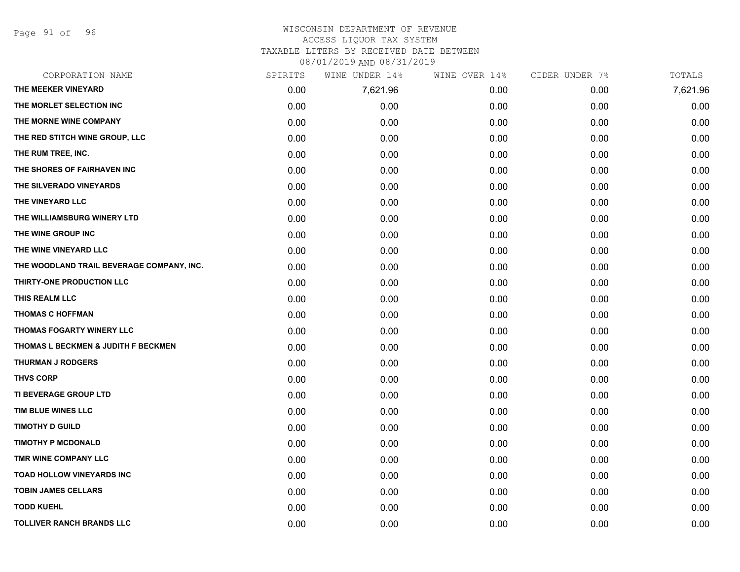Page 91 of 96

#### WISCONSIN DEPARTMENT OF REVENUE ACCESS LIQUOR TAX SYSTEM

TAXABLE LITERS BY RECEIVED DATE BETWEEN

08/01/2019 AND 08/31/2019

| CORPORATION NAME                          | SPIRITS | WINE UNDER 14% | WINE OVER 14% | CIDER UNDER 7% | TOTALS   |
|-------------------------------------------|---------|----------------|---------------|----------------|----------|
| THE MEEKER VINEYARD                       | 0.00    | 7,621.96       | 0.00          | 0.00           | 7,621.96 |
| THE MORLET SELECTION INC                  | 0.00    | 0.00           | 0.00          | 0.00           | 0.00     |
| THE MORNE WINE COMPANY                    | 0.00    | 0.00           | 0.00          | 0.00           | 0.00     |
| THE RED STITCH WINE GROUP, LLC            | 0.00    | 0.00           | 0.00          | 0.00           | 0.00     |
| THE RUM TREE, INC.                        | 0.00    | 0.00           | 0.00          | 0.00           | 0.00     |
| THE SHORES OF FAIRHAVEN INC               | 0.00    | 0.00           | 0.00          | 0.00           | 0.00     |
| THE SILVERADO VINEYARDS                   | 0.00    | 0.00           | 0.00          | 0.00           | 0.00     |
| THE VINEYARD LLC                          | 0.00    | 0.00           | 0.00          | 0.00           | 0.00     |
| THE WILLIAMSBURG WINERY LTD               | 0.00    | 0.00           | 0.00          | 0.00           | 0.00     |
| THE WINE GROUP INC                        | 0.00    | 0.00           | 0.00          | 0.00           | 0.00     |
| THE WINE VINEYARD LLC                     | 0.00    | 0.00           | 0.00          | 0.00           | 0.00     |
| THE WOODLAND TRAIL BEVERAGE COMPANY, INC. | 0.00    | 0.00           | 0.00          | 0.00           | 0.00     |
| THIRTY-ONE PRODUCTION LLC                 | 0.00    | 0.00           | 0.00          | 0.00           | 0.00     |
| THIS REALM LLC                            | 0.00    | 0.00           | 0.00          | 0.00           | 0.00     |
| <b>THOMAS C HOFFMAN</b>                   | 0.00    | 0.00           | 0.00          | 0.00           | 0.00     |
| THOMAS FOGARTY WINERY LLC                 | 0.00    | 0.00           | 0.00          | 0.00           | 0.00     |
| THOMAS L BECKMEN & JUDITH F BECKMEN       | 0.00    | 0.00           | 0.00          | 0.00           | 0.00     |
| <b>THURMAN J RODGERS</b>                  | 0.00    | 0.00           | 0.00          | 0.00           | 0.00     |
| <b>THVS CORP</b>                          | 0.00    | 0.00           | 0.00          | 0.00           | 0.00     |
| TI BEVERAGE GROUP LTD                     | 0.00    | 0.00           | 0.00          | 0.00           | 0.00     |
| TIM BLUE WINES LLC                        | 0.00    | 0.00           | 0.00          | 0.00           | 0.00     |
| <b>TIMOTHY D GUILD</b>                    | 0.00    | 0.00           | 0.00          | 0.00           | 0.00     |
| <b>TIMOTHY P MCDONALD</b>                 | 0.00    | 0.00           | 0.00          | 0.00           | 0.00     |
| TMR WINE COMPANY LLC                      | 0.00    | 0.00           | 0.00          | 0.00           | 0.00     |
| <b>TOAD HOLLOW VINEYARDS INC</b>          | 0.00    | 0.00           | 0.00          | 0.00           | 0.00     |
| <b>TOBIN JAMES CELLARS</b>                | 0.00    | 0.00           | 0.00          | 0.00           | 0.00     |
| <b>TODD KUEHL</b>                         | 0.00    | 0.00           | 0.00          | 0.00           | 0.00     |
| <b>TOLLIVER RANCH BRANDS LLC</b>          | 0.00    | 0.00           | 0.00          | 0.00           | 0.00     |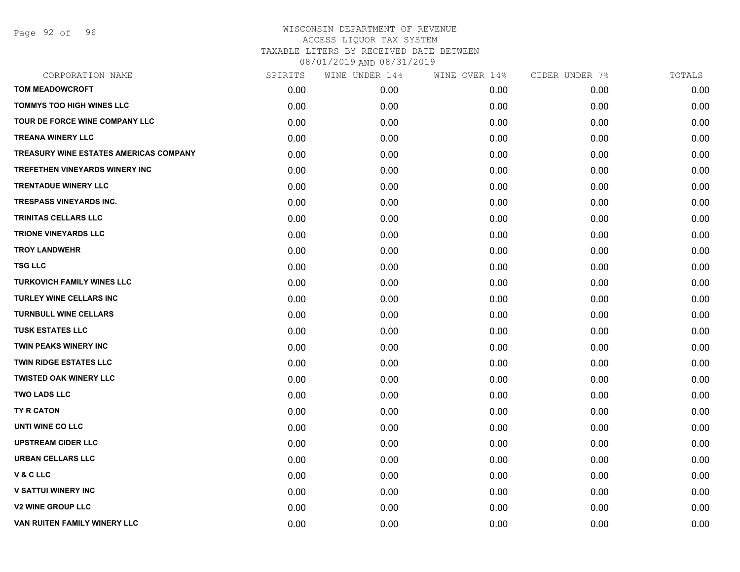Page 92 of 96

| CORPORATION NAME                       | SPIRITS | WINE UNDER 14% | WINE OVER 14% | CIDER UNDER 7% | TOTALS |
|----------------------------------------|---------|----------------|---------------|----------------|--------|
| <b>TOM MEADOWCROFT</b>                 | 0.00    | 0.00           | 0.00          | 0.00           | 0.00   |
| TOMMYS TOO HIGH WINES LLC              | 0.00    | 0.00           | 0.00          | 0.00           | 0.00   |
| TOUR DE FORCE WINE COMPANY LLC         | 0.00    | 0.00           | 0.00          | 0.00           | 0.00   |
| <b>TREANA WINERY LLC</b>               | 0.00    | 0.00           | 0.00          | 0.00           | 0.00   |
| TREASURY WINE ESTATES AMERICAS COMPANY | 0.00    | 0.00           | 0.00          | 0.00           | 0.00   |
| TREFETHEN VINEYARDS WINERY INC         | 0.00    | 0.00           | 0.00          | 0.00           | 0.00   |
| <b>TRENTADUE WINERY LLC</b>            | 0.00    | 0.00           | 0.00          | 0.00           | 0.00   |
| <b>TRESPASS VINEYARDS INC.</b>         | 0.00    | 0.00           | 0.00          | 0.00           | 0.00   |
| <b>TRINITAS CELLARS LLC</b>            | 0.00    | 0.00           | 0.00          | 0.00           | 0.00   |
| <b>TRIONE VINEYARDS LLC</b>            | 0.00    | 0.00           | 0.00          | 0.00           | 0.00   |
| <b>TROY LANDWEHR</b>                   | 0.00    | 0.00           | 0.00          | 0.00           | 0.00   |
| <b>TSG LLC</b>                         | 0.00    | 0.00           | 0.00          | 0.00           | 0.00   |
| TURKOVICH FAMILY WINES LLC             | 0.00    | 0.00           | 0.00          | 0.00           | 0.00   |
| TURLEY WINE CELLARS INC                | 0.00    | 0.00           | 0.00          | 0.00           | 0.00   |
| <b>TURNBULL WINE CELLARS</b>           | 0.00    | 0.00           | 0.00          | 0.00           | 0.00   |
| <b>TUSK ESTATES LLC</b>                | 0.00    | 0.00           | 0.00          | 0.00           | 0.00   |
| <b>TWIN PEAKS WINERY INC</b>           | 0.00    | 0.00           | 0.00          | 0.00           | 0.00   |
| <b>TWIN RIDGE ESTATES LLC</b>          | 0.00    | 0.00           | 0.00          | 0.00           | 0.00   |
| <b>TWISTED OAK WINERY LLC</b>          | 0.00    | 0.00           | 0.00          | 0.00           | 0.00   |
| <b>TWO LADS LLC</b>                    | 0.00    | 0.00           | 0.00          | 0.00           | 0.00   |
| <b>TY R CATON</b>                      | 0.00    | 0.00           | 0.00          | 0.00           | 0.00   |
| UNTI WINE CO LLC                       | 0.00    | 0.00           | 0.00          | 0.00           | 0.00   |
| <b>UPSTREAM CIDER LLC</b>              | 0.00    | 0.00           | 0.00          | 0.00           | 0.00   |
| <b>URBAN CELLARS LLC</b>               | 0.00    | 0.00           | 0.00          | 0.00           | 0.00   |
| V & C LLC                              | 0.00    | 0.00           | 0.00          | 0.00           | 0.00   |
| <b>V SATTUI WINERY INC</b>             | 0.00    | 0.00           | 0.00          | 0.00           | 0.00   |
| <b>V2 WINE GROUP LLC</b>               | 0.00    | 0.00           | 0.00          | 0.00           | 0.00   |
| VAN RUITEN FAMILY WINERY LLC           | 0.00    | 0.00           | 0.00          | 0.00           | 0.00   |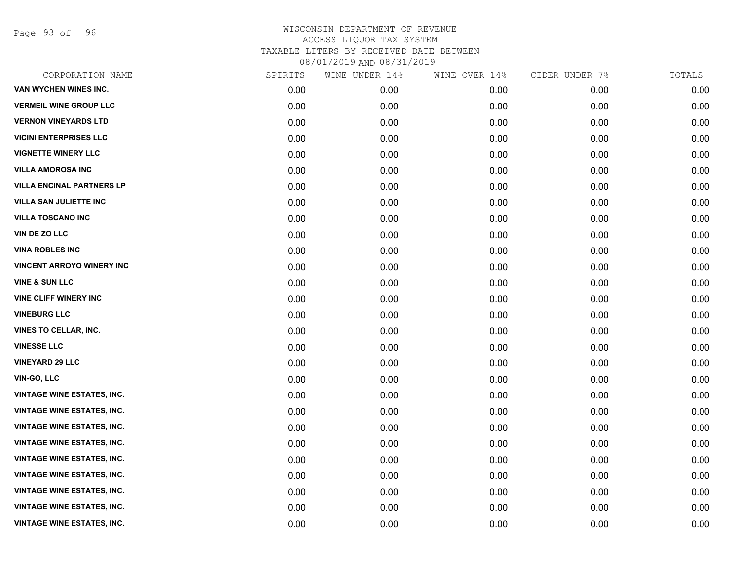Page 93 of 96

| CORPORATION NAME                  | SPIRITS | WINE UNDER 14% | WINE OVER 14% | CIDER UNDER 7% | TOTALS |
|-----------------------------------|---------|----------------|---------------|----------------|--------|
| VAN WYCHEN WINES INC.             | 0.00    | 0.00           | 0.00          | 0.00           | 0.00   |
| <b>VERMEIL WINE GROUP LLC</b>     | 0.00    | 0.00           | 0.00          | 0.00           | 0.00   |
| <b>VERNON VINEYARDS LTD</b>       | 0.00    | 0.00           | 0.00          | 0.00           | 0.00   |
| <b>VICINI ENTERPRISES LLC</b>     | 0.00    | 0.00           | 0.00          | 0.00           | 0.00   |
| <b>VIGNETTE WINERY LLC</b>        | 0.00    | 0.00           | 0.00          | 0.00           | 0.00   |
| <b>VILLA AMOROSA INC</b>          | 0.00    | 0.00           | 0.00          | 0.00           | 0.00   |
| <b>VILLA ENCINAL PARTNERS LP</b>  | 0.00    | 0.00           | 0.00          | 0.00           | 0.00   |
| <b>VILLA SAN JULIETTE INC</b>     | 0.00    | 0.00           | 0.00          | 0.00           | 0.00   |
| <b>VILLA TOSCANO INC</b>          | 0.00    | 0.00           | 0.00          | 0.00           | 0.00   |
| VIN DE ZO LLC                     | 0.00    | 0.00           | 0.00          | 0.00           | 0.00   |
| <b>VINA ROBLES INC</b>            | 0.00    | 0.00           | 0.00          | 0.00           | 0.00   |
| <b>VINCENT ARROYO WINERY INC</b>  | 0.00    | 0.00           | 0.00          | 0.00           | 0.00   |
| <b>VINE &amp; SUN LLC</b>         | 0.00    | 0.00           | 0.00          | 0.00           | 0.00   |
| <b>VINE CLIFF WINERY INC</b>      | 0.00    | 0.00           | 0.00          | 0.00           | 0.00   |
| <b>VINEBURG LLC</b>               | 0.00    | 0.00           | 0.00          | 0.00           | 0.00   |
| VINES TO CELLAR, INC.             | 0.00    | 0.00           | 0.00          | 0.00           | 0.00   |
| <b>VINESSE LLC</b>                | 0.00    | 0.00           | 0.00          | 0.00           | 0.00   |
| <b>VINEYARD 29 LLC</b>            | 0.00    | 0.00           | 0.00          | 0.00           | 0.00   |
| VIN-GO, LLC                       | 0.00    | 0.00           | 0.00          | 0.00           | 0.00   |
| <b>VINTAGE WINE ESTATES, INC.</b> | 0.00    | 0.00           | 0.00          | 0.00           | 0.00   |
| <b>VINTAGE WINE ESTATES, INC.</b> | 0.00    | 0.00           | 0.00          | 0.00           | 0.00   |
| <b>VINTAGE WINE ESTATES, INC.</b> | 0.00    | 0.00           | 0.00          | 0.00           | 0.00   |
| <b>VINTAGE WINE ESTATES, INC.</b> | 0.00    | 0.00           | 0.00          | 0.00           | 0.00   |
| <b>VINTAGE WINE ESTATES, INC.</b> | 0.00    | 0.00           | 0.00          | 0.00           | 0.00   |
| <b>VINTAGE WINE ESTATES, INC.</b> | 0.00    | 0.00           | 0.00          | 0.00           | 0.00   |
| <b>VINTAGE WINE ESTATES, INC.</b> | 0.00    | 0.00           | 0.00          | 0.00           | 0.00   |
| <b>VINTAGE WINE ESTATES, INC.</b> | 0.00    | 0.00           | 0.00          | 0.00           | 0.00   |
| <b>VINTAGE WINE ESTATES, INC.</b> | 0.00    | 0.00           | 0.00          | 0.00           | 0.00   |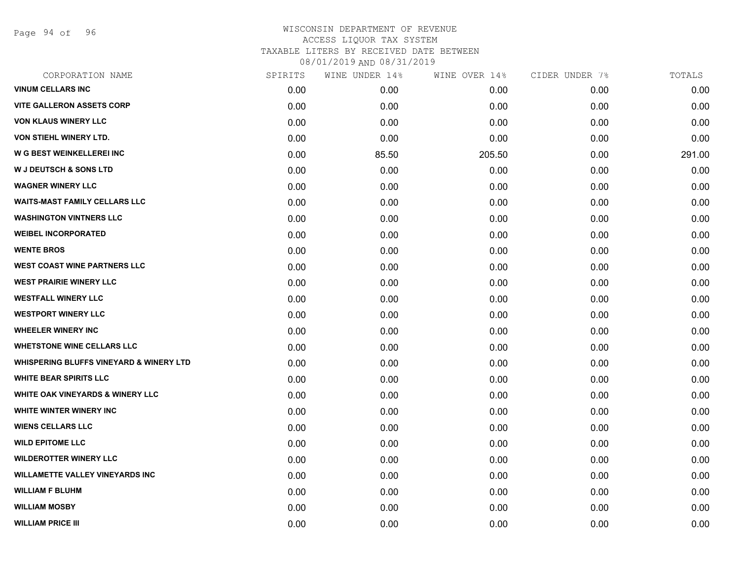Page 94 of 96

| CORPORATION NAME                                   | SPIRITS | WINE UNDER 14% | WINE OVER 14% | CIDER UNDER 7% | TOTALS |
|----------------------------------------------------|---------|----------------|---------------|----------------|--------|
| <b>VINUM CELLARS INC</b>                           | 0.00    | 0.00           | 0.00          | 0.00           | 0.00   |
| <b>VITE GALLERON ASSETS CORP</b>                   | 0.00    | 0.00           | 0.00          | 0.00           | 0.00   |
| <b>VON KLAUS WINERY LLC</b>                        | 0.00    | 0.00           | 0.00          | 0.00           | 0.00   |
| <b>VON STIEHL WINERY LTD.</b>                      | 0.00    | 0.00           | 0.00          | 0.00           | 0.00   |
| W G BEST WEINKELLEREI INC                          | 0.00    | 85.50          | 205.50        | 0.00           | 291.00 |
| <b>W J DEUTSCH &amp; SONS LTD</b>                  | 0.00    | 0.00           | 0.00          | 0.00           | 0.00   |
| <b>WAGNER WINERY LLC</b>                           | 0.00    | 0.00           | 0.00          | 0.00           | 0.00   |
| <b>WAITS-MAST FAMILY CELLARS LLC</b>               | 0.00    | 0.00           | 0.00          | 0.00           | 0.00   |
| <b>WASHINGTON VINTNERS LLC</b>                     | 0.00    | 0.00           | 0.00          | 0.00           | 0.00   |
| <b>WEIBEL INCORPORATED</b>                         | 0.00    | 0.00           | 0.00          | 0.00           | 0.00   |
| <b>WENTE BROS</b>                                  | 0.00    | 0.00           | 0.00          | 0.00           | 0.00   |
| <b>WEST COAST WINE PARTNERS LLC</b>                | 0.00    | 0.00           | 0.00          | 0.00           | 0.00   |
| <b>WEST PRAIRIE WINERY LLC</b>                     | 0.00    | 0.00           | 0.00          | 0.00           | 0.00   |
| <b>WESTFALL WINERY LLC</b>                         | 0.00    | 0.00           | 0.00          | 0.00           | 0.00   |
| <b>WESTPORT WINERY LLC</b>                         | 0.00    | 0.00           | 0.00          | 0.00           | 0.00   |
| <b>WHEELER WINERY INC</b>                          | 0.00    | 0.00           | 0.00          | 0.00           | 0.00   |
| <b>WHETSTONE WINE CELLARS LLC</b>                  | 0.00    | 0.00           | 0.00          | 0.00           | 0.00   |
| <b>WHISPERING BLUFFS VINEYARD &amp; WINERY LTD</b> | 0.00    | 0.00           | 0.00          | 0.00           | 0.00   |
| <b>WHITE BEAR SPIRITS LLC</b>                      | 0.00    | 0.00           | 0.00          | 0.00           | 0.00   |
| <b>WHITE OAK VINEYARDS &amp; WINERY LLC</b>        | 0.00    | 0.00           | 0.00          | 0.00           | 0.00   |
| WHITE WINTER WINERY INC                            | 0.00    | 0.00           | 0.00          | 0.00           | 0.00   |
| <b>WIENS CELLARS LLC</b>                           | 0.00    | 0.00           | 0.00          | 0.00           | 0.00   |
| <b>WILD EPITOME LLC</b>                            | 0.00    | 0.00           | 0.00          | 0.00           | 0.00   |
| <b>WILDEROTTER WINERY LLC</b>                      | 0.00    | 0.00           | 0.00          | 0.00           | 0.00   |
| <b>WILLAMETTE VALLEY VINEYARDS INC</b>             | 0.00    | 0.00           | 0.00          | 0.00           | 0.00   |
| <b>WILLIAM F BLUHM</b>                             | 0.00    | 0.00           | 0.00          | 0.00           | 0.00   |
| <b>WILLIAM MOSBY</b>                               | 0.00    | 0.00           | 0.00          | 0.00           | 0.00   |
| <b>WILLIAM PRICE III</b>                           | 0.00    | 0.00           | 0.00          | 0.00           | 0.00   |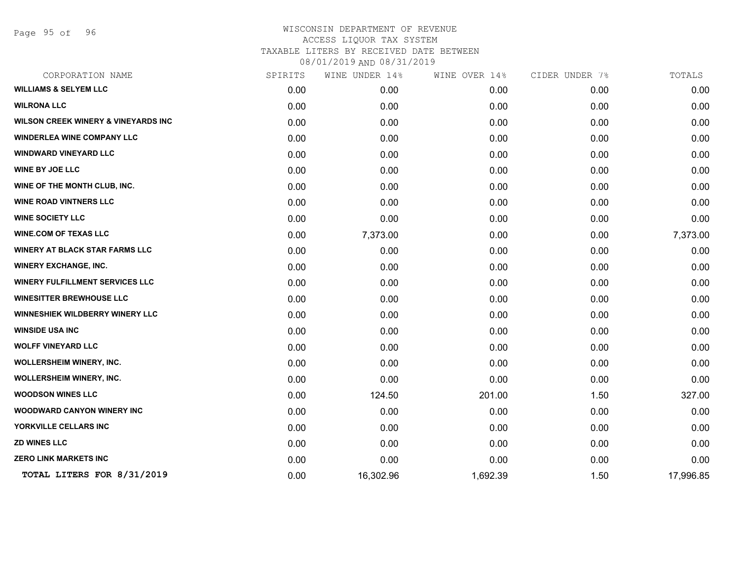Page 95 of 96

| SPIRITS | WINE UNDER 14% | WINE OVER 14% | CIDER UNDER 7% | TOTALS    |
|---------|----------------|---------------|----------------|-----------|
| 0.00    | 0.00           | 0.00          | 0.00           | 0.00      |
| 0.00    | 0.00           | 0.00          | 0.00           | 0.00      |
| 0.00    | 0.00           | 0.00          | 0.00           | 0.00      |
| 0.00    | 0.00           | 0.00          | 0.00           | 0.00      |
| 0.00    | 0.00           | 0.00          | 0.00           | 0.00      |
| 0.00    | 0.00           | 0.00          | 0.00           | 0.00      |
| 0.00    | 0.00           | 0.00          | 0.00           | 0.00      |
| 0.00    | 0.00           | 0.00          | 0.00           | 0.00      |
| 0.00    | 0.00           | 0.00          | 0.00           | 0.00      |
| 0.00    | 7,373.00       | 0.00          | 0.00           | 7,373.00  |
| 0.00    | 0.00           | 0.00          | 0.00           | 0.00      |
| 0.00    | 0.00           | 0.00          | 0.00           | 0.00      |
| 0.00    | 0.00           | 0.00          | 0.00           | 0.00      |
| 0.00    | 0.00           | 0.00          | 0.00           | 0.00      |
| 0.00    | 0.00           | 0.00          | 0.00           | 0.00      |
| 0.00    | 0.00           | 0.00          | 0.00           | 0.00      |
| 0.00    | 0.00           | 0.00          | 0.00           | 0.00      |
| 0.00    | 0.00           | 0.00          | 0.00           | 0.00      |
| 0.00    | 0.00           | 0.00          | 0.00           | 0.00      |
| 0.00    | 124.50         | 201.00        | 1.50           | 327.00    |
| 0.00    | 0.00           | 0.00          | 0.00           | 0.00      |
| 0.00    | 0.00           | 0.00          | 0.00           | 0.00      |
| 0.00    | 0.00           | 0.00          | 0.00           | 0.00      |
| 0.00    | 0.00           | 0.00          | 0.00           | 0.00      |
| 0.00    | 16,302.96      | 1,692.39      | 1.50           | 17,996.85 |
|         |                |               |                |           |